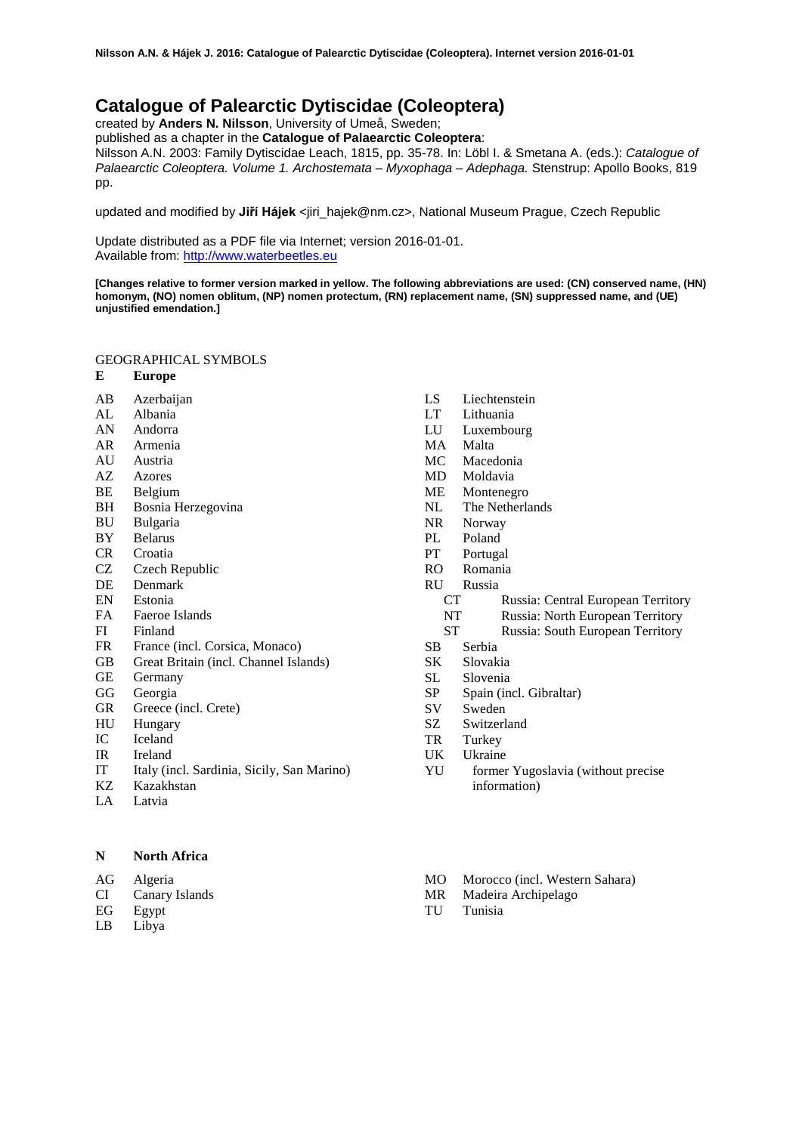# **Catalogue of Palearctic Dytiscidae (Coleoptera)**

created by **Anders N. Nilsson**, University of Umeå, Sweden;

published as a chapter in the **Catalogue of Palaearctic Coleoptera**:

Nilsson A.N. 2003: Family Dytiscidae Leach, 1815, pp. 35-78. In: Löbl I. & Smetana A. (eds.): *Catalogue of Palaearctic Coleoptera. Volume 1. Archostemata – Myxophaga – Adephaga.* Stenstrup: Apollo Books, 819 pp.

updated and modified by **Jiří Hájek** <iiri\_hajek@nm.cz>, National Museum Prague, Czech Republic

Update distributed as a PDF file via Internet; version 2016-01-01. Available from: [http://www.waterbeetles.eu](http://www.waterbeetles.eu/)

**[Changes relative to former version marked in yellow. The following abbreviations are used: (CN) conserved name, (HN) homonym, (NO) nomen oblitum, (NP) nomen protectum, (RN) replacement name, (SN) suppressed name, and (UE) unjustified emendation.]**

## GEOGRAPHICAL SYMBOLS

- **E Europe**
- AB Azerbaijan
- AL Albania
- AN Andorra
- AR Armenia
- AU Austria AZ Azores
- 
- BE Belgium<br>BH Bosnia H
- BH Bosnia Herzegovina<br>BU Bulgaria
- BU Bulgaria
- BY Belarus<br>CR Croatia Croatia
- 
- CZ Czech Republic
- DE Denmark
- EN Estonia
- FA Faeroe Islands
- FI Finland
- FR France (incl. Corsica, Monaco)
- GB Great Britain (incl. Channel Islands)
- GE Germany
- GG Georgia
- GR Greece (incl. Crete)
- HU Hungary
- IC Iceland
- IR Ireland
- IT Italy (incl. Sardinia, Sicily, San Marino)
- Kazakhstan
- LA Latvia

**N North Africa** 

AG Algeria

CI Canary Islands

- EG Egypt
- LB Libya
- LS Liechtenstein<br>LT Lithuania
- Lithuania
- LU Luxembourg
- MA Malta
- MC Macedonia
- MD Moldavia
- ME Montenegro<br>NL The Netherla
- The Netherlands
- NR Norway
- PL Poland<br>PT Portuga
- Portugal
- RO Romania
- RU Russia
	- CT Russia: Central European Territory
	- NT Russia: North European Territory<br>ST Russia: South European Territory
	- Russia: South European Territory
- SB Serbia
- SK Slovakia
- SL Slovenia<br>SP Spain (in
- Spain (incl. Gibraltar)
- SV Sweden
- SZ Switzerland
- TR Turkey
- UK Ukraine
- YU former Yugoslavia (without precise information)
- MO Morocco (incl. Western Sahara)
- MR Madeira Archipelago
- TU Tunisia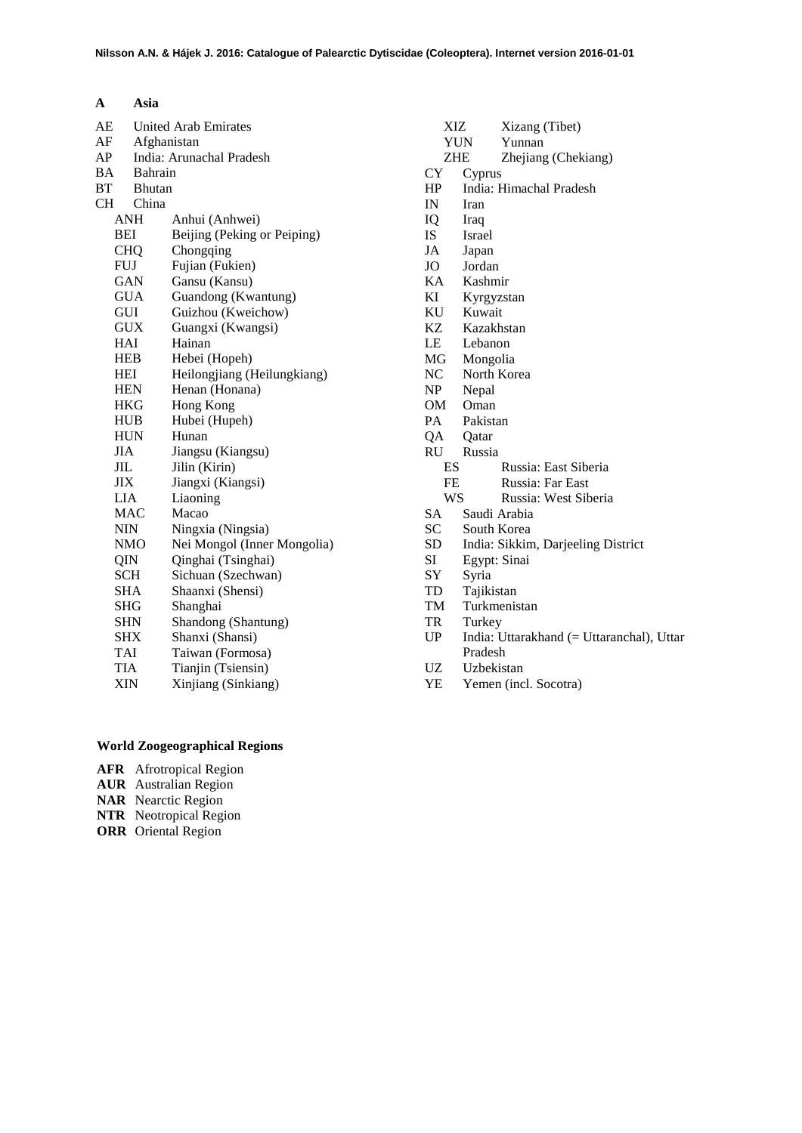| A          | Asia                        |                                               |
|------------|-----------------------------|-----------------------------------------------|
| AЕ         | <b>United Arab Emirates</b> |                                               |
| AF         | Afghanistan                 |                                               |
| AP         |                             | India: Arunachal Pradesh                      |
| BA         | <b>Bahrain</b>              |                                               |
| <b>BT</b>  | <b>Bhutan</b>               |                                               |
| <b>CH</b>  | China                       |                                               |
|            | ANH                         | Anhui (Anhwei)                                |
| BEI        |                             | Beijing (Peking or Peiping)                   |
|            | <b>CHQ</b>                  | Chongqing                                     |
| FUJ        |                             | Fujian (Fukien)                               |
|            | GAN                         | Gansu (Kansu)                                 |
|            | <b>GUA</b>                  | Guandong (Kwantung)                           |
| GUI        |                             | Guizhou (Kweichow)                            |
|            | GUX                         | Guangxi (Kwangsi)                             |
| HAI        |                             | Hainan                                        |
| <b>HEB</b> |                             | Hebei (Hopeh)                                 |
| HEI        | <b>HEN</b>                  | Heilongjiang (Heilungkiang)<br>Henan (Honana) |
|            | HKG                         | Hong Kong                                     |
|            | <b>HUB</b>                  | Hubei (Hupeh)                                 |
|            | <b>HUN</b>                  | Hunan                                         |
| JIA        |                             | Jiangsu (Kiangsu)                             |
| JIL        |                             | Jilin (Kirin)                                 |
| JIX        |                             | Jiangxi (Kiangsi)                             |
| LIA        |                             | Liaoning                                      |
|            | <b>MAC</b>                  | Macao                                         |
| NIN        |                             | Ningxia (Ningsia)                             |
|            | <b>NMO</b>                  | Nei Mongol (Inner Mongolia)                   |
| QIN        |                             | Qinghai (Tsinghai)                            |
| <b>SCH</b> |                             | Sichuan (Szechwan)                            |
| SHA        |                             | Shaanxi (Shensi)                              |
| SHG        |                             | Shanghai                                      |
| <b>SHN</b> |                             | Shandong (Shantung)                           |
| SHX        |                             | Shanxi (Shansi)                               |
| TAI        |                             | Taiwan (Formosa)                              |
| TIA        |                             | Tianjin (Tsiensin)                            |
| XIN        |                             | Xinjiang (Sinkiang)                           |
|            |                             |                                               |

| XIZ                                              | Xizang (Tibet)                            |  |  |
|--------------------------------------------------|-------------------------------------------|--|--|
|                                                  | <b>YUN</b><br>Yunnan                      |  |  |
| <b>ZHE</b>                                       | Zhejiang (Chekiang)                       |  |  |
| CY                                               | Cyprus                                    |  |  |
| HP                                               | India: Himachal Pradesh                   |  |  |
| IN                                               | Iran                                      |  |  |
| IQ                                               | Iraq                                      |  |  |
| IS                                               | Israel                                    |  |  |
| JA                                               | Japan                                     |  |  |
| JO                                               | Jordan                                    |  |  |
| KA                                               | Kashmir                                   |  |  |
| KI                                               | Kyrgyzstan                                |  |  |
| KU                                               | Kuwait                                    |  |  |
| KZ                                               | Kazakhstan                                |  |  |
| LE                                               | Lebanon                                   |  |  |
| MG                                               | Mongolia                                  |  |  |
| NC                                               | North Korea                               |  |  |
| NP                                               | Nepal                                     |  |  |
| OM                                               | Oman                                      |  |  |
| PA                                               | Pakistan                                  |  |  |
| QA                                               | Qatar                                     |  |  |
| RU —                                             | Russia                                    |  |  |
| ES                                               | Russia: East Siberia                      |  |  |
| FE                                               | Russia: Far East                          |  |  |
| <b>WS</b>                                        | Russia: West Siberia                      |  |  |
| SA                                               | Saudi Arabia                              |  |  |
| SC                                               | South Korea                               |  |  |
| SD                                               | India: Sikkim, Darjeeling District        |  |  |
| SI                                               | Egypt: Sinai                              |  |  |
| SY                                               | Syria                                     |  |  |
| TD                                               | Tajikistan                                |  |  |
| TM                                               | Turkmenistan                              |  |  |
| TR                                               | Turkey                                    |  |  |
| <b>UP</b>                                        | India: Uttarakhand (= Uttaranchal), Uttar |  |  |
|                                                  | Pradesh                                   |  |  |
| $\ensuremath{\mathrm{U}}\ensuremath{\mathrm{Z}}$ | Uzbekistan                                |  |  |
| YE                                               | Yemen (incl. Socotra)                     |  |  |
|                                                  |                                           |  |  |
|                                                  |                                           |  |  |
|                                                  |                                           |  |  |
|                                                  |                                           |  |  |
|                                                  |                                           |  |  |
|                                                  |                                           |  |  |

## **World Zoogeographical Regions**

- **AFR** Afrotropical Region
- **AUR** Australian Region
- **NAR** Nearctic Region
- **NTR** Neotropical Region
- **ORR** Oriental Region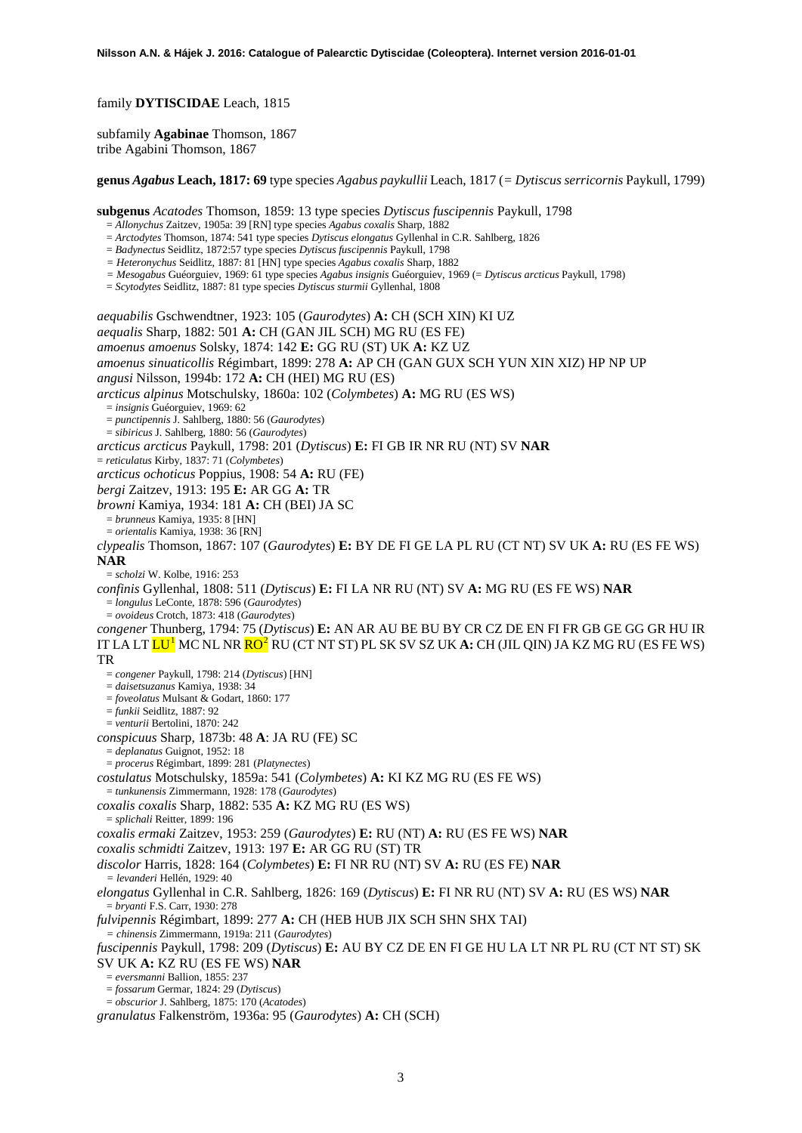family **DYTISCIDAE** Leach, 1815

subfamily **Agabinae** Thomson, 1867 tribe Agabini Thomson, 1867

**genus** *Agabus* **Leach, 1817: 69** type species *Agabus paykullii* Leach, 1817 (*= Dytiscus serricornis* Paykull, 1799)

**subgenus** *Acatodes* Thomson, 1859: 13 type species *Dytiscus fuscipennis* Paykull, 1798

= *Allonychus* Zaitzev, 1905a: 39 [RN] type species *Agabus coxalis* Sharp, 1882

= *Arctodytes* Thomson, 1874: 541 type species *Dytiscus elongatus* Gyllenhal in C.R. Sahlberg, 1826

- = *Badynectus* Seidlitz, 1872:57 type species *Dytiscus fuscipennis* Paykull, 1798
- *= Heteronychus* Seidlitz, 1887: 81 [HN] type species *Agabus coxalis* Sharp, 1882
- *= Mesogabus* Guéorguiev, 1969: 61 type species *Agabus insignis* Guéorguiev, 1969 (= *Dytiscus arcticus* Paykull, 1798)
- = *Scytodytes* Seidlitz, 1887: 81 type species *Dytiscus sturmii* Gyllenhal, 1808

<span id="page-2-1"></span><span id="page-2-0"></span>*aequabilis* Gschwendtner, 1923: 105 (*Gaurodytes*) **A:** CH (SCH XIN) KI UZ *aequalis* Sharp, 1882: 501 **A:** CH (GAN JIL SCH) MG RU (ES FE) *amoenus amoenus* Solsky, 1874: 142 **E:** GG RU (ST) UK **A:** KZ UZ *amoenus sinuaticollis* Régimbart, 1899: 278 **A:** AP CH (GAN GUX SCH YUN XIN XIZ) HP NP UP *angusi* Nilsson, 1994b: 172 **A:** CH (HEI) MG RU (ES) *arcticus alpinus* Motschulsky, 1860a: 102 (*Colymbetes*) **A:** MG RU (ES WS) = *insignis* Guéorguiev, 1969: 62 = *punctipennis* J. Sahlberg, 1880: 56 (*Gaurodytes*) = *sibiricus* J. Sahlberg, 1880: 56 (*Gaurodytes*) *arcticus arcticus* Paykull, 1798: 201 (*Dytiscus*) **E:** FI GB IR NR RU (NT) SV **NAR** = *reticulatus* Kirby, 1837: 71 (*Colymbetes*) *arcticus ochoticus* Poppius, 1908: 54 **A:** RU (FE) *bergi* Zaitzev, 1913: 195 **E:** AR GG **A:** TR *browni* Kamiya, 1934: 181 **A:** CH (BEI) JA SC = *brunneus* Kamiya, 1935: 8 [HN] = *orientalis* Kamiya, 1938: 36 [RN] *clypealis* Thomson, 1867: 107 (*Gaurodytes*) **E:** BY DE FI GE LA PL RU (CT NT) SV UK **A:** RU (ES FE WS) **NAR** = *scholzi* W. Kolbe, 1916: 253 *confinis* Gyllenhal, 1808: 511 (*Dytiscus*) **E:** FI LA NR RU (NT) SV **A:** MG RU (ES FE WS) **NAR** = *longulus* LeConte, 1878: 596 (*Gaurodytes*) = *ovoideus* Crotch, 1873: 418 (*Gaurodytes*) *congener* Thunberg, 1794: 75 (*Dytiscus*) **E:** AN AR AU BE BU BY CR CZ DE EN FI FR GB GE GG GR HU IR IT LA LT LU[1](#page-45-0) MC NL NR RO[2](#page-45-1) RU (CT NT ST) PL SK SV SZ UK **A:** CH (JIL QIN) JA KZ MG RU (ES FE WS) TR = *congener* Paykull, 1798: 214 (*Dytiscus*) [HN] = *daisetsuzanus* Kamiya, 1938: 34 = *foveolatus* Mulsant & Godart, 1860: 177 = *funkii* Seidlitz, 1887: 92 = *venturii* Bertolini, 1870: 242 *conspicuus* Sharp, 1873b: 48 **A**: JA RU (FE) SC = *deplanatus* Guignot, 1952: 18 = *procerus* Régimbart, 1899: 281 (*Platynectes*) *costulatus* Motschulsky, 1859a: 541 (*Colymbetes*) **A:** KI KZ MG RU (ES FE WS) = *tunkunensis* Zimmermann, 1928: 178 (*Gaurodytes*) *coxalis coxalis* Sharp, 1882: 535 **A:** KZ MG RU (ES WS) = *splichali* Reitter, 1899: 196 *coxalis ermaki* Zaitzev, 1953: 259 (*Gaurodytes*) **E:** RU (NT) **A:** RU (ES FE WS) **NAR** *coxalis schmidti* Zaitzev, 1913: 197 **E:** AR GG RU (ST) TR *discolor* Harris, 1828: 164 (*Colymbetes*) **E:** FI NR RU (NT) SV **A:** RU (ES FE) **NAR** *= levanderi* Hellén, 1929: 40 *elongatus* Gyllenhal in C.R. Sahlberg, 1826: 169 (*Dytiscus*) **E:** FI NR RU (NT) SV **A:** RU (ES WS) **NAR** = *bryanti* F.S. Carr, 1930: 278 *fulvipennis* Régimbart, 1899: 277 **A:** CH (HEB HUB JIX SCH SHN SHX TAI) *= chinensis* Zimmermann, 1919a: 211 (*Gaurodytes*) *fuscipennis* Paykull, 1798: 209 (*Dytiscus*) **E:** AU BY CZ DE EN FI GE HU LA LT NR PL RU (CT NT ST) SK SV UK **A:** KZ RU (ES FE WS) **NAR** = *eversmanni* Ballion, 1855: 237 = *fossarum* Germar, 1824: 29 (*Dytiscus*)

= *obscurior* J. Sahlberg, 1875: 170 (*Acatodes*)

*granulatus* Falkenström, 1936a: 95 (*Gaurodytes*) **A:** CH (SCH)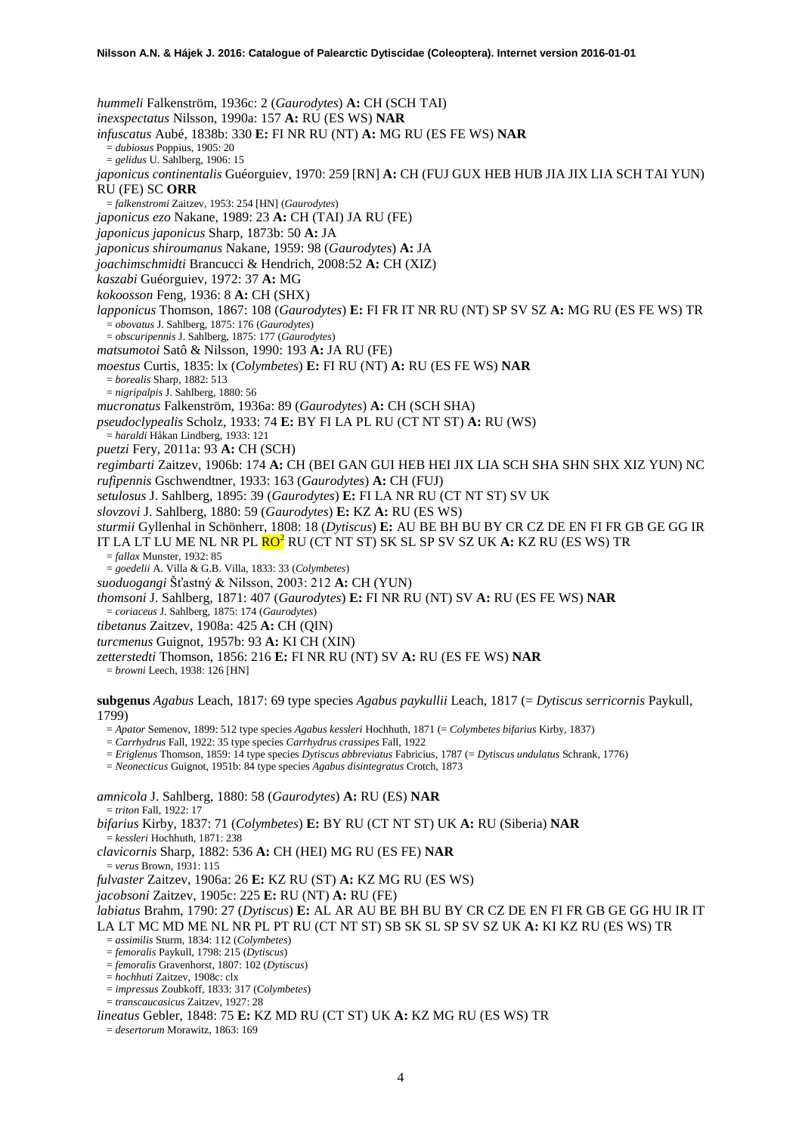*hummeli* Falkenström, 1936c: 2 (*Gaurodytes*) **A:** CH (SCH TAI) *inexspectatus* Nilsson, 1990a: 157 **A:** RU (ES WS) **NAR** *infuscatus* Aubé, 1838b: 330 **E:** FI NR RU (NT) **A:** MG RU (ES FE WS) **NAR** = *dubiosus* Poppius, 1905: 20 = *gelidus* U. Sahlberg, 1906: 15 *japonicus continentalis* Guéorguiev, 1970: 259 [RN] **A:** CH (FUJ GUX HEB HUB JIA JIX LIA SCH TAI YUN) RU (FE) SC **ORR** = *falkenstromi* Zaitzev, 1953: 254 [HN] (*Gaurodytes*) *japonicus ezo* Nakane, 1989: 23 **A:** CH (TAI) JA RU (FE) *japonicus japonicus* Sharp, 1873b: 50 **A:** JA *japonicus shiroumanus* Nakane, 1959: 98 (*Gaurodytes*) **A:** JA *joachimschmidti* Brancucci & Hendrich, 2008:52 **A:** CH (XIZ) *kaszabi* Guéorguiev, 1972: 37 **A:** MG *kokoosson* Feng, 1936: 8 **A:** CH (SHX) *lapponicus* Thomson, 1867: 108 (*Gaurodytes*) **E:** FI FR IT NR RU (NT) SP SV SZ **A:** MG RU (ES FE WS) TR = *obovatus* J. Sahlberg, 1875: 176 (*Gaurodytes*) = *obscuripennis* J. Sahlberg, 1875: 177 (*Gaurodytes*) *matsumotoi* Satô & Nilsson, 1990: 193 **A:** JA RU (FE) *moestus* Curtis, 1835: lx (*Colymbetes*) **E:** FI RU (NT) **A:** RU (ES FE WS) **NAR** = *borealis* Sharp, 1882: 513 = *nigripalpis* J. Sahlberg, 1880: 56 *mucronatus* Falkenström, 1936a: 89 (*Gaurodytes*) **A:** CH (SCH SHA) *pseudoclypealis* Scholz, 1933: 74 **E:** BY FI LA PL RU (CT NT ST) **A:** RU (WS) = *haraldi* Håkan Lindberg, 1933: 121 *puetzi* Fery, 2011a: 93 **A:** CH (SCH) *regimbarti* Zaitzev, 1906b: 174 **A:** CH (BEI GAN GUI HEB HEI JIX LIA SCH SHA SHN SHX XIZ YUN) NC *rufipennis* Gschwendtner, 1933: 163 (*Gaurodytes*) **A:** CH (FUJ) *setulosus* J. Sahlberg, 1895: 39 (*Gaurodytes*) **E:** FI LA NR RU (CT NT ST) SV UK *slovzovi* J. Sahlberg, 1880: 59 (*Gaurodytes*) **E:** KZ **A:** RU (ES WS) *sturmii* Gyllenhal in Schönherr, 1808: 18 (*Dytiscus*) **E:** AU BE BH BU BY CR CZ DE EN FI FR GB GE GG IR IT LA LT LU ME NL NR PL RO[2](#page-2-0) RU (CT NT ST) SK SL SP SV SZ UK **A:** KZ RU (ES WS) TR = *fallax* Munster, 1932: 85 = *goedelii* A. Villa & G.B. Villa, 1833: 33 (*Colymbetes*) *suoduogangi* Šťastný & Nilsson, 2003: 212 **A:** CH (YUN) *thomsoni* J. Sahlberg, 1871: 407 (*Gaurodytes*) **E:** FI NR RU (NT) SV **A:** RU (ES FE WS) **NAR** = *coriaceus* J. Sahlberg, 1875: 174 (*Gaurodytes*) *tibetanus* Zaitzev, 1908a: 425 **A:** CH (QIN) *turcmenus* Guignot, 1957b: 93 **A:** KI CH (XIN) *zetterstedti* Thomson, 1856: 216 **E:** FI NR RU (NT) SV **A:** RU (ES FE WS) **NAR** = *browni* Leech, 1938: 126 [HN] **subgenus** *Agabus* Leach, 1817: 69 type species *Agabus paykullii* Leach, 1817 (= *Dytiscus serricornis* Paykull, 1799)

= *Apator* Semenov, 1899: 512 type species *Agabus kessleri* Hochhuth, 1871 (= *Colymbetes bifarius* Kirby, 1837)

= *Carrhydrus* Fall, 1922: 35 type species *Carrhydrus crassipes* Fall, 1922

= *Eriglenus* Thomson, 1859: 14 type species *Dytiscus abbreviatus* Fabricius, 1787 (= *Dytiscus undulatus* Schrank, 1776)

= *Neonecticus* Guignot, 1951b: 84 type species *Agabus disintegratus* Crotch, 1873

*amnicola* J. Sahlberg, 1880: 58 (*Gaurodytes*) **A:** RU (ES) **NAR** = *triton* Fall, 1922: 17

*bifarius* Kirby, 1837: 71 (*Colymbetes*) **E:** BY RU (CT NT ST) UK **A:** RU (Siberia) **NAR**

= *kessleri* Hochhuth, 1871: 238

*clavicornis* Sharp, 1882: 536 **A:** CH (HEI) MG RU (ES FE) **NAR**

 $=$  *verus* Brown, 1931: 115

*fulvaster* Zaitzev, 1906a: 26 **E:** KZ RU (ST) **A:** KZ MG RU (ES WS)

*jacobsoni* Zaitzev, 1905c: 225 **E:** RU (NT) **A:** RU (FE)

*labiatus* Brahm, 1790: 27 (*Dytiscus*) **E:** AL AR AU BE BH BU BY CR CZ DE EN FI FR GB GE GG HU IR IT LA LT MC MD ME NL NR PL PT RU (CT NT ST) SB SK SL SP SV SZ UK **A:** KI KZ RU (ES WS) TR

= *assimilis* Sturm, 1834: 112 (*Colymbetes*)

= *femoralis* Paykull, 1798: 215 (*Dytiscus*)

= *femoralis* Gravenhorst, 1807: 102 (*Dytiscus*)

= *hochhuti* Zaitzev, 1908c: clx

= *impressus* Zoubkoff, 1833: 317 (*Colymbetes*)

= *transcaucasicus* Zaitzev, 1927: 28

*lineatus* Gebler, 1848: 75 **E:** KZ MD RU (CT ST) UK **A:** KZ MG RU (ES WS) TR

= *desertorum* Morawitz, 1863: 169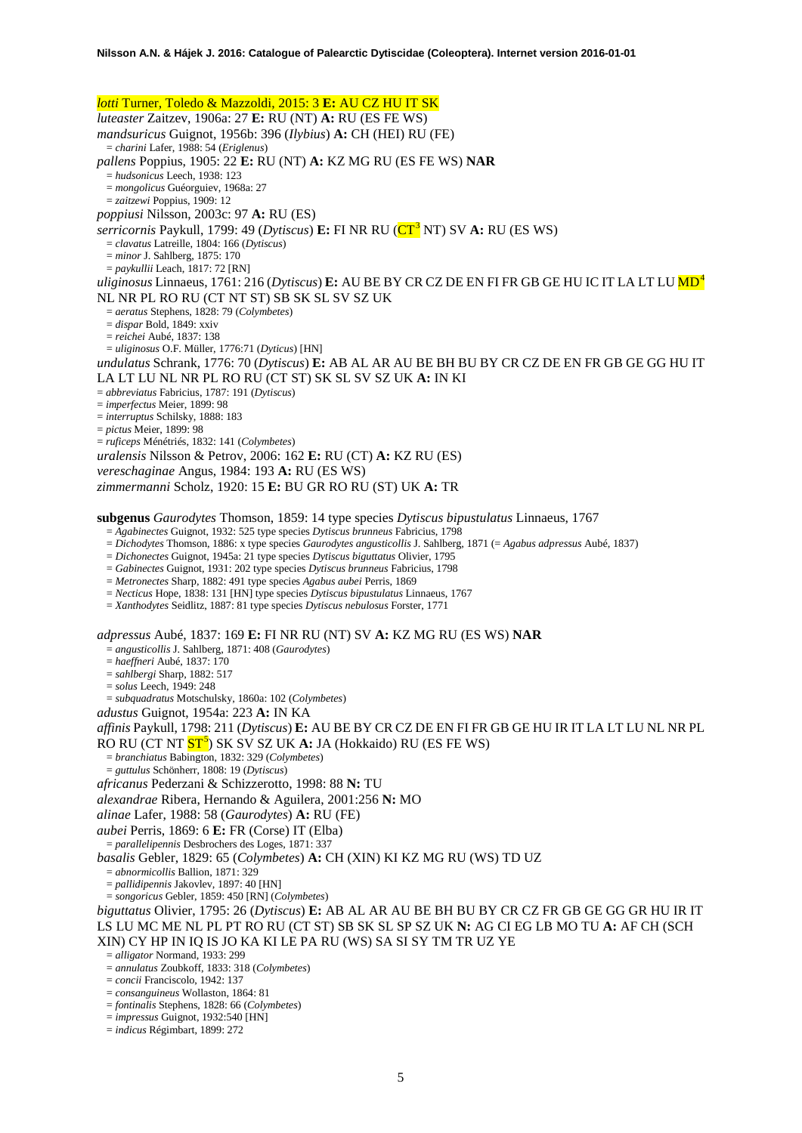<span id="page-4-0"></span>*lotti* Turner, Toledo & Mazzoldi, 2015: 3 **E:** AU CZ HU IT SK *luteaster* Zaitzev, 1906a: 27 **E:** RU (NT) **A:** RU (ES FE WS) *mandsuricus* Guignot, 1956b: 396 (*Ilybius*) **A:** CH (HEI) RU (FE) = *charini* Lafer, 1988: 54 (*Eriglenus*) *pallens* Poppius, 1905: 22 **E:** RU (NT) **A:** KZ MG RU (ES FE WS) **NAR** = *hudsonicus* Leech, 1938: 123 = *mongolicus* Guéorguiev, 1968a: 27 = *zaitzewi* Poppius, 1909: 12 *poppiusi* Nilsson, 2003c: 97 **A:** RU (ES) *serricornis* Paykull, 1799: 49 (*Dytiscus*) **E:** FI NR RU (CT[3](#page-46-0) NT) SV **A:** RU (ES WS) = *clavatus* Latreille, 1804: 166 (*Dytiscus*) = *minor* J. Sahlberg, 1875: 170 = *paykullii* Leach, 1817: 72 [RN] *uliginosus* Linnaeus, 1761: 216 (*Dytiscus*) **E:** AU BE BY CR CZ DE EN FI FR GB GE HU IC IT LA LT LU MD[4](#page-46-1) NL NR PL RO RU (CT NT ST) SB SK SL SV SZ UK = *aeratus* Stephens, 1828: 79 (*Colymbetes*) = *dispar* Bold, 1849: xxiv = *reichei* Aubé, 1837: 138 = *uliginosus* O.F. Müller, 1776:71 (*Dyticus*) [HN] *undulatus* Schrank, 1776: 70 (*Dytiscus*) **E:** AB AL AR AU BE BH BU BY CR CZ DE EN FR GB GE GG HU IT LA LT LU NL NR PL RO RU (CT ST) SK SL SV SZ UK **A:** IN KI = *abbreviatus* Fabricius, 1787: 191 (*Dytiscus*) = *imperfectus* Meier, 1899: 98 = *interruptus* Schilsky, 1888: 183 = *pictus* Meier, 1899: 98 = *ruficeps* Ménétriés, 1832: 141 (*Colymbetes*) *uralensis* Nilsson & Petrov, 2006: 162 **E:** RU (CT) **A:** KZ RU (ES) *vereschaginae* Angus, 1984: 193 **A:** RU (ES WS) *zimmermanni* Scholz, 1920: 15 **E:** BU GR RO RU (ST) UK **A:** TR **subgenus** *Gaurodytes* Thomson, 1859: 14 type species *Dytiscus bipustulatus* Linnaeus, 1767 = *Agabinectes* Guignot, 1932: 525 type species *Dytiscus brunneus* Fabricius, 1798 = *Dichodytes* Thomson, 1886: x type species *Gaurodytes angusticollis* J. Sahlberg, 1871 (= *Agabus adpressus* Aubé, 1837) = *Dichonectes* Guignot, 1945a: 21 type species *Dytiscus biguttatus* Olivier, 1795

= *Gabinectes* Guignot, 1931: 202 type species *Dytiscus brunneus* Fabricius, 1798

= *Metronectes* Sharp, 1882: 491 type species *Agabus aubei* Perris, 1869

= *Necticus* Hope, 1838: 131 [HN] type species *Dytiscus bipustulatus* Linnaeus, 1767

= *Xanthodytes* Seidlitz, 1887: 81 type species *Dytiscus nebulosus* Forster, 1771

*adpressus* Aubé, 1837: 169 **E:** FI NR RU (NT) SV **A:** KZ MG RU (ES WS) **NAR**

= *angusticollis* J. Sahlberg, 1871: 408 (*Gaurodytes*)

= *haeffneri* Aubé, 1837: 170

= *sahlbergi* Sharp, 1882: 517

= *solus* Leech, 1949: 248

= *subquadratus* Motschulsky, 1860a: 102 (*Colymbetes*)

*adustus* Guignot, 1954a: 223 **A:** IN KA

*affinis* Paykull, 1798: 211 (*Dytiscus*) **E:** AU BE BY CR CZ DE EN FI FR GB GE HU IR IT LA LT LU NL NR PL RO RU (CT NT  $\overline{ST^3}$ ) SK SV SZ UK **A:** JA (Hokkaido) RU (ES FE WS) = *branchiatus* Babington, 1832: 329 (*Colymbetes*)

= *guttulus* Schönherr, 1808: 19 (*Dytiscus*)

*africanus* Pederzani & Schizzerotto, 1998: 88 **N:** TU

*alexandrae* Ribera, Hernando & Aguilera, 2001:256 **N:** MO

*alinae* Lafer, 1988: 58 (*Gaurodytes*) **A:** RU (FE)

*aubei* Perris, 1869: 6 **E:** FR (Corse) IT (Elba)

= *parallelipennis* Desbrochers des Loges, 1871: 337

*basalis* Gebler, 1829: 65 (*Colymbetes*) **A:** CH (XIN) KI KZ MG RU (WS) TD UZ = *abnormicollis* Ballion, 1871: 329

= *pallidipennis* Jakovlev, 1897: 40 [HN]

= *songoricus* Gebler, 1859: 450 [RN] (*Colymbetes*)

*biguttatus* Olivier, 1795: 26 (*Dytiscus*) **E:** AB AL AR AU BE BH BU BY CR CZ FR GB GE GG GR HU IR IT LS LU MC ME NL PL PT RO RU (CT ST) SB SK SL SP SZ UK **N:** AG CI EG LB MO TU **A:** AF CH (SCH XIN) CY HP IN IQ IS JO KA KI LE PA RU (WS) SA SI SY TM TR UZ YE

= *alligator* Normand, 1933: 299

= *annulatus* Zoubkoff, 1833: 318 (*Colymbetes*)

= *concii* Franciscolo, 1942: 137

= *consanguineus* Wollaston, 1864: 81

= *fontinalis* Stephens, 1828: 66 (*Colymbetes*)

= *impressus* Guignot, 1932:540 [HN]

= *indicus* Régimbart, 1899: 272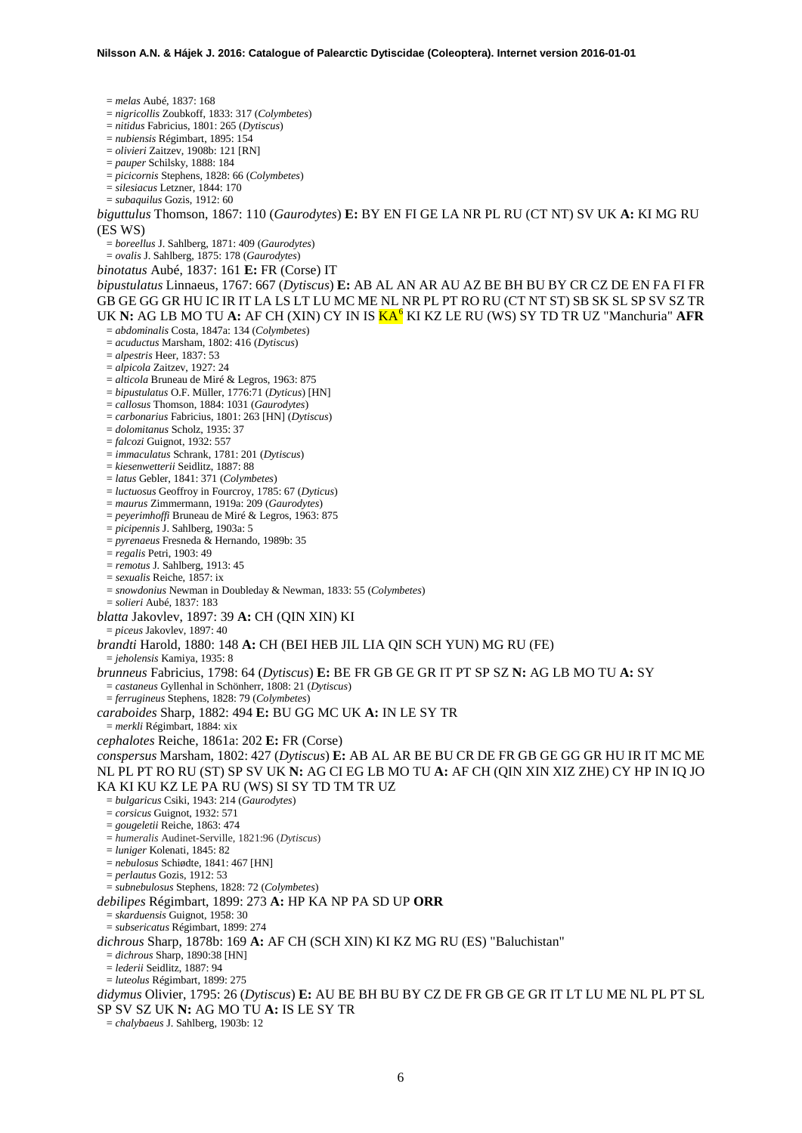= *melas* Aubé, 1837: 168 = *nigricollis* Zoubkoff, 1833: 317 (*Colymbetes*) = *nitidus* Fabricius, 1801: 265 (*Dytiscus*) = *nubiensis* Régimbart, 1895: 154 = *olivieri* Zaitzev, 1908b: 121 [RN] = *pauper* Schilsky, 1888: 184 = *picicornis* Stephens, 1828: 66 (*Colymbetes*) = *silesiacus* Letzner, 1844: 170 = *subaquilus* Gozis, 1912: 60 *biguttulus* Thomson, 1867: 110 (*Gaurodytes*) **E:** BY EN FI GE LA NR PL RU (CT NT) SV UK **A:** KI MG RU (ES WS) = *boreellus* J. Sahlberg, 1871: 409 (*Gaurodytes*) = *ovalis* J. Sahlberg, 1875: 178 (*Gaurodytes*) *binotatus* Aubé, 1837: 161 **E:** FR (Corse) IT *bipustulatus* Linnaeus, 1767: 667 (*Dytiscus*) **E:** AB AL AN AR AU AZ BE BH BU BY CR CZ DE EN FA FI FR GB GE GG GR HU IC IR IT LA LS LT LU MC ME NL NR PL PT RO RU (CT NT ST) SB SK SL SP SV SZ TR UK **N:** AG LB MO TU **A:** AF CH (XIN) CY IN IS  $\mathbf{K} \mathbf{A}^6$  $\mathbf{K} \mathbf{A}^6$  KI KZ LE RU (WS) SY TD TR UZ "Manchuria" **AFR** = *abdominalis* Costa, 1847a: 134 (*Colymbetes*) = *acuductus* Marsham, 1802: 416 (*Dytiscus*) = *alpestris* Heer, 1837: 53 = *alpicola* Zaitzev, 1927: 24 = *alticola* Bruneau de Miré & Legros, 1963: 875 = *bipustulatus* O.F. Müller, 1776:71 (*Dyticus*) [HN] = *callosus* Thomson, 1884: 1031 (*Gaurodytes*) = *carbonarius* Fabricius, 1801: 263 [HN] (*Dytiscus*) = *dolomitanus* Scholz, 1935: 37 = *falcozi* Guignot, 1932: 557 = *immaculatus* Schrank, 1781: 201 (*Dytiscus*) = *kiesenwetterii* Seidlitz, 1887: 88 = *latus* Gebler, 1841: 371 (*Colymbetes*) = *luctuosus* Geoffroy in Fourcroy, 1785: 67 (*Dyticus*) = *maurus* Zimmermann, 1919a: 209 (*Gaurodytes*) = *peyerimhoffi* Bruneau de Miré & Legros, 1963: 875 = *picipennis* J. Sahlberg, 1903a: 5 = *pyrenaeus* Fresneda & Hernando, 1989b: 35 = *regalis* Petri, 1903: 49 = *remotus* J. Sahlberg, 1913: 45 = *sexualis* Reiche, 1857: ix = *snowdonius* Newman in Doubleday & Newman, 1833: 55 (*Colymbetes*) = *solieri* Aubé, 1837: 183 *blatta* Jakovlev, 1897: 39 **A:** CH (QIN XIN) KI = *piceus* Jakovlev, 1897: 40 *brandti* Harold, 1880: 148 **A:** CH (BEI HEB JIL LIA QIN SCH YUN) MG RU (FE) = *jeholensis* Kamiya, 1935: 8 *brunneus* Fabricius, 1798: 64 (*Dytiscus*) **E:** BE FR GB GE GR IT PT SP SZ **N:** AG LB MO TU **A:** SY = *castaneus* Gyllenhal in Schönherr, 1808: 21 (*Dytiscus*) = *ferrugineus* Stephens, 1828: 79 (*Colymbetes*) *caraboides* Sharp, 1882: 494 **E:** BU GG MC UK **A:** IN LE SY TR = *merkli* Régimbart, 1884: xix *cephalotes* Reiche, 1861a: 202 **E:** FR (Corse) *conspersus* Marsham, 1802: 427 (*Dytiscus*) **E:** AB AL AR BE BU CR DE FR GB GE GG GR HU IR IT MC ME NL PL PT RO RU (ST) SP SV UK **N:** AG CI EG LB MO TU **A:** AF CH (QIN XIN XIZ ZHE) CY HP IN IQ JO KA KI KU KZ LE PA RU (WS) SI SY TD TM TR UZ = *bulgaricus* Csiki, 1943: 214 (*Gaurodytes*) = *corsicus* Guignot, 1932: 571 = *gougeletii* Reiche, 1863: 474 = *humeralis* Audinet-Serville, 1821:96 (*Dytiscus*) = *luniger* Kolenati, 1845: 82 = *nebulosus* Schiødte, 1841: 467 [HN] = *perlautus* Gozis, 1912: 53 = *subnebulosus* Stephens, 1828: 72 (*Colymbetes*) *debilipes* Régimbart, 1899: 273 **A:** HP KA NP PA SD UP **ORR** = *skarduensis* Guignot, 1958: 30 = *subsericatus* Régimbart, 1899: 274 *dichrous* Sharp, 1878b: 169 **A:** AF CH (SCH XIN) KI KZ MG RU (ES) "Baluchistan" = *dichrous* Sharp, 1890:38 [HN] = *lederii* Seidlitz, 1887: 94 = *luteolus* Régimbart, 1899: 275 *didymus* Olivier, 1795: 26 (*Dytiscus*) **E:** AU BE BH BU BY CZ DE FR GB GE GR IT LT LU ME NL PL PT SL SP SV SZ UK **N:** AG MO TU **A:** IS LE SY TR = *chalybaeus* J. Sahlberg, 1903b: 12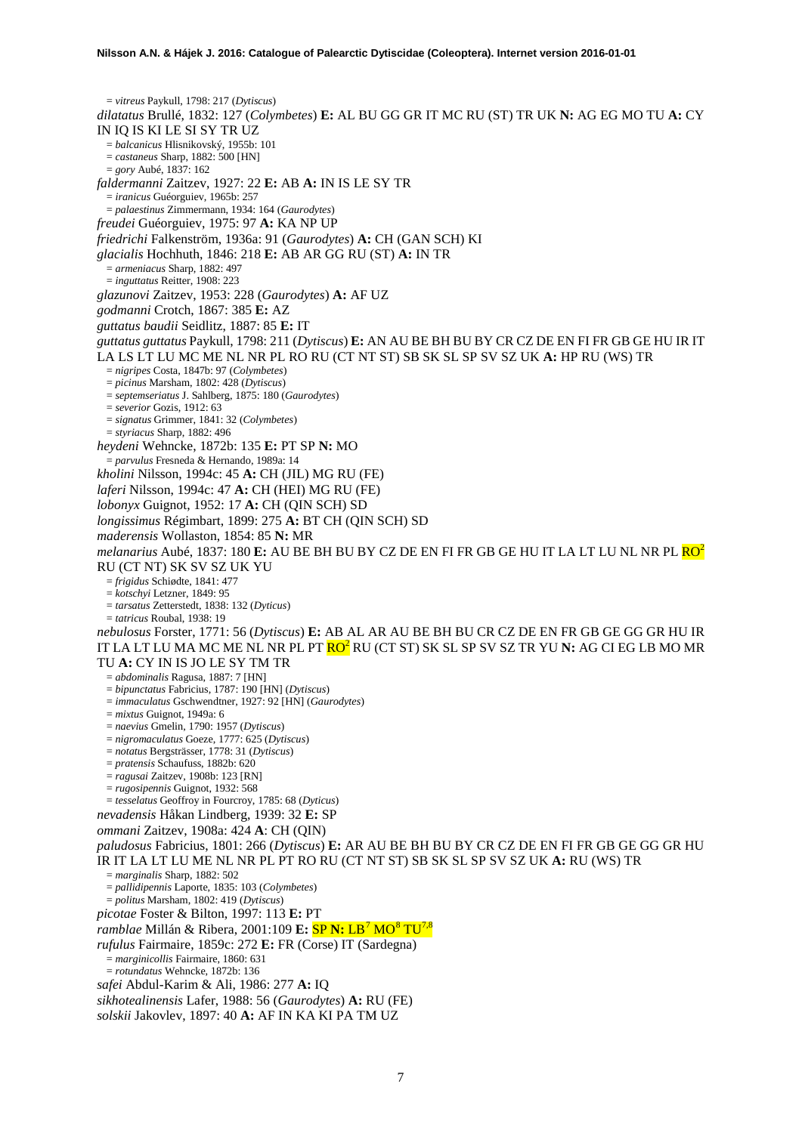= *vitreus* Paykull, 1798: 217 (*Dytiscus*) *dilatatus* Brullé, 1832: 127 (*Colymbetes*) **E:** AL BU GG GR IT MC RU (ST) TR UK **N:** AG EG MO TU **A:** CY IN IQ IS KI LE SI SY TR UZ = *balcanicus* Hlisnikovský, 1955b: 101 = *castaneus* Sharp, 1882: 500 [HN] = *gory* Aubé, 1837: 162 *faldermanni* Zaitzev, 1927: 22 **E:** AB **A:** IN IS LE SY TR = *iranicus* Guéorguiev, 1965b: 257 = *palaestinus* Zimmermann, 1934: 164 (*Gaurodytes*) *freudei* Guéorguiev, 1975: 97 **A:** KA NP UP *friedrichi* Falkenström, 1936a: 91 (*Gaurodytes*) **A:** CH (GAN SCH) KI *glacialis* Hochhuth, 1846: 218 **E:** AB AR GG RU (ST) **A:** IN TR = *armeniacus* Sharp, 1882: 497 = *inguttatus* Reitter, 1908: 223 *glazunovi* Zaitzev, 1953: 228 (*Gaurodytes*) **A:** AF UZ *godmanni* Crotch, 1867: 385 **E:** AZ *guttatus baudii* Seidlitz, 1887: 85 **E:** IT *guttatus guttatus* Paykull, 1798: 211 (*Dytiscus*) **E:** AN AU BE BH BU BY CR CZ DE EN FI FR GB GE HU IR IT LA LS LT LU MC ME NL NR PL RO RU (CT NT ST) SB SK SL SP SV SZ UK **A:** HP RU (WS) TR = *nigripes* Costa, 1847b: 97 (*Colymbetes*) = *picinus* Marsham, 1802: 428 (*Dytiscus*) = *septemseriatus* J. Sahlberg, 1875: 180 (*Gaurodytes*) = *severior* Gozis, 1912: 63 = *signatus* Grimmer, 1841: 32 (*Colymbetes*) = *styriacus* Sharp, 1882: 496 *heydeni* Wehncke, 1872b: 135 **E:** PT SP **N:** MO = *parvulus* Fresneda & Hernando, 1989a: 14 *kholini* Nilsson, 1994c: 45 **A:** CH (JIL) MG RU (FE) *laferi* Nilsson, 1994c: 47 **A:** CH (HEI) MG RU (FE) *lobonyx* Guignot, 1952: 17 **A:** CH (QIN SCH) SD *longissimus* Régimbart, 1899: 275 **A:** BT CH (QIN SCH) SD *maderensis* Wollaston, 1854: 85 **N:** MR *melanarius* Aubé, 1837: 180 **E:** AU BE BH BU BY CZ DE EN FI FR GB GE HU IT LA LT LU NL NR PL R[O2](#page-2-0) RU (CT NT) SK SV SZ UK YU = *frigidus* Schiødte, 1841: 477 = *kotschyi* Letzner, 1849: 95 = *tarsatus* Zetterstedt, 1838: 132 (*Dyticus*) = *tatricus* Roubal, 1938: 19 *nebulosus* Forster, 1771: 56 (*Dytiscus*) **E:** AB AL AR AU BE BH BU CR CZ DE EN FR GB GE GG GR HU IR IT LA LT LU MA MC ME NL NR PL PT RO2 RU (CT ST) SK SL SP SV SZ TR YU **N:** AG CI EG LB MO MR TU **A:** CY IN IS JO LE SY TM TR = *abdominalis* Ragusa, 1887: 7 [HN] = *bipunctatus* Fabricius, 1787: 190 [HN] (*Dytiscus*) = *immaculatus* Gschwendtner, 1927: 92 [HN] (*Gaurodytes*) = *mixtus* Guignot, 1949a: 6 = *naevius* Gmelin, 1790: 1957 (*Dytiscus*) = *nigromaculatus* Goeze, 1777: 625 (*Dytiscus*) = *notatus* Bergsträsser, 1778: 31 (*Dytiscus*) = *pratensis* Schaufuss, 1882b: 620 = *ragusai* Zaitzev, 1908b: 123 [RN] = *rugosipennis* Guignot, 1932: 568 = *tesselatus* Geoffroy in Fourcroy, 1785: 68 (*Dyticus*) *nevadensis* Håkan Lindberg, 1939: 32 **E:** SP *ommani* Zaitzev, 1908a: 424 **A**: CH (QIN) *paludosus* Fabricius, 1801: 266 (*Dytiscus*) **E:** AR AU BE BH BU BY CR CZ DE EN FI FR GB GE GG GR HU IR IT LA LT LU ME NL NR PL PT RO RU (CT NT ST) SB SK SL SP SV SZ UK **A:** RU (WS) TR = *marginalis* Sharp, 1882: 502 = *pallidipennis* Laporte, 1835: 103 (*Colymbetes*) = *politus* Marsham, 1802: 419 (*Dytiscus*) *picotae* Foster & Bilton, 1997: 113 **E:** PT *ramblae* Millán & Ribera, 2001:109 **E:** SP **N:** LB[7](#page-46-4) MO[8](#page-46-5) TU7,8 *rufulus* Fairmaire, 1859c: 272 **E:** FR (Corse) IT (Sardegna) = *marginicollis* Fairmaire, 1860: 631 = *rotundatus* Wehncke, 1872b: 136 *safei* Abdul-Karim & Ali, 1986: 277 **A:** IQ *sikhotealinensis* Lafer, 1988: 56 (*Gaurodytes*) **A:** RU (FE)

*solskii* Jakovlev, 1897: 40 **A:** AF IN KA KI PA TM UZ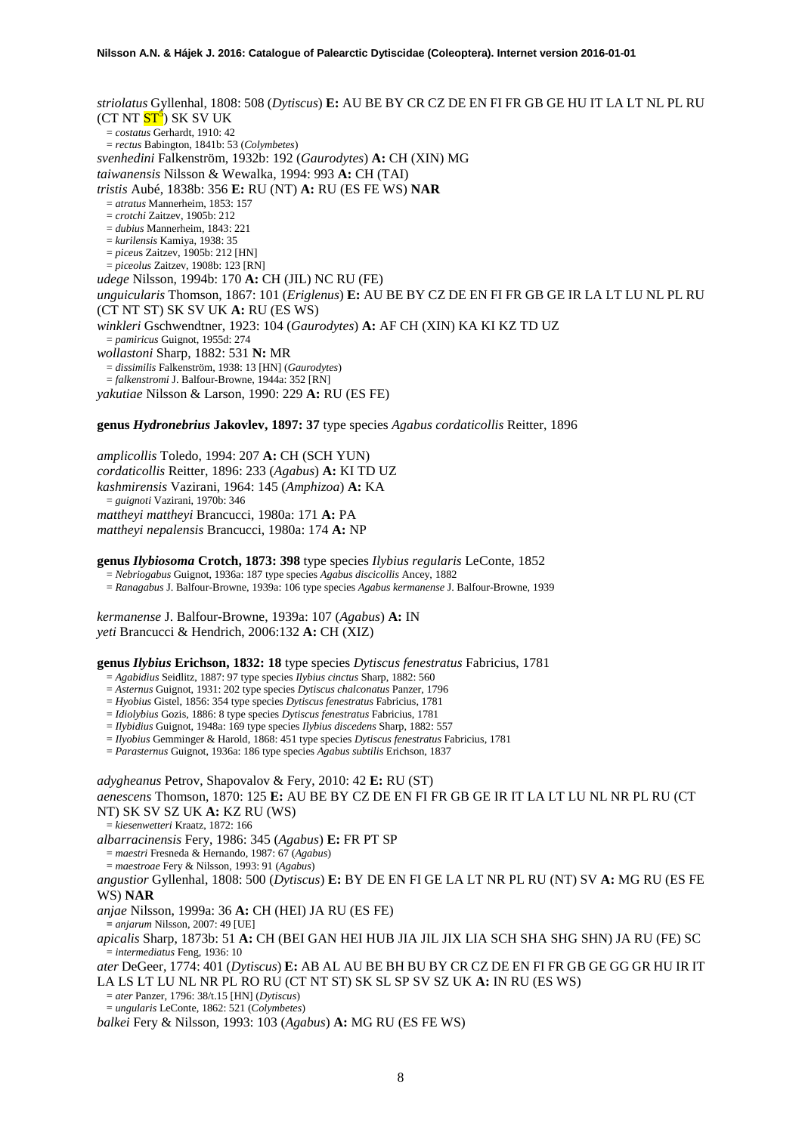*striolatus* Gyllenhal, 1808: 508 (*Dytiscus*) **E:** AU BE BY CR CZ DE EN FI FR GB GE HU IT LA LT NL PL RU (CT NT <mark>ST<sup>5</sup>)</mark> SK SV UK = *costatus* Gerhardt, 1910: 42 = *rectus* Babington, 1841b: 53 (*Colymbetes*) *svenhedini* Falkenström, 1932b: 192 (*Gaurodytes*) **A:** CH (XIN) MG *taiwanensis* Nilsson & Wewalka, 1994: 993 **A:** CH (TAI) *tristis* Aubé, 1838b: 356 **E:** RU (NT) **A:** RU (ES FE WS) **NAR** = *atratus* Mannerheim, 1853: 157 = *crotchi* Zaitzev, 1905b: 212 = *dubius* Mannerheim, 1843: 221 = *kurilensis* Kamiya, 1938: 35 = *piceu*s Zaitzev, 1905b: 212 [HN] = *piceolus* Zaitzev, 1908b: 123 [RN] *udege* Nilsson, 1994b: 170 **A:** CH (JIL) NC RU (FE) *unguicularis* Thomson, 1867: 101 (*Eriglenus*) **E:** AU BE BY CZ DE EN FI FR GB GE IR LA LT LU NL PL RU (CT NT ST) SK SV UK **A:** RU (ES WS) *winkleri* Gschwendtner, 1923: 104 (*Gaurodytes*) **A:** AF CH (XIN) KA KI KZ TD UZ = *pamiricus* Guignot, 1955d: 274 *wollastoni* Sharp, 1882: 531 **N:** MR = *dissimilis* Falkenström, 1938: 13 [HN] (*Gaurodytes*) = *falkenstromi* J. Balfour-Browne, 1944a: 352 [RN] *yakutiae* Nilsson & Larson, 1990: 229 **A:** RU (ES FE)

**genus** *Hydronebrius* **Jakovlev, 1897: 37** type species *Agabus cordaticollis* Reitter, 1896

*amplicollis* Toledo, 1994: 207 **A:** CH (SCH YUN) *cordaticollis* Reitter, 1896: 233 (*Agabus*) **A:** KI TD UZ *kashmirensis* Vazirani, 1964: 145 (*Amphizoa*) **A:** KA = *guignoti* Vazirani, 1970b: 346 *mattheyi mattheyi* Brancucci, 1980a: 171 **A:** PA *mattheyi nepalensis* Brancucci, 1980a: 174 **A:** NP

**genus** *Ilybiosoma* **Crotch, 1873: 398** type species *Ilybius regularis* LeConte, 1852

= *Nebriogabus* Guignot, 1936a: 187 type species *Agabus discicollis* Ancey, 1882

= *Ranagabus* J. Balfour-Browne, 1939a: 106 type species *Agabus kermanense* J. Balfour-Browne, 1939

*kermanense* J. Balfour-Browne, 1939a: 107 (*Agabus*) **A:** IN *yeti* Brancucci & Hendrich, 2006:132 **A:** CH (XIZ)

**genus** *Ilybius* **Erichson, 1832: 18** type species *Dytiscus fenestratus* Fabricius, 1781

= *Agabidius* Seidlitz, 1887: 97 type species *Ilybius cinctus* Sharp, 1882: 560

= *Asternus* Guignot, 1931: 202 type species *Dytiscus chalconatus* Panzer, 1796

= *Hyobius* Gistel, 1856: 354 type species *Dytiscus fenestratus* Fabricius, 1781

= *Idiolybius* Gozis, 1886: 8 type species *Dytiscus fenestratus* Fabricius, 1781

= *Ilybidius* Guignot, 1948a: 169 type species *Ilybius discedens* Sharp, 1882: 557

= *Ilyobius* Gemminger & Harold, 1868: 451 type species *Dytiscus fenestratus* Fabricius, 1781 = *Parasternus* Guignot, 1936a: 186 type species *Agabus subtilis* Erichson, 1837

*adygheanus* Petrov, Shapovalov & Fery, 2010: 42 **E:** RU (ST) *aenescens* Thomson, 1870: 125 **E:** AU BE BY CZ DE EN FI FR GB GE IR IT LA LT LU NL NR PL RU (CT NT) SK SV SZ UK **A:** KZ RU (WS)

= *kiesenwetteri* Kraatz, 1872: 166

*albarracinensis* Fery, 1986: 345 (*Agabus*) **E:** FR PT SP

= *maestri* Fresneda & Hernando, 1987: 67 (*Agabus*)

= *maestroae* Fery & Nilsson, 1993: 91 (*Agabus*)

*angustior* Gyllenhal, 1808: 500 (*Dytiscus*) **E:** BY DE EN FI GE LA LT NR PL RU (NT) SV **A:** MG RU (ES FE WS) **NAR**

*anjae* Nilsson, 1999a: 36 **A:** CH (HEI) JA RU (ES FE)

**=** *anjarum* Nilsson, 2007: 49 [UE]

*apicalis* Sharp, 1873b: 51 **A:** CH (BEI GAN HEI HUB JIA JIL JIX LIA SCH SHA SHG SHN) JA RU (FE) SC = *intermediatus* Feng, 1936: 10

*ater* DeGeer, 1774: 401 (*Dytiscus*) **E:** AB AL AU BE BH BU BY CR CZ DE EN FI FR GB GE GG GR HU IR IT LA LS LT LU NL NR PL RO RU (CT NT ST) SK SL SP SV SZ UK **A:** IN RU (ES WS)

= *ater* Panzer, 1796: 38/t.15 [HN] (*Dytiscus*)

= *ungularis* LeConte, 1862: 521 (*Colymbetes*)

*balkei* Fery & Nilsson, 1993: 103 (*Agabus*) **A:** MG RU (ES FE WS)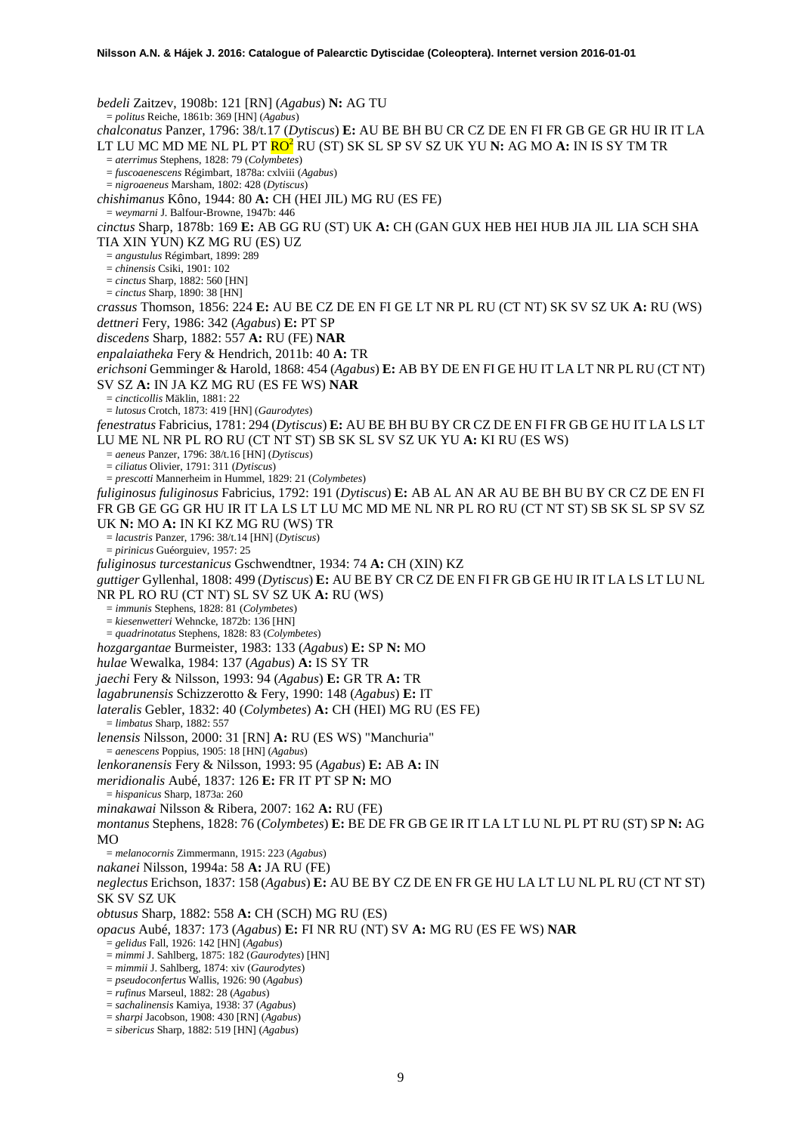*bedeli* Zaitzev, 1908b: 121 [RN] (*Agabus*) **N:** AG TU = *politus* Reiche, 1861b: 369 [HN] (*Agabus*) *chalconatus* Panzer, 1796: 38/t.17 (*Dytiscus*) **E:** AU BE BH BU CR CZ DE EN FI FR GB GE GR HU IR IT LA LT LU MC MD ME NL PL PT RO[2](#page-2-0) RU (ST) SK SL SP SV SZ UK YU **N:** AG MO **A:** IN IS SY TM TR = *aterrimus* Stephens, 1828: 79 (*Colymbetes*) = *fuscoaenescens* Régimbart, 1878a: cxlviii (*Agabus*) = *nigroaeneus* Marsham, 1802: 428 (*Dytiscus*) *chishimanus* Kôno, 1944: 80 **A:** CH (HEI JIL) MG RU (ES FE) = *weymarni* J. Balfour-Browne, 1947b: 446 *cinctus* Sharp, 1878b: 169 **E:** AB GG RU (ST) UK **A:** CH (GAN GUX HEB HEI HUB JIA JIL LIA SCH SHA TIA XIN YUN) KZ MG RU (ES) UZ = *angustulus* Régimbart, 1899: 289 = *chinensis* Csiki, 1901: 102 = *cinctus* Sharp, 1882: 560 [HN] = *cinctus* Sharp, 1890: 38 [HN] *crassus* Thomson, 1856: 224 **E:** AU BE CZ DE EN FI GE LT NR PL RU (CT NT) SK SV SZ UK **A:** RU (WS) *dettneri* Fery, 1986: 342 (*Agabus*) **E:** PT SP *discedens* Sharp, 1882: 557 **A:** RU (FE) **NAR** *enpalaiatheka* Fery & Hendrich, 2011b: 40 **A:** TR *erichsoni* Gemminger & Harold, 1868: 454 (*Agabus*) **E:** AB BY DE EN FI GE HU IT LA LT NR PL RU (CT NT) SV SZ **A:** IN JA KZ MG RU (ES FE WS) **NAR** = *cincticollis* Mäklin, 1881: 22 = *lutosus* Crotch, 1873: 419 [HN] (*Gaurodytes*) *fenestratus* Fabricius, 1781: 294 (*Dytiscus*) **E:** AU BE BH BU BY CR CZ DE EN FI FR GB GE HU IT LA LS LT LU ME NL NR PL RO RU (CT NT ST) SB SK SL SV SZ UK YU **A:** KI RU (ES WS) = *aeneus* Panzer, 1796: 38/t.16 [HN] (*Dytiscus*) = *ciliatus* Olivier, 1791: 311 (*Dytiscus*) = *prescotti* Mannerheim in Hummel, 1829: 21 (*Colymbetes*) *fuliginosus fuliginosus* Fabricius, 1792: 191 (*Dytiscus*) **E:** AB AL AN AR AU BE BH BU BY CR CZ DE EN FI FR GB GE GG GR HU IR IT LA LS LT LU MC MD ME NL NR PL RO RU (CT NT ST) SB SK SL SP SV SZ UK **N:** MO **A:** IN KI KZ MG RU (WS) TR = *lacustris* Panzer, 1796: 38/t.14 [HN] (*Dytiscus*) = *pirinicus* Guéorguiev, 1957: 25 *fuliginosus turcestanicus* Gschwendtner, 1934: 74 **A:** CH (XIN) KZ *guttiger* Gyllenhal, 1808: 499 (*Dytiscus*) **E:** AU BE BY CR CZ DE EN FI FR GB GE HU IR IT LA LS LT LU NL NR PL RO RU (CT NT) SL SV SZ UK **A:** RU (WS) = *immunis* Stephens, 1828: 81 (*Colymbetes*) = *kiesenwetteri* Wehncke, 1872b: 136 [HN] = *quadrinotatus* Stephens, 1828: 83 (*Colymbetes*) *hozgargantae* Burmeister, 1983: 133 (*Agabus*) **E:** SP **N:** MO *hulae* Wewalka, 1984: 137 (*Agabus*) **A:** IS SY TR *jaechi* Fery & Nilsson, 1993: 94 (*Agabus*) **E:** GR TR **A:** TR *lagabrunensis* Schizzerotto & Fery, 1990: 148 (*Agabus*) **E:** IT *lateralis* Gebler, 1832: 40 (*Colymbetes*) **A:** CH (HEI) MG RU (ES FE) = *limbatus* Sharp, 1882: 557 *lenensis* Nilsson, 2000: 31 [RN] **A:** RU (ES WS) "Manchuria" = *aenescens* Poppius, 1905: 18 [HN] (*Agabus*) *lenkoranensis* Fery & Nilsson, 1993: 95 (*Agabus*) **E:** AB **A:** IN *meridionalis* Aubé, 1837: 126 **E:** FR IT PT SP **N:** MO = *hispanicus* Sharp, 1873a: 260 *minakawai* Nilsson & Ribera, 2007: 162 **A:** RU (FE) *montanus* Stephens, 1828: 76 (*Colymbetes*) **E:** BE DE FR GB GE IR IT LA LT LU NL PL PT RU (ST) SP **N:** AG  $M<sub>O</sub>$ = *melanocornis* Zimmermann, 1915: 223 (*Agabus*) *nakanei* Nilsson, 1994a: 58 **A:** JA RU (FE) *neglectus* Erichson, 1837: 158 (*Agabus*) **E:** AU BE BY CZ DE EN FR GE HU LA LT LU NL PL RU (CT NT ST) SK SV SZ UK *obtusus* Sharp, 1882: 558 **A:** CH (SCH) MG RU (ES) *opacus* Aubé, 1837: 173 (*Agabus*) **E:** FI NR RU (NT) SV **A:** MG RU (ES FE WS) **NAR** = *gelidus* Fall, 1926: 142 [HN] (*Agabus*) = *mimmi* J. Sahlberg, 1875: 182 (*Gaurodytes*) [HN] = *mimmii* J. Sahlberg, 1874: xiv (*Gaurodytes*) = *pseudoconfertus* Wallis, 1926: 90 (*Agabus*) = *rufinus* Marseul, 1882: 28 (*Agabus*) = *sachalinensis* Kamiya, 1938: 37 (*Agabus*) = *sharpi* Jacobson, 1908: 430 [RN] (*Agabus*) = *sibericus* Sharp, 1882: 519 [HN] (*Agabus*)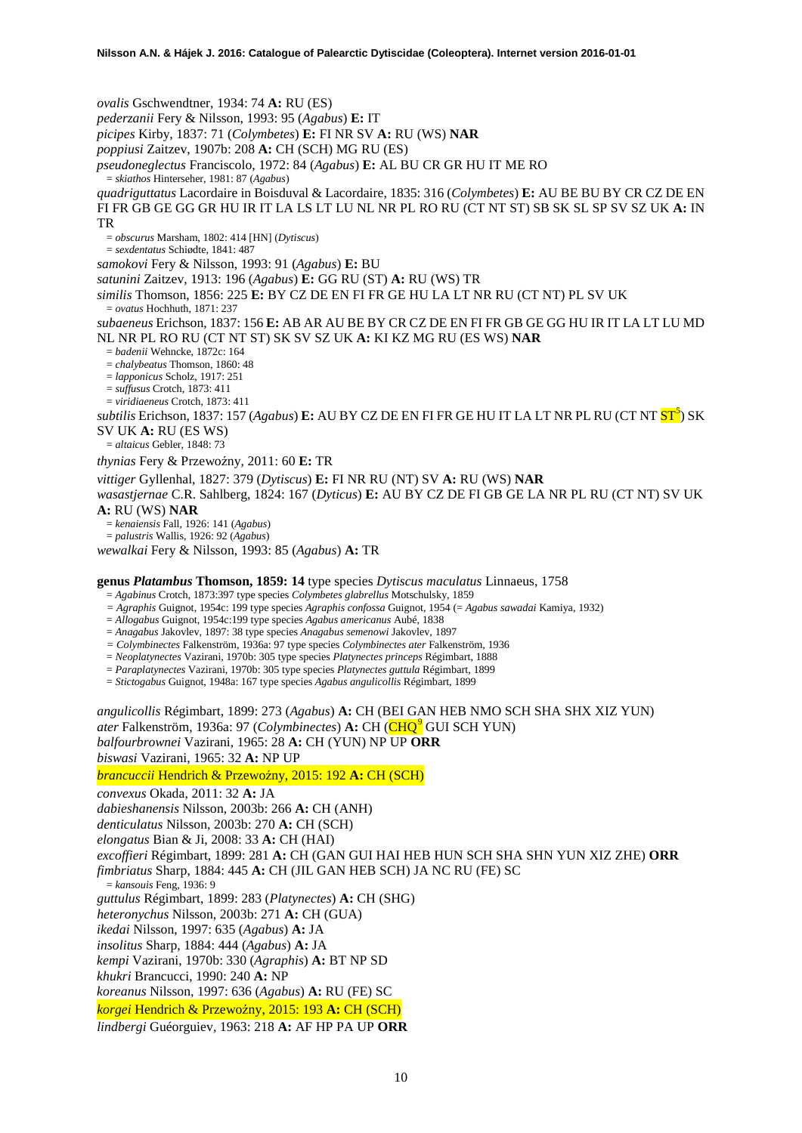*ovalis* Gschwendtner, 1934: 74 **A:** RU (ES) *pederzanii* Fery & Nilsson, 1993: 95 (*Agabus*) **E:** IT *picipes* Kirby, 1837: 71 (*Colymbetes*) **E:** FI NR SV **A:** RU (WS) **NAR** *poppiusi* Zaitzev, 1907b: 208 **A:** CH (SCH) MG RU (ES) *pseudoneglectus* Franciscolo, 1972: 84 (*Agabus*) **E:** AL BU CR GR HU IT ME RO = *skiathos* Hinterseher, 1981: 87 (*Agabus*) *quadriguttatus* Lacordaire in Boisduval & Lacordaire, 1835: 316 (*Colymbetes*) **E:** AU BE BU BY CR CZ DE EN FI FR GB GE GG GR HU IR IT LA LS LT LU NL NR PL RO RU (CT NT ST) SB SK SL SP SV SZ UK **A:** IN TR = *obscurus* Marsham, 1802: 414 [HN] (*Dytiscus*) = *sexdentatus* Schiødte, 1841: 487 *samokovi* Fery & Nilsson, 1993: 91 (*Agabus*) **E:** BU *satunini* Zaitzev, 1913: 196 (*Agabus*) **E:** GG RU (ST) **A:** RU (WS) TR *similis* Thomson, 1856: 225 **E:** BY CZ DE EN FI FR GE HU LA LT NR RU (CT NT) PL SV UK = *ovatus* Hochhuth, 1871: 237 *subaeneus* Erichson, 1837: 156 **E:** AB AR AU BE BY CR CZ DE EN FI FR GB GE GG HU IR IT LA LT LU MD NL NR PL RO RU (CT NT ST) SK SV SZ UK **A:** KI KZ MG RU (ES WS) **NAR** = *badenii* Wehncke, 1872c: 164 = *chalybeatus* Thomson, 1860: 48 = *lapponicus* Scholz, 1917: 251 = *suffusus* Crotch, 1873: 411 = *viridiaeneus* Crotch, 1873: 411 subtilis Erichson, 1837: 157 (Agabus) **E:** AU BY CZ DE EN FI FR GE HU IT LA LT NR PL RU (CT NT <mark>ST<sup>5</sup>)</mark> SK SV UK **A:** RU (ES WS) = *altaicus* Gebler, 1848: 73 *thynias* Fery & Przewoźny, 2011: 60 E: TR *vittiger* Gyllenhal, 1827: 379 (*Dytiscus*) **E:** FI NR RU (NT) SV **A:** RU (WS) **NAR** *wasastjernae* C.R. Sahlberg, 1824: 167 (*Dyticus*) **E:** AU BY CZ DE FI GB GE LA NR PL RU (CT NT) SV UK **A:** RU (WS) **NAR** = *kenaiensis* Fall, 1926: 141 (*Agabus*) = *palustris* Wallis, 1926: 92 (*Agabus*) *wewalkai* Fery & Nilsson, 1993: 85 (*Agabus*) **A:** TR

**genus** *Platambus* **Thomson, 1859: 14** type species *Dytiscus maculatus* Linnaeus, 1758

= *Agabinus* Crotch, 1873:397 type species *Colymbetes glabrellus* Motschulsky, 1859

*= Agraphis* Guignot, 1954c: 199 type species *Agraphis confossa* Guignot, 1954 (= *Agabus sawadai* Kamiya, 1932)

= *Allogabus* Guignot, 1954c:199 type species *Agabus americanus* Aubé, 1838

= *Anagabus* Jakovlev, 1897: 38 type species *Anagabus semenowi* Jakovlev, 1897

*= Colymbinectes* Falkenström, 1936a: 97 type species *Colymbinectes ater* Falkenström, 1936

= *Neoplatynectes* Vazirani, 1970b: 305 type species *Platynectes princeps* Régimbart, 1888

= *Paraplatynectes* Vazirani, 1970b: 305 type species *Platynectes guttula* Régimbart, 1899

= *Stictogabus* Guignot, 1948a: 167 type species *Agabus angulicollis* Régimbart, 1899

*angulicollis* Régimbart, 1899: 273 (*Agabus*) **A:** CH (BEI GAN HEB NMO SCH SHA SHX XIZ YUN) *ater* Falkenström, 1[9](#page-46-6)36a: 97 (*Colymbinectes*) **A:** CH (**CHQ<sup>9</sup>** GUI SCH YUN) *balfourbrownei* Vazirani, 1965: 28 **A:** CH (YUN) NP UP **ORR** *biswasi* Vazirani, 1965: 32 **A:** NP UP

*brancuccii* Hendrich & Przewoźny, 2015: 192 A: CH (SCH)

*convexus* Okada, 2011: 32 **A:** JA

*dabieshanensis* Nilsson, 2003b: 266 **A:** CH (ANH)

*denticulatus* Nilsson, 2003b: 270 **A:** CH (SCH)

*elongatus* Bian & Ji, 2008: 33 **A:** CH (HAI)

*excoffieri* Régimbart, 1899: 281 **A:** CH (GAN GUI HAI HEB HUN SCH SHA SHN YUN XIZ ZHE) **ORR** *fimbriatus* Sharp, 1884: 445 **A:** CH (JIL GAN HEB SCH) JA NC RU (FE) SC = *kansouis* Feng, 1936: 9

*guttulus* Régimbart, 1899: 283 (*Platynectes*) **A:** CH (SHG)

*heteronychus* Nilsson, 2003b: 271 **A:** CH (GUA)

*ikedai* Nilsson, 1997: 635 (*Agabus*) **A:** JA

*insolitus* Sharp, 1884: 444 (*Agabus*) **A:** JA

*kempi* Vazirani, 1970b: 330 (*Agraphis*) **A:** BT NP SD

*khukri* Brancucci, 1990: 240 **A:** NP

*koreanus* Nilsson, 1997: 636 (*Agabus*) **A:** RU (FE) SC

korgei Hendrich & Przewoźny, 2015: 193 A: CH (SCH)

*lindbergi* Guéorguiev, 1963: 218 **A:** AF HP PA UP **ORR**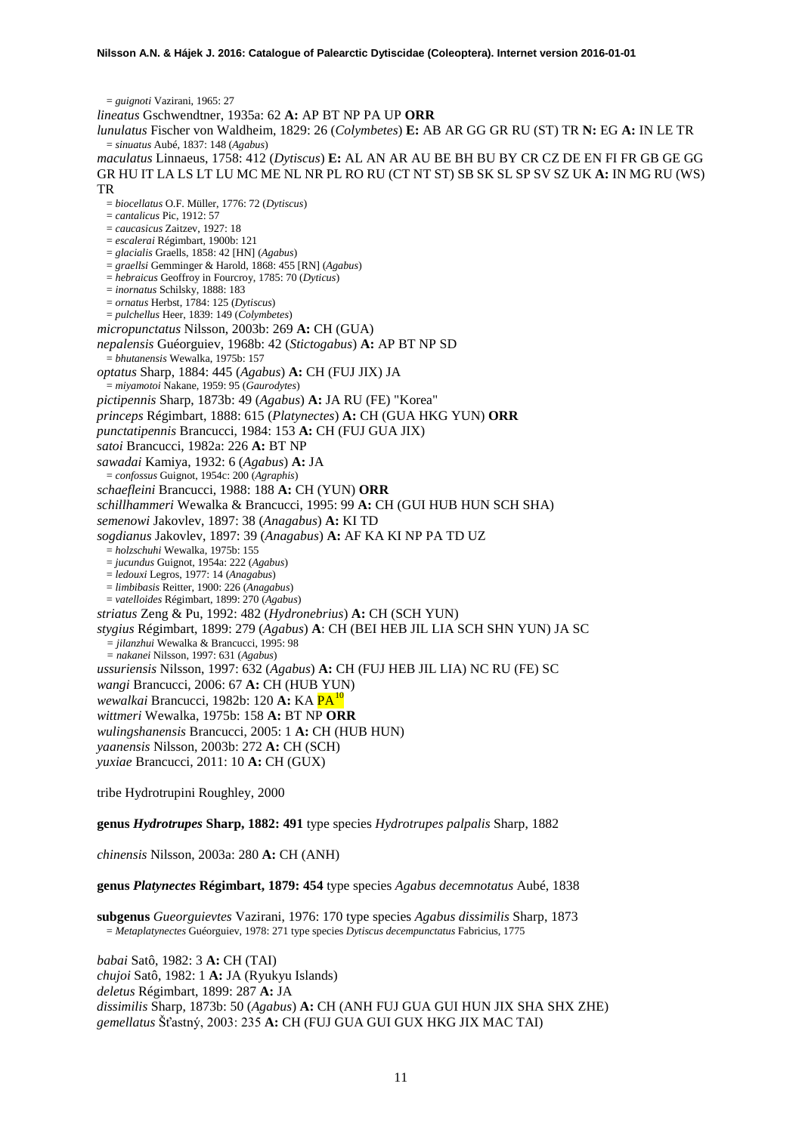= *guignoti* Vazirani, 1965: 27 *lineatus* Gschwendtner, 1935a: 62 **A:** AP BT NP PA UP **ORR** *lunulatus* Fischer von Waldheim, 1829: 26 (*Colymbetes*) **E:** AB AR GG GR RU (ST) TR **N:** EG **A:** IN LE TR = *sinuatus* Aubé, 1837: 148 (*Agabus*) *maculatus* Linnaeus, 1758: 412 (*Dytiscus*) **E:** AL AN AR AU BE BH BU BY CR CZ DE EN FI FR GB GE GG GR HU IT LA LS LT LU MC ME NL NR PL RO RU (CT NT ST) SB SK SL SP SV SZ UK **A:** IN MG RU (WS) TR = *biocellatus* O.F. Müller, 1776: 72 (*Dytiscus*) = *cantalicus* Pic, 1912: 57 = *caucasicus* Zaitzev, 1927: 18 = *escalerai* Régimbart, 1900b: 121 = *glacialis* Graells, 1858: 42 [HN] (*Agabus*) = *graellsi* Gemminger & Harold, 1868: 455 [RN] (*Agabus*) = *hebraicus* Geoffroy in Fourcroy, 1785: 70 (*Dyticus*) = *inornatus* Schilsky, 1888: 183 = *ornatus* Herbst, 1784: 125 (*Dytiscus*) = *pulchellus* Heer, 1839: 149 (*Colymbetes*) *micropunctatus* Nilsson, 2003b: 269 **A:** CH (GUA) *nepalensis* Guéorguiev, 1968b: 42 (*Stictogabus*) **A:** AP BT NP SD = *bhutanensis* Wewalka, 1975b: 157 *optatus* Sharp, 1884: 445 (*Agabus*) **A:** CH (FUJ JIX) JA = *miyamotoi* Nakane, 1959: 95 (*Gaurodytes*) *pictipennis* Sharp, 1873b: 49 (*Agabus*) **A:** JA RU (FE) "Korea" *princeps* Régimbart, 1888: 615 (*Platynectes*) **A:** CH (GUA HKG YUN) **ORR** *punctatipennis* Brancucci, 1984: 153 **A:** CH (FUJ GUA JIX) *satoi* Brancucci, 1982a: 226 **A:** BT NP *sawadai* Kamiya, 1932: 6 (*Agabus*) **A:** JA = *confossus* Guignot, 1954c: 200 (*Agraphis*) *schaefleini* Brancucci, 1988: 188 **A:** CH (YUN) **ORR** *schillhammeri* Wewalka & Brancucci, 1995: 99 **A:** CH (GUI HUB HUN SCH SHA) *semenowi* Jakovlev, 1897: 38 (*Anagabus*) **A:** KI TD *sogdianus* Jakovlev, 1897: 39 (*Anagabus*) **A:** AF KA KI NP PA TD UZ = *holzschuhi* Wewalka, 1975b: 155 = *jucundus* Guignot, 1954a: 222 (*Agabus*) = *ledouxi* Legros, 1977: 14 (*Anagabus*) = *limbibasis* Reitter, 1900: 226 (*Anagabus*) = *vatelloides* Régimbart, 1899: 270 (*Agabus*) *striatus* Zeng & Pu, 1992: 482 (*Hydronebrius*) **A:** CH (SCH YUN) *stygius* Régimbart, 1899: 279 (*Agabus*) **A**: CH (BEI HEB JIL LIA SCH SHN YUN) JA SC *= jilanzhui* Wewalka & Brancucci, 1995: 98 *= nakanei* Nilsson, 1997: 631 (*Agabus*) *ussuriensis* Nilsson, 1997: 632 (*Agabus*) **A:** CH (FUJ HEB JIL LIA) NC RU (FE) SC *wangi* Brancucci, 2006: 67 **A:** CH (HUB YUN) *wewalkai* Brancucci, 1982b: 120 **A:** KA PA[10](#page-46-7) *wittmeri* Wewalka, 1975b: 158 **A:** BT NP **ORR** *wulingshanensis* Brancucci, 2005: 1 **A:** CH (HUB HUN) *yaanensis* Nilsson, 2003b: 272 **A:** CH (SCH) *yuxiae* Brancucci, 2011: 10 **A:** CH (GUX) tribe Hydrotrupini Roughley, 2000 **genus** *Hydrotrupes* **Sharp, 1882: 491** type species *Hydrotrupes palpalis* Sharp, 1882

*chinensis* Nilsson, 2003a: 280 **A:** CH (ANH)

#### **genus** *Platynectes* **Régimbart, 1879: 454** type species *Agabus decemnotatus* Aubé, 1838

**subgenus** *Gueorguievtes* Vazirani, 1976: 170 type species *Agabus dissimilis* Sharp, 1873 = *Metaplatynectes* Guéorguiev, 1978: 271 type species *Dytiscus decempunctatus* Fabricius, 1775

*babai* Satô, 1982: 3 **A:** CH (TAI) *chujoi* Satô, 1982: 1 **A:** JA (Ryukyu Islands) *deletus* Régimbart, 1899: 287 **A:** JA *dissimilis* Sharp, 1873b: 50 (*Agabus*) **A:** CH (ANH FUJ GUA GUI HUN JIX SHA SHX ZHE) *gemellatus* Šťastný, 2003: 235 **A:** CH (FUJ GUA GUI GUX HKG JIX MAC TAI)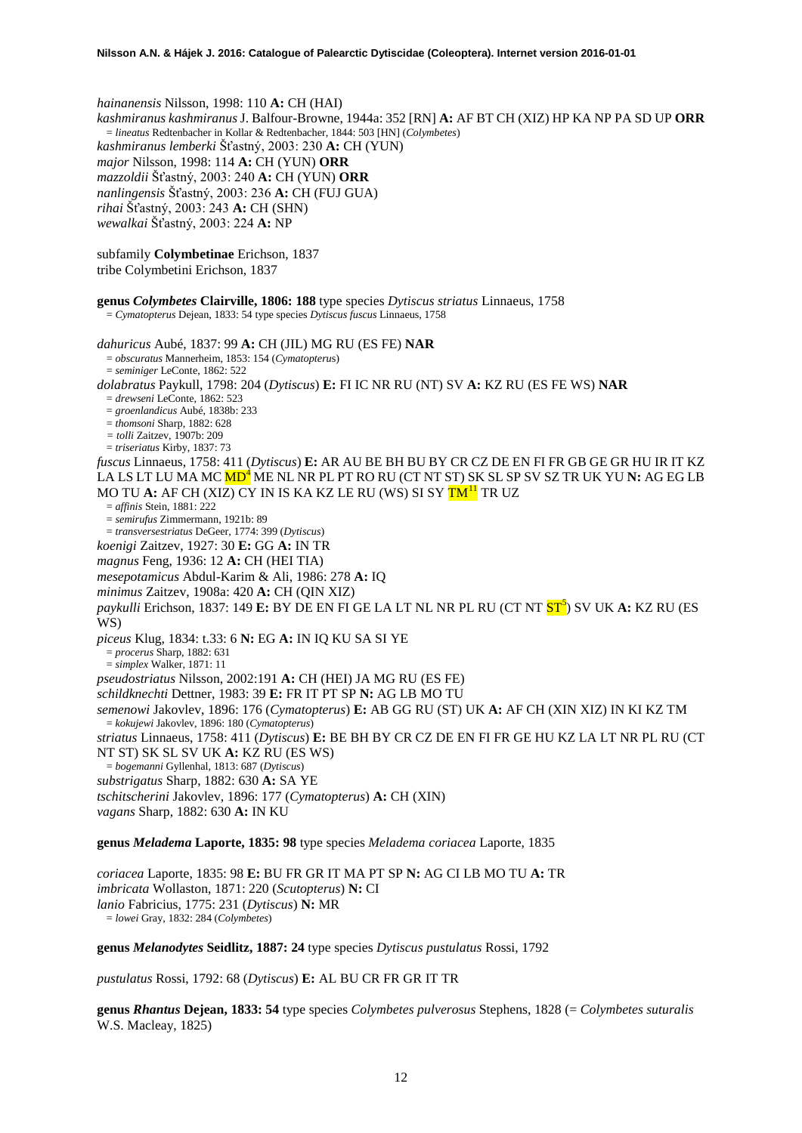*hainanensis* Nilsson, 1998: 110 **A:** CH (HAI) *kashmiranus kashmiranus* J. Balfour-Browne, 1944a: 352 [RN] **A:** AF BT CH (XIZ) HP KA NP PA SD UP **ORR** = *lineatus* Redtenbacher in Kollar & Redtenbacher, 1844: 503 [HN] (*Colymbetes*) *kashmiranus lemberki* Šťastný, 2003: 230 **A:** CH (YUN) *major* Nilsson, 1998: 114 **A:** CH (YUN) **ORR** *mazzoldii* Šťastný, 2003: 240 **A:** CH (YUN) **ORR** *nanlingensis* Šťastný, 2003: 236 **A:** CH (FUJ GUA) *rihai* Šťastný, 2003: 243 **A:** CH (SHN) *wewalkai* Šťastný, 2003: 224 **A:** NP

subfamily **Colymbetinae** Erichson, 1837 tribe Colymbetini Erichson, 1837

**genus** *Colymbetes* **Clairville, 1806: 188** type species *Dytiscus striatus* Linnaeus, 1758 = *Cymatopterus* Dejean, 1833: 54 type species *Dytiscus fuscus* Linnaeus, 1758 *dahuricus* Aubé, 1837: 99 **A:** CH (JIL) MG RU (ES FE) **NAR** = *obscuratus* Mannerheim, 1853: 154 (*Cymatopteru*s) = *seminiger* LeConte, 1862: 522 *dolabratus* Paykull, 1798: 204 (*Dytiscus*) **E:** FI IC NR RU (NT) SV **A:** KZ RU (ES FE WS) **NAR** = *drewseni* LeConte, 1862: 523 = *groenlandicus* Aubé, 1838b: 233 = *thomsoni* Sharp, 1882: 628 *= tolli* Zaitzev, 1907b: 209 = *triseriatus* Kirby, 1837: 73 *fuscus* Linnaeus, 1758: 411 (*Dytiscus*) **E:** AR AU BE BH BU BY CR CZ DE EN FI FR GB GE GR HU IR IT KZ LA LS LT LU MA MC MD[4](#page-4-0) ME NL NR PL PT RO RU (CT NT ST) SK SL SP SV SZ TR UK YU **N:** AG EG LB MO TU A: AF CH (XIZ) CY IN IS KA KZ LE RU (WS) SI SY TM<sup>[11](#page-46-8)</sup> TR UZ = *affinis* Stein, 1881: 222 = *semirufus* Zimmermann, 1921b: 89 = *transversestriatus* DeGeer, 1774: 399 (*Dytiscus*) *koenigi* Zaitzev, 1927: 30 **E:** GG **A:** IN TR *magnus* Feng, 1936: 12 **A:** CH (HEI TIA) *mesepotamicus* Abdul-Karim & Ali, 1986: 278 **A:** IQ *minimus* Zaitzev, 1908a: 420 **A:** CH (QIN XIZ) paykulli Erichson, 1837: 149 **E:** BY DE EN FI GE LA LT NL NR PL RU (CT NT <mark>ST<sup>5</sup>)</mark> SV UK **A:** KZ RU (ES W<sub>S</sub>) *piceus* Klug, 1834: t.33: 6 **N:** EG **A:** IN IQ KU SA SI YE = *procerus* Sharp, 1882: 631 = *simplex* Walker, 1871: 11 *pseudostriatus* Nilsson, 2002:191 **A:** CH (HEI) JA MG RU (ES FE) *schildknechti* Dettner, 1983: 39 **E:** FR IT PT SP **N:** AG LB MO TU *semenowi* Jakovlev, 1896: 176 (*Cymatopterus*) **E:** AB GG RU (ST) UK **A:** AF CH (XIN XIZ) IN KI KZ TM = *kokujewi* Jakovlev, 1896: 180 (*Cymatopterus*) *striatus* Linnaeus, 1758: 411 (*Dytiscus*) **E:** BE BH BY CR CZ DE EN FI FR GE HU KZ LA LT NR PL RU (CT NT ST) SK SL SV UK **A:** KZ RU (ES WS) = *bogemanni* Gyllenhal, 1813: 687 (*Dytiscus*) *substrigatus* Sharp, 1882: 630 **A:** SA YE *tschitscherini* Jakovlev, 1896: 177 (*Cymatopterus*) **A:** CH (XIN) *vagans* Sharp, 1882: 630 **A:** IN KU **genus** *Meladema* **Laporte, 1835: 98** type species *Meladema coriacea* Laporte, 1835

*coriacea* Laporte, 1835: 98 **E:** BU FR GR IT MA PT SP **N:** AG CI LB MO TU **A:** TR *imbricata* Wollaston, 1871: 220 (*Scutopterus*) **N:** CI *lanio* Fabricius, 1775: 231 (*Dytiscus*) **N:** MR = *lowei* Gray, 1832: 284 (*Colymbetes*)

**genus** *Melanodytes* **Seidlitz, 1887: 24** type species *Dytiscus pustulatus* Rossi, 1792

*pustulatus* Rossi, 1792: 68 (*Dytiscus*) **E:** AL BU CR FR GR IT TR

**genus** *Rhantus* **Dejean, 1833: 54** type species *Colymbetes pulverosus* Stephens, 1828 (= *Colymbetes suturalis* W.S. Macleay, 1825)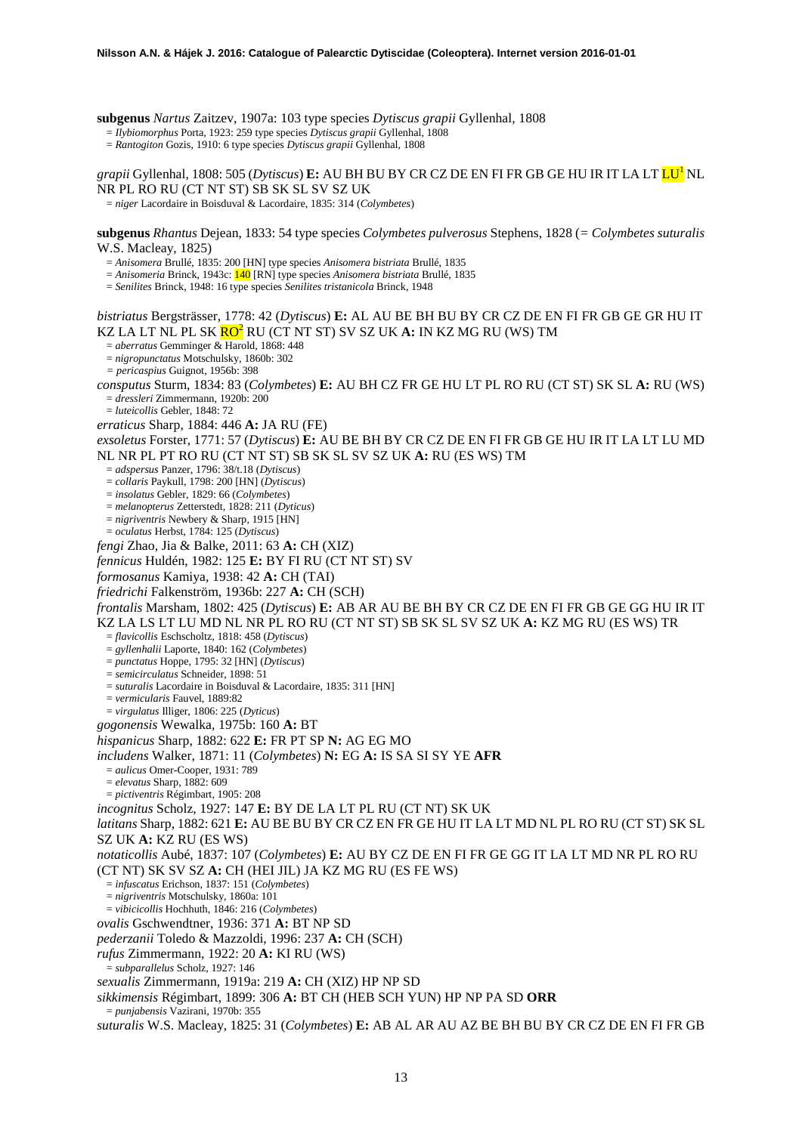**subgenus** *Nartus* Zaitzev, 1907a: 103 type species *Dytiscus grapii* Gyllenhal, 1808

= *Ilybiomorphus* Porta, 1923: 259 type species *Dytiscus grapii* Gyllenhal, 1808

= *Rantogiton* Gozis, 1910: 6 type species *Dytiscus grapii* Gyllenhal, 1808

*grapii* Gyllenhal, 1808: 505 (*Dytiscus*) **E:** AU BH BU BY CR CZ DE EN FI FR GB GE HU IR IT LA LT L[U1](#page-2-1) NL NR PL RO RU (CT NT ST) SB SK SL SV SZ UK

= *niger* Lacordaire in Boisduval & Lacordaire, 1835: 314 (*Colymbetes*)

**subgenus** *Rhantus* Dejean, 1833: 54 type species *Colymbetes pulverosus* Stephens, 1828 (*= Colymbetes suturalis* W.S. Macleay, 1825)

= *Anisomera* Brullé, 1835: 200 [HN] type species *Anisomera bistriata* Brullé, 1835

= *Anisomeria* Brinck, 1943c: 140 [RN] type species *Anisomera bistriata* Brullé, 1835

= *Senilites* Brinck, 1948: 16 type species *Senilites tristanicola* Brinck, 1948

*bistriatus* Bergsträsser, 1778: 42 (*Dytiscus*) **E:** AL AU BE BH BU BY CR CZ DE EN FI FR GB GE GR HU IT KZ LA LT NL PL SK **RO<sup>2</sup>** RU (CT NT ST) SV SZ UK **A: IN KZ MG RU (WS) TM** = *aberratus* Gemminger & Harold, 1868: 448

= *nigropunctatus* Motschulsky, 1860b: 302

*= pericaspius* Guignot, 1956b: 398

*consputus* Sturm, 1834: 83 (*Colymbetes*) **E:** AU BH CZ FR GE HU LT PL RO RU (CT ST) SK SL **A:** RU (WS) = *dressleri* Zimmermann, 1920b: 200

= *luteicollis* Gebler, 1848: 72

*erraticus* Sharp, 1884: 446 **A:** JA RU (FE)

*exsoletus* Forster, 1771: 57 (*Dytiscus*) **E:** AU BE BH BY CR CZ DE EN FI FR GB GE HU IR IT LA LT LU MD NL NR PL PT RO RU (CT NT ST) SB SK SL SV SZ UK **A:** RU (ES WS) TM = *adspersus* Panzer, 1796: 38/t.18 (*Dytiscus*)

= *collaris* Paykull, 1798: 200 [HN] (*Dytiscus*)

= *insolatus* Gebler, 1829: 66 (*Colymbetes*)

= *melanopterus* Zetterstedt, 1828: 211 (*Dyticus*)

= *nigriventris* Newbery & Sharp, 1915 [HN]

= *oculatus* Herbst, 1784: 125 (*Dytiscus*)

*fengi* Zhao, Jia & Balke, 2011: 63 **A:** CH (XIZ)

*fennicus* Huldén, 1982: 125 **E:** BY FI RU (CT NT ST) SV

*formosanus* Kamiya, 1938: 42 **A:** CH (TAI)

*friedrichi* Falkenström, 1936b: 227 **A:** CH (SCH)

*frontalis* Marsham, 1802: 425 (*Dytiscus*) **E:** AB AR AU BE BH BY CR CZ DE EN FI FR GB GE GG HU IR IT KZ LA LS LT LU MD NL NR PL RO RU (CT NT ST) SB SK SL SV SZ UK **A:** KZ MG RU (ES WS) TR

= *flavicollis* Eschscholtz, 1818: 458 (*Dytiscus*)

= *gyllenhalii* Laporte, 1840: 162 (*Colymbetes*)

= *punctatus* Hoppe, 1795: 32 [HN] (*Dytiscus*)

= *semicirculatus* Schneider, 1898: 51

= *suturalis* Lacordaire in Boisduval & Lacordaire, 1835: 311 [HN]

= *vermicularis* Fauvel, 1889:82

= *virgulatus* Illiger, 1806: 225 (*Dyticus*) *gogonensis* Wewalka, 1975b: 160 **A:** BT

*hispanicus* Sharp, 1882: 622 **E:** FR PT SP **N:** AG EG MO

*includens* Walker, 1871: 11 (*Colymbetes*) **N:** EG **A:** IS SA SI SY YE **AFR**

= *aulicus* Omer-Cooper, 1931: 789

= *elevatus* Sharp, 1882: 609 = *pictiventris* Régimbart, 1905: 208

*incognitus* Scholz, 1927: 147 **E:** BY DE LA LT PL RU (CT NT) SK UK

*latitans* Sharp, 1882: 621 **E:** AU BE BU BY CR CZ EN FR GE HU IT LA LT MD NL PL RO RU (CT ST) SK SL SZ UK **A:** KZ RU (ES WS)

*notaticollis* Aubé, 1837: 107 (*Colymbetes*) **E:** AU BY CZ DE EN FI FR GE GG IT LA LT MD NR PL RO RU (CT NT) SK SV SZ **A:** CH (HEI JIL) JA KZ MG RU (ES FE WS) = *infuscatus* Erichson, 1837: 151 (*Colymbetes*)

= *nigriventris* Motschulsky, 1860a: 101

= *vibicicollis* Hochhuth, 1846: 216 (*Colymbetes*)

*ovalis* Gschwendtner, 1936: 371 **A:** BT NP SD

*pederzanii* Toledo & Mazzoldi, 1996: 237 **A:** CH (SCH)

*rufus* Zimmermann, 1922: 20 **A:** KI RU (WS)

= *subparallelus* Scholz, 1927: 146

*sexualis* Zimmermann, 1919a: 219 **A:** CH (XIZ) HP NP SD

*sikkimensis* Régimbart, 1899: 306 **A:** BT CH (HEB SCH YUN) HP NP PA SD **ORR**

= *punjabensis* Vazirani, 1970b: 355

*suturalis* W.S. Macleay, 1825: 31 (*Colymbetes*) **E:** AB AL AR AU AZ BE BH BU BY CR CZ DE EN FI FR GB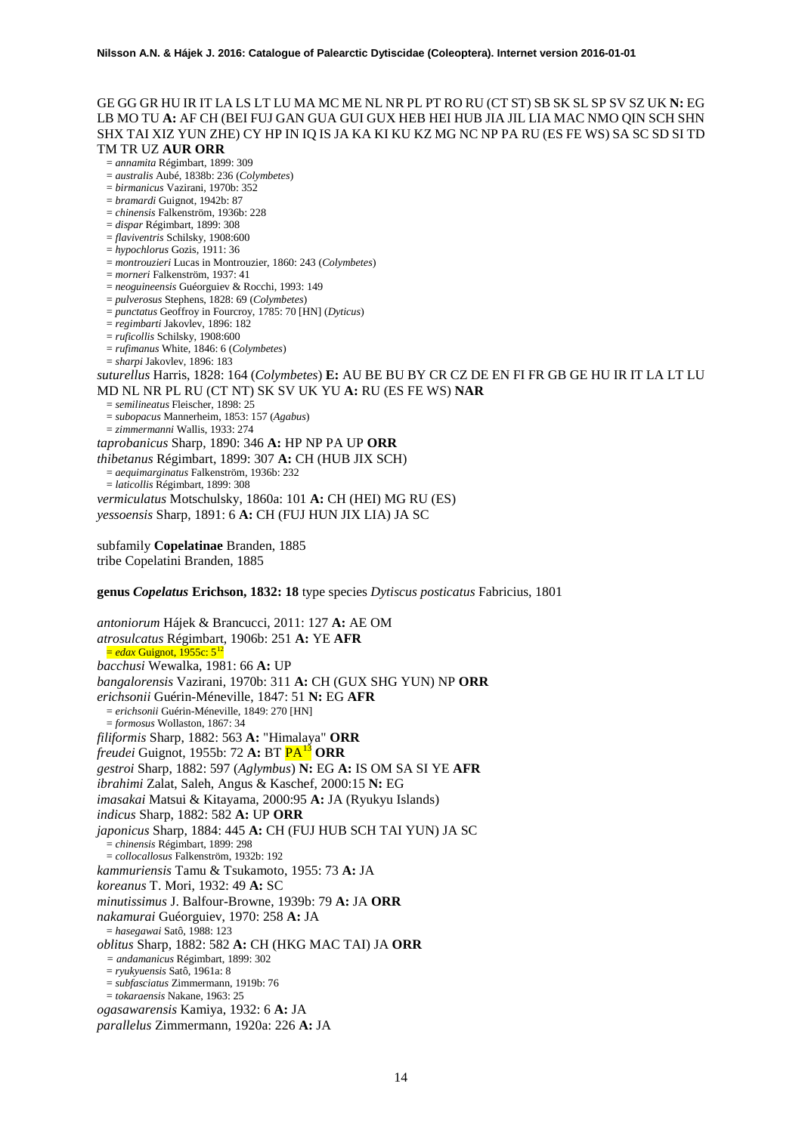## GE GG GR HU IR IT LA LS LT LU MA MC ME NL NR PL PT RO RU (CT ST) SB SK SL SP SV SZ UK **N:** EG LB MO TU **A:** AF CH (BEI FUJ GAN GUA GUI GUX HEB HEI HUB JIA JIL LIA MAC NMO QIN SCH SHN SHX TAI XIZ YUN ZHE) CY HP IN IQ IS JA KA KI KU KZ MG NC NP PA RU (ES FE WS) SA SC SD SI TD TM TR UZ **AUR ORR**

- = *annamita* Régimbart, 1899: 309
- = *australis* Aubé, 1838b: 236 (*Colymbetes*)
- = *birmanicus* Vazirani, 1970b: 352
- = *bramardi* Guignot, 1942b: 87
- = *chinensis* Falkenström, 1936b: 228
- = *dispar* Régimbart, 1899: 308
- = *flaviventris* Schilsky, 1908:600
- = *hypochlorus* Gozis, 1911: 36
- = *montrouzieri* Lucas in Montrouzier, 1860: 243 (*Colymbetes*)
- = *morneri* Falkenström, 1937: 41
- = *neoguineensis* Guéorguiev & Rocchi, 1993: 149 = *pulverosus* Stephens, 1828: 69 (*Colymbetes*)
- = *punctatus* Geoffroy in Fourcroy, 1785: 70 [HN] (*Dyticus*)
- = *regimbarti* Jakovlev, 1896: 182
- = *ruficollis* Schilsky, 1908:600
- = *rufimanus* White, 1846: 6 (*Colymbetes*)
- = *sharpi* Jakovlev, 1896: 183
- *suturellus* Harris, 1828: 164 (*Colymbetes*) **E:** AU BE BU BY CR CZ DE EN FI FR GB GE HU IR IT LA LT LU MD NL NR PL RU (CT NT) SK SV UK YU **A:** RU (ES FE WS) **NAR**
	- = *semilineatus* Fleischer, 1898: 25
	- = *subopacus* Mannerheim, 1853: 157 (*Agabus*)
	- = *zimmermanni* Wallis, 1933: 274
- *taprobanicus* Sharp, 1890: 346 **A:** HP NP PA UP **ORR**
- *thibetanus* Régimbart, 1899: 307 **A:** CH (HUB JIX SCH)
- = *aequimarginatus* Falkenström, 1936b: 232
- = *laticollis* Régimbart, 1899: 308
- *vermiculatus* Motschulsky, 1860a: 101 **A:** CH (HEI) MG RU (ES) *yessoensis* Sharp, 1891: 6 **A:** CH (FUJ HUN JIX LIA) JA SC
- subfamily **Copelatinae** Branden, 1885 tribe Copelatini Branden, 1885
- **genus** *Copelatus* **Erichson, 1832: 18** type species *Dytiscus posticatus* Fabricius, 1801

*antoniorum* Hájek & Brancucci, 2011: 127 **A:** AE OM *atrosulcatus* Régimbart, 1906b: 251 **A:** YE **AFR**  $=$  *edax* Guignot, 1955c: 5<sup>[12](#page-46-9)</sup> *bacchusi* Wewalka, 1981: 66 **A:** UP *bangalorensis* Vazirani, 1970b: 311 **A:** CH (GUX SHG YUN) NP **ORR** *erichsonii* Guérin-Méneville, 1847: 51 **N:** EG **AFR** = *erichsonii* Guérin-Méneville, 1849: 270 [HN] = *formosus* Wollaston, 1867: 34 *filiformis* Sharp, 1882: 563 **A:** "Himalaya" **ORR** *freudei* Guignot, 1955b: 72 **A:** BT PA[13](#page-46-10) **ORR** *gestroi* Sharp, 1882: 597 (*Aglymbus*) **N:** EG **A:** IS OM SA SI YE **AFR** *ibrahimi* Zalat, Saleh, Angus & Kaschef, 2000:15 **N:** EG *imasakai* Matsui & Kitayama, 2000:95 **A:** JA (Ryukyu Islands) *indicus* Sharp, 1882: 582 **A:** UP **ORR** *japonicus* Sharp, 1884: 445 **A:** CH (FUJ HUB SCH TAI YUN) JA SC = *chinensis* Régimbart, 1899: 298 = *collocallosus* Falkenström, 1932b: 192 *kammuriensis* Tamu & Tsukamoto, 1955: 73 **A:** JA *koreanus* T. Mori, 1932: 49 **A:** SC *minutissimus* J. Balfour-Browne, 1939b: 79 **A:** JA **ORR** *nakamurai* Guéorguiev, 1970: 258 **A:** JA = *hasegawai* Satô, 1988: 123 *oblitus* Sharp, 1882: 582 **A:** CH (HKG MAC TAI) JA **ORR** *= andamanicus* Régimbart, 1899: 302 = *ryukyuensis* Satô, 1961a: 8 = *subfasciatus* Zimmermann, 1919b: 76 = *tokaraensis* Nakane, 1963: 25 *ogasawarensis* Kamiya, 1932: 6 **A:** JA *parallelus* Zimmermann, 1920a: 226 **A:** JA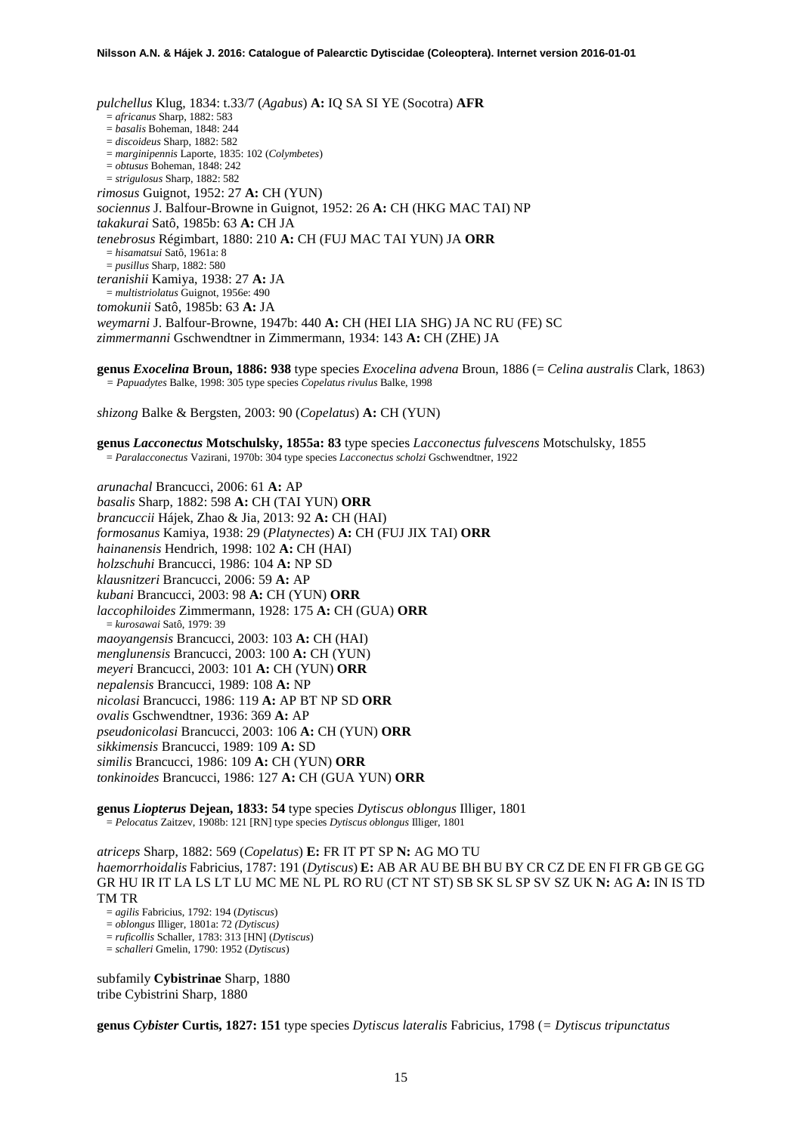*pulchellus* Klug, 1834: t.33/7 (*Agabus*) **A:** IQ SA SI YE (Socotra) **AFR** = *africanus* Sharp, 1882: 583 = *basalis* Boheman, 1848: 244 = *discoideus* Sharp, 1882: 582 = *marginipennis* Laporte, 1835: 102 (*Colymbetes*) = *obtusus* Boheman, 1848: 242 = *strigulosus* Sharp, 1882: 582 *rimosus* Guignot, 1952: 27 **A:** CH (YUN) *sociennus* J. Balfour-Browne in Guignot, 1952: 26 **A:** CH (HKG MAC TAI) NP *takakurai* Satô, 1985b: 63 **A:** CH JA *tenebrosus* Régimbart, 1880: 210 **A:** CH (FUJ MAC TAI YUN) JA **ORR** = *hisamatsui* Satô, 1961a: 8 = *pusillus* Sharp, 1882: 580 *teranishii* Kamiya, 1938: 27 **A:** JA = *multistriolatus* Guignot, 1956e: 490 *tomokunii* Satô, 1985b: 63 **A:** JA *weymarni* J. Balfour-Browne, 1947b: 440 **A:** CH (HEI LIA SHG) JA NC RU (FE) SC *zimmermanni* Gschwendtner in Zimmermann, 1934: 143 **A:** CH (ZHE) JA

**genus** *Exocelina* **Broun, 1886: 938** type species *Exocelina advena* Broun, 1886 (= *Celina australis* Clark, 1863) *= Papuadytes* Balke, 1998: 305 type species *Copelatus rivulus* Balke, 1998

*shizong* Balke & Bergsten, 2003: 90 (*Copelatus*) **A:** CH (YUN)

**genus** *Lacconectus* **Motschulsky, 1855a: 83** type species *Lacconectus fulvescens* Motschulsky, 1855 = *Paralacconectus* Vazirani, 1970b: 304 type species *Lacconectus scholzi* Gschwendtner, 1922

*arunachal* Brancucci, 2006: 61 **A:** AP *basalis* Sharp, 1882: 598 **A:** CH (TAI YUN) **ORR** *brancuccii* Hájek, Zhao & Jia, 2013: 92 **A:** CH (HAI) *formosanus* Kamiya, 1938: 29 (*Platynectes*) **A:** CH (FUJ JIX TAI) **ORR** *hainanensis* Hendrich, 1998: 102 **A:** CH (HAI) *holzschuhi* Brancucci, 1986: 104 **A:** NP SD *klausnitzeri* Brancucci, 2006: 59 **A:** AP *kubani* Brancucci, 2003: 98 **A:** CH (YUN) **ORR** *laccophiloides* Zimmermann, 1928: 175 **A:** CH (GUA) **ORR** = *kurosawai* Satô, 1979: 39 *maoyangensis* Brancucci, 2003: 103 **A:** CH (HAI) *menglunensis* Brancucci, 2003: 100 **A:** CH (YUN) *meyeri* Brancucci, 2003: 101 **A:** CH (YUN) **ORR** *nepalensis* Brancucci, 1989: 108 **A:** NP *nicolasi* Brancucci, 1986: 119 **A:** AP BT NP SD **ORR** *ovalis* Gschwendtner, 1936: 369 **A:** AP *pseudonicolasi* Brancucci, 2003: 106 **A:** CH (YUN) **ORR** *sikkimensis* Brancucci, 1989: 109 **A:** SD *similis* Brancucci, 1986: 109 **A:** CH (YUN) **ORR** *tonkinoides* Brancucci, 1986: 127 **A:** CH (GUA YUN) **ORR**

**genus** *Liopterus* **Dejean, 1833: 54** type species *Dytiscus oblongus* Illiger, 1801 = *Pelocatus* Zaitzev, 1908b: 121 [RN] type species *Dytiscus oblongus* Illiger, 1801

*atriceps* Sharp, 1882: 569 (*Copelatus*) **E:** FR IT PT SP **N:** AG MO TU *haemorrhoidalis* Fabricius, 1787: 191 (*Dytiscus*) **E:** AB AR AU BE BH BU BY CR CZ DE EN FI FR GB GE GG GR HU IR IT LA LS LT LU MC ME NL PL RO RU (CT NT ST) SB SK SL SP SV SZ UK **N:** AG **A:** IN IS TD TM TR

= *agilis* Fabricius, 1792: 194 (*Dytiscus*)

= *oblongus* Illiger, 1801a: 72 *(Dytiscus)* = *ruficollis* Schaller, 1783: 313 [HN] (*Dytiscus*)

= *schalleri* Gmelin, 1790: 1952 (*Dytiscus*)

subfamily **Cybistrinae** Sharp, 1880 tribe Cybistrini Sharp, 1880

**genus** *Cybister* **Curtis, 1827: 151** type species *Dytiscus lateralis* Fabricius, 1798 (*= Dytiscus tripunctatus*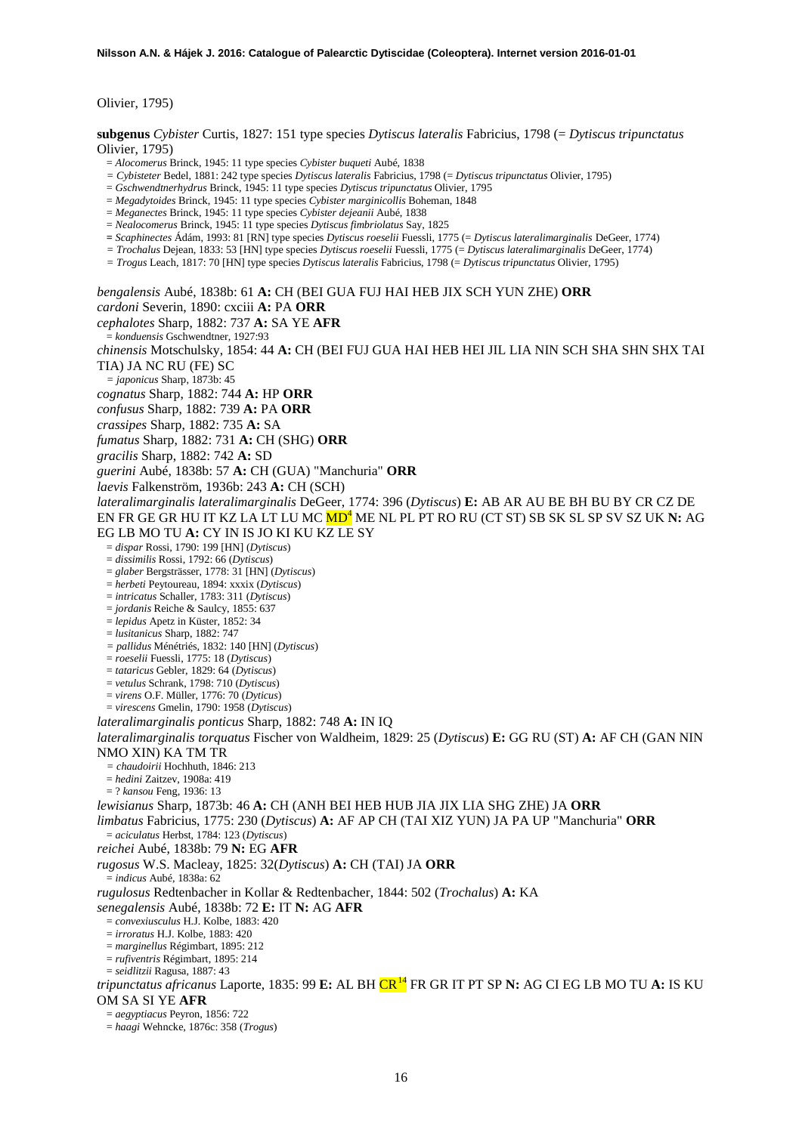Olivier, 1795)

**subgenus** *Cybister* Curtis, 1827: 151 type species *Dytiscus lateralis* Fabricius, 1798 (= *Dytiscus tripunctatus* Olivier, 1795)

- = *Alocomerus* Brinck, 1945: 11 type species *Cybister buqueti* Aubé, 1838
- *= Cybisteter* Bedel, 1881: 242 type species *Dytiscus lateralis* Fabricius, 1798 (= *Dytiscus tripunctatus* Olivier, 1795)
- = *Gschwendtnerhydrus* Brinck, 1945: 11 type species *Dytiscus tripunctatus* Olivier, 1795
- = *Megadytoides* Brinck, 1945: 11 type species *Cybister marginicollis* Boheman, 1848
- = *Meganectes* Brinck, 1945: 11 type species *Cybister dejeanii* Aubé, 1838
- = *Nealocomerus* Brinck, 1945: 11 type species *Dytiscus fimbriolatus* Say, 1825
- **=** *Scaphinectes* Ádám, 1993: 81 [RN] type species *Dytiscus roeselii* Fuessli, 1775 (= *Dytiscus lateralimarginalis* DeGeer, 1774)
- *= Trochalus* Dejean, 1833: 53 [HN] type species *Dytiscus roeselii* Fuessli, 1775 (= *Dytiscus lateralimarginalis* DeGeer, 1774)
- *= Trogus* Leach, 1817: 70 [HN] type species *Dytiscus lateralis* Fabricius, 1798 (= *Dytiscus tripunctatus* Olivier, 1795)

*bengalensis* Aubé, 1838b: 61 **A:** CH (BEI GUA FUJ HAI HEB JIX SCH YUN ZHE) **ORR** *cardoni* Severin, 1890: cxciii **A:** PA **ORR** *cephalotes* Sharp, 1882: 737 **A:** SA YE **AFR** = *konduensis* Gschwendtner, 1927:93 *chinensis* Motschulsky, 1854: 44 **A:** CH (BEI FUJ GUA HAI HEB HEI JIL LIA NIN SCH SHA SHN SHX TAI TIA) JA NC RU (FE) SC *= japonicus* Sharp, 1873b: 45 *cognatus* Sharp, 1882: 744 **A:** HP **ORR** *confusus* Sharp, 1882: 739 **A:** PA **ORR** *crassipes* Sharp, 1882: 735 **A:** SA *fumatus* Sharp, 1882: 731 **A:** CH (SHG) **ORR**

- *gracilis* Sharp, 1882: 742 **A:** SD
- *guerini* Aubé, 1838b: 57 **A:** CH (GUA) "Manchuria" **ORR**
- *laevis* Falkenström, 1936b: 243 **A:** CH (SCH)

*lateralimarginalis lateralimarginalis* DeGeer, 1774: 396 (*Dytiscus*) **E:** AB AR AU BE BH BU BY CR CZ DE EN FR GE GR HU IT KZ LA LT LU MC M[D](#page-4-0)<sup>4</sup> ME NL PL PT RO RU (CT ST) SB SK SL SP SV SZ UK **N:** AG

- EG LB MO TU **A:** CY IN IS JO KI KU KZ LE SY
	- = *dispar* Rossi, 1790: 199 [HN] (*Dytiscus*)
	- = *dissimilis* Rossi, 1792: 66 (*Dytiscus*)
	- = *glaber* Bergsträsser, 1778: 31 [HN] (*Dytiscus*)
	- = *herbeti* Peytoureau, 1894: xxxix (*Dytiscus*)
	- = *intricatus* Schaller, 1783: 311 (*Dytiscus*)
	- = *jordanis* Reiche & Saulcy, 1855: 637
	- = *lepidus* Apetz in Küster, 1852: 34
	- = *lusitanicus* Sharp, 1882: 747
	- *= pallidus* Ménétriés, 1832: 140 [HN] (*Dytiscus*)
	- = *roeselii* Fuessli, 1775: 18 (*Dytiscus*)
	- = *tataricus* Gebler, 1829: 64 (*Dytiscus*)
	- = *vetulus* Schrank, 1798: 710 (*Dytiscus*)
	- = *virens* O.F. Müller, 1776: 70 (*Dyticus*)
	- = *virescens* Gmelin, 1790: 1958 (*Dytiscus*)

*lateralimarginalis ponticus* Sharp, 1882: 748 **A:** IN IQ

*lateralimarginalis torquatus* Fischer von Waldheim, 1829: 25 (*Dytiscus*) **E:** GG RU (ST) **A:** AF CH (GAN NIN NMO XIN) KA TM TR

- *= chaudoirii* Hochhuth, 1846: 213
- = *hedini* Zaitzev, 1908a: 419
- = ? *kansou* Feng, 1936: 13

*lewisianus* Sharp, 1873b: 46 **A:** CH (ANH BEI HEB HUB JIA JIX LIA SHG ZHE) JA **ORR**

*limbatus* Fabricius, 1775: 230 (*Dytiscus*) **A:** AF AP CH (TAI XIZ YUN) JA PA UP "Manchuria" **ORR**

- = *aciculatus* Herbst, 1784: 123 (*Dytiscus*)
- *reichei* Aubé, 1838b: 79 **N:** EG **AFR**

*rugosus* W.S. Macleay, 1825: 32(*Dytiscus*) **A:** CH (TAI) JA **ORR**

= *indicus* Aubé, 1838a: 62

*rugulosus* Redtenbacher in Kollar & Redtenbacher, 1844: 502 (*Trochalus*) **A:** KA

*senegalensis* Aubé, 1838b: 72 **E:** IT **N:** AG **AFR**

= *convexiusculus* H.J. Kolbe, 1883: 420

= *irroratus* H.J. Kolbe, 1883: 420

- = *marginellus* Régimbart, 1895: 212
- = *rufiventris* Régimbart, 1895: 214
- = *seidlitzii* Ragusa, 1887: 43

*tripunctatus africanus* Laporte, 1835: 99 **E:** AL BH CR<sup>[14](#page-46-11)</sup> FR GR IT PT SP **N:** AG CI EG LB MO TU **A:** IS KU OM SA SI YE **AFR**

= *aegyptiacus* Peyron, 1856: 722

= *haagi* Wehncke, 1876c: 358 (*Trogus*)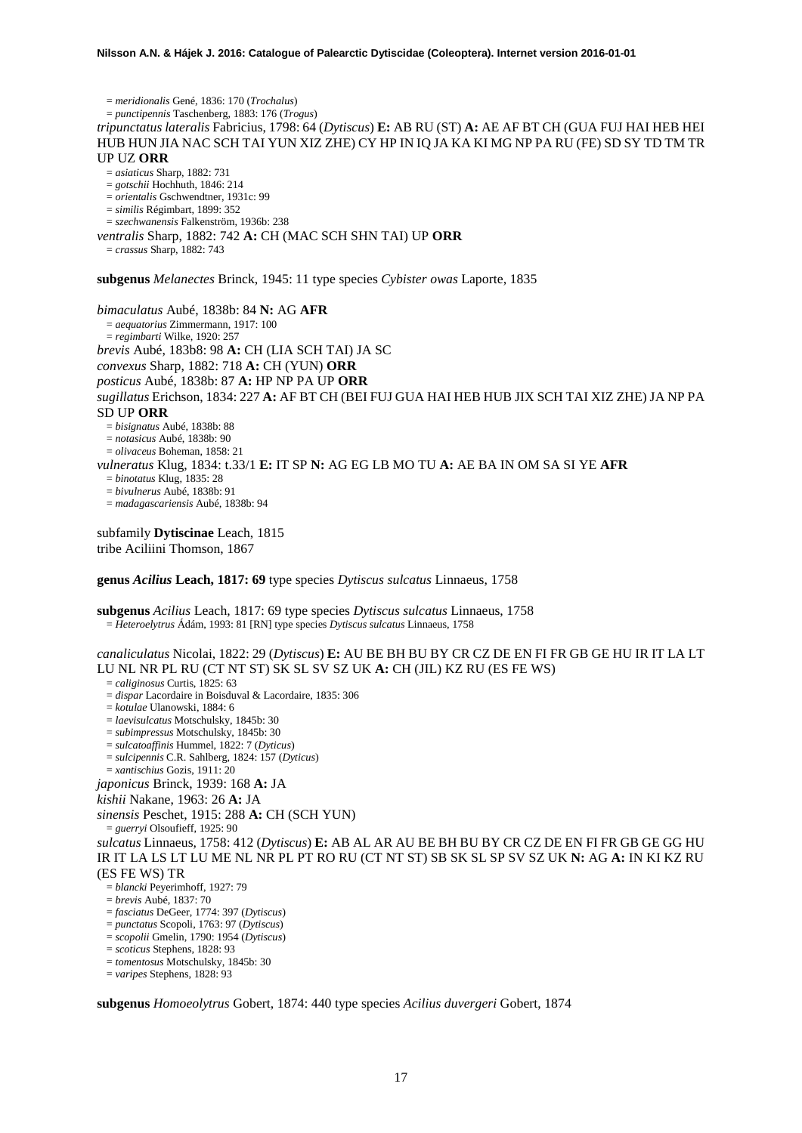= *meridionalis* Gené, 1836: 170 (*Trochalus*) = *punctipennis* Taschenberg, 1883: 176 (*Trogus*) *tripunctatus lateralis* Fabricius, 1798: 64 (*Dytiscus*) **E:** AB RU (ST) **A:** AE AF BT CH (GUA FUJ HAI HEB HEI HUB HUN JIA NAC SCH TAI YUN XIZ ZHE) CY HP IN IQ JA KA KI MG NP PA RU (FE) SD SY TD TM TR UP UZ **ORR** = *asiaticus* Sharp, 1882: 731 = *gotschii* Hochhuth, 1846: 214 = *orientalis* Gschwendtner, 1931c: 99 = *similis* Régimbart, 1899: 352 = *szechwanensis* Falkenström, 1936b: 238 *ventralis* Sharp, 1882: 742 **A:** CH (MAC SCH SHN TAI) UP **ORR** = *crassus* Sharp, 1882: 743 **subgenus** *Melanectes* Brinck, 1945: 11 type species *Cybister owas* Laporte, 1835 *bimaculatus* Aubé, 1838b: 84 **N:** AG **AFR** = *aequatorius* Zimmermann, 1917: 100 = *regimbarti* Wilke, 1920: 257 *brevis* Aubé, 183b8: 98 **A:** CH (LIA SCH TAI) JA SC

*convexus* Sharp, 1882: 718 **A:** CH (YUN) **ORR** *posticus* Aubé, 1838b: 87 **A:** HP NP PA UP **ORR** *sugillatus* Erichson, 1834: 227 **A:** AF BT CH (BEI FUJ GUA HAI HEB HUB JIX SCH TAI XIZ ZHE) JA NP PA SD UP **ORR** = *bisignatus* Aubé, 1838b: 88 = *notasicus* Aubé, 1838b: 90 = *olivaceus* Boheman, 1858: 21 *vulneratus* Klug, 1834: t.33/1 **E:** IT SP **N:** AG EG LB MO TU **A:** AE BA IN OM SA SI YE **AFR** = *binotatus* Klug, 1835: 28 = *bivulnerus* Aubé, 1838b: 91 = *madagascariensis* Aubé, 1838b: 94

subfamily **Dytiscinae** Leach, 1815 tribe Aciliini Thomson, 1867

**genus** *Acilius* **Leach, 1817: 69** type species *Dytiscus sulcatus* Linnaeus, 1758

**subgenus** *Acilius* Leach, 1817: 69 type species *Dytiscus sulcatus* Linnaeus, 1758 = *Heteroelytrus* Ádám, 1993: 81 [RN] type species *Dytiscus sulcatus* Linnaeus, 1758

*canaliculatus* Nicolai, 1822: 29 (*Dytiscus*) **E:** AU BE BH BU BY CR CZ DE EN FI FR GB GE HU IR IT LA LT LU NL NR PL RU (CT NT ST) SK SL SV SZ UK **A:** CH (JIL) KZ RU (ES FE WS)

= *caliginosus* Curtis, 1825: 63

= *dispar* Lacordaire in Boisduval & Lacordaire, 1835: 306

= *kotulae* Ulanowski, 1884: 6

= *laevisulcatus* Motschulsky, 1845b: 30

= *subimpressus* Motschulsky, 1845b: 30

= *sulcatoaffinis* Hummel, 1822: 7 (*Dyticus*)

= *sulcipennis* C.R. Sahlberg, 1824: 157 (*Dyticus*)

= *xantischius* Gozis, 1911: 20 *japonicus* Brinck, 1939: 168 **A:** JA

## *kishii* Nakane, 1963: 26 **A:** JA

*sinensis* Peschet, 1915: 288 **A:** CH (SCH YUN)

= *guerryi* Olsoufieff, 1925: 90

*sulcatus* Linnaeus, 1758: 412 (*Dytiscus*) **E:** AB AL AR AU BE BH BU BY CR CZ DE EN FI FR GB GE GG HU IR IT LA LS LT LU ME NL NR PL PT RO RU (CT NT ST) SB SK SL SP SV SZ UK **N:** AG **A:** IN KI KZ RU (ES FE WS) TR = *blancki* Peyerimhoff, 1927: 79

= *brevis* Aubé, 1837: 70

= *fasciatus* DeGeer, 1774: 397 (*Dytiscus*)

= *punctatus* Scopoli, 1763: 97 (*Dytiscus*)

= *scopolii* Gmelin, 1790: 1954 (*Dytiscus*)

= *scoticus* Stephens, 1828: 93

= *tomentosus* Motschulsky, 1845b: 30

= *varipes* Stephens, 1828: 93

**subgenus** *Homoeolytrus* Gobert, 1874: 440 type species *Acilius duvergeri* Gobert, 1874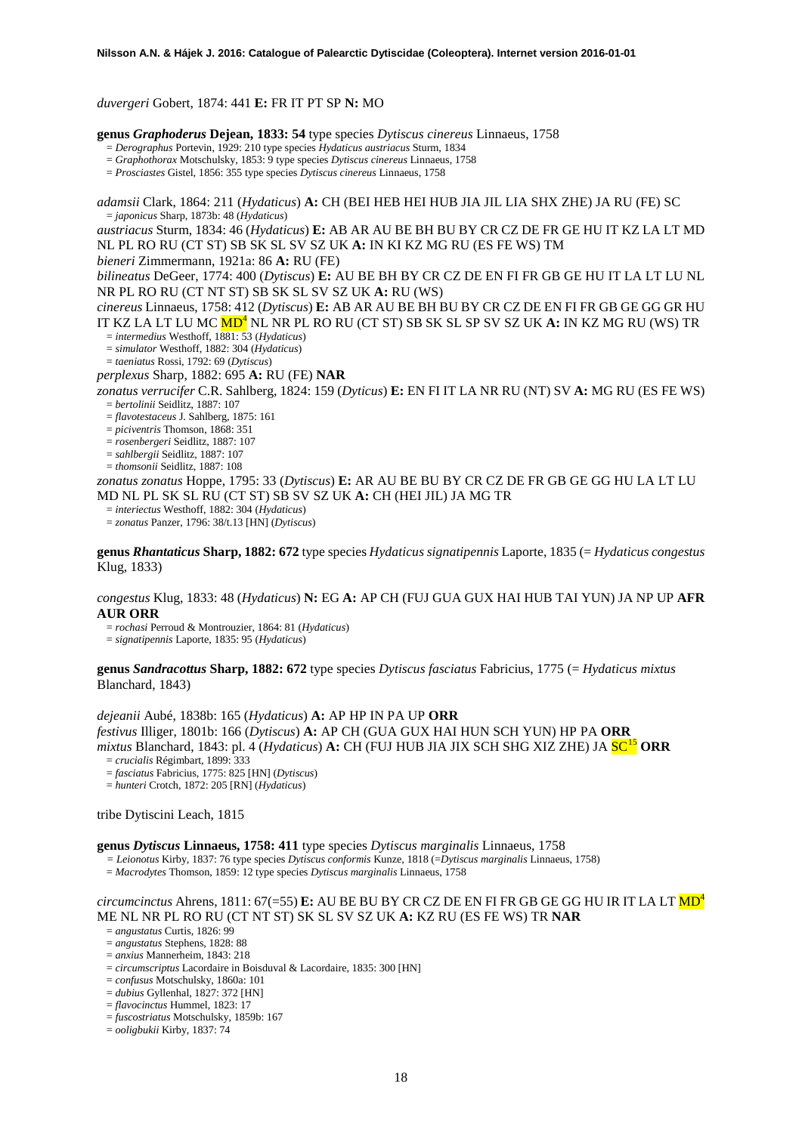*duvergeri* Gobert, 1874: 441 **E:** FR IT PT SP **N:** MO

**genus** *Graphoderus* **Dejean, 1833: 54** type species *Dytiscus cinereus* Linnaeus, 1758

= *Derographus* Portevin, 1929: 210 type species *Hydaticus austriacus* Sturm, 1834

= *Graphothorax* Motschulsky, 1853: 9 type species *Dytiscus cinereus* Linnaeus, 1758

= *Prosciastes* Gistel, 1856: 355 type species *Dytiscus cinereus* Linnaeus, 1758

*adamsii* Clark, 1864: 211 (*Hydaticus*) **A:** CH (BEI HEB HEI HUB JIA JIL LIA SHX ZHE) JA RU (FE) SC = *japonicus* Sharp, 1873b: 48 (*Hydaticus*)

*austriacus* Sturm, 1834: 46 (*Hydaticus*) **E:** AB AR AU BE BH BU BY CR CZ DE FR GE HU IT KZ LA LT MD NL PL RO RU (CT ST) SB SK SL SV SZ UK **A:** IN KI KZ MG RU (ES FE WS) TM

*bieneri* Zimmermann, 1921a: 86 **A:** RU (FE)

*bilineatus* DeGeer, 1774: 400 (*Dytiscus*) **E:** AU BE BH BY CR CZ DE EN FI FR GB GE HU IT LA LT LU NL NR PL RO RU (CT NT ST) SB SK SL SV SZ UK **A:** RU (WS)

*cinereus* Linnaeus, 1758: 412 (*Dytiscus*) **E:** AB AR AU BE BH BU BY CR CZ DE EN FI FR GB GE GG GR HU IT KZ LA LT LU MC MD<sup>4</sup> NL NR PL RO RU (CT ST) SB SK SL SP SV SZ UK **A:** IN KZ MG RU (WS) TR = *intermedius* Westhoff, 1881: 53 (*Hydaticus*)

= *simulator* Westhoff, 1882: 304 (*Hydaticus*)

= *taeniatus* Rossi, 1792: 69 (*Dytiscus*)

*perplexus* Sharp, 1882: 695 **A:** RU (FE) **NAR**

*zonatus verrucifer* C.R. Sahlberg, 1824: 159 (*Dyticus*) **E:** EN FI IT LA NR RU (NT) SV **A:** MG RU (ES FE WS) = *bertolinii* Seidlitz, 1887: 107

= *flavotestaceus* J. Sahlberg, 1875: 161

= *piciventris* Thomson, 1868: 351

= *rosenbergeri* Seidlitz, 1887: 107

= *sahlbergii* Seidlitz, 1887: 107

= *thomsonii* Seidlitz, 1887: 108

*zonatus zonatus* Hoppe, 1795: 33 (*Dytiscus*) **E:** AR AU BE BU BY CR CZ DE FR GB GE GG HU LA LT LU MD NL PL SK SL RU (CT ST) SB SV SZ UK **A:** CH (HEI JIL) JA MG TR

= *interiectus* Westhoff, 1882: 304 (*Hydaticus*)

= *zonatus* Panzer, 1796: 38/t.13 [HN] (*Dytiscus*)

**genus** *Rhantaticus* **Sharp, 1882: 672** type species *Hydaticus signatipennis* Laporte, 1835 (= *Hydaticus congestus*  Klug, 1833)

*congestus* Klug, 1833: 48 (*Hydaticus*) **N:** EG **A:** AP CH (FUJ GUA GUX HAI HUB TAI YUN) JA NP UP **AFR AUR ORR**

= *rochasi* Perroud & Montrouzier, 1864: 81 (*Hydaticus*)

= *signatipennis* Laporte, 1835: 95 (*Hydaticus*)

**genus** *Sandracottus* **Sharp, 1882: 672** type species *Dytiscus fasciatus* Fabricius, 1775 (= *Hydaticus mixtus* Blanchard, 1843)

*dejeanii* Aubé, 1838b: 165 (*Hydaticus*) **A:** AP HP IN PA UP **ORR** *festivus* Illiger, 1801b: 166 (*Dytiscus*) **A:** AP CH (GUA GUX HAI HUN SCH YUN) HP PA **ORR** *mixtus* Blanchard, 1843: pl. 4 (*Hydaticus*) **A:** CH (FUJ HUB JIA JIX SCH SHG XIZ ZHE) JA SC[15](#page-46-12) **ORR** = *crucialis* Régimbart, 1899: 333

= *fasciatus* Fabricius, 1775: 825 [HN] (*Dytiscus*) = *hunteri* Crotch, 1872: 205 [RN] (*Hydaticus*)

tribe Dytiscini Leach, 1815

#### **genus** *Dytiscus* **Linnaeus, 1758: 411** type species *Dytiscus marginalis* Linnaeus, 1758

*= Leionotus* Kirby, 1837: 76 type species *Dytiscus conformis* Kunze, 1818 (=*Dytiscus marginalis* Linnaeus, 1758)

= *Macrodytes* Thomson, 1859: 12 type species *Dytiscus marginalis* Linnaeus, 1758

## *circumcinctus* Ahrens, 1811: 67(=55) **E:** AU BE BU BY CR CZ DE EN FI FR GB GE GG HU IR IT LA LT M[D4](#page-4-0) ME NL NR PL RO RU (CT NT ST) SK SL SV SZ UK **A:** KZ RU (ES FE WS) TR **NAR**

= *angustatus* Curtis, 1826: 99

= *angustatus* Stephens, 1828: 88

= *anxius* Mannerheim, 1843: 218

= *circumscriptus* Lacordaire in Boisduval & Lacordaire, 1835: 300 [HN]

= *confusus* Motschulsky, 1860a: 101

= *dubius* Gyllenhal, 1827: 372 [HN]

= *flavocinctus* Hummel, 1823: 17

= *fuscostriatus* Motschulsky, 1859b: 167

= *ooligbukii* Kirby, 1837: 74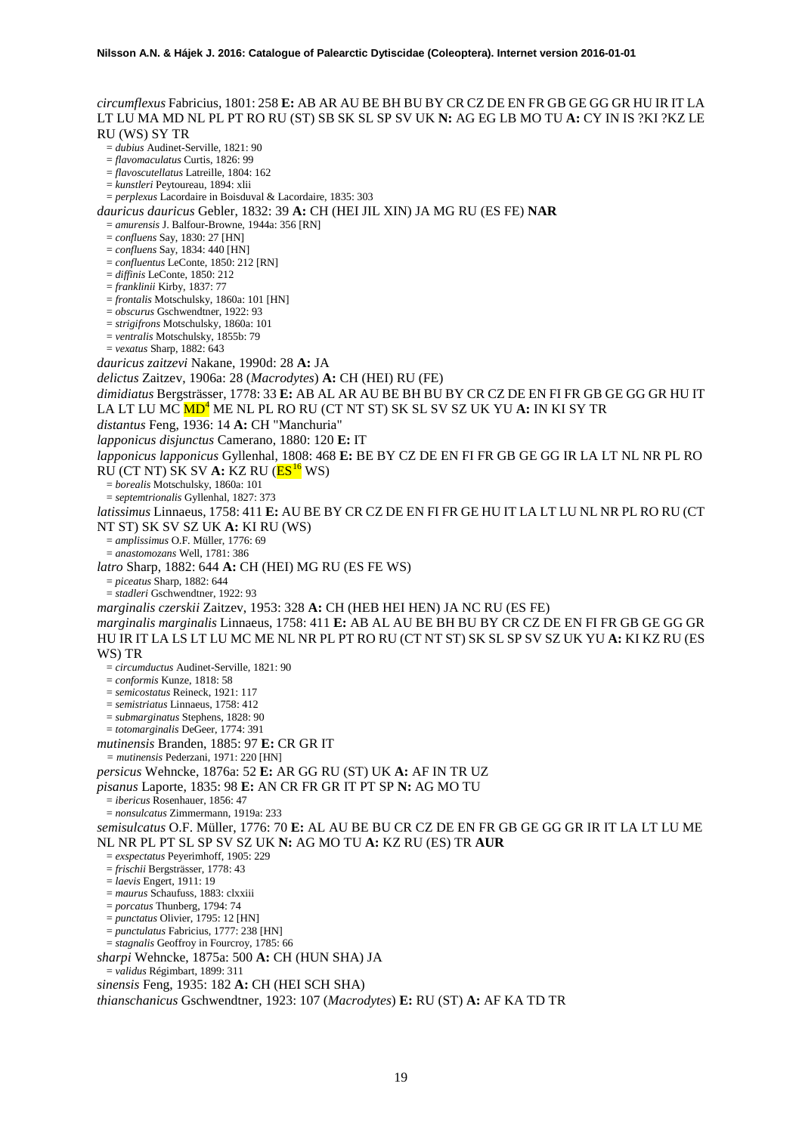*circumflexus* Fabricius, 1801: 258 **E:** AB AR AU BE BH BU BY CR CZ DE EN FR GB GE GG GR HU IR IT LA LT LU MA MD NL PL PT RO RU (ST) SB SK SL SP SV UK **N:** AG EG LB MO TU **A:** CY IN IS ?KI ?KZ LE RU (WS) SY TR = *dubius* Audinet-Serville, 1821: 90 = *flavomaculatus* Curtis, 1826: 99 = *flavoscutellatus* Latreille, 1804: 162 = *kunstleri* Peytoureau, 1894: xlii = *perplexus* Lacordaire in Boisduval & Lacordaire, 1835: 303 *dauricus dauricus* Gebler, 1832: 39 **A:** CH (HEI JIL XIN) JA MG RU (ES FE) **NAR** = *amurensis* J. Balfour-Browne, 1944a: 356 [RN] = *confluens* Say, 1830: 27 [HN] = *confluens* Say, 1834: 440 [HN] = *confluentus* LeConte, 1850: 212 [RN] = *diffinis* LeConte, 1850: 212 = *franklinii* Kirby, 1837: 77 = *frontalis* Motschulsky, 1860a: 101 [HN] = *obscurus* Gschwendtner, 1922: 93 = *strigifrons* Motschulsky, 1860a: 101 = *ventralis* Motschulsky, 1855b: 79 = *vexatus* Sharp, 1882: 643 *dauricus zaitzevi* Nakane, 1990d: 28 **A:** JA *delictus* Zaitzev, 1906a: 28 (*Macrodytes*) **A:** CH (HEI) RU (FE) *dimidiatus* Bergsträsser, 1778: 33 **E:** AB AL AR AU BE BH BU BY CR CZ DE EN FI FR GB GE GG GR HU IT LA LT LU MC M[D](#page-4-0)<sup>4</sup> ME NL PL RO RU (CT NT ST) SK SL SV SZ UK YU **A:** IN KI SY TR *distantus* Feng, 1936: 14 **A:** CH "Manchuria" *lapponicus disjunctus* Camerano, 1880: 120 **E:** IT *lapponicus lapponicus* Gyllenhal, 1808: 468 **E:** BE BY CZ DE EN FI FR GB GE GG IR LA LT NL NR PL RO RU (CT NT) SK SV **A: KZ RU** (**ES<sup>[16](#page-46-13)</sup> WS**) = *borealis* Motschulsky, 1860a: 101 = *septemtrionalis* Gyllenhal, 1827: 373 *latissimus* Linnaeus, 1758: 411 **E:** AU BE BY CR CZ DE EN FI FR GE HU IT LA LT LU NL NR PL RO RU (CT NT ST) SK SV SZ UK **A:** KI RU (WS) = *amplissimus* O.F. Müller, 1776: 69 = *anastomozans* Well, 1781: 386 *latro* Sharp, 1882: 644 **A:** CH (HEI) MG RU (ES FE WS) = *piceatus* Sharp, 1882: 644 = *stadleri* Gschwendtner, 1922: 93 *marginalis czerskii* Zaitzev, 1953: 328 **A:** CH (HEB HEI HEN) JA NC RU (ES FE) *marginalis marginalis* Linnaeus, 1758: 411 **E:** AB AL AU BE BH BU BY CR CZ DE EN FI FR GB GE GG GR HU IR IT LA LS LT LU MC ME NL NR PL PT RO RU (CT NT ST) SK SL SP SV SZ UK YU **A:** KI KZ RU (ES WS) TR = *circumductus* Audinet-Serville, 1821: 90 = *conformis* Kunze, 1818: 58 = *semicostatus* Reineck, 1921: 117 = *semistriatus* Linnaeus, 1758: 412 = *submarginatus* Stephens, 1828: 90 = *totomarginalis* DeGeer, 1774: 391 *mutinensis* Branden, 1885: 97 **E:** CR GR IT *= mutinensis* Pederzani, 1971: 220 [HN] *persicus* Wehncke, 1876a: 52 **E:** AR GG RU (ST) UK **A:** AF IN TR UZ *pisanus* Laporte, 1835: 98 **E:** AN CR FR GR IT PT SP **N:** AG MO TU = *ibericus* Rosenhauer, 1856: 47 = *nonsulcatus* Zimmermann, 1919a: 233 *semisulcatus* O.F. Müller, 1776: 70 **E:** AL AU BE BU CR CZ DE EN FR GB GE GG GR IR IT LA LT LU ME NL NR PL PT SL SP SV SZ UK **N:** AG MO TU **A:** KZ RU (ES) TR **AUR** = *exspectatus* Peyerimhoff, 1905: 229 = *frischii* Bergsträsser, 1778: 43 = *laevis* Engert, 1911: 19 = *maurus* Schaufuss, 1883: clxxiii = *porcatus* Thunberg, 1794: 74 = *punctatus* Olivier, 1795: 12 [HN] = *punctulatus* Fabricius, 1777: 238 [HN] = *stagnalis* Geoffroy in Fourcroy, 1785: 66 *sharpi* Wehncke, 1875a: 500 **A:** CH (HUN SHA) JA = *validus* Régimbart, 1899: 311 *sinensis* Feng, 1935: 182 **A:** CH (HEI SCH SHA) *thianschanicus* Gschwendtner, 1923: 107 (*Macrodytes*) **E:** RU (ST) **A:** AF KA TD TR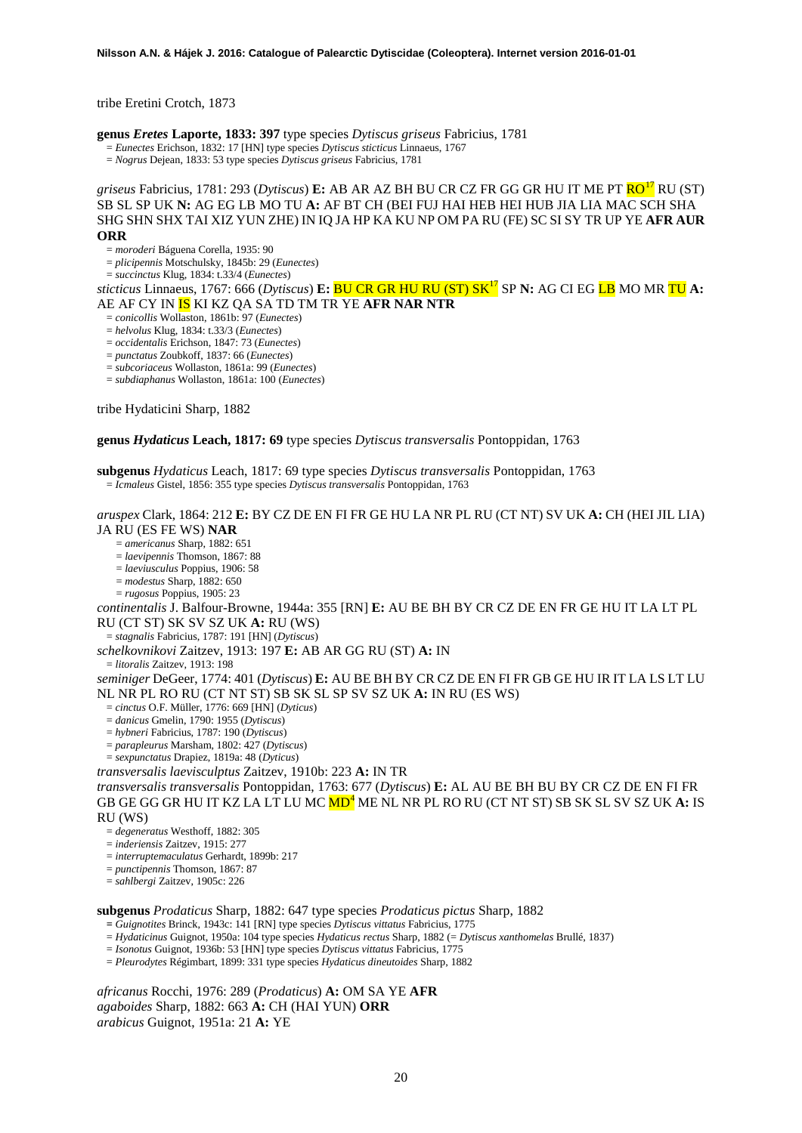tribe Eretini Crotch, 1873

**genus** *Eretes* **Laporte, 1833: 397** type species *Dytiscus griseus* Fabricius, 1781 = *Eunectes* Erichson, 1832: 17 [HN] type species *Dytiscus sticticus* Linnaeus, 1767

<span id="page-19-0"></span>= *Nogrus* Dejean, 1833: 53 type species *Dytiscus griseus* Fabricius, 1781

*griseus* Fabricius, 1781: 293 (*Dytiscus*) **E:** AB AR AZ BH BU CR CZ FR GG GR HU IT ME PT RO[17](#page-46-14) RU (ST) SB SL SP UK **N:** AG EG LB MO TU **A:** AF BT CH (BEI FUJ HAI HEB HEI HUB JIA LIA MAC SCH SHA SHG SHN SHX TAI XIZ YUN ZHE) IN IQ JA HP KA KU NP OM PA RU (FE) SC SI SY TR UP YE **AFR AUR ORR**

= *moroderi* Báguena Corella, 1935: 90

= *plicipennis* Motschulsky, 1845b: 29 (*Eunectes*)

= *succinctus* Klug, 1834: t.33/4 (*Eunectes*)

*sticticus* Linnaeus, 1767: 666 (*Dytiscus*) **E:** BU CR GR HU RU (ST) S[K17](#page-19-0) SP **N:** AG CI EG LB MO MR TU **A:** AE AF CY IN IS KI KZ QA SA TD TM TR YE **AFR NAR NTR**

= *conicollis* Wollaston, 1861b: 97 (*Eunectes*)

= *helvolus* Klug, 1834: t.33/3 (*Eunectes*)

= *occidentalis* Erichson, 1847: 73 (*Eunectes*)

= *punctatus* Zoubkoff, 1837: 66 (*Eunectes*)

= *subcoriaceus* Wollaston, 1861a: 99 (*Eunectes*)

= *subdiaphanus* Wollaston, 1861a: 100 (*Eunectes*)

tribe Hydaticini Sharp, 1882

**genus** *Hydaticus* **Leach, 1817: 69** type species *Dytiscus transversalis* Pontoppidan, 1763

**subgenus** *Hydaticus* Leach, 1817: 69 type species *Dytiscus transversalis* Pontoppidan, 1763 = *Icmaleus* Gistel, 1856: 355 type species *Dytiscus transversalis* Pontoppidan, 1763

*aruspex* Clark, 1864: 212 **E:** BY CZ DE EN FI FR GE HU LA NR PL RU (CT NT) SV UK **A:** CH (HEI JIL LIA) JA RU (ES FE WS) **NAR**

= *americanus* Sharp, 1882: 651

= *laevipennis* Thomson, 1867: 88

= *laeviusculus* Poppius, 1906: 58

= *modestus* Sharp, 1882: 650

= *rugosus* Poppius, 1905: 23

*continentalis* J. Balfour-Browne, 1944a: 355 [RN] **E:** AU BE BH BY CR CZ DE EN FR GE HU IT LA LT PL RU (CT ST) SK SV SZ UK **A:** RU (WS)

= *stagnalis* Fabricius, 1787: 191 [HN] (*Dytiscus*)

*schelkovnikovi* Zaitzev, 1913: 197 **E:** AB AR GG RU (ST) **A:** IN

= *litoralis* Zaitzev, 1913: 198

*seminiger* DeGeer, 1774: 401 (*Dytiscus*) **E:** AU BE BH BY CR CZ DE EN FI FR GB GE HU IR IT LA LS LT LU NL NR PL RO RU (CT NT ST) SB SK SL SP SV SZ UK **A:** IN RU (ES WS)

= *cinctus* O.F. Müller, 1776: 669 [HN] (*Dyticus*)

= *danicus* Gmelin, 1790: 1955 (*Dytiscus*)

= *hybneri* Fabricius, 1787: 190 (*Dytiscus*)

= *parapleurus* Marsham, 1802: 427 (*Dytiscus*)

= *sexpunctatus* Drapiez, 1819a: 48 (*Dyticus*)

*transversalis laevisculptus* Zaitzev, 1910b: 223 **A:** IN TR

*transversalis transversalis* Pontoppidan, 1763: 677 (*Dytiscus*) **E:** AL AU BE BH BU BY CR CZ DE EN FI FR GB GE GG GR HU IT KZ LA LT LU MC M[D](#page-4-0)<sup>4</sup> ME NL NR PL RO RU (CT NT ST) SB SK SL SV SZ UK **A:** IS RU (WS)

= *degeneratus* Westhoff, 1882: 305

= *inderiensis* Zaitzev, 1915: 277

= *interruptemaculatus* Gerhardt, 1899b: 217

= *punctipennis* Thomson, 1867: 87

= *sahlbergi* Zaitzev, 1905c: 226

**subgenus** *Prodaticus* Sharp, 1882: 647 type species *Prodaticus pictus* Sharp, 1882

**=** *Guignotites* Brinck, 1943c: 141 [RN] type species *Dytiscus vittatus* Fabricius, 1775

= *Hydaticinus* Guignot, 1950a: 104 type species *Hydaticus rectus* Sharp, 1882 (= *Dytiscus xanthomelas* Brullé, 1837)

= *Isonotus* Guignot, 1936b: 53 [HN] type species *Dytiscus vittatus* Fabricius, 1775

= *Pleurodytes* Régimbart, 1899: 331 type species *Hydaticus dineutoides* Sharp, 1882

*africanus* Rocchi, 1976: 289 (*Prodaticus*) **A:** OM SA YE **AFR** *agaboides* Sharp, 1882: 663 **A:** CH (HAI YUN) **ORR** *arabicus* Guignot, 1951a: 21 **A:** YE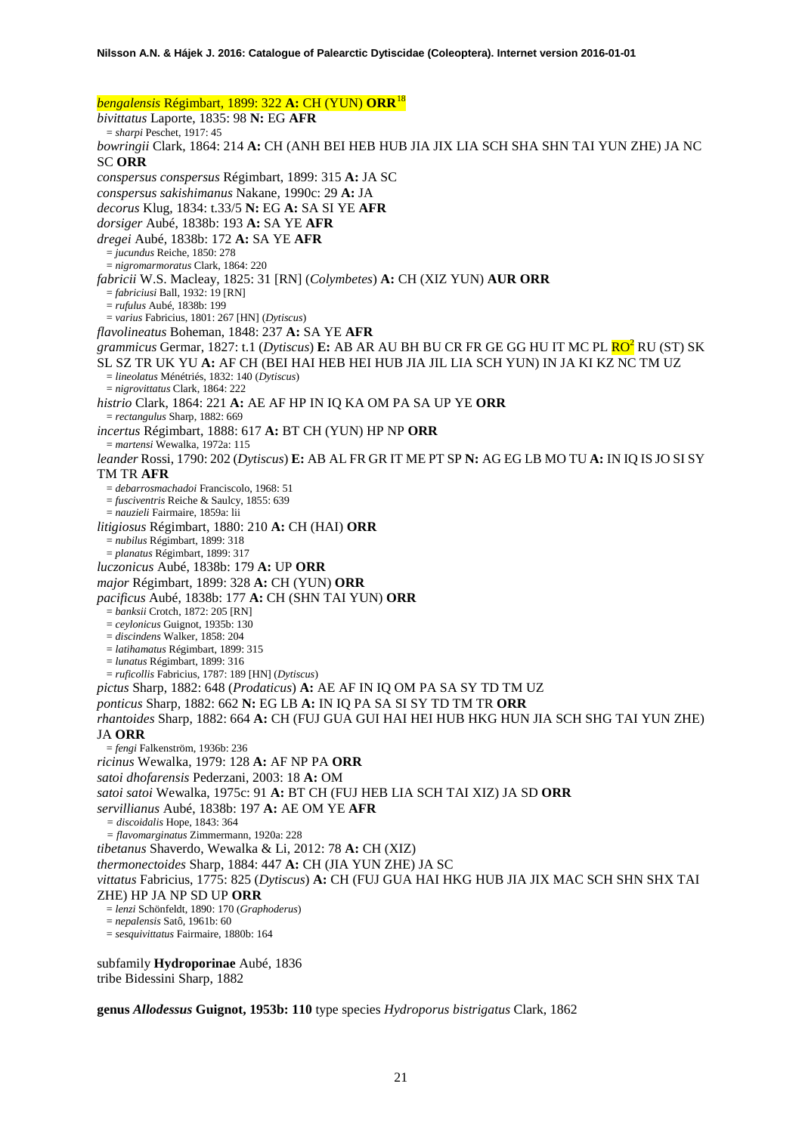*bengalensis* Régimbart, 1899: 322 **A:** CH (YUN) **ORR**[18](#page-46-15) *bivittatus* Laporte, 1835: 98 **N:** EG **AFR** = *sharpi* Peschet, 1917: 45 *bowringii* Clark, 1864: 214 **A:** CH (ANH BEI HEB HUB JIA JIX LIA SCH SHA SHN TAI YUN ZHE) JA NC SC **ORR** *conspersus conspersus* Régimbart, 1899: 315 **A:** JA SC *conspersus sakishimanus* Nakane, 1990c: 29 **A:** JA *decorus* Klug, 1834: t.33/5 **N:** EG **A:** SA SI YE **AFR** *dorsiger* Aubé, 1838b: 193 **A:** SA YE **AFR** *dregei* Aubé, 1838b: 172 **A:** SA YE **AFR** = *jucundus* Reiche, 1850: 278 = *nigromarmoratus* Clark, 1864: 220 *fabricii* W.S. Macleay, 1825: 31 [RN] (*Colymbetes*) **A:** CH (XIZ YUN) **AUR ORR** = *fabriciusi* Ball, 1932: 19 [RN] = *rufulus* Aubé, 1838b: 199 = *varius* Fabricius, 1801: 267 [HN] (*Dytiscus*) *flavolineatus* Boheman, 1848: 237 **A:** SA YE **AFR** *grammicus* Germar, 1827: t.1 (*Dytiscus*) **E:** AB AR AU BH BU CR FR GE GG HU IT MC PL **RO<sup>2</sup>** RU (ST) SK SL SZ TR UK YU **A:** AF CH (BEI HAI HEB HEI HUB JIA JIL LIA SCH YUN) IN JA KI KZ NC TM UZ = *lineolatus* Ménétriés, 1832: 140 (*Dytiscus*) = *nigrovittatus* Clark, 1864: 222 *histrio* Clark, 1864: 221 **A:** AE AF HP IN IQ KA OM PA SA UP YE **ORR** = *rectangulus* Sharp, 1882: 669 *incertus* Régimbart, 1888: 617 **A:** BT CH (YUN) HP NP **ORR** = *martensi* Wewalka, 1972a: 115 *leander* Rossi, 1790: 202 (*Dytiscus*) **E:** AB AL FR GR IT ME PT SP **N:** AG EG LB MO TU **A:** IN IQ IS JO SI SY TM TR **AFR** = *debarrosmachadoi* Franciscolo, 1968: 51 = *fusciventris* Reiche & Saulcy, 1855: 639 = *nauzieli* Fairmaire, 1859a: lii *litigiosus* Régimbart, 1880: 210 **A:** CH (HAI) **ORR** = *nubilus* Régimbart, 1899: 318 = *planatus* Régimbart, 1899: 317 *luczonicus* Aubé, 1838b: 179 **A:** UP **ORR** *major* Régimbart, 1899: 328 **A:** CH (YUN) **ORR** *pacificus* Aubé, 1838b: 177 **A:** CH (SHN TAI YUN) **ORR** = *banksii* Crotch, 1872: 205 [RN] = *ceylonicus* Guignot, 1935b: 130 = *discindens* Walker, 1858: 204 = *latihamatus* Régimbart, 1899: 315 = *lunatus* Régimbart, 1899: 316 = *ruficollis* Fabricius, 1787: 189 [HN] (*Dytiscus*) *pictus* Sharp, 1882: 648 (*Prodaticus*) **A:** AE AF IN IQ OM PA SA SY TD TM UZ *ponticus* Sharp, 1882: 662 **N:** EG LB **A:** IN IQ PA SA SI SY TD TM TR **ORR** *rhantoides* Sharp, 1882: 664 **A:** CH (FUJ GUA GUI HAI HEI HUB HKG HUN JIA SCH SHG TAI YUN ZHE) JA **ORR** = *fengi* Falkenström, 1936b: 236 *ricinus* Wewalka, 1979: 128 **A:** AF NP PA **ORR** *satoi dhofarensis* Pederzani, 2003: 18 **A:** OM *satoi satoi* Wewalka, 1975c: 91 **A:** BT CH (FUJ HEB LIA SCH TAI XIZ) JA SD **ORR** *servillianus* Aubé, 1838b: 197 **A:** AE OM YE **AFR** *= discoidalis* Hope, 1843: 364 *= flavomarginatus* Zimmermann, 1920a: 228 *tibetanus* Shaverdo, Wewalka & Li, 2012: 78 **A:** CH (XIZ) *thermonectoides* Sharp, 1884: 447 **A:** CH (JIA YUN ZHE) JA SC *vittatus* Fabricius, 1775: 825 (*Dytiscus*) **A:** CH (FUJ GUA HAI HKG HUB JIA JIX MAC SCH SHN SHX TAI ZHE) HP JA NP SD UP **ORR** = *lenzi* Schönfeldt, 1890: 170 (*Graphoderus*) = *nepalensis* Satô, 1961b: 60 = *sesquivittatus* Fairmaire, 1880b: 164

subfamily **Hydroporinae** Aubé, 1836 tribe Bidessini Sharp, 1882

**genus** *Allodessus* **Guignot, 1953b: 110** type species *Hydroporus bistrigatus* Clark, 1862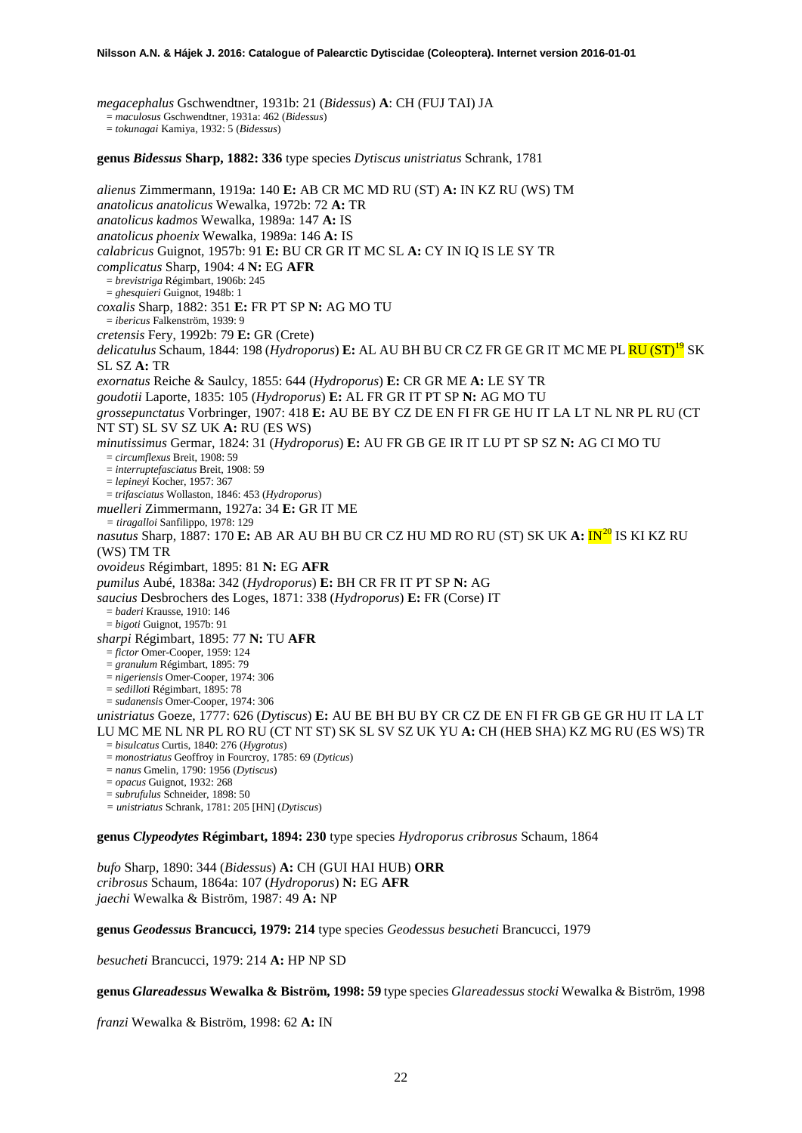*megacephalus* Gschwendtner, 1931b: 21 (*Bidessus*) **A**: CH (FUJ TAI) JA

= *maculosus* Gschwendtner, 1931a: 462 (*Bidessus*)

= *tokunagai* Kamiya, 1932: 5 (*Bidessus*) **genus** *Bidessus* **Sharp, 1882: 336** type species *Dytiscus unistriatus* Schrank, 1781 *alienus* Zimmermann, 1919a: 140 **E:** AB CR MC MD RU (ST) **A:** IN KZ RU (WS) TM *anatolicus anatolicus* Wewalka, 1972b: 72 **A:** TR *anatolicus kadmos* Wewalka, 1989a: 147 **A:** IS *anatolicus phoenix* Wewalka, 1989a: 146 **A:** IS *calabricus* Guignot, 1957b: 91 **E:** BU CR GR IT MC SL **A:** CY IN IQ IS LE SY TR *complicatus* Sharp, 1904: 4 **N:** EG **AFR** = *brevistriga* Régimbart, 1906b: 245 = *ghesquieri* Guignot, 1948b: 1 *coxalis* Sharp, 1882: 351 **E:** FR PT SP **N:** AG MO TU = *ibericus* Falkenström, 1939: 9 *cretensis* Fery, 1992b: 79 **E:** GR (Crete) *delicatulus* Schaum, 1844: 198 (*Hydroporus*) **E:** AL AU BH BU CR CZ FR GE GR IT MC ME PL RU (ST)[19](#page-46-16) SK SL SZ **A:** TR *exornatus* Reiche & Saulcy, 1855: 644 (*Hydroporus*) **E:** CR GR ME **A:** LE SY TR *goudotii* Laporte, 1835: 105 (*Hydroporus*) **E:** AL FR GR IT PT SP **N:** AG MO TU *grossepunctatus* Vorbringer, 1907: 418 **E:** AU BE BY CZ DE EN FI FR GE HU IT LA LT NL NR PL RU (CT NT ST) SL SV SZ UK **A:** RU (ES WS) *minutissimus* Germar, 1824: 31 (*Hydroporus*) **E:** AU FR GB GE IR IT LU PT SP SZ **N:** AG CI MO TU = *circumflexus* Breit, 1908: 59 = *interruptefasciatus* Breit, 1908: 59 = *lepineyi* Kocher, 1957: 367 = *trifasciatus* Wollaston, 1846: 453 (*Hydroporus*) *muelleri* Zimmermann, 1927a: 34 **E:** GR IT ME *= tiragalloi* Sanfilippo, 1978: 129 *nasutus* Sharp, 1887: 170 **E:** AB AR AU BH BU CR CZ HU MD RO RU (ST) SK UK **A:** IN[20](#page-46-17) IS KI KZ RU (WS) TM TR *ovoideus* Régimbart, 1895: 81 **N:** EG **AFR** *pumilus* Aubé, 1838a: 342 (*Hydroporus*) **E:** BH CR FR IT PT SP **N:** AG *saucius* Desbrochers des Loges, 1871: 338 (*Hydroporus*) **E:** FR (Corse) IT = *baderi* Krausse, 1910: 146 = *bigoti* Guignot, 1957b: 91 *sharpi* Régimbart, 1895: 77 **N:** TU **AFR** = *fictor* Omer-Cooper, 1959: 124 = *granulum* Régimbart, 1895: 79 = *nigeriensis* Omer-Cooper, 1974: 306 = *sedilloti* Régimbart, 1895: 78 = *sudanensis* Omer-Cooper, 1974: 306 *unistriatus* Goeze, 1777: 626 (*Dytiscus*) **E:** AU BE BH BU BY CR CZ DE EN FI FR GB GE GR HU IT LA LT LU MC ME NL NR PL RO RU (CT NT ST) SK SL SV SZ UK YU **A:** CH (HEB SHA) KZ MG RU (ES WS) TR = *bisulcatus* Curtis, 1840: 276 (*Hygrotus*) = *monostriatus* Geoffroy in Fourcroy, 1785: 69 (*Dyticus*) = *nanus* Gmelin, 1790: 1956 (*Dytiscus*) = *opacus* Guignot, 1932: 268 = *subrufulus* Schneider, 1898: 50 *= unistriatus* Schrank, 1781: 205 [HN] (*Dytiscus*)

**genus** *Clypeodytes* **Régimbart, 1894: 230** type species *Hydroporus cribrosus* Schaum, 1864

*bufo* Sharp, 1890: 344 (*Bidessus*) **A:** CH (GUI HAI HUB) **ORR** *cribrosus* Schaum, 1864a: 107 (*Hydroporus*) **N:** EG **AFR** *jaechi* Wewalka & Biström, 1987: 49 **A:** NP

**genus** *Geodessus* **Brancucci, 1979: 214** type species *Geodessus besucheti* Brancucci, 1979

*besucheti* Brancucci, 1979: 214 **A:** HP NP SD

**genus** *Glareadessus* **Wewalka & Biström, 1998: 59** type species *Glareadessus stocki* Wewalka & Biström, 1998

*franzi* Wewalka & Biström, 1998: 62 **A:** IN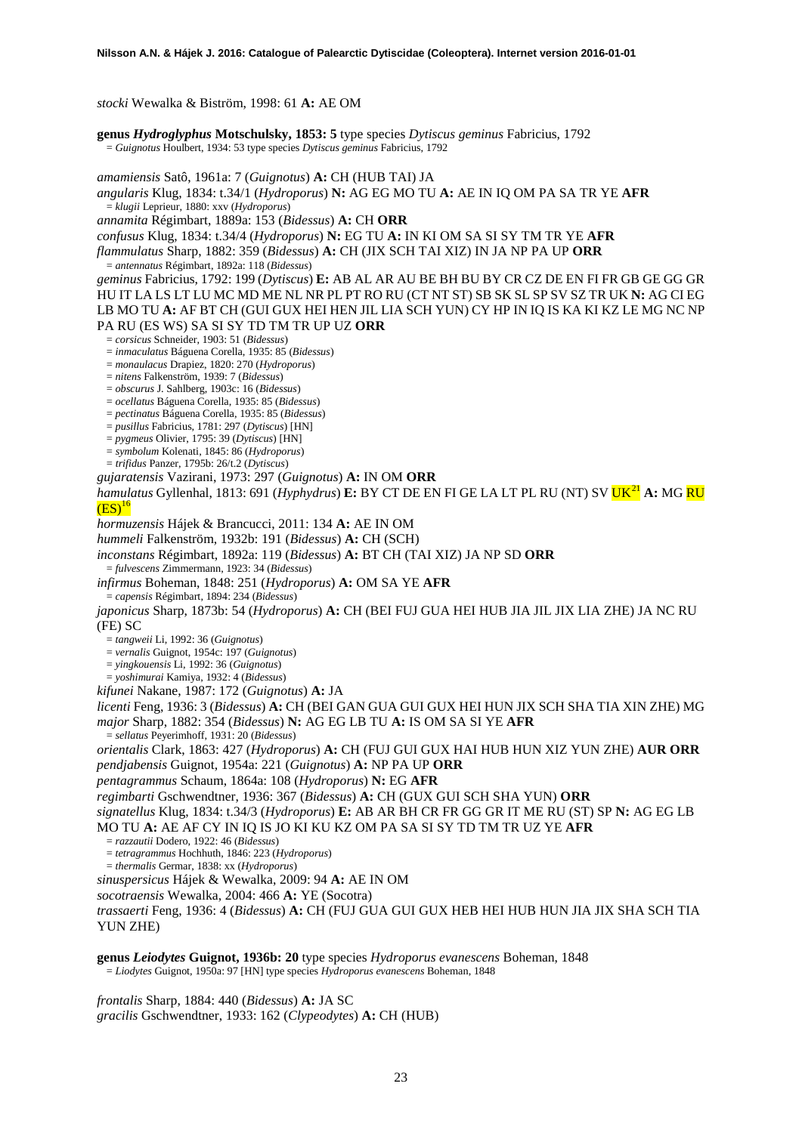*stocki* Wewalka & Biström, 1998: 61 **A:** AE OM

**genus** *Hydroglyphus* **Motschulsky, 1853: 5** type species *Dytiscus geminus* Fabricius, 1792 = *Guignotus* Houlbert, 1934: 53 type species *Dytiscus geminus* Fabricius, 1792

*amamiensis* Satô, 1961a: 7 (*Guignotus*) **A:** CH (HUB TAI) JA *angularis* Klug, 1834: t.34/1 (*Hydroporus*) **N:** AG EG MO TU **A:** AE IN IQ OM PA SA TR YE **AFR** = *klugii* Leprieur, 1880: xxv (*Hydroporus*) *annamita* Régimbart, 1889a: 153 (*Bidessus*) **A:** CH **ORR** *confusus* Klug, 1834: t.34/4 (*Hydroporus*) **N:** EG TU **A:** IN KI OM SA SI SY TM TR YE **AFR** *flammulatus* Sharp, 1882: 359 (*Bidessus*) **A:** CH (JIX SCH TAI XIZ) IN JA NP PA UP **ORR** = *antennatus* Régimbart, 1892a: 118 (*Bidessus*) *geminus* Fabricius, 1792: 199 (*Dytiscus*) **E:** AB AL AR AU BE BH BU BY CR CZ DE EN FI FR GB GE GG GR HU IT LA LS LT LU MC MD ME NL NR PL PT RO RU (CT NT ST) SB SK SL SP SV SZ TR UK **N:** AG CI EG LB MO TU **A:** AF BT CH (GUI GUX HEI HEN JIL LIA SCH YUN) CY HP IN IQ IS KA KI KZ LE MG NC NP PA RU (ES WS) SA SI SY TD TM TR UP UZ **ORR** = *corsicus* Schneider, 1903: 51 (*Bidessus*) = *inmaculatus* Báguena Corella, 1935: 85 (*Bidessus*) = *monaulacus* Drapiez, 1820: 270 (*Hydroporus*) = *nitens* Falkenström, 1939: 7 (*Bidessus*) = *obscurus* J. Sahlberg, 1903c: 16 (*Bidessus*) = *ocellatus* Báguena Corella, 1935: 85 (*Bidessus*) = *pectinatus* Báguena Corella, 1935: 85 (*Bidessus*) = *pusillus* Fabricius, 1781: 297 (*Dytiscus*) [HN] = *pygmeus* Olivier, 1795: 39 (*Dytiscus*) [HN] = *symbolum* Kolenati, 1845: 86 (*Hydroporus*) = *trifidus* Panzer, 1795b: 26/t.2 (*Dytiscus*) *gujaratensis* Vazirani, 1973: 297 (*Guignotus*) **A:** IN OM **ORR** *hamulatus* Gyllenhal, 1813: 691 (*Hyphydrus*) **E:** BY CT DE EN FI GE LA LT PL RU (NT) SV  $UK^{21}$  $UK^{21}$  $UK^{21}$  A: MG RU  $(ES)^{16}$ *hormuzensis* Hájek & Brancucci, 2011: 134 **A:** AE IN OM *hummeli* Falkenström, 1932b: 191 (*Bidessus*) **A:** CH (SCH) *inconstans* Régimbart, 1892a: 119 (*Bidessus*) **A:** BT CH (TAI XIZ) JA NP SD **ORR** = *fulvescens* Zimmermann, 1923: 34 (*Bidessus*) *infirmus* Boheman, 1848: 251 (*Hydroporus*) **A:** OM SA YE **AFR** = *capensis* Régimbart, 1894: 234 (*Bidessus*) *japonicus* Sharp, 1873b: 54 (*Hydroporus*) **A:** CH (BEI FUJ GUA HEI HUB JIA JIL JIX LIA ZHE) JA NC RU (FE) SC = *tangweii* Li, 1992: 36 (*Guignotus*) = *vernalis* Guignot, 1954c: 197 (*Guignotus*) = *yingkouensis* Li, 1992: 36 (*Guignotus*) = *yoshimurai* Kamiya, 1932: 4 (*Bidessus*) *kifunei* Nakane, 1987: 172 (*Guignotus*) **A:** JA *licenti* Feng, 1936: 3 (*Bidessus*) **A:** CH (BEI GAN GUA GUI GUX HEI HUN JIX SCH SHA TIA XIN ZHE) MG *major* Sharp, 1882: 354 (*Bidessus*) **N:** AG EG LB TU **A:** IS OM SA SI YE **AFR** = *sellatus* Peyerimhoff, 1931: 20 (*Bidessus*) *orientalis* Clark, 1863: 427 (*Hydroporus*) **A:** CH (FUJ GUI GUX HAI HUB HUN XIZ YUN ZHE) **AUR ORR** *pendjabensis* Guignot, 1954a: 221 (*Guignotus*) **A:** NP PA UP **ORR** *pentagrammus* Schaum, 1864a: 108 (*Hydroporus*) **N:** EG **AFR** *regimbarti* Gschwendtner, 1936: 367 (*Bidessus*) **A:** CH (GUX GUI SCH SHA YUN) **ORR** *signatellus* Klug, 1834: t.34/3 (*Hydroporus*) **E:** AB AR BH CR FR GG GR IT ME RU (ST) SP **N:** AG EG LB MO TU **A:** AE AF CY IN IQ IS JO KI KU KZ OM PA SA SI SY TD TM TR UZ YE **AFR** = *razzautii* Dodero, 1922: 46 (*Bidessus*) = *tetragrammus* Hochhuth, 1846: 223 (*Hydroporus*) = *thermalis* Germar, 1838: xx (*Hydroporus*) *sinuspersicus* Hájek & Wewalka, 2009: 94 **A:** AE IN OM *socotraensis* Wewalka, 2004: 466 **A:** YE (Socotra) *trassaerti* Feng, 1936: 4 (*Bidessus*) **A:** CH (FUJ GUA GUI GUX HEB HEI HUB HUN JIA JIX SHA SCH TIA YUN ZHE) **genus** *Leiodytes* **Guignot, 1936b: 20** type species *Hydroporus evanescens* Boheman, 1848 = *Liodytes* Guignot, 1950a: 97 [HN] type species *Hydroporus evanescens* Boheman, 1848

*frontalis* Sharp, 1884: 440 (*Bidessus*) **A:** JA SC *gracilis* Gschwendtner, 1933: 162 (*Clypeodytes*) **A:** CH (HUB)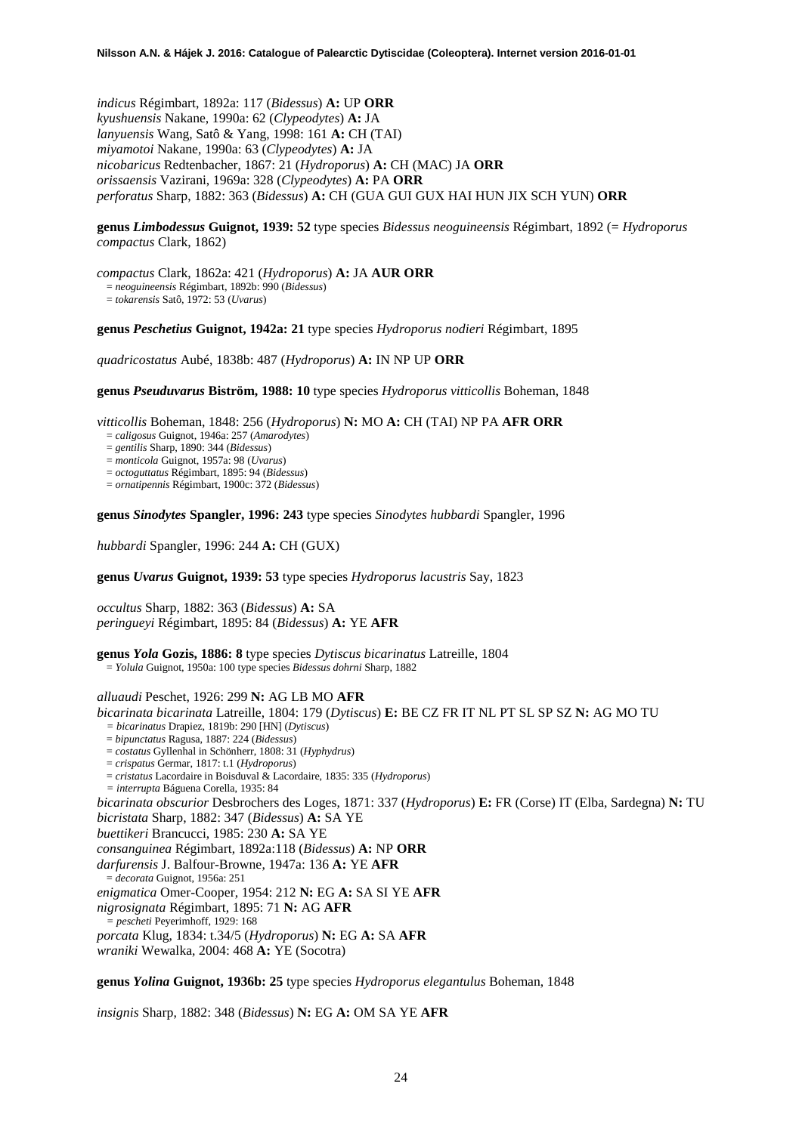*indicus* Régimbart, 1892a: 117 (*Bidessus*) **A:** UP **ORR** *kyushuensis* Nakane, 1990a: 62 (*Clypeodytes*) **A:** JA *lanyuensis* Wang, Satô & Yang, 1998: 161 **A:** CH (TAI) *miyamotoi* Nakane, 1990a: 63 (*Clypeodytes*) **A:** JA *nicobaricus* Redtenbacher, 1867: 21 (*Hydroporus*) **A:** CH (MAC) JA **ORR** *orissaensis* Vazirani, 1969a: 328 (*Clypeodytes*) **A:** PA **ORR** *perforatus* Sharp, 1882: 363 (*Bidessus*) **A:** CH (GUA GUI GUX HAI HUN JIX SCH YUN) **ORR**

**genus** *Limbodessus* **Guignot, 1939: 52** type species *Bidessus neoguineensis* Régimbart, 1892 (= *Hydroporus compactus* Clark, 1862)

*compactus* Clark, 1862a: 421 (*Hydroporus*) **A:** JA **AUR ORR**

= *neoguineensis* Régimbart, 1892b: 990 (*Bidessus*)

= *tokarensis* Satô, 1972: 53 (*Uvarus*)

**genus** *Peschetius* **Guignot, 1942a: 21** type species *Hydroporus nodieri* Régimbart, 1895

*quadricostatus* Aubé, 1838b: 487 (*Hydroporus*) **A:** IN NP UP **ORR**

**genus** *Pseuduvarus* **Biström, 1988: 10** type species *Hydroporus vitticollis* Boheman, 1848

*vitticollis* Boheman, 1848: 256 (*Hydroporus*) **N:** MO **A:** CH (TAI) NP PA **AFR ORR**

= *caligosus* Guignot, 1946a: 257 (*Amarodytes*)

- = *gentilis* Sharp, 1890: 344 (*Bidessus*)
- = *monticola* Guignot, 1957a: 98 (*Uvarus*)
- = *octoguttatus* Régimbart, 1895: 94 (*Bidessus*)
- = *ornatipennis* Régimbart, 1900c: 372 (*Bidessus*)

**genus** *Sinodytes* **Spangler, 1996: 243** type species *Sinodytes hubbardi* Spangler, 1996

*hubbardi* Spangler, 1996: 244 **A:** CH (GUX)

**genus** *Uvarus* **Guignot, 1939: 53** type species *Hydroporus lacustris* Say, 1823

*occultus* Sharp, 1882: 363 (*Bidessus*) **A:** SA *peringueyi* Régimbart, 1895: 84 (*Bidessus*) **A:** YE **AFR**

**genus** *Yola* **Gozis, 1886: 8** type species *Dytiscus bicarinatus* Latreille, 1804 = *Yolula* Guignot, 1950a: 100 type species *Bidessus dohrni* Sharp, 1882

*alluaudi* Peschet, 1926: 299 **N:** AG LB MO **AFR**

*bicarinata bicarinata* Latreille, 1804: 179 (*Dytiscus*) **E:** BE CZ FR IT NL PT SL SP SZ **N:** AG MO TU

- *= bicarinatus* Drapiez, 1819b: 290 [HN] (*Dytiscus*)
- = *bipunctatus* Ragusa, 1887: 224 (*Bidessus*)
- = *costatus* Gyllenhal in Schönherr, 1808: 31 (*Hyphydrus*)
- = *crispatus* Germar, 1817: t.1 (*Hydroporus*)
- = *cristatus* Lacordaire in Boisduval & Lacordaire, 1835: 335 (*Hydroporus*)
- *= interrupta* Báguena Corella, 1935: 84

*bicarinata obscurior* Desbrochers des Loges, 1871: 337 (*Hydroporus*) **E:** FR (Corse) IT (Elba, Sardegna) **N:** TU *bicristata* Sharp, 1882: 347 (*Bidessus*) **A:** SA YE

*buettikeri* Brancucci, 1985: 230 **A:** SA YE

*consanguinea* Régimbart, 1892a:118 (*Bidessus*) **A:** NP **ORR**

*darfurensis* J. Balfour-Browne, 1947a: 136 **A:** YE **AFR**

= *decorata* Guignot, 1956a: 251

*enigmatica* Omer-Cooper, 1954: 212 **N:** EG **A:** SA SI YE **AFR**

*nigrosignata* Régimbart, 1895: 71 **N:** AG **AFR**

*= pescheti* Peyerimhoff, 1929: 168

*porcata* Klug, 1834: t.34/5 (*Hydroporus*) **N:** EG **A:** SA **AFR** *wraniki* Wewalka, 2004: 468 **A:** YE (Socotra)

**genus** *Yolina* **Guignot, 1936b: 25** type species *Hydroporus elegantulus* Boheman, 1848

*insignis* Sharp, 1882: 348 (*Bidessus*) **N:** EG **A:** OM SA YE **AFR**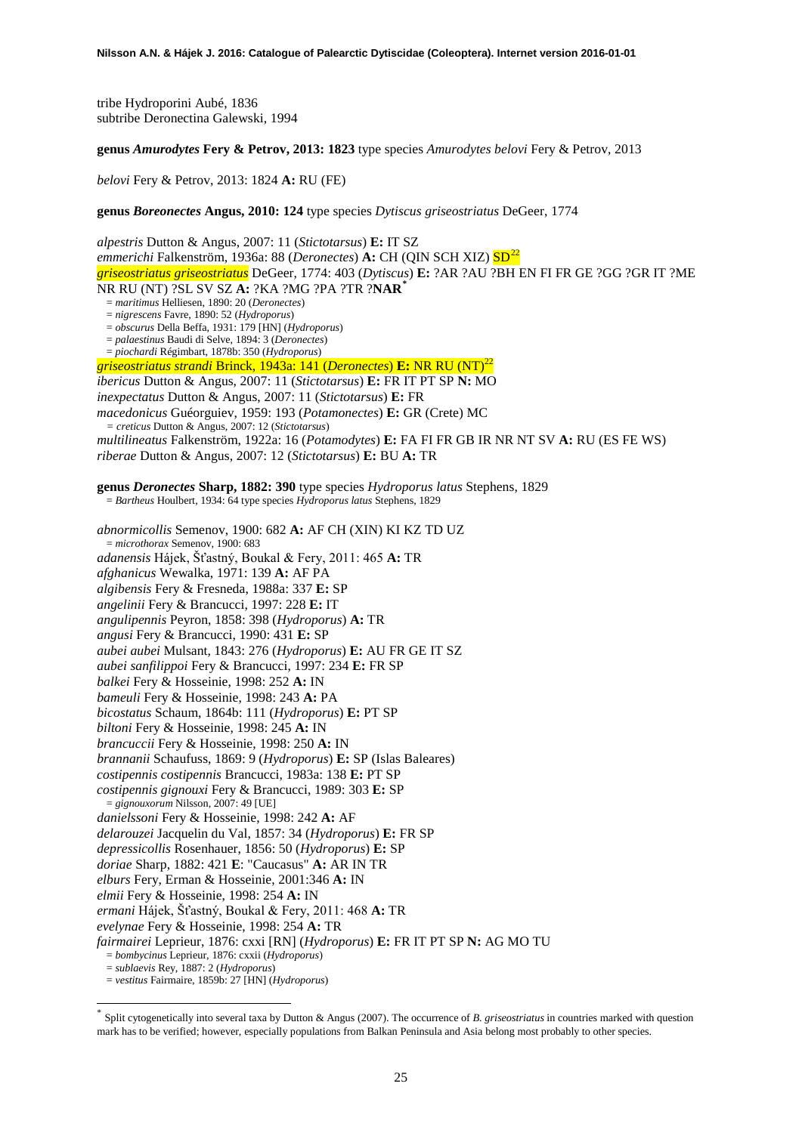tribe Hydroporini Aubé, 1836 subtribe Deronectina Galewski, 1994

**genus** *Amurodytes* **Fery & Petrov, 2013: 1823** type species *Amurodytes belovi* Fery & Petrov, 2013

*belovi* Fery & Petrov, 2013: 1824 **A:** RU (FE)

**genus** *Boreonectes* **Angus, 2010: 124** type species *Dytiscus griseostriatus* DeGeer, 1774

*alpestris* Dutton & Angus, 2007: 11 (*Stictotarsus*) **E:** IT SZ *emmerichi* Falkenström, 1936a: 88 (*Deronectes*) **A:** CH (QIN SCH XIZ)  $SD^{22}$  $SD^{22}$  $SD^{22}$ *griseostriatus griseostriatus* DeGeer, 1774: 403 (*Dytiscus*) **E:** ?AR ?AU ?BH EN FI FR GE ?GG ?GR IT ?ME NR RU (NT) ?SL SV SZ **A:** ?KA ?MG ?PA ?TR ?**NAR[\\*](#page-24-0)** = *maritimus* Helliesen, 1890: 20 (*Deronectes*) = *nigrescens* Favre, 1890: 52 (*Hydroporus*) = *obscurus* Della Beffa, 1931: 179 [HN] (*Hydroporus*) = *palaestinus* Baudi di Selve, 1894: 3 (*Deronectes*) = *piochardi* Régimbart, 1878b: 350 (*Hydroporus*) *griseostriatus strandi* Brinck, 1943a: 141 (*Deronectes*) **E:** NR RU (NT)<sup>22</sup> *ibericus* Dutton & Angus, 2007: 11 (*Stictotarsus*) **E:** FR IT PT SP **N:** MO *inexpectatus* Dutton & Angus, 2007: 11 (*Stictotarsus*) **E:** FR *macedonicus* Guéorguiev, 1959: 193 (*Potamonectes*) **E:** GR (Crete) MC *= creticus* Dutton & Angus, 2007: 12 (*Stictotarsus*) *multilineatus* Falkenström, 1922a: 16 (*Potamodytes*) **E:** FA FI FR GB IR NR NT SV **A:** RU (ES FE WS) *riberae* Dutton & Angus, 2007: 12 (*Stictotarsus*) **E:** BU **A:** TR

**genus** *Deronectes* **Sharp, 1882: 390** type species *Hydroporus latus* Stephens, 1829

= *Bartheus* Houlbert, 1934: 64 type species *Hydroporus latus* Stephens, 1829

*abnormicollis* Semenov, 1900: 682 **A:** AF CH (XIN) KI KZ TD UZ = *microthorax* Semenov, 1900: 683 *adanensis* Hájek, Šťastný, Boukal & Fery, 2011: 465 **A:** TR *afghanicus* Wewalka, 1971: 139 **A:** AF PA *algibensis* Fery & Fresneda, 1988a: 337 **E:** SP *angelinii* Fery & Brancucci, 1997: 228 **E:** IT *angulipennis* Peyron, 1858: 398 (*Hydroporus*) **A:** TR *angusi* Fery & Brancucci, 1990: 431 **E:** SP *aubei aubei* Mulsant, 1843: 276 (*Hydroporus*) **E:** AU FR GE IT SZ *aubei sanfilippoi* Fery & Brancucci, 1997: 234 **E:** FR SP *balkei* Fery & Hosseinie, 1998: 252 **A:** IN *bameuli* Fery & Hosseinie, 1998: 243 **A:** PA *bicostatus* Schaum, 1864b: 111 (*Hydroporus*) **E:** PT SP *biltoni* Fery & Hosseinie, 1998: 245 **A:** IN *brancuccii* Fery & Hosseinie, 1998: 250 **A:** IN *brannanii* Schaufuss, 1869: 9 (*Hydroporus*) **E:** SP (Islas Baleares) *costipennis costipennis* Brancucci, 1983a: 138 **E:** PT SP *costipennis gignouxi* Fery & Brancucci, 1989: 303 **E:** SP = *gignouxorum* Nilsson, 2007: 49 [UE] *danielssoni* Fery & Hosseinie, 1998: 242 **A:** AF *delarouzei* Jacquelin du Val, 1857: 34 (*Hydroporus*) **E:** FR SP *depressicollis* Rosenhauer, 1856: 50 (*Hydroporus*) **E:** SP *doriae* Sharp, 1882: 421 **E**: "Caucasus" **A:** AR IN TR *elburs* Fery, Erman & Hosseinie, 2001:346 **A:** IN *elmii* Fery & Hosseinie, 1998: 254 **A:** IN *ermani* Hájek, Šťastný, Boukal & Fery, 2011: 468 **A:** TR *evelynae* Fery & Hosseinie, 1998: 254 **A:** TR *fairmairei* Leprieur, 1876: cxxi [RN] (*Hydroporus*) **E:** FR IT PT SP **N:** AG MO TU = *bombycinus* Leprieur, 1876: cxxii (*Hydroporus*)

= *sublaevis* Rey, 1887: 2 (*Hydroporus*)

-

<sup>=</sup> *vestitus* Fairmaire, 1859b: 27 [HN] (*Hydroporus*)

<span id="page-24-0"></span>Split cytogenetically into several taxa by Dutton & Angus (2007). The occurrence of *B. griseostriatus* in countries marked with question mark has to be verified; however, especially populations from Balkan Peninsula and Asia belong most probably to other species.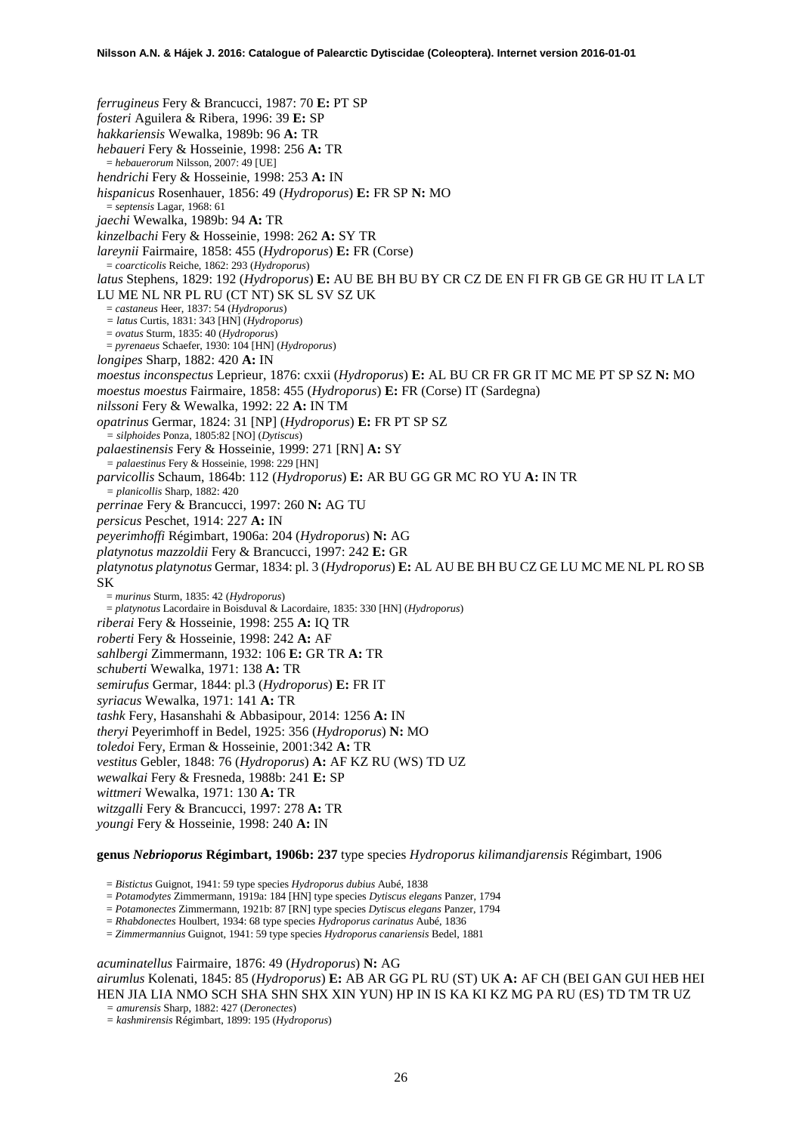*ferrugineus* Fery & Brancucci, 1987: 70 **E:** PT SP *fosteri* Aguilera & Ribera, 1996: 39 **E:** SP *hakkariensis* Wewalka, 1989b: 96 **A:** TR *hebaueri* Fery & Hosseinie, 1998: 256 **A:** TR = *hebauerorum* Nilsson, 2007: 49 [UE] *hendrichi* Fery & Hosseinie, 1998: 253 **A:** IN *hispanicus* Rosenhauer, 1856: 49 (*Hydroporus*) **E:** FR SP **N:** MO = *septensis* Lagar, 1968: 61 *jaechi* Wewalka, 1989b: 94 **A:** TR *kinzelbachi* Fery & Hosseinie, 1998: 262 **A:** SY TR *lareynii* Fairmaire, 1858: 455 (*Hydroporus*) **E:** FR (Corse) = *coarcticolis* Reiche, 1862: 293 (*Hydroporus*) *latus* Stephens, 1829: 192 (*Hydroporus*) **E:** AU BE BH BU BY CR CZ DE EN FI FR GB GE GR HU IT LA LT LU ME NL NR PL RU (CT NT) SK SL SV SZ UK = *castaneus* Heer, 1837: 54 (*Hydroporus*) *= latus* Curtis, 1831: 343 [HN] (*Hydroporus*) = *ovatus* Sturm, 1835: 40 (*Hydroporus*) = *pyrenaeus* Schaefer, 1930: 104 [HN] (*Hydroporus*) *longipes* Sharp, 1882: 420 **A:** IN *moestus inconspectus* Leprieur, 1876: cxxii (*Hydroporus*) **E:** AL BU CR FR GR IT MC ME PT SP SZ **N:** MO *moestus moestus* Fairmaire, 1858: 455 (*Hydroporus*) **E:** FR (Corse) IT (Sardegna) *nilssoni* Fery & Wewalka, 1992: 22 **A:** IN TM *opatrinus* Germar, 1824: 31 [NP] (*Hydroporus*) **E:** FR PT SP SZ *= silphoides* Ponza, 1805:82 [NO] (*Dytiscus*) *palaestinensis* Fery & Hosseinie, 1999: 271 [RN] **A:** SY *= palaestinus* Fery & Hosseinie, 1998: 229 [HN] *parvicollis* Schaum, 1864b: 112 (*Hydroporus*) **E:** AR BU GG GR MC RO YU **A:** IN TR *= planicollis* Sharp, 1882: 420 *perrinae* Fery & Brancucci, 1997: 260 **N:** AG TU *persicus* Peschet, 1914: 227 **A:** IN *peyerimhoffi* Régimbart, 1906a: 204 (*Hydroporus*) **N:** AG *platynotus mazzoldii* Fery & Brancucci, 1997: 242 **E:** GR *platynotus platynotus* Germar, 1834: pl. 3 (*Hydroporus*) **E:** AL AU BE BH BU CZ GE LU MC ME NL PL RO SB SK = *murinus* Sturm, 1835: 42 (*Hydroporus*) = *platynotus* Lacordaire in Boisduval & Lacordaire, 1835: 330 [HN] (*Hydroporus*) *riberai* Fery & Hosseinie, 1998: 255 **A:** IQ TR *roberti* Fery & Hosseinie, 1998: 242 **A:** AF *sahlbergi* Zimmermann, 1932: 106 **E:** GR TR **A:** TR *schuberti* Wewalka, 1971: 138 **A:** TR *semirufus* Germar, 1844: pl.3 (*Hydroporus*) **E:** FR IT *syriacus* Wewalka, 1971: 141 **A:** TR *tashk* Fery, Hasanshahi & Abbasipour, 2014: 1256 **A:** IN *theryi* Peyerimhoff in Bedel, 1925: 356 (*Hydroporus*) **N:** MO *toledoi* Fery, Erman & Hosseinie, 2001:342 **A:** TR *vestitus* Gebler, 1848: 76 (*Hydroporus*) **A:** AF KZ RU (WS) TD UZ *wewalkai* Fery & Fresneda, 1988b: 241 **E:** SP *wittmeri* Wewalka, 1971: 130 **A:** TR *witzgalli* Fery & Brancucci, 1997: 278 **A:** TR *youngi* Fery & Hosseinie, 1998: 240 **A:** IN

### **genus** *Nebrioporus* **Régimbart, 1906b: 237** type species *Hydroporus kilimandjarensis* Régimbart, 1906

= *Bistictus* Guignot, 1941: 59 type species *Hydroporus dubius* Aubé, 1838

= *Potamodytes* Zimmermann, 1919a: 184 [HN] type species *Dytiscus elegans* Panzer, 1794

= *Potamonectes* Zimmermann, 1921b: 87 [RN] type species *Dytiscus elegans* Panzer, 1794

= *Rhabdonectes* Houlbert, 1934: 68 type species *Hydroporus carinatus* Aubé, 1836

= *Zimmermannius* Guignot, 1941: 59 type species *Hydroporus canariensis* Bedel, 1881

*acuminatellus* Fairmaire, 1876: 49 (*Hydroporus*) **N:** AG

*airumlus* Kolenati, 1845: 85 (*Hydroporus*) **E:** AB AR GG PL RU (ST) UK **A:** AF CH (BEI GAN GUI HEB HEI HEN JIA LIA NMO SCH SHA SHN SHX XIN YUN) HP IN IS KA KI KZ MG PA RU (ES) TD TM TR UZ

*= amurensis* Sharp, 1882: 427 (*Deronectes*)

*= kashmirensis* Régimbart, 1899: 195 (*Hydroporus*)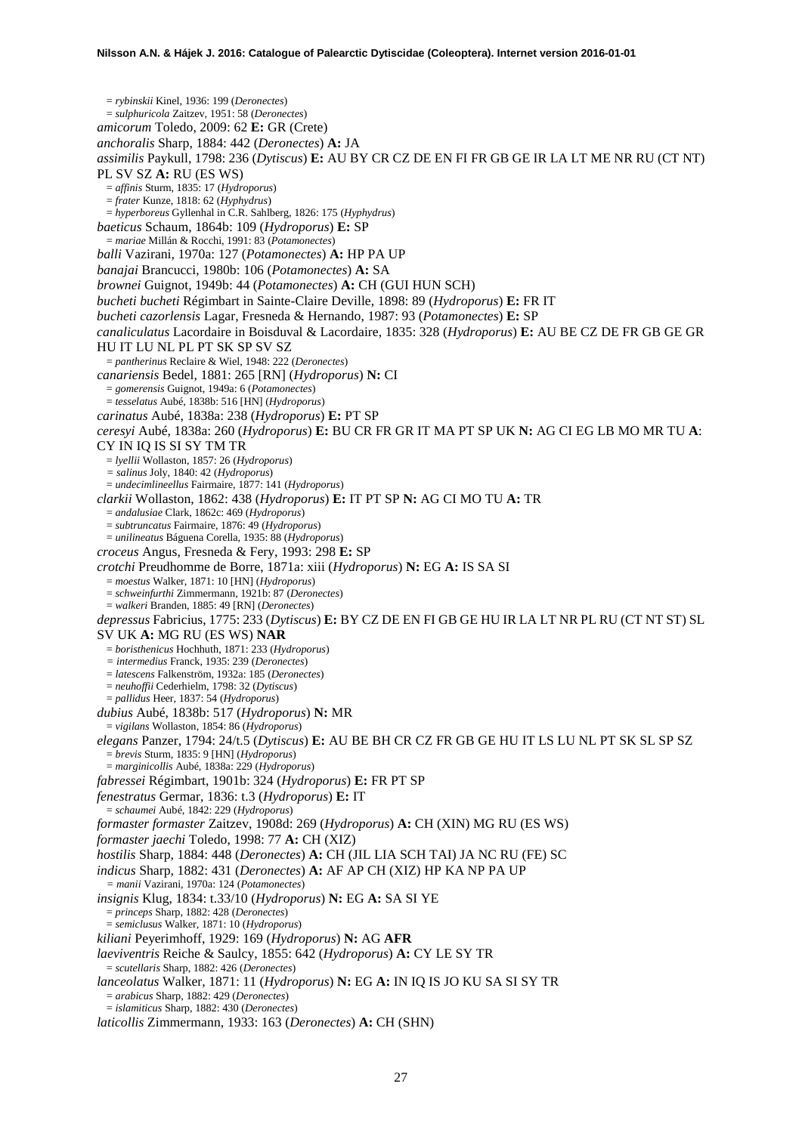= *rybinskii* Kinel, 1936: 199 (*Deronectes*) = *sulphuricola* Zaitzev, 1951: 58 (*Deronectes*) *amicorum* Toledo, 2009: 62 **E:** GR (Crete) *anchoralis* Sharp, 1884: 442 (*Deronectes*) **A:** JA *assimilis* Paykull, 1798: 236 (*Dytiscus*) **E:** AU BY CR CZ DE EN FI FR GB GE IR LA LT ME NR RU (CT NT) PL SV SZ **A:** RU (ES WS) = *affinis* Sturm, 1835: 17 (*Hydroporus*) = *frater* Kunze, 1818: 62 (*Hyphydrus*) = *hyperboreus* Gyllenhal in C.R. Sahlberg, 1826: 175 (*Hyphydrus*) *baeticus* Schaum, 1864b: 109 (*Hydroporus*) **E:** SP = *mariae* Millán & Rocchi, 1991: 83 (*Potamonectes*) *balli* Vazirani, 1970a: 127 (*Potamonectes*) **A:** HP PA UP *banajai* Brancucci, 1980b: 106 (*Potamonectes*) **A:** SA *brownei* Guignot, 1949b: 44 (*Potamonectes*) **A:** CH (GUI HUN SCH) *bucheti bucheti* Régimbart in Sainte-Claire Deville, 1898: 89 (*Hydroporus*) **E:** FR IT *bucheti cazorlensis* Lagar, Fresneda & Hernando, 1987: 93 (*Potamonectes*) **E:** SP *canaliculatus* Lacordaire in Boisduval & Lacordaire, 1835: 328 (*Hydroporus*) **E:** AU BE CZ DE FR GB GE GR HU IT LU NL PL PT SK SP SV SZ = *pantherinus* Reclaire & Wiel, 1948: 222 (*Deronectes*) *canariensis* Bedel, 1881: 265 [RN] (*Hydroporus*) **N:** CI = *gomerensis* Guignot, 1949a: 6 (*Potamonectes*) = *tesselatus* Aubé, 1838b: 516 [HN] (*Hydroporus*) *carinatus* Aubé, 1838a: 238 (*Hydroporus*) **E:** PT SP *ceresyi* Aubé, 1838a: 260 (*Hydroporus*) **E:** BU CR FR GR IT MA PT SP UK **N:** AG CI EG LB MO MR TU **A**: CY IN IQ IS SI SY TM TR = *lyellii* Wollaston, 1857: 26 (*Hydroporus*) *= salinus* Joly, 1840: 42 (*Hydroporus*) = *undecimlineellus* Fairmaire, 1877: 141 (*Hydroporus*) *clarkii* Wollaston, 1862: 438 (*Hydroporus*) **E:** IT PT SP **N:** AG CI MO TU **A:** TR = *andalusiae* Clark, 1862c: 469 (*Hydroporus*) = *subtruncatus* Fairmaire, 1876: 49 (*Hydroporus*) = *unilineatus* Báguena Corella, 1935: 88 (*Hydroporus*) *croceus* Angus, Fresneda & Fery, 1993: 298 **E:** SP *crotchi* Preudhomme de Borre, 1871a: xiii (*Hydroporus*) **N:** EG **A:** IS SA SI = *moestus* Walker, 1871: 10 [HN] (*Hydroporus*) = *schweinfurthi* Zimmermann, 1921b: 87 (*Deronectes*) = *walkeri* Branden, 1885: 49 [RN] (*Deronectes*) *depressus* Fabricius, 1775: 233 (*Dytiscus*) **E:** BY CZ DE EN FI GB GE HU IR LA LT NR PL RU (CT NT ST) SL SV UK **A:** MG RU (ES WS) **NAR** = *boristhenicus* Hochhuth, 1871: 233 (*Hydroporus*) *= intermedius* Franck, 1935: 239 (*Deronectes*) = *latescens* Falkenström, 1932a: 185 (*Deronectes*) = *neuhoffii* Cederhielm, 1798: 32 (*Dytiscus*) = *pallidus* Heer, 1837: 54 (*Hydroporus*) *dubius* Aubé, 1838b: 517 (*Hydroporus*) **N:** MR = *vigilans* Wollaston, 1854: 86 (*Hydroporus*) *elegans* Panzer, 1794: 24/t.5 (*Dytiscus*) **E:** AU BE BH CR CZ FR GB GE HU IT LS LU NL PT SK SL SP SZ = *brevis* Sturm, 1835: 9 [HN] (*Hydroporus*) = *marginicollis* Aubé, 1838a: 229 (*Hydroporus*) *fabressei* Régimbart, 1901b: 324 (*Hydroporus*) **E:** FR PT SP *fenestratus* Germar, 1836: t.3 (*Hydroporus*) **E:** IT = *schaumei* Aubé, 1842: 229 (*Hydroporus*) *formaster formaster* Zaitzev, 1908d: 269 (*Hydroporus*) **A:** CH (XIN) MG RU (ES WS) *formaster jaechi* Toledo, 1998: 77 **A:** CH (XIZ) *hostilis* Sharp, 1884: 448 (*Deronectes*) **A:** CH (JIL LIA SCH TAI) JA NC RU (FE) SC *indicus* Sharp, 1882: 431 (*Deronectes*) **A:** AF AP CH (XIZ) HP KA NP PA UP *= manii* Vazirani, 1970a: 124 (*Potamonectes*) *insignis* Klug, 1834: t.33/10 (*Hydroporus*) **N:** EG **A:** SA SI YE = *princeps* Sharp, 1882: 428 (*Deronectes*) = *semiclusus* Walker, 1871: 10 (*Hydroporus*) *kiliani* Peyerimhoff, 1929: 169 (*Hydroporus*) **N:** AG **AFR** *laeviventris* Reiche & Saulcy, 1855: 642 (*Hydroporus*) **A:** CY LE SY TR = *scutellaris* Sharp, 1882: 426 (*Deronectes*) *lanceolatus* Walker, 1871: 11 (*Hydroporus*) **N:** EG **A:** IN IQ IS JO KU SA SI SY TR = *arabicus* Sharp, 1882: 429 (*Deronectes*) = *islamiticus* Sharp, 1882: 430 (*Deronectes*) *laticollis* Zimmermann, 1933: 163 (*Deronectes*) **A:** CH (SHN)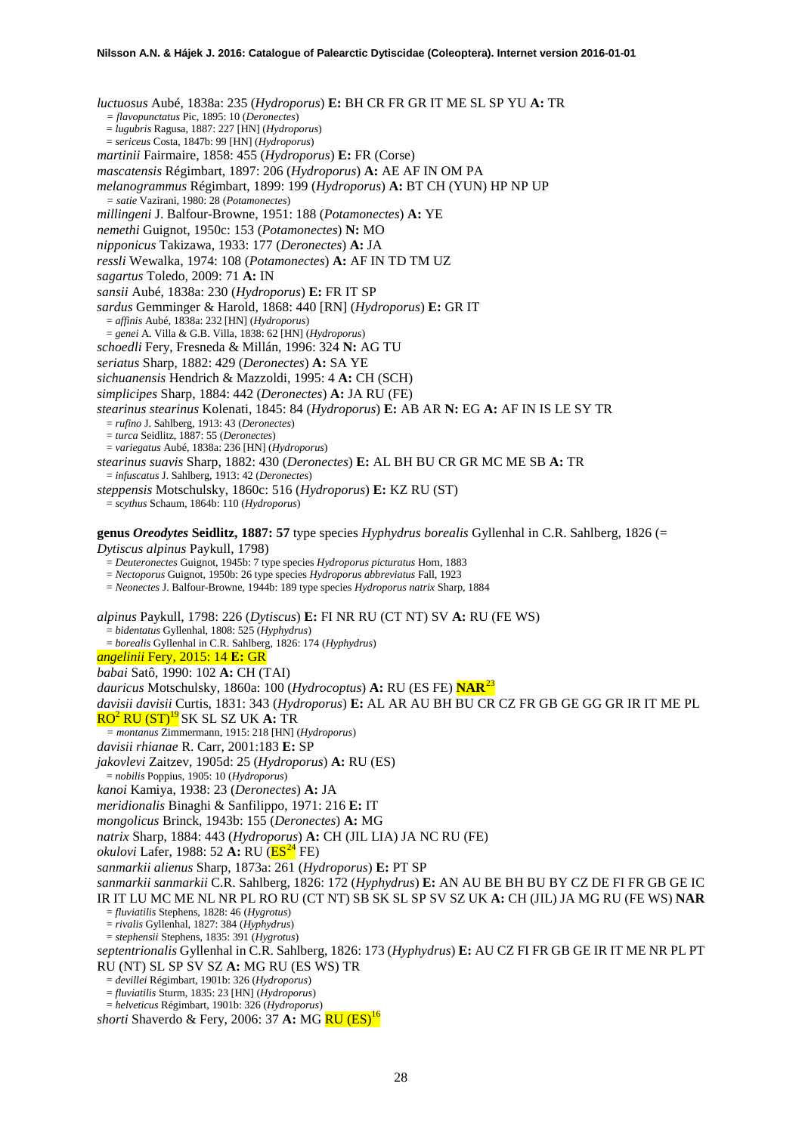*luctuosus* Aubé, 1838a: 235 (*Hydroporus*) **E:** BH CR FR GR IT ME SL SP YU **A:** TR *= flavopunctatus* Pic, 1895: 10 (*Deronectes*) = *lugubris* Ragusa, 1887: 227 [HN] (*Hydroporus*) = *sericeus* Costa, 1847b: 99 [HN] (*Hydroporus*) *martinii* Fairmaire, 1858: 455 (*Hydroporus*) **E:** FR (Corse) *mascatensis* Régimbart, 1897: 206 (*Hydroporus*) **A:** AE AF IN OM PA *melanogrammus* Régimbart, 1899: 199 (*Hydroporus*) **A:** BT CH (YUN) HP NP UP *= satie* Vazirani, 1980: 28 (*Potamonectes*) *millingeni* J. Balfour-Browne, 1951: 188 (*Potamonectes*) **A:** YE *nemethi* Guignot, 1950c: 153 (*Potamonectes*) **N:** MO *nipponicus* Takizawa, 1933: 177 (*Deronectes*) **A:** JA *ressli* Wewalka, 1974: 108 (*Potamonectes*) **A:** AF IN TD TM UZ *sagartus* Toledo, 2009: 71 **A:** IN *sansii* Aubé, 1838a: 230 (*Hydroporus*) **E:** FR IT SP *sardus* Gemminger & Harold, 1868: 440 [RN] (*Hydroporus*) **E:** GR IT = *affinis* Aubé, 1838a: 232 [HN] (*Hydroporus*) = *genei* A. Villa & G.B. Villa, 1838: 62 [HN] (*Hydroporus*) *schoedli* Fery, Fresneda & Millán, 1996: 324 **N:** AG TU *seriatus* Sharp, 1882: 429 (*Deronectes*) **A:** SA YE *sichuanensis* Hendrich & Mazzoldi, 1995: 4 **A:** CH (SCH) *simplicipes* Sharp, 1884: 442 (*Deronectes*) **A:** JA RU (FE) *stearinus stearinus* Kolenati, 1845: 84 (*Hydroporus*) **E:** AB AR **N:** EG **A:** AF IN IS LE SY TR = *rufino* J. Sahlberg, 1913: 43 (*Deronectes*) = *turca* Seidlitz, 1887: 55 (*Deronectes*) = *variegatus* Aubé, 1838a: 236 [HN] (*Hydroporus*) *stearinus suavis* Sharp, 1882: 430 (*Deronectes*) **E:** AL BH BU CR GR MC ME SB **A:** TR = *infuscatus* J. Sahlberg, 1913: 42 (*Deronectes*) *steppensis* Motschulsky, 1860c: 516 (*Hydroporus*) **E:** KZ RU (ST) = *scythus* Schaum, 1864b: 110 (*Hydroporus*) **genus** *Oreodytes* **Seidlitz, 1887: 57** type species *Hyphydrus borealis* Gyllenhal in C.R. Sahlberg, 1826 (= *Dytiscus alpinus* Paykull, 1798) = *Deuteronectes* Guignot, 1945b: 7 type species *Hydroporus picturatus* Horn, 1883 = *Nectoporus* Guignot, 1950b: 26 type species *Hydroporus abbreviatus* Fall, 1923 = *Neonectes* J. Balfour-Browne, 1944b: 189 type species *Hydroporus natrix* Sharp, 1884 *alpinus* Paykull, 1798: 226 (*Dytiscus*) **E:** FI NR RU (CT NT) SV **A:** RU (FE WS) = *bidentatus* Gyllenhal, 1808: 525 (*Hyphydrus*) = *borealis* Gyllenhal in C.R. Sahlberg, 1826: 174 (*Hyphydrus*) *angelinii* Fery, 2015: 14 **E:** GR *babai* Satô, 1990: 102 **A:** CH (TAI) *dauricus* Motschulsky, 1860a: 100 (*Hydrocoptus*) **A:** RU (ES FE) **NAR**[23](#page-46-20) *davisii davisii* Curtis, 1831: 343 (*Hydroporus*) **E:** AL AR AU BH BU CR CZ FR GB GE GG GR IR IT ME PL RO<sup>2</sup> RU (ST)<sup>19</sup> SK SL SZ UK **A:** TR *= montanus* Zimmermann, 1915: 218 [HN] (*Hydroporus*) *davisii rhianae* R. Carr, 2001:183 **E:** SP *jakovlevi* Zaitzev, 1905d: 25 (*Hydroporus*) **A:** RU (ES) = *nobilis* Poppius, 1905: 10 (*Hydroporus*) *kanoi* Kamiya, 1938: 23 (*Deronectes*) **A:** JA *meridionalis* Binaghi & Sanfilippo, 1971: 216 **E:** IT *mongolicus* Brinck, 1943b: 155 (*Deronectes*) **A:** MG *natrix* Sharp, 1884: 443 (*Hydroporus*) **A:** CH (JIL LIA) JA NC RU (FE) *okulovi* Lafer, 1988: 52 **A:** RU ( $\overline{ES^{24}}$  $\overline{ES^{24}}$  $\overline{ES^{24}}$  FE) *sanmarkii alienus* Sharp, 1873a: 261 (*Hydroporus*) **E:** PT SP *sanmarkii sanmarkii* C.R. Sahlberg, 1826: 172 (*Hyphydrus*) **E:** AN AU BE BH BU BY CZ DE FI FR GB GE IC IR IT LU MC ME NL NR PL RO RU (CT NT) SB SK SL SP SV SZ UK **A:** CH (JIL) JA MG RU (FE WS) **NAR** = *fluviatilis* Stephens, 1828: 46 (*Hygrotus*) = *rivalis* Gyllenhal, 1827: 384 (*Hyphydrus*) = *stephensii* Stephens, 1835: 391 (*Hygrotus*) *septentrionalis* Gyllenhal in C.R. Sahlberg, 1826: 173 (*Hyphydrus*) **E:** AU CZ FI FR GB GE IR IT ME NR PL PT RU (NT) SL SP SV SZ **A:** MG RU (ES WS) TR = *devillei* Régimbart, 1901b: 326 (*Hydroporus*) = *fluviatilis* Sturm, 1835: 23 [HN] (*Hydroporus*) = *helveticus* Régimbart, 1901b: 326 (*Hydroporus*)

*shorti* Shaverdo & Fery, 2006: 37 **A:** MG RU (ES)<sup>16</sup>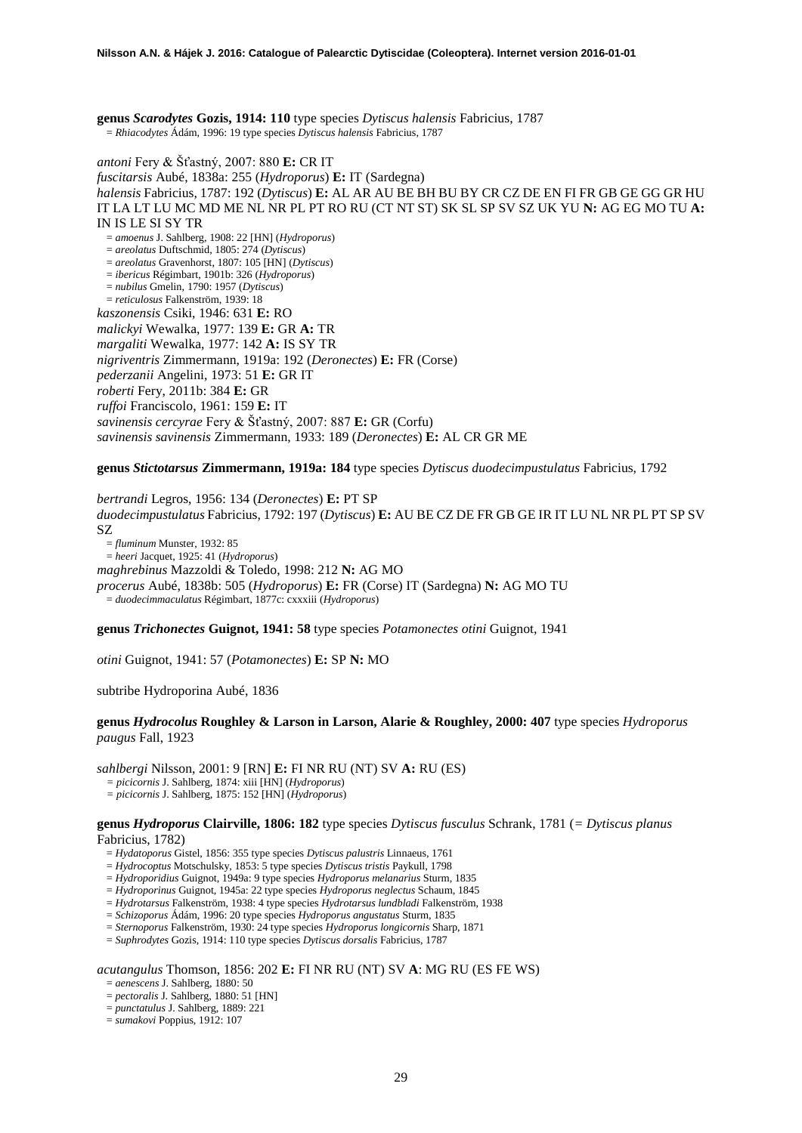**genus** *Scarodytes* **Gozis, 1914: 110** type species *Dytiscus halensis* Fabricius, 1787 = *Rhiacodytes* Ádám, 1996: 19 type species *Dytiscus halensis* Fabricius, 1787

*antoni* Fery & Šťastný, 2007: 880 **E:** CR IT *fuscitarsis* Aubé, 1838a: 255 (*Hydroporus*) **E:** IT (Sardegna) *halensis* Fabricius, 1787: 192 (*Dytiscus*) **E:** AL AR AU BE BH BU BY CR CZ DE EN FI FR GB GE GG GR HU IT LA LT LU MC MD ME NL NR PL PT RO RU (CT NT ST) SK SL SP SV SZ UK YU **N:** AG EG MO TU **A:**  IN IS LE SI SY TR = *amoenus* J. Sahlberg, 1908: 22 [HN] (*Hydroporus*) = *areolatus* Duftschmid, 1805: 274 (*Dytiscus*) = *areolatus* Gravenhorst, 1807: 105 [HN] (*Dytiscus*) = *ibericus* Régimbart, 1901b: 326 (*Hydroporus*) = *nubilus* Gmelin, 1790: 1957 (*Dytiscus*) = *reticulosus* Falkenström, 1939: 18 *kaszonensis* Csiki, 1946: 631 **E:** RO *malickyi* Wewalka, 1977: 139 **E:** GR **A:** TR *margaliti* Wewalka, 1977: 142 **A:** IS SY TR *nigriventris* Zimmermann, 1919a: 192 (*Deronectes*) **E:** FR (Corse) *pederzanii* Angelini, 1973: 51 **E:** GR IT *roberti* Fery, 2011b: 384 **E:** GR *ruffoi* Franciscolo, 1961: 159 **E:** IT *savinensis cercyrae* Fery & Šťastný, 2007: 887 **E:** GR (Corfu) *savinensis savinensis* Zimmermann, 1933: 189 (*Deronectes*) **E:** AL CR GR ME

**genus** *Stictotarsus* **Zimmermann, 1919a: 184** type species *Dytiscus duodecimpustulatus* Fabricius, 1792

*bertrandi* Legros, 1956: 134 (*Deronectes*) **E:** PT SP *duodecimpustulatus* Fabricius, 1792: 197 (*Dytiscus*) **E:** AU BE CZ DE FR GB GE IR IT LU NL NR PL PT SP SV SZ = *fluminum* Munster, 1932: 85

= *heeri* Jacquet, 1925: 41 (*Hydroporus*)

*maghrebinus* Mazzoldi & Toledo, 1998: 212 **N:** AG MO

*procerus* Aubé, 1838b: 505 (*Hydroporus*) **E:** FR (Corse) IT (Sardegna) **N:** AG MO TU

= *duodecimmaculatus* Régimbart, 1877c: cxxxiii (*Hydroporus*)

**genus** *Trichonectes* **Guignot, 1941: 58** type species *Potamonectes otini* Guignot, 1941

*otini* Guignot, 1941: 57 (*Potamonectes*) **E:** SP **N:** MO

subtribe Hydroporina Aubé, 1836

### **genus** *Hydrocolus* **Roughley & Larson in Larson, Alarie & Roughley, 2000: 407** type species *Hydroporus paugus* Fall, 1923

*sahlbergi* Nilsson, 2001: 9 [RN] **E:** FI NR RU (NT) SV **A:** RU (ES)

- *= picicornis* J. Sahlberg, 1874: xiii [HN] (*Hydroporus*)
- *= picicornis* J. Sahlberg, 1875: 152 [HN] (*Hydroporus*)

**genus** *Hydroporus* **Clairville, 1806: 182** type species *Dytiscus fusculus* Schrank, 1781 (*= Dytiscus planus* Fabricius, 1782)

- = *Hydatoporus* Gistel, 1856: 355 type species *Dytiscus palustris* Linnaeus, 1761
- = *Hydrocoptus* Motschulsky, 1853: 5 type species *Dytiscus tristis* Paykull, 1798
- = *Hydroporidius* Guignot, 1949a: 9 type species *Hydroporus melanarius* Sturm, 1835
- = *Hydroporinus* Guignot, 1945a: 22 type species *Hydroporus neglectus* Schaum, 1845
- = *Hydrotarsus* Falkenström, 1938: 4 type species *Hydrotarsus lundbladi* Falkenström, 1938
- = *Schizoporus* Ádám, 1996: 20 type species *Hydroporus angustatus* Sturm, 1835
- = *Sternoporus* Falkenström, 1930: 24 type species *Hydroporus longicornis* Sharp, 1871
- = *Suphrodytes* Gozis, 1914: 110 type species *Dytiscus dorsalis* Fabricius, 1787

*acutangulus* Thomson, 1856: 202 **E:** FI NR RU (NT) SV **A**: MG RU (ES FE WS)

- = *aenescens* J. Sahlberg, 1880: 50
- = *pectoralis* J. Sahlberg, 1880: 51 [HN]
- = *punctatulus* J. Sahlberg, 1889: 221
- = *sumakovi* Poppius, 1912: 107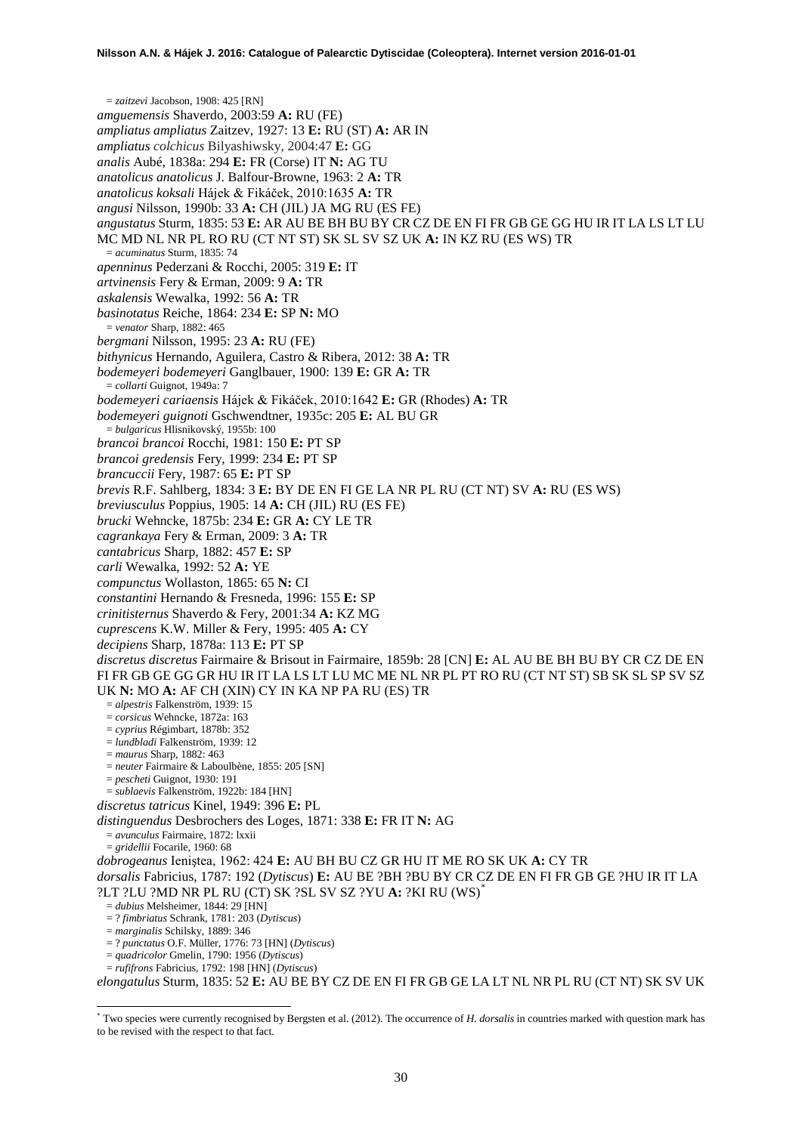= *zaitzevi* Jacobson, 1908: 425 [RN] *amguemensis* Shaverdo, 2003:59 **A:** RU (FE) *ampliatus ampliatus* Zaitzev, 1927: 13 **E:** RU (ST) **A:** AR IN *ampliatus colchicus* Bilyashiwsky, 2004:47 **E:** GG *analis* Aubé, 1838a: 294 **E:** FR (Corse) IT **N:** AG TU *anatolicus anatolicus* J. Balfour-Browne, 1963: 2 **A:** TR *anatolicus koksali* Hájek & Fikáček, 2010:1635 **A:** TR *angusi* Nilsson, 1990b: 33 **A:** CH (JIL) JA MG RU (ES FE) *angustatus* Sturm, 1835: 53 **E:** AR AU BE BH BU BY CR CZ DE EN FI FR GB GE GG HU IR IT LA LS LT LU MC MD NL NR PL RO RU (CT NT ST) SK SL SV SZ UK **A:** IN KZ RU (ES WS) TR = *acuminatus* Sturm, 1835: 74 *apenninus* Pederzani & Rocchi, 2005: 319 **E:** IT *artvinensis* Fery & Erman, 2009: 9 **A:** TR *askalensis* Wewalka, 1992: 56 **A:** TR *basinotatus* Reiche, 1864: 234 **E:** SP **N:** MO = *venator* Sharp, 1882: 465 *bergmani* Nilsson, 1995: 23 **A:** RU (FE) *bithynicus* Hernando, Aguilera, Castro & Ribera, 2012: 38 **A:** TR *bodemeyeri bodemeyeri* Ganglbauer, 1900: 139 **E:** GR **A:** TR = *collarti* Guignot, 1949a: 7 *bodemeyeri cariaensis* Hájek & Fikáček, 2010:1642 **E:** GR (Rhodes) **A:** TR *bodemeyeri guignoti* Gschwendtner, 1935c: 205 **E:** AL BU GR = *bulgaricus* Hlisnikovský, 1955b: 100 *brancoi brancoi* Rocchi, 1981: 150 **E:** PT SP *brancoi gredensis* Fery, 1999: 234 **E:** PT SP *brancuccii* Fery, 1987: 65 **E:** PT SP *brevis* R.F. Sahlberg, 1834: 3 **E:** BY DE EN FI GE LA NR PL RU (CT NT) SV **A:** RU (ES WS) *breviusculus* Poppius, 1905: 14 **A:** CH (JIL) RU (ES FE) *brucki* Wehncke, 1875b: 234 **E:** GR **A:** CY LE TR *cagrankaya* Fery & Erman, 2009: 3 **A:** TR *cantabricus* Sharp, 1882: 457 **E:** SP *carli* Wewalka, 1992: 52 **A:** YE *compunctus* Wollaston, 1865: 65 **N:** CI *constantini* Hernando & Fresneda, 1996: 155 **E:** SP *crinitisternus* Shaverdo & Fery, 2001:34 **A:** KZ MG *cuprescens* K.W. Miller & Fery, 1995: 405 **A:** CY *decipiens* Sharp, 1878a: 113 **E:** PT SP *discretus discretus* Fairmaire & Brisout in Fairmaire, 1859b: 28 [CN] **E:** AL AU BE BH BU BY CR CZ DE EN FI FR GB GE GG GR HU IR IT LA LS LT LU MC ME NL NR PL PT RO RU (CT NT ST) SB SK SL SP SV SZ UK **N:** MO **A:** AF CH (XIN) CY IN KA NP PA RU (ES) TR = *alpestris* Falkenström, 1939: 15 = *corsicus* Wehncke, 1872a: 163 = *cyprius* Régimbart, 1878b: 352 = *lundbladi* Falkenström, 1939: 12 = *maurus* Sharp, 1882: 463 = *neuter* Fairmaire & Laboulbène, 1855: 205 [SN] = *pescheti* Guignot, 1930: 191 = *sublaevis* Falkenström, 1922b: 184 [HN] *discretus tatricus* Kinel, 1949: 396 **E:** PL *distinguendus* Desbrochers des Loges, 1871: 338 **E:** FR IT **N:** AG = *avunculus* Fairmaire, 1872: lxxii = *gridellii* Focarile, 1960: 68 *dobrogeanus* Ieniştea, 1962: 424 **E:** AU BH BU CZ GR HU IT ME RO SK UK **A:** CY TR *dorsalis* Fabricius, 1787: 192 (*Dytiscus*) **E:** AU BE ?BH ?BU BY CR CZ DE EN FI FR GB GE ?HU IR IT LA ?LT ?LU ?MD NR PL RU (CT) SK ?SL SV SZ ?YU **A:** ?KI RU (WS)[\\*](#page-29-0) = *dubius* Melsheimer, 1844: 29 [HN] = ? *fimbriatus* Schrank, 1781: 203 (*Dytiscus*) = *marginalis* Schilsky, 1889: 346 = ? *punctatus* O.F. Müller, 1776: 73 [HN] (*Dytiscus*) = *quadricolor* Gmelin, 1790: 1956 (*Dytiscus*) = *rufifrons* Fabricius, 1792: 198 [HN] (*Dytiscus*) *elongatulus* Sturm, 1835: 52 **E:** AU BE BY CZ DE EN FI FR GB GE LA LT NL NR PL RU (CT NT) SK SV UK

-

<span id="page-29-0"></span><sup>\*</sup> Two species were currently recognised by Bergsten et al. (2012). The occurrence of *H. dorsalis* in countries marked with question mark has to be revised with the respect to that fact.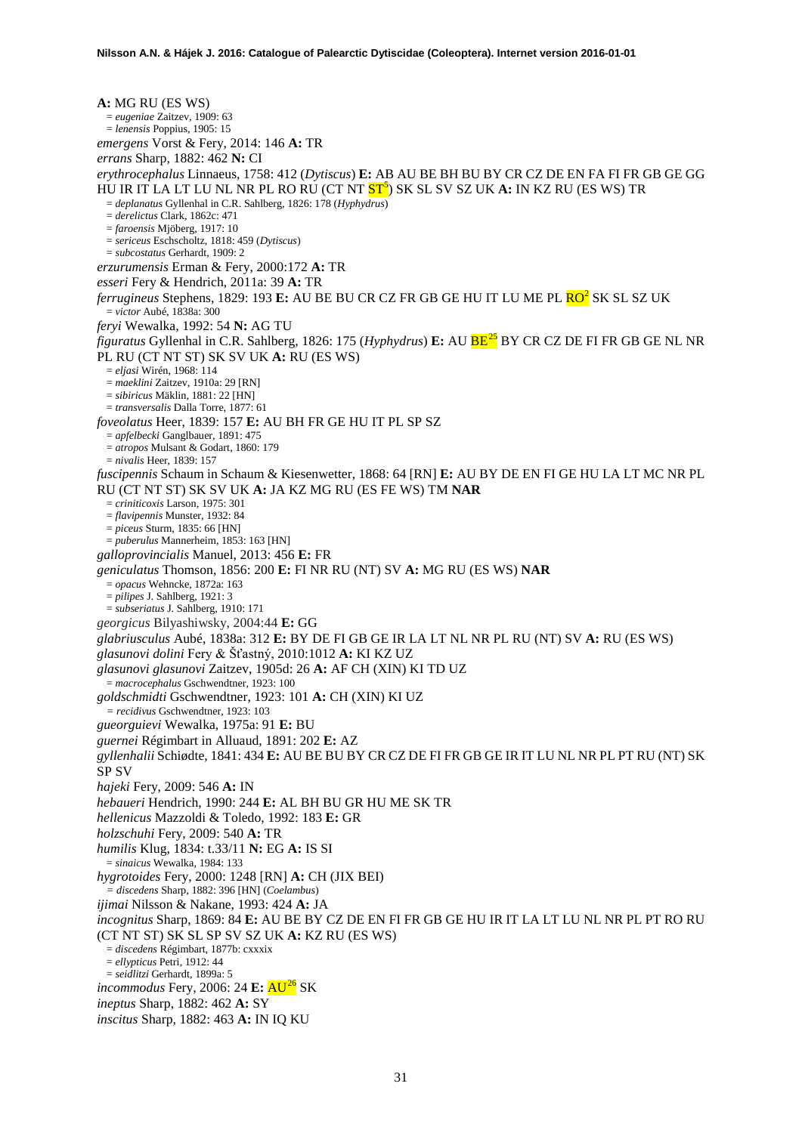**A:** MG RU (ES WS) = *eugeniae* Zaitzev, 1909: 63 = *lenensis* Poppius, 1905: 15 *emergens* Vorst & Fery, 2014: 146 **A:** TR *errans* Sharp, 1882: 462 **N:** CI *erythrocephalus* Linnaeus, 1758: 412 (*Dytiscus*) **E:** AB AU BE BH BU BY CR CZ DE EN FA FI FR GB GE GG HU IR IT LA LT LU NL NR PL RO RU (CT NT <mark>ST<sup>5</sup>)</mark> SK SL SV SZ UK **A:** IN KZ RU (ES WS) TR = *deplanatus* Gyllenhal in C.R. Sahlberg, 1826: 178 (*Hyphydrus*) = *derelictus* Clark, 1862c: 471 = *faroensis* Mjöberg, 1917: 10 = *sericeus* Eschscholtz, 1818: 459 (*Dytiscus*) = *subcostatus* Gerhardt, 1909: 2 *erzurumensis* Erman & Fery, 2000:172 **A:** TR *esseri* Fery & Hendrich, 2011a: 39 **A:** TR *ferrugineus* Stephens, 1829: 193 **E:** AU BE BU CR CZ FR GB GE HU IT LU ME PL R[O](#page-2-0)<sup>2</sup> SK SL SZ UK = *victor* Aubé, 1838a: 300 *feryi* Wewalka, 1992: 54 **N:** AG TU *figuratus* Gyllenhal in C.R. Sahlberg, 1826: 175 (*Hyphydrus*) **E:** AU BE[25](#page-46-22) BY CR CZ DE FI FR GB GE NL NR PL RU (CT NT ST) SK SV UK **A:** RU (ES WS) = *eljasi* Wirén, 1968: 114 = *maeklini* Zaitzev, 1910a: 29 [RN] = *sibiricus* Mäklin, 1881: 22 [HN] = *transversalis* Dalla Torre, 1877: 61 *foveolatus* Heer, 1839: 157 **E:** AU BH FR GE HU IT PL SP SZ = *apfelbecki* Ganglbauer, 1891: 475 = *atropos* Mulsant & Godart, 1860: 179 = *nivalis* Heer, 1839: 157 *fuscipennis* Schaum in Schaum & Kiesenwetter, 1868: 64 [RN] **E:** AU BY DE EN FI GE HU LA LT MC NR PL RU (CT NT ST) SK SV UK **A:** JA KZ MG RU (ES FE WS) TM **NAR** = *criniticoxis* Larson, 1975: 301 = *flavipennis* Munster, 1932: 84 = *piceus* Sturm, 1835: 66 [HN] = *puberulus* Mannerheim, 1853: 163 [HN] *galloprovincialis* Manuel, 2013: 456 **E:** FR *geniculatus* Thomson, 1856: 200 **E:** FI NR RU (NT) SV **A:** MG RU (ES WS) **NAR** = *opacus* Wehncke, 1872a: 163 = *pilipes* J. Sahlberg, 1921: 3 = *subseriatus* J. Sahlberg, 1910: 171 *georgicus* Bilyashiwsky, 2004:44 **E:** GG *glabriusculus* Aubé, 1838a: 312 **E:** BY DE FI GB GE IR LA LT NL NR PL RU (NT) SV **A:** RU (ES WS) *glasunovi dolini* Fery & Šťastný, 2010:1012 **A:** KI KZ UZ *glasunovi glasunovi* Zaitzev, 1905d: 26 **A:** AF CH (XIN) KI TD UZ = *macrocephalus* Gschwendtner, 1923: 100 *goldschmidti* Gschwendtner, 1923: 101 **A:** CH (XIN) KI UZ *= recidivus* Gschwendtner, 1923: 103 *gueorguievi* Wewalka, 1975a: 91 **E:** BU *guernei* Régimbart in Alluaud, 1891: 202 **E:** AZ *gyllenhalii* Schiødte, 1841: 434 **E:** AU BE BU BY CR CZ DE FI FR GB GE IR IT LU NL NR PL PT RU (NT) SK SP SV *hajeki* Fery, 2009: 546 **A:** IN *hebaueri* Hendrich, 1990: 244 **E:** AL BH BU GR HU ME SK TR *hellenicus* Mazzoldi & Toledo, 1992: 183 **E:** GR *holzschuhi* Fery, 2009: 540 **A:** TR *humilis* Klug, 1834: t.33/11 **N:** EG **A:** IS SI = *sinaicus* Wewalka, 1984: 133 *hygrotoides* Fery, 2000: 1248 [RN] **A:** CH (JIX BEI) *= discedens* Sharp, 1882: 396 [HN] (*Coelambus*) *ijimai* Nilsson & Nakane, 1993: 424 **A:** JA *incognitus* Sharp, 1869: 84 **E:** AU BE BY CZ DE EN FI FR GB GE HU IR IT LA LT LU NL NR PL PT RO RU (CT NT ST) SK SL SP SV SZ UK **A:** KZ RU (ES WS) = *discedens* Régimbart, 1877b: cxxxix = *ellypticus* Petri, 1912: 44 = *seidlitzi* Gerhardt, 1899a: 5 *incommodus* Fery, 2006: 24 **E:**  $\frac{AU^{26}}{AU}$  $\frac{AU^{26}}{AU}$  $\frac{AU^{26}}{AU}$  SK *ineptus* Sharp, 1882: 462 **A:** SY *inscitus* Sharp, 1882: 463 **A:** IN IQ KU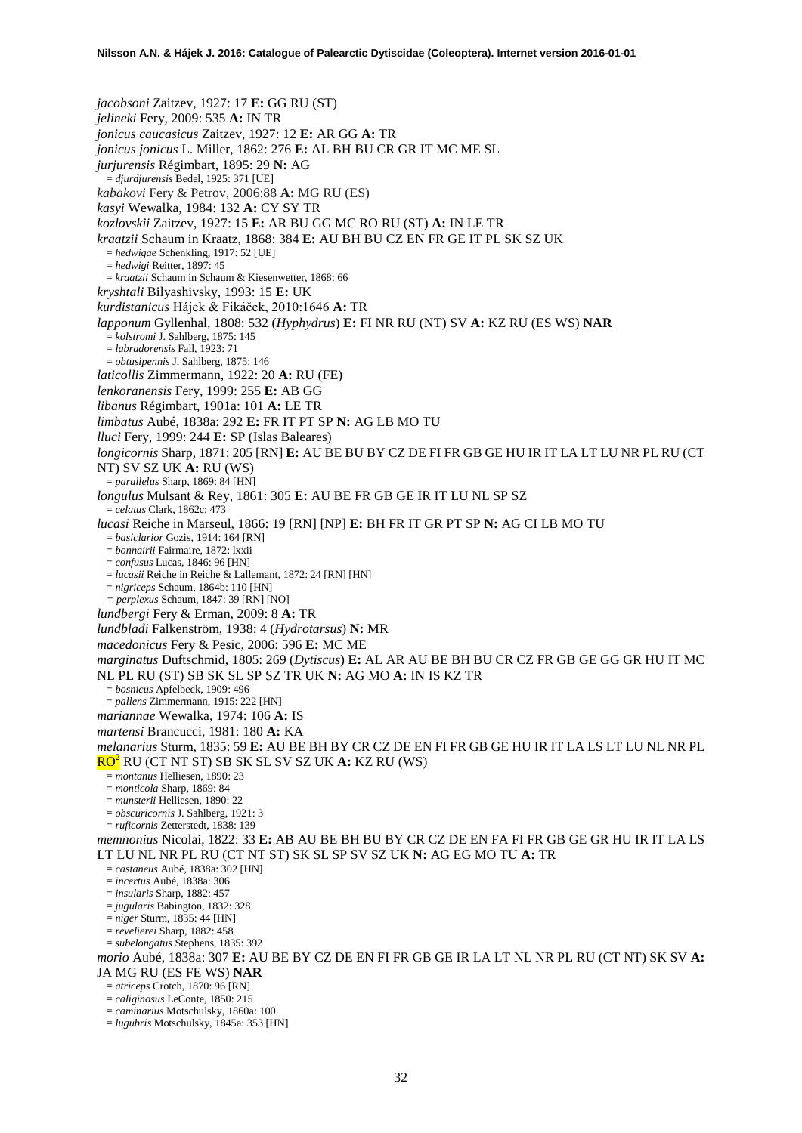*jacobsoni* Zaitzev, 1927: 17 **E:** GG RU (ST) *jelineki* Fery, 2009: 535 **A:** IN TR *jonicus caucasicus* Zaitzev, 1927: 12 **E:** AR GG **A:** TR *jonicus jonicus* L. Miller, 1862: 276 **E:** AL BH BU CR GR IT MC ME SL *jurjurensis* Régimbart, 1895: 29 **N:** AG = *djurdjurensis* Bedel, 1925: 371 [UE] *kabakovi* Fery & Petrov, 2006:88 **A:** MG RU (ES) *kasyi* Wewalka, 1984: 132 **A:** CY SY TR *kozlovskii* Zaitzev, 1927: 15 **E:** AR BU GG MC RO RU (ST) **A:** IN LE TR *kraatzii* Schaum in Kraatz, 1868: 384 **E:** AU BH BU CZ EN FR GE IT PL SK SZ UK = *hedwigae* Schenkling, 1917: 52 [UE] = *hedwigi* Reitter, 1897: 45 = *kraatzii* Schaum in Schaum & Kiesenwetter, 1868: 66 *kryshtali* Bilyashivsky, 1993: 15 **E:** UK *kurdistanicus* Hájek & Fikáček, 2010:1646 **A:** TR *lapponum* Gyllenhal, 1808: 532 (*Hyphydrus*) **E:** FI NR RU (NT) SV **A:** KZ RU (ES WS) **NAR** = *kolstromi* J. Sahlberg, 1875: 145 = *labradorensis* Fall, 1923: 71 = *obtusipennis* J. Sahlberg, 1875: 146 *laticollis* Zimmermann, 1922: 20 **A:** RU (FE) *lenkoranensis* Fery, 1999: 255 **E:** AB GG *libanus* Régimbart, 1901a: 101 **A:** LE TR *limbatus* Aubé, 1838a: 292 **E:** FR IT PT SP **N:** AG LB MO TU *lluci* Fery, 1999: 244 **E:** SP (Islas Baleares) *longicornis* Sharp, 1871: 205 [RN] **E:** AU BE BU BY CZ DE FI FR GB GE HU IR IT LA LT LU NR PL RU (CT NT) SV SZ UK **A:** RU (WS) = *parallelus* Sharp, 1869: 84 [HN] *longulus* Mulsant & Rey, 1861: 305 **E:** AU BE FR GB GE IR IT LU NL SP SZ = *celatus* Clark, 1862c: 473 *lucasi* Reiche in Marseul, 1866: 19 [RN] [NP] **E:** BH FR IT GR PT SP **N:** AG CI LB MO TU = *basiclarior* Gozis, 1914: 164 [RN] = *bonnairii* Fairmaire, 1872: lxxii = *confusus* Lucas, 1846: 96 [HN]  $= lucasii$  Reiche in Reiche & Lallemant, 1872: 24 [RN] [HN] = *nigriceps* Schaum, 1864b: 110 [HN] *= perplexus* Schaum, 1847: 39 [RN] [NO] *lundbergi* Fery & Erman, 2009: 8 **A:** TR *lundbladi* Falkenström, 1938: 4 (*Hydrotarsus*) **N:** MR *macedonicus* Fery & Pesic, 2006: 596 **E:** MC ME *marginatus* Duftschmid, 1805: 269 (*Dytiscus*) **E:** AL AR AU BE BH BU CR CZ FR GB GE GG GR HU IT MC NL PL RU (ST) SB SK SL SP SZ TR UK **N:** AG MO **A:** IN IS KZ TR = *bosnicus* Apfelbeck, 1909: 496 = *pallens* Zimmermann, 1915: 222 [HN] *mariannae* Wewalka, 1974: 106 **A:** IS *martensi* Brancucci, 1981: 180 **A:** KA *melanarius* Sturm, 1835: 59 **E:** AU BE BH BY CR CZ DE EN FI FR GB GE HU IR IT LA LS LT LU NL NR PL RO[2](#page-2-0) RU (CT NT ST) SB SK SL SV SZ UK **A:** KZ RU (WS) = *montanus* Helliesen, 1890: 23 = *monticola* Sharp, 1869: 84 = *munsterii* Helliesen, 1890: 22 = *obscuricornis* J. Sahlberg, 1921: 3 = *ruficornis* Zetterstedt, 1838: 139 *memnonius* Nicolai, 1822: 33 **E:** AB AU BE BH BU BY CR CZ DE EN FA FI FR GB GE GR HU IR IT LA LS LT LU NL NR PL RU (CT NT ST) SK SL SP SV SZ UK **N:** AG EG MO TU **A:** TR = *castaneus* Aubé, 1838a: 302 [HN] = *incertus* Aubé, 1838a: 306 = *insularis* Sharp, 1882: 457 = *jugularis* Babington, 1832: 328 = *niger* Sturm, 1835: 44 [HN] = *revelierei* Sharp, 1882: 458 = *subelongatus* Stephens, 1835: 392 *morio* Aubé, 1838a: 307 **E:** AU BE BY CZ DE EN FI FR GB GE IR LA LT NL NR PL RU (CT NT) SK SV **A:**  JA MG RU (ES FE WS) **NAR** = *atriceps* Crotch, 1870: 96 [RN] = *caliginosus* LeConte, 1850: 215 = *caminarius* Motschulsky, 1860a: 100 = *lugubris* Motschulsky, 1845a: 353 [HN]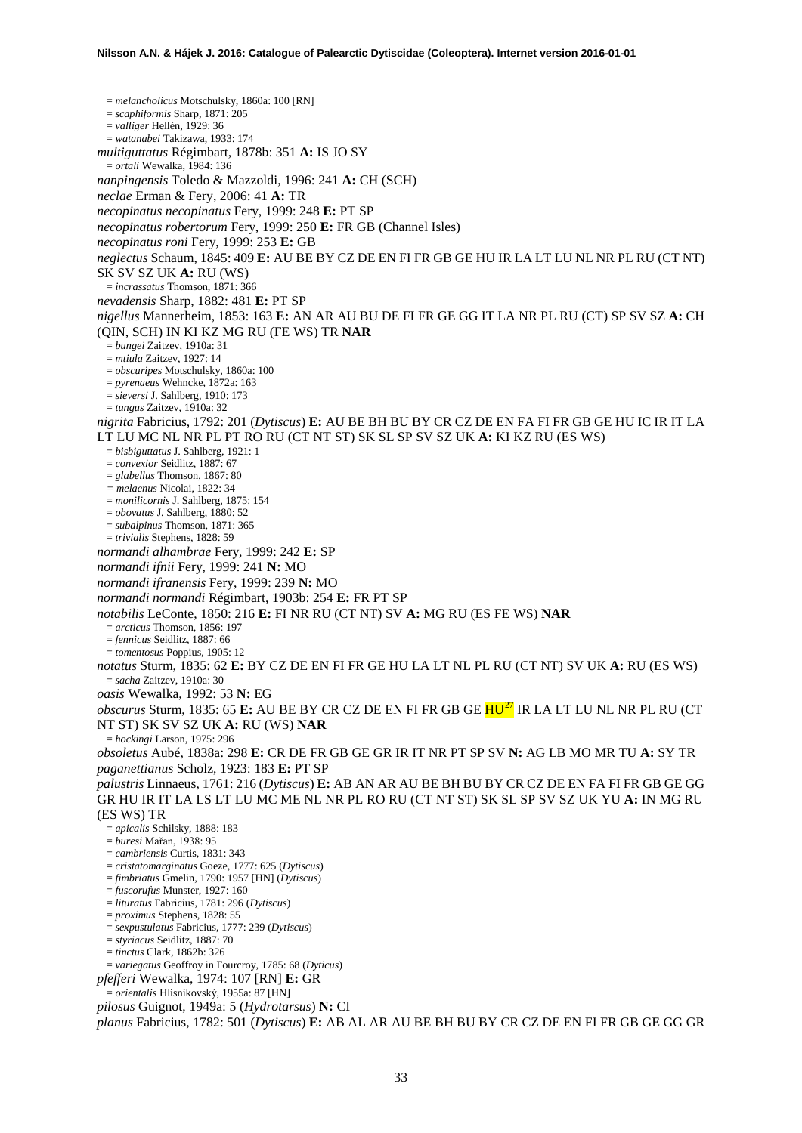= *melancholicus* Motschulsky, 1860a: 100 [RN] = *scaphiformis* Sharp, 1871: 205 = *valliger* Hellén, 1929: 36 = *watanabei* Takizawa, 1933: 174 *multiguttatus* Régimbart, 1878b: 351 **A:** IS JO SY = *ortali* Wewalka, 1984: 136 *nanpingensis* Toledo & Mazzoldi, 1996: 241 **A:** CH (SCH) *neclae* Erman & Fery, 2006: 41 **A:** TR *necopinatus necopinatus* Fery, 1999: 248 **E:** PT SP *necopinatus robertorum* Fery, 1999: 250 **E:** FR GB (Channel Isles) *necopinatus roni* Fery, 1999: 253 **E:** GB *neglectus* Schaum, 1845: 409 **E:** AU BE BY CZ DE EN FI FR GB GE HU IR LA LT LU NL NR PL RU (CT NT) SK SV SZ UK **A:** RU (WS) = *incrassatus* Thomson, 1871: 366 *nevadensis* Sharp, 1882: 481 **E:** PT SP *nigellus* Mannerheim, 1853: 163 **E:** AN AR AU BU DE FI FR GE GG IT LA NR PL RU (CT) SP SV SZ **A:** CH (QIN, SCH) IN KI KZ MG RU (FE WS) TR **NAR** = *bungei* Zaitzev, 1910a: 31 = *mtiula* Zaitzev, 1927: 14 = *obscuripes* Motschulsky, 1860a: 100 = *pyrenaeus* Wehncke, 1872a: 163 = *sieversi* J. Sahlberg, 1910: 173 = *tungus* Zaitzev, 1910a: 32 *nigrita* Fabricius, 1792: 201 (*Dytiscus*) **E:** AU BE BH BU BY CR CZ DE EN FA FI FR GB GE HU IC IR IT LA LT LU MC NL NR PL PT RO RU (CT NT ST) SK SL SP SV SZ UK **A:** KI KZ RU (ES WS) = *bisbiguttatus* J. Sahlberg, 1921: 1 = *convexior* Seidlitz, 1887: 67 = *glabellus* Thomson, 1867: 80 *= melaenus* Nicolai, 1822: 34 = *monilicornis* J. Sahlberg, 1875: 154 = *obovatus* J. Sahlberg, 1880: 52 = *subalpinus* Thomson, 1871: 365 = *trivialis* Stephens, 1828: 59 *normandi alhambrae* Fery, 1999: 242 **E:** SP *normandi ifnii* Fery, 1999: 241 **N:** MO *normandi ifranensis* Fery, 1999: 239 **N:** MO *normandi normandi* Régimbart, 1903b: 254 **E:** FR PT SP *notabilis* LeConte, 1850: 216 **E:** FI NR RU (CT NT) SV **A:** MG RU (ES FE WS) **NAR** = *arcticus* Thomson, 1856: 197 = *fennicus* Seidlitz, 1887: 66 = *tomentosus* Poppius, 1905: 12 *notatus* Sturm, 1835: 62 **E:** BY CZ DE EN FI FR GE HU LA LT NL PL RU (CT NT) SV UK **A:** RU (ES WS) = *sacha* Zaitzev, 1910a: 30 *oasis* Wewalka, 1992: 53 **N:** EG *obscurus* Sturm, 1835: 65 **E:** AU BE BY CR CZ DE EN FI FR GB GE HU[27](#page-46-24) IR LA LT LU NL NR PL RU (CT NT ST) SK SV SZ UK **A:** RU (WS) **NAR** = *hockingi* Larson, 1975: 296 *obsoletus* Aubé, 1838a: 298 **E:** CR DE FR GB GE GR IR IT NR PT SP SV **N:** AG LB MO MR TU **A:** SY TR *paganettianus* Scholz, 1923: 183 **E:** PT SP *palustris* Linnaeus, 1761: 216 (*Dytiscus*) **E:** AB AN AR AU BE BH BU BY CR CZ DE EN FA FI FR GB GE GG GR HU IR IT LA LS LT LU MC ME NL NR PL RO RU (CT NT ST) SK SL SP SV SZ UK YU **A:** IN MG RU (ES WS) TR = *apicalis* Schilsky, 1888: 183 = *buresi* Mařan, 1938: 95 = *cambriensis* Curtis, 1831: 343 = *cristatomarginatus* Goeze, 1777: 625 (*Dytiscus*) = *fimbriatus* Gmelin, 1790: 1957 [HN] (*Dytiscus*) = *fuscorufus* Munster, 1927: 160 = *lituratus* Fabricius, 1781: 296 (*Dytiscus*) = *proximus* Stephens, 1828: 55 = *sexpustulatus* Fabricius, 1777: 239 (*Dytiscus*) = *styriacus* Seidlitz, 1887: 70 = *tinctus* Clark, 1862b: 326 = *variegatus* Geoffroy in Fourcroy, 1785: 68 (*Dyticus*) *pfefferi* Wewalka, 1974: 107 [RN] **E:** GR = *orientalis* Hlisnikovský, 1955a: 87 [HN] *pilosus* Guignot, 1949a: 5 (*Hydrotarsus*) **N:** CI *planus* Fabricius, 1782: 501 (*Dytiscus*) **E:** AB AL AR AU BE BH BU BY CR CZ DE EN FI FR GB GE GG GR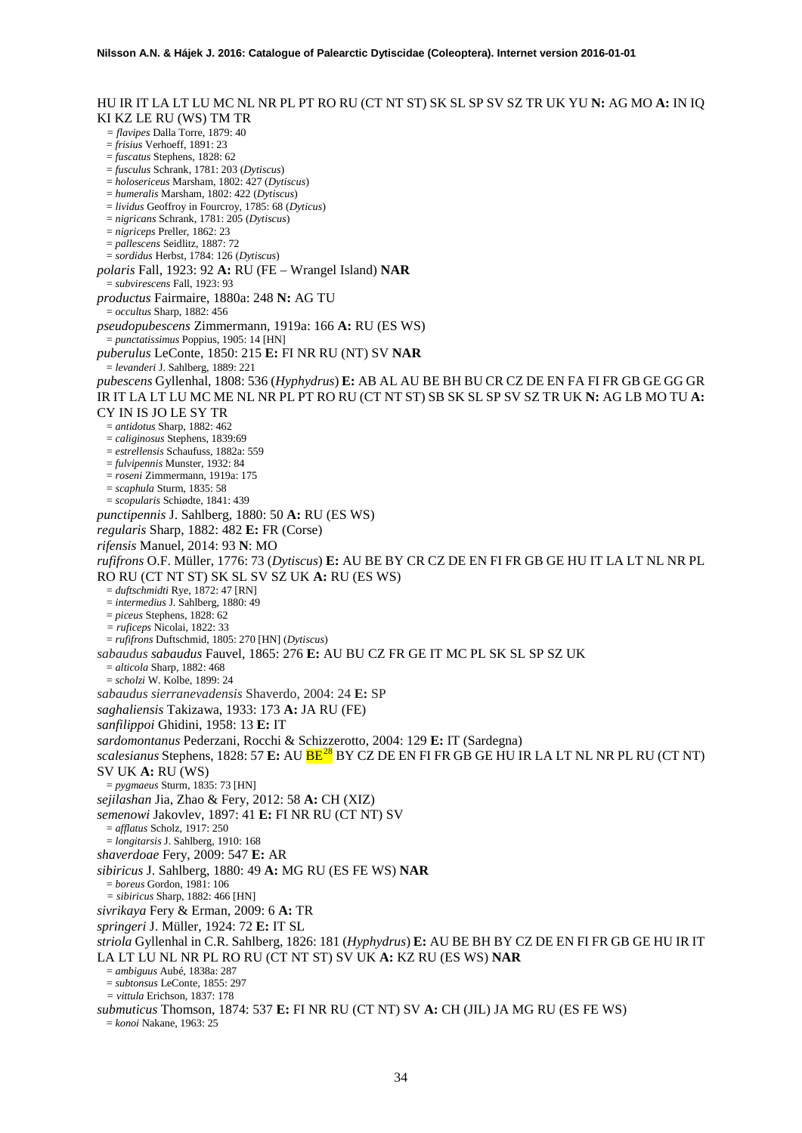HU IR IT LA LT LU MC NL NR PL PT RO RU (CT NT ST) SK SL SP SV SZ TR UK YU **N:** AG MO **A:** IN IQ KI KZ LE RU (WS) TM TR *= flavipes* Dalla Torre, 1879: 40 = *frisius* Verhoeff, 1891: 23 = *fuscatus* Stephens, 1828: 62 = *fusculus* Schrank, 1781: 203 (*Dytiscus*) = *holosericeus* Marsham, 1802: 427 (*Dytiscus*) = *humeralis* Marsham, 1802: 422 (*Dytiscus*) = *lividus* Geoffroy in Fourcroy, 1785: 68 (*Dyticus*) = *nigricans* Schrank, 1781: 205 (*Dytiscus*) = *nigriceps* Preller, 1862: 23 = *pallescens* Seidlitz, 1887: 72 = *sordidus* Herbst, 1784: 126 (*Dytiscus*) *polaris* Fall, 1923: 92 **A:** RU (FE – Wrangel Island) **NAR** = *subvirescens* Fall, 1923: 93 *productus* Fairmaire, 1880a: 248 **N:** AG TU = *occultus* Sharp, 1882: 456 *pseudopubescens* Zimmermann, 1919a: 166 **A:** RU (ES WS) = *punctatissimus* Poppius, 1905: 14 [HN] *puberulus* LeConte, 1850: 215 **E:** FI NR RU (NT) SV **NAR** = *levanderi* J. Sahlberg, 1889: 221 *pubescens* Gyllenhal, 1808: 536 (*Hyphydrus*) **E:** AB AL AU BE BH BU CR CZ DE EN FA FI FR GB GE GG GR IR IT LA LT LU MC ME NL NR PL PT RO RU (CT NT ST) SB SK SL SP SV SZ TR UK **N:** AG LB MO TU **A:**  CY IN IS JO LE SY TR = *antidotus* Sharp, 1882: 462 = *caliginosus* Stephens, 1839:69 = *estrellensis* Schaufuss, 1882a: 559 = *fulvipennis* Munster, 1932: 84 = *roseni* Zimmermann, 1919a: 175 = *scaphula* Sturm, 1835: 58 = *scopularis* Schiødte, 1841: 439 *punctipennis* J. Sahlberg, 1880: 50 **A:** RU (ES WS) *regularis* Sharp, 1882: 482 **E:** FR (Corse) *rifensis* Manuel, 2014: 93 **N**: MO *rufifrons* O.F. Müller, 1776: 73 (*Dytiscus*) **E:** AU BE BY CR CZ DE EN FI FR GB GE HU IT LA LT NL NR PL RO RU (CT NT ST) SK SL SV SZ UK **A:** RU (ES WS) = *duftschmidti* Rye, 1872: 47 [RN] = *intermedius* J. Sahlberg, 1880: 49 = *piceus* Stephens, 1828: 62 *= ruficeps* Nicolai, 1822: 33 = *rufifrons* Duftschmid, 1805: 270 [HN] (*Dytiscus*) *sabaudus sabaudus* Fauvel, 1865: 276 **E:** AU BU CZ FR GE IT MC PL SK SL SP SZ UK = *alticola* Sharp, 1882: 468 = *scholzi* W. Kolbe, 1899: 24 *sabaudus sierranevadensis* Shaverdo, 2004: 24 **E:** SP *saghaliensis* Takizawa, 1933: 173 **A:** JA RU (FE) *sanfilippoi* Ghidini, 1958: 13 **E:** IT *sardomontanus* Pederzani, Rocchi & Schizzerotto, 2004: 129 **E:** IT (Sardegna) *scalesianus* Stephens, 1828: 57 **E:** AU BE[28](#page-46-25) BY CZ DE EN FI FR GB GE HU IR LA LT NL NR PL RU (CT NT) SV UK **A:** RU (WS) = *pygmaeus* Sturm, 1835: 73 [HN] *sejilashan* Jia, Zhao & Fery, 2012: 58 **A:** CH (XIZ) *semenowi* Jakovlev, 1897: 41 **E:** FI NR RU (CT NT) SV = *afflatus* Scholz, 1917: 250 = *longitarsis* J. Sahlberg, 1910: 168 *shaverdoae* Fery, 2009: 547 **E:** AR *sibiricus* J. Sahlberg, 1880: 49 **A:** MG RU (ES FE WS) **NAR** = *boreus* Gordon, 1981: 106 *= sibiricus* Sharp, 1882: 466 [HN] *sivrikaya* Fery & Erman, 2009: 6 **A:** TR *springeri* J. Müller, 1924: 72 **E:** IT SL *striola* Gyllenhal in C.R. Sahlberg, 1826: 181 (*Hyphydrus*) **E:** AU BE BH BY CZ DE EN FI FR GB GE HU IR IT LA LT LU NL NR PL RO RU (CT NT ST) SV UK **A:** KZ RU (ES WS) **NAR** = *ambiguus* Aubé, 1838a: 287 = *subtonsus* LeConte, 1855: 297 *= vittula* Erichson, 1837: 178 *submuticus* Thomson, 1874: 537 **E:** FI NR RU (CT NT) SV **A:** CH (JIL) JA MG RU (ES FE WS) = *konoi* Nakane, 1963: 25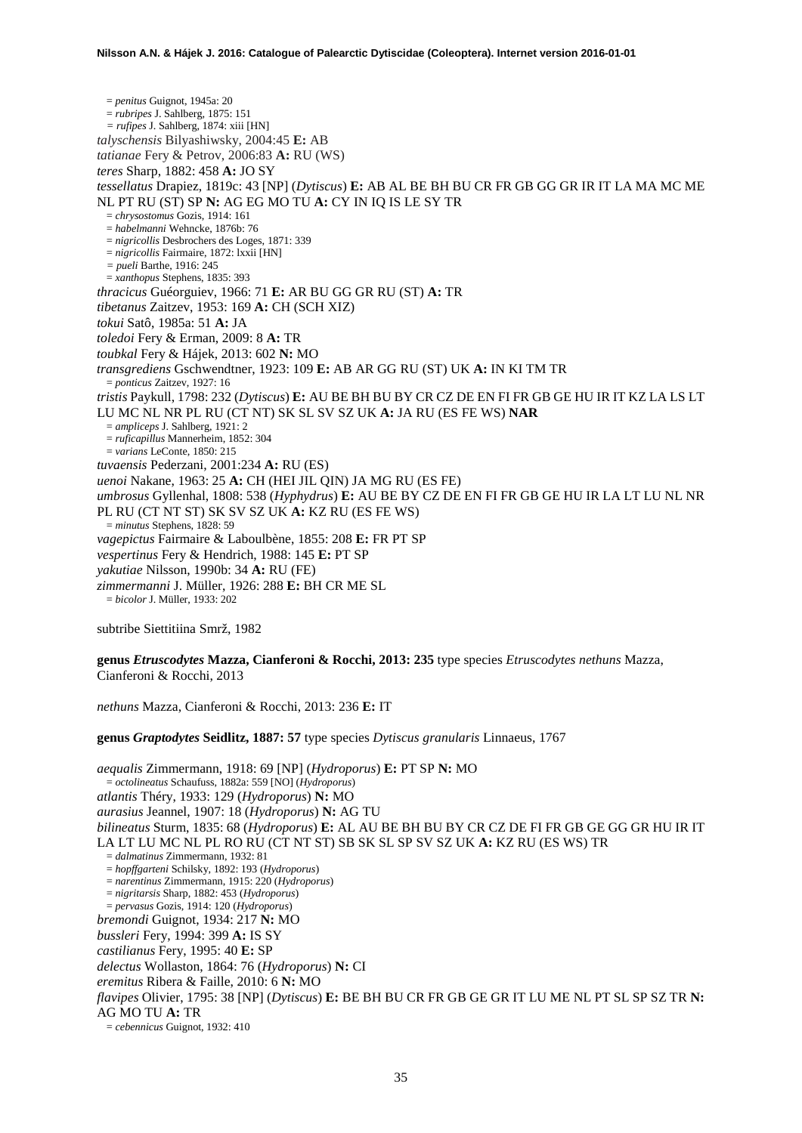= *penitus* Guignot, 1945a: 20 = *rubripes* J. Sahlberg, 1875: 151 *= rufipes* J. Sahlberg, 1874: xiii [HN] *talyschensis* Bilyashiwsky, 2004:45 **E:** AB *tatianae* Fery & Petrov, 2006:83 **A:** RU (WS) *teres* Sharp, 1882: 458 **A:** JO SY *tessellatus* Drapiez, 1819c: 43 [NP] (*Dytiscus*) **E:** AB AL BE BH BU CR FR GB GG GR IR IT LA MA MC ME NL PT RU (ST) SP **N:** AG EG MO TU **A:** CY IN IQ IS LE SY TR = *chrysostomus* Gozis, 1914: 161 = *habelmanni* Wehncke, 1876b: 76 = *nigricollis* Desbrochers des Loges, 1871: 339 = *nigricollis* Fairmaire, 1872: lxxii [HN] *= pueli* Barthe, 1916: 245 = *xanthopus* Stephens, 1835: 393 *thracicus* Guéorguiev, 1966: 71 **E:** AR BU GG GR RU (ST) **A:** TR *tibetanus* Zaitzev, 1953: 169 **A:** CH (SCH XIZ) *tokui* Satô, 1985a: 51 **A:** JA *toledoi* Fery & Erman, 2009: 8 **A:** TR *toubkal* Fery & Hájek, 2013: 602 **N:** MO *transgrediens* Gschwendtner, 1923: 109 **E:** AB AR GG RU (ST) UK **A:** IN KI TM TR = *ponticus* Zaitzev, 1927: 16 *tristis* Paykull, 1798: 232 (*Dytiscus*) **E:** AU BE BH BU BY CR CZ DE EN FI FR GB GE HU IR IT KZ LA LS LT LU MC NL NR PL RU (CT NT) SK SL SV SZ UK **A:** JA RU (ES FE WS) **NAR** = *ampliceps* J. Sahlberg, 1921: 2 = *ruficapillus* Mannerheim, 1852: 304 = *varians* LeConte, 1850: 215 *tuvaensis* Pederzani, 2001:234 **A:** RU (ES) *uenoi* Nakane, 1963: 25 **A:** CH (HEI JIL QIN) JA MG RU (ES FE) *umbrosus* Gyllenhal, 1808: 538 (*Hyphydrus*) **E:** AU BE BY CZ DE EN FI FR GB GE HU IR LA LT LU NL NR PL RU (CT NT ST) SK SV SZ UK **A:** KZ RU (ES FE WS) = *minutus* Stephens, 1828: 59 *vagepictus* Fairmaire & Laboulbène, 1855: 208 **E:** FR PT SP *vespertinus* Fery & Hendrich, 1988: 145 **E:** PT SP *yakutiae* Nilsson, 1990b: 34 **A:** RU (FE) *zimmermanni* J. Müller, 1926: 288 **E:** BH CR ME SL = *bicolor* J. Müller, 1933: 202

subtribe Siettitiina Smrž, 1982

**genus** *Etruscodytes* **Mazza, Cianferoni & Rocchi, 2013: 235** type species *Etruscodytes nethuns* Mazza, Cianferoni & Rocchi, 2013

*nethuns* Mazza, Cianferoni & Rocchi, 2013: 236 **E:** IT

**genus** *Graptodytes* **Seidlitz, 1887: 57** type species *Dytiscus granularis* Linnaeus, 1767

*aequalis* Zimmermann, 1918: 69 [NP] (*Hydroporus*) **E:** PT SP **N:** MO = *octolineatus* Schaufuss, 1882a: 559 [NO] (*Hydroporus*) *atlantis* Théry, 1933: 129 (*Hydroporus*) **N:** MO *aurasius* Jeannel, 1907: 18 (*Hydroporus*) **N:** AG TU *bilineatus* Sturm, 1835: 68 (*Hydroporus*) **E:** AL AU BE BH BU BY CR CZ DE FI FR GB GE GG GR HU IR IT LA LT LU MC NL PL RO RU (CT NT ST) SB SK SL SP SV SZ UK **A:** KZ RU (ES WS) TR = *dalmatinus* Zimmermann, 1932: 81 = *hopffgarteni* Schilsky, 1892: 193 (*Hydroporus*) = *narentinus* Zimmermann, 1915: 220 (*Hydroporus*) = *nigritarsis* Sharp, 1882: 453 (*Hydroporus*) = *pervasus* Gozis, 1914: 120 (*Hydroporus*) *bremondi* Guignot, 1934: 217 **N:** MO *bussleri* Fery, 1994: 399 **A:** IS SY *castilianus* Fery, 1995: 40 **E:** SP *delectus* Wollaston, 1864: 76 (*Hydroporus*) **N:** CI *eremitus* Ribera & Faille, 2010: 6 **N:** MO *flavipes* Olivier, 1795: 38 [NP] (*Dytiscus*) **E:** BE BH BU CR FR GB GE GR IT LU ME NL PT SL SP SZ TR **N:**  AG MO TU **A:** TR = *cebennicus* Guignot, 1932: 410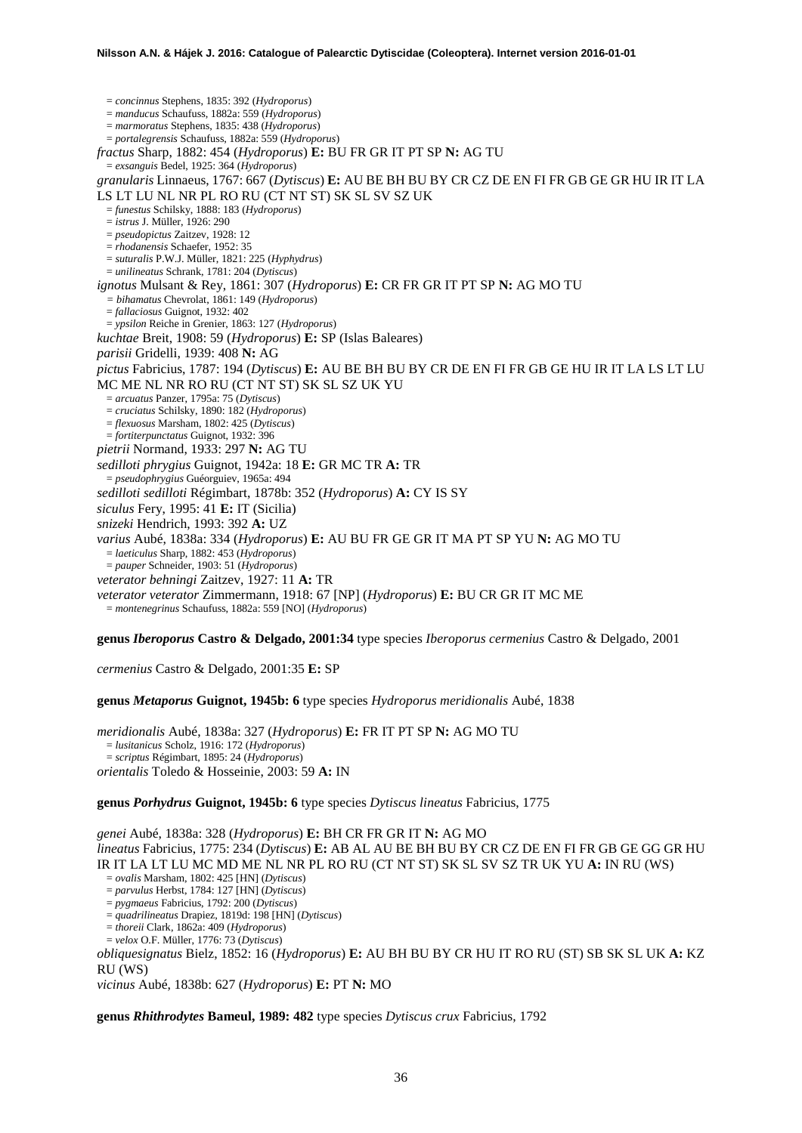= *concinnus* Stephens, 1835: 392 (*Hydroporus*) = *manducus* Schaufuss, 1882a: 559 (*Hydroporus*) = *marmoratus* Stephens, 1835: 438 (*Hydroporus*) = *portalegrensis* Schaufuss, 1882a: 559 (*Hydroporus*) *fractus* Sharp, 1882: 454 (*Hydroporus*) **E:** BU FR GR IT PT SP **N:** AG TU = *exsanguis* Bedel, 1925: 364 (*Hydroporus*) *granularis* Linnaeus, 1767: 667 (*Dytiscus*) **E:** AU BE BH BU BY CR CZ DE EN FI FR GB GE GR HU IR IT LA LS LT LU NL NR PL RO RU (CT NT ST) SK SL SV SZ UK = *funestus* Schilsky, 1888: 183 (*Hydroporus*) = *istrus* J. Müller, 1926: 290 = *pseudopictus* Zaitzev, 1928: 12 = *rhodanensis* Schaefer, 1952: 35 = *suturalis* P.W.J. Müller, 1821: 225 (*Hyphydrus*) = *unilineatus* Schrank, 1781: 204 (*Dytiscus*) *ignotus* Mulsant & Rey, 1861: 307 (*Hydroporus*) **E:** CR FR GR IT PT SP **N:** AG MO TU *= bihamatus* Chevrolat, 1861: 149 (*Hydroporus*) = *fallaciosus* Guignot, 1932: 402 = *ypsilon* Reiche in Grenier, 1863: 127 (*Hydroporus*) *kuchtae* Breit, 1908: 59 (*Hydroporus*) **E:** SP (Islas Baleares) *parisii* Gridelli, 1939: 408 **N:** AG *pictus* Fabricius, 1787: 194 (*Dytiscus*) **E:** AU BE BH BU BY CR DE EN FI FR GB GE HU IR IT LA LS LT LU MC ME NL NR RO RU (CT NT ST) SK SL SZ UK YU = *arcuatus* Panzer, 1795a: 75 (*Dytiscus*) = *cruciatus* Schilsky, 1890: 182 (*Hydroporus*) = *flexuosus* Marsham, 1802: 425 (*Dytiscus*) = *fortiterpunctatus* Guignot, 1932: 396 *pietrii* Normand, 1933: 297 **N:** AG TU *sedilloti phrygius* Guignot, 1942a: 18 **E:** GR MC TR **A:** TR = *pseudophrygius* Guéorguiev, 1965a: 494 *sedilloti sedilloti* Régimbart, 1878b: 352 (*Hydroporus*) **A:** CY IS SY *siculus* Fery, 1995: 41 **E:** IT (Sicilia) *snizeki* Hendrich, 1993: 392 **A:** UZ *varius* Aubé, 1838a: 334 (*Hydroporus*) **E:** AU BU FR GE GR IT MA PT SP YU **N:** AG MO TU = *laeticulus* Sharp, 1882: 453 (*Hydroporus*) = *pauper* Schneider, 1903: 51 (*Hydroporus*) *veterator behningi* Zaitzev, 1927: 11 **A:** TR *veterator veterator* Zimmermann, 1918: 67 [NP] (*Hydroporus*) **E:** BU CR GR IT MC ME = *montenegrinus* Schaufuss, 1882a: 559 [NO] (*Hydroporus*)

**genus** *Iberoporus* **Castro & Delgado, 2001:34** type species *Iberoporus cermenius* Castro & Delgado, 2001

*cermenius* Castro & Delgado, 2001:35 **E:** SP

**genus** *Metaporus* **Guignot, 1945b: 6** type species *Hydroporus meridionalis* Aubé, 1838

*meridionalis* Aubé, 1838a: 327 (*Hydroporus*) **E:** FR IT PT SP **N:** AG MO TU = *lusitanicus* Scholz, 1916: 172 (*Hydroporus*) = *scriptus* Régimbart, 1895: 24 (*Hydroporus*) *orientalis* Toledo & Hosseinie, 2003: 59 **A:** IN

**genus** *Porhydrus* **Guignot, 1945b: 6** type species *Dytiscus lineatus* Fabricius, 1775

*genei* Aubé, 1838a: 328 (*Hydroporus*) **E:** BH CR FR GR IT **N:** AG MO *lineatus* Fabricius, 1775: 234 (*Dytiscus*) **E:** AB AL AU BE BH BU BY CR CZ DE EN FI FR GB GE GG GR HU IR IT LA LT LU MC MD ME NL NR PL RO RU (CT NT ST) SK SL SV SZ TR UK YU **A:** IN RU (WS) = *ovalis* Marsham, 1802: 425 [HN] (*Dytiscus*) = *parvulus* Herbst, 1784: 127 [HN] (*Dytiscus*) = *pygmaeus* Fabricius, 1792: 200 (*Dytiscus*) = *quadrilineatus* Drapiez, 1819d: 198 [HN] (*Dytiscus*) = *thoreii* Clark, 1862a: 409 (*Hydroporus*) = *velox* O.F. Müller, 1776: 73 (*Dytiscus*) *obliquesignatus* Bielz, 1852: 16 (*Hydroporus*) **E:** AU BH BU BY CR HU IT RO RU (ST) SB SK SL UK **A:** KZ RU (WS) *vicinus* Aubé, 1838b: 627 (*Hydroporus*) **E:** PT **N:** MO

**genus** *Rhithrodytes* **Bameul, 1989: 482** type species *Dytiscus crux* Fabricius, 1792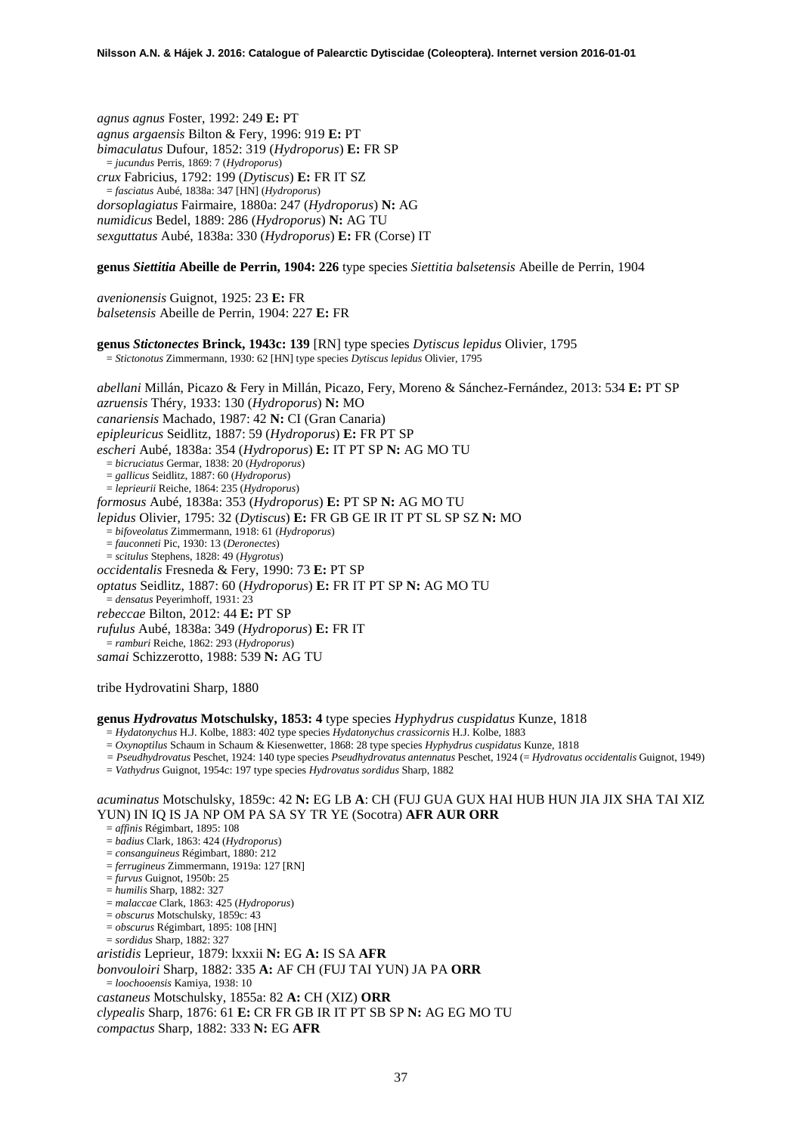*agnus agnus* Foster, 1992: 249 **E:** PT *agnus argaensis* Bilton & Fery, 1996: 919 **E:** PT *bimaculatus* Dufour, 1852: 319 (*Hydroporus*) **E:** FR SP = *jucundus* Perris, 1869: 7 (*Hydroporus*) *crux* Fabricius, 1792: 199 (*Dytiscus*) **E:** FR IT SZ = *fasciatus* Aubé, 1838a: 347 [HN] (*Hydroporus*) *dorsoplagiatus* Fairmaire, 1880a: 247 (*Hydroporus*) **N:** AG *numidicus* Bedel, 1889: 286 (*Hydroporus*) **N:** AG TU *sexguttatus* Aubé, 1838a: 330 (*Hydroporus*) **E:** FR (Corse) IT

**genus** *Siettitia* **Abeille de Perrin, 1904: 226** type species *Siettitia balsetensis* Abeille de Perrin, 1904

*avenionensis* Guignot, 1925: 23 **E:** FR *balsetensis* Abeille de Perrin, 1904: 227 **E:** FR

**genus** *Stictonectes* **Brinck, 1943c: 139** [RN] type species *Dytiscus lepidus* Olivier, 1795 = *Stictonotus* Zimmermann, 1930: 62 [HN] type species *Dytiscus lepidus* Olivier, 1795

*abellani* Millán, Picazo & Fery in Millán, Picazo, Fery, Moreno & Sánchez-Fernández, 2013: 534 **E:** PT SP *azruensis* Théry, 1933: 130 (*Hydroporus*) **N:** MO *canariensis* Machado, 1987: 42 **N:** CI (Gran Canaria) *epipleuricus* Seidlitz, 1887: 59 (*Hydroporus*) **E:** FR PT SP *escheri* Aubé, 1838a: 354 (*Hydroporus*) **E:** IT PT SP **N:** AG MO TU = *bicruciatus* Germar, 1838: 20 (*Hydroporus*) = *gallicus* Seidlitz, 1887: 60 (*Hydroporus*) = *leprieurii* Reiche, 1864: 235 (*Hydroporus*) *formosus* Aubé, 1838a: 353 (*Hydroporus*) **E:** PT SP **N:** AG MO TU *lepidus* Olivier, 1795: 32 (*Dytiscus*) **E:** FR GB GE IR IT PT SL SP SZ **N:** MO = *bifoveolatus* Zimmermann, 1918: 61 (*Hydroporus*) = *fauconneti* Pic, 1930: 13 (*Deronectes*) = *scitulus* Stephens, 1828: 49 (*Hygrotus*) *occidentalis* Fresneda & Fery, 1990: 73 **E:** PT SP *optatus* Seidlitz, 1887: 60 (*Hydroporus*) **E:** FR IT PT SP **N:** AG MO TU = *densatus* Peyerimhoff, 1931: 23 *rebeccae* Bilton, 2012: 44 **E:** PT SP *rufulus* Aubé, 1838a: 349 (*Hydroporus*) **E:** FR IT = *ramburi* Reiche, 1862: 293 (*Hydroporus*) *samai* Schizzerotto, 1988: 539 **N:** AG TU

tribe Hydrovatini Sharp, 1880

### **genus** *Hydrovatus* **Motschulsky, 1853: 4** type species *Hyphydrus cuspidatus* Kunze, 1818

= *Hydatonychus* H.J. Kolbe, 1883: 402 type species *Hydatonychus crassicornis* H.J. Kolbe, 1883

= *Oxynoptilus* Schaum in Schaum & Kiesenwetter, 1868: 28 type species *Hyphydrus cuspidatus* Kunze, 1818

*= Pseudhydrovatus* Peschet, 1924: 140 type species *Pseudhydrovatus antennatus* Peschet, 1924 (= *Hydrovatus occidentalis* Guignot, 1949)

= *Vathydrus* Guignot, 1954c: 197 type species *Hydrovatus sordidus* Sharp, 1882

### *acuminatus* Motschulsky, 1859c: 42 **N:** EG LB **A**: CH (FUJ GUA GUX HAI HUB HUN JIA JIX SHA TAI XIZ YUN) IN IQ IS JA NP OM PA SA SY TR YE (Socotra) **AFR AUR ORR**

= *affinis* Régimbart, 1895: 108

- = *badius* Clark, 1863: 424 (*Hydroporus*)
- = *consanguineus* Régimbart, 1880: 212
- = *ferrugineus* Zimmermann, 1919a: 127 [RN]
- = *furvus* Guignot, 1950b: 25
- = *humilis* Sharp, 1882: 327
- = *malaccae* Clark, 1863: 425 (*Hydroporus*)
- = *obscurus* Motschulsky, 1859c: 43
- = *obscurus* Régimbart, 1895: 108 [HN]
- = *sordidus* Sharp, 1882: 327

*aristidis* Leprieur, 1879: lxxxii **N:** EG **A:** IS SA **AFR**

- *bonvouloiri* Sharp, 1882: 335 **A:** AF CH (FUJ TAI YUN) JA PA **ORR**
- = *loochooensis* Kamiya, 1938: 10

*castaneus* Motschulsky, 1855a: 82 **A:** CH (XIZ) **ORR**

*clypealis* Sharp, 1876: 61 **E:** CR FR GB IR IT PT SB SP **N:** AG EG MO TU

*compactus* Sharp, 1882: 333 **N:** EG **AFR**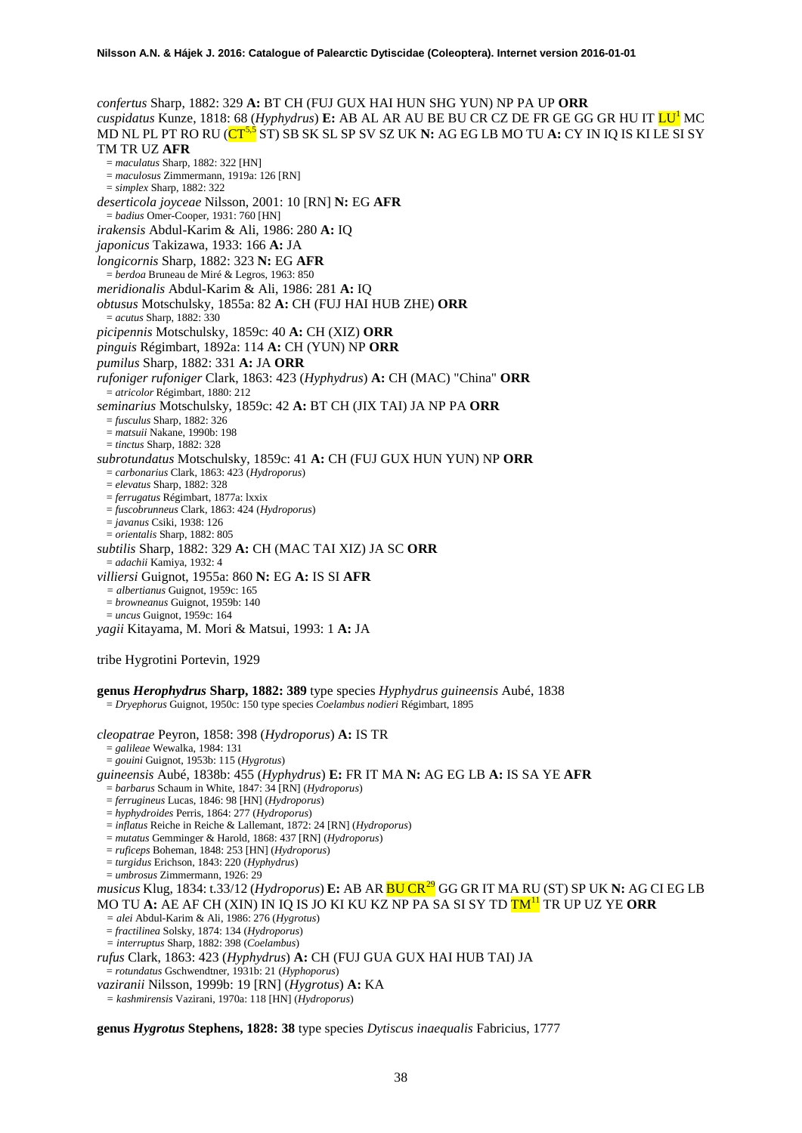*confertus* Sharp, 1882: 329 **A:** BT CH (FUJ GUX HAI HUN SHG YUN) NP PA UP **ORR** *cuspidatus* Kunze, 1818: 68 (*Hyphydrus*) **E:** AB AL AR AU BE BU CR CZ DE FR GE GG GR HU IT LU<sup>1</sup> MC MD NL PL PT RO RU (CT[5,5](#page-4-0) ST) SB SK SL SP SV SZ UK **N:** AG EG LB MO TU **A:** CY IN IQ IS KI LE SI SY TM TR UZ **AFR** = *maculatus* Sharp, 1882: 322 [HN] = *maculosus* Zimmermann, 1919a: 126 [RN] = *simplex* Sharp, 1882: 322 *deserticola joyceae* Nilsson, 2001: 10 [RN] **N:** EG **AFR** = *badius* Omer-Cooper, 1931: 760 [HN] *irakensis* Abdul-Karim & Ali, 1986: 280 **A:** IQ *japonicus* Takizawa, 1933: 166 **A:** JA *longicornis* Sharp, 1882: 323 **N:** EG **AFR** = *berdoa* Bruneau de Miré & Legros, 1963: 850 *meridionalis* Abdul-Karim & Ali, 1986: 281 **A:** IQ *obtusus* Motschulsky, 1855a: 82 **A:** CH (FUJ HAI HUB ZHE) **ORR** = *acutus* Sharp, 1882: 330 *picipennis* Motschulsky, 1859c: 40 **A:** CH (XIZ) **ORR** *pinguis* Régimbart, 1892a: 114 **A:** CH (YUN) NP **ORR** *pumilus* Sharp, 1882: 331 **A:** JA **ORR** *rufoniger rufoniger* Clark, 1863: 423 (*Hyphydrus*) **A:** CH (MAC) "China" **ORR** = *atricolor* Régimbart, 1880: 212 *seminarius* Motschulsky, 1859c: 42 **A:** BT CH (JIX TAI) JA NP PA **ORR** = *fusculus* Sharp, 1882: 326 = *matsuii* Nakane, 1990b: 198 = *tinctus* Sharp, 1882: 328 *subrotundatus* Motschulsky, 1859c: 41 **A:** CH (FUJ GUX HUN YUN) NP **ORR** = *carbonarius* Clark, 1863: 423 (*Hydroporus*) = *elevatus* Sharp, 1882: 328 = *ferrugatus* Régimbart, 1877a: lxxix = *fuscobrunneus* Clark, 1863: 424 (*Hydroporus*) = *javanus* Csiki, 1938: 126 = *orientalis* Sharp, 1882: 805 *subtilis* Sharp, 1882: 329 **A:** CH (MAC TAI XIZ) JA SC **ORR** = *adachii* Kamiya, 1932: 4 *villiersi* Guignot, 1955a: 860 **N:** EG **A:** IS SI **AFR** *= albertianus* Guignot, 1959c: 165 = *browneanus* Guignot, 1959b: 140 = *uncus* Guignot, 1959c: 164 *yagii* Kitayama, M. Mori & Matsui, 1993: 1 **A:** JA

tribe Hygrotini Portevin, 1929

**genus** *Herophydrus* **Sharp, 1882: 389** type species *Hyphydrus guineensis* Aubé, 1838 = *Dryephorus* Guignot, 1950c: 150 type species *Coelambus nodieri* Régimbart, 1895

*cleopatrae* Peyron, 1858: 398 (*Hydroporus*) **A:** IS TR = *galileae* Wewalka, 1984: 131 = *gouini* Guignot, 1953b: 115 (*Hygrotus*) *guineensis* Aubé, 1838b: 455 (*Hyphydrus*) **E:** FR IT MA **N:** AG EG LB **A:** IS SA YE **AFR** = *barbarus* Schaum in White, 1847: 34 [RN] (*Hydroporus*) = *ferrugineus* Lucas, 1846: 98 [HN] (*Hydroporus*) = *hyphydroides* Perris, 1864: 277 (*Hydroporus*) = *inflatus* Reiche in Reiche & Lallemant, 1872: 24 [RN] (*Hydroporus*) = *mutatus* Gemminger & Harold, 1868: 437 [RN] (*Hydroporus*) = *ruficeps* Boheman, 1848: 253 [HN] (*Hydroporus*) = *turgidus* Erichson, 1843: 220 (*Hyphydrus*) = *umbrosus* Zimmermann, 1926: 29 *musicus* Klug, 1834: t.33/12 (*Hydroporus*) **E:** AB AR BU CR[29](#page-46-0) GG GR IT MA RU (ST) SP UK **N:** AG CI EG LB MO TU **A:** AE AF CH (XIN) IN IQ IS JO KI KU KZ NP PA SA SI SY TD TM<sup>11</sup> TR UP UZ YE **ORR** *= alei* Abdul-Karim & Ali, 1986: 276 (*Hygrotus*) = *fractilinea* Solsky, 1874: 134 (*Hydroporus*) *= interruptus* Sharp, 1882: 398 (*Coelambus*) *rufus* Clark, 1863: 423 (*Hyphydrus*) **A:** CH (FUJ GUA GUX HAI HUB TAI) JA = *rotundatus* Gschwendtner, 1931b: 21 (*Hyphoporus*)

*vaziranii* Nilsson, 1999b: 19 [RN] (*Hygrotus*) **A:** KA

*= kashmirensis* Vazirani, 1970a: 118 [HN] (*Hydroporus*)

**genus** *Hygrotus* **Stephens, 1828: 38** type species *Dytiscus inaequalis* Fabricius, 1777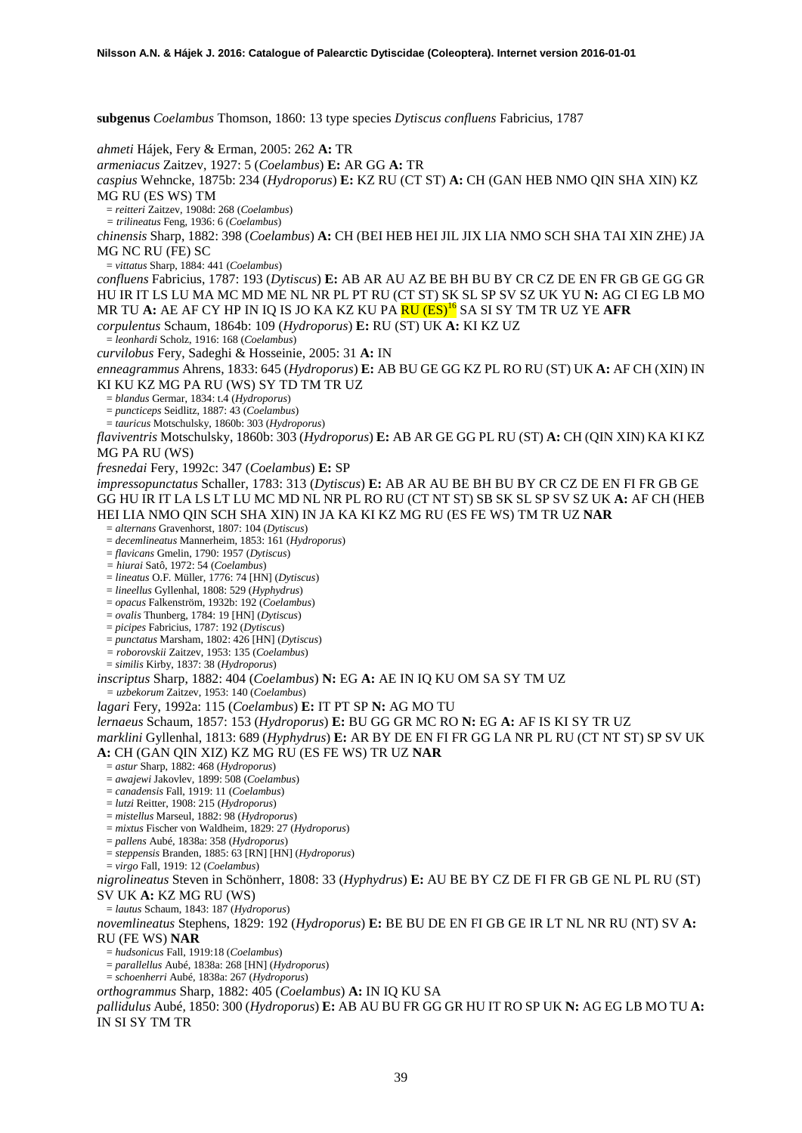**subgenus** *Coelambus* Thomson, 1860: 13 type species *Dytiscus confluens* Fabricius, 1787 *ahmeti* Hájek, Fery & Erman, 2005: 262 **A:** TR *armeniacus* Zaitzev, 1927: 5 (*Coelambus*) **E:** AR GG **A:** TR *caspius* Wehncke, 1875b: 234 (*Hydroporus*) **E:** KZ RU (CT ST) **A:** CH (GAN HEB NMO QIN SHA XIN) KZ MG RU (ES WS) TM = *reitteri* Zaitzev, 1908d: 268 (*Coelambus*) *= trilineatus* Feng, 1936: 6 (*Coelambus*) *chinensis* Sharp, 1882: 398 (*Coelambus*) **A:** CH (BEI HEB HEI JIL JIX LIA NMO SCH SHA TAI XIN ZHE) JA MG NC RU (FE) SC = *vittatus* Sharp, 1884: 441 (*Coelambus*) *confluens* Fabricius, 1787: 193 (*Dytiscus*) **E:** AB AR AU AZ BE BH BU BY CR CZ DE EN FR GB GE GG GR HU IR IT LS LU MA MC MD ME NL NR PL PT RU (CT ST) SK SL SP SV SZ UK YU **N:** AG CI EG LB MO MR TU **A:** AE AF CY HP IN IQ IS JO KA KZ KU PA RU (ES)<sup>16</sup> SA SI SY TM TR UZ YE **AFR** *corpulentus* Schaum, 1864b: 109 (*Hydroporus*) **E:** RU (ST) UK **A:** KI KZ UZ = *leonhardi* Scholz, 1916: 168 (*Coelambus*) *curvilobus* Fery, Sadeghi & Hosseinie, 2005: 31 **A:** IN *enneagrammus* Ahrens, 1833: 645 (*Hydroporus*) **E:** AB BU GE GG KZ PL RO RU (ST) UK **A:** AF CH (XIN) IN KI KU KZ MG PA RU (WS) SY TD TM TR UZ = *blandus* Germar, 1834: t.4 (*Hydroporus*) = *puncticeps* Seidlitz, 1887: 43 (*Coelambus*) = *tauricus* Motschulsky, 1860b: 303 (*Hydroporus*) *flaviventris* Motschulsky, 1860b: 303 (*Hydroporus*) **E:** AB AR GE GG PL RU (ST) **A:** CH (QIN XIN) KA KI KZ MG PA RU (WS) *fresnedai* Fery, 1992c: 347 (*Coelambus*) **E:** SP *impressopunctatus* Schaller, 1783: 313 (*Dytiscus*) **E:** AB AR AU BE BH BU BY CR CZ DE EN FI FR GB GE GG HU IR IT LA LS LT LU MC MD NL NR PL RO RU (CT NT ST) SB SK SL SP SV SZ UK **A:** AF CH (HEB HEI LIA NMO QIN SCH SHA XIN) IN JA KA KI KZ MG RU (ES FE WS) TM TR UZ **NAR** = *alternans* Gravenhorst, 1807: 104 (*Dytiscus*) = *decemlineatus* Mannerheim, 1853: 161 (*Hydroporus*) = *flavicans* Gmelin, 1790: 1957 (*Dytiscus*) *= hiurai* Satô, 1972: 54 (*Coelambus*) = *lineatus* O.F. Müller, 1776: 74 [HN] (*Dytiscus*) = *lineellus* Gyllenhal, 1808: 529 (*Hyphydrus*) = *opacus* Falkenström, 1932b: 192 (*Coelambus*) = *ovalis* Thunberg, 1784: 19 [HN] (*Dytiscus*) = *picipes* Fabricius, 1787: 192 (*Dytiscus*) = *punctatus* Marsham, 1802: 426 [HN] (*Dytiscus*) *= roborovskii* Zaitzev, 1953: 135 (*Coelambus*) = *similis* Kirby, 1837: 38 (*Hydroporus*) *inscriptus* Sharp, 1882: 404 (*Coelambus*) **N:** EG **A:** AE IN IQ KU OM SA SY TM UZ *= uzbekorum* Zaitzev, 1953: 140 (*Coelambus*) *lagari* Fery, 1992a: 115 (*Coelambus*) **E:** IT PT SP **N:** AG MO TU *lernaeus* Schaum, 1857: 153 (*Hydroporus*) **E:** BU GG GR MC RO **N:** EG **A:** AF IS KI SY TR UZ *marklini* Gyllenhal, 1813: 689 (*Hyphydrus*) **E:** AR BY DE EN FI FR GG LA NR PL RU (CT NT ST) SP SV UK **A:** CH (GAN QIN XIZ) KZ MG RU (ES FE WS) TR UZ **NAR** = *astur* Sharp, 1882: 468 (*Hydroporus*) = *awajewi* Jakovlev, 1899: 508 (*Coelambus*) = *canadensis* Fall, 1919: 11 (*Coelambus*) = *lutzi* Reitter, 1908: 215 (*Hydroporus*) = *mistellus* Marseul, 1882: 98 (*Hydroporus*) = *mixtus* Fischer von Waldheim, 1829: 27 (*Hydroporus*) = *pallens* Aubé, 1838a: 358 (*Hydroporus*) = *steppensis* Branden, 1885: 63 [RN] [HN] (*Hydroporus*) = *virgo* Fall, 1919: 12 (*Coelambus*) *nigrolineatus* Steven in Schönherr, 1808: 33 (*Hyphydrus*) **E:** AU BE BY CZ DE FI FR GB GE NL PL RU (ST) SV UK **A:** KZ MG RU (WS) = *lautus* Schaum, 1843: 187 (*Hydroporus*) *novemlineatus* Stephens, 1829: 192 (*Hydroporus*) **E:** BE BU DE EN FI GB GE IR LT NL NR RU (NT) SV **A:**  RU (FE WS) **NAR** = *hudsonicus* Fall, 1919:18 (*Coelambus*) = *parallellus* Aubé, 1838a: 268 [HN] (*Hydroporus*)

= *schoenherri* Aubé, 1838a: 267 (*Hydroporus*)

*orthogrammus* Sharp, 1882: 405 (*Coelambus*) **A:** IN IQ KU SA

*pallidulus* Aubé, 1850: 300 (*Hydroporus*) **E:** AB AU BU FR GG GR HU IT RO SP UK **N:** AG EG LB MO TU **A:**  IN SI SY TM TR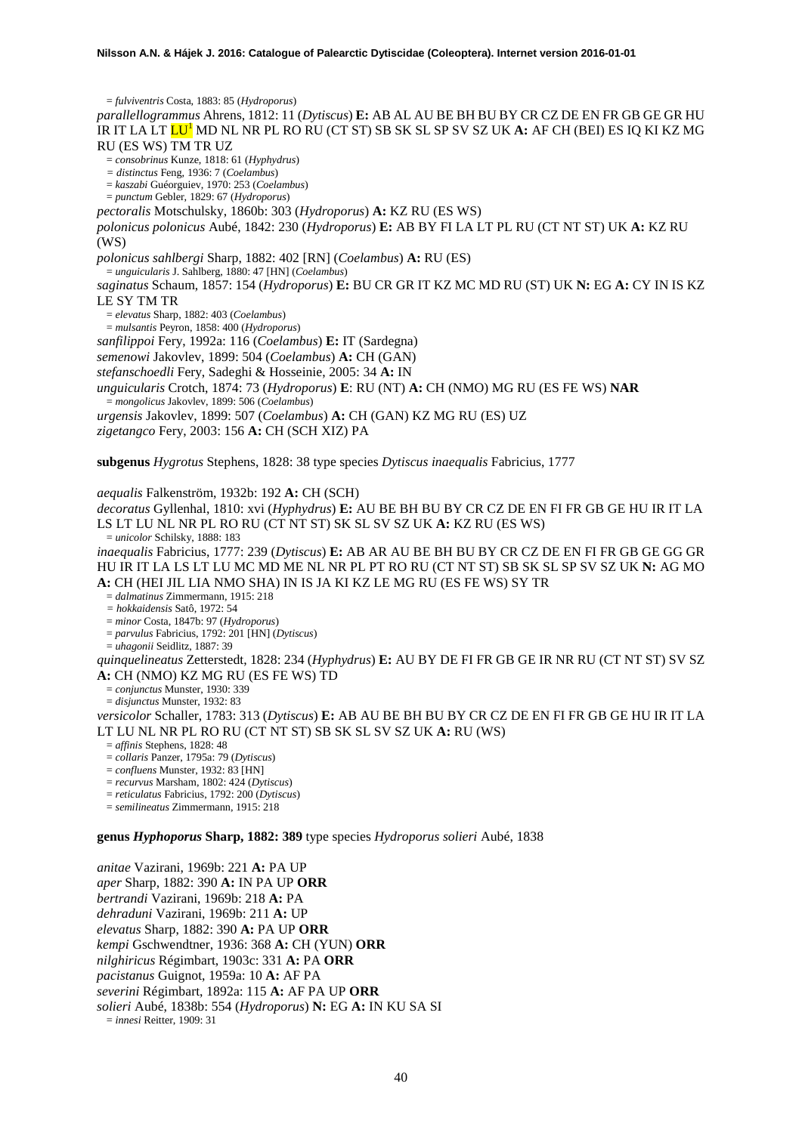= *fulviventris* Costa, 1883: 85 (*Hydroporus*) *parallellogrammus* Ahrens, 1812: 11 (*Dytiscus*) **E:** AB AL AU BE BH BU BY CR CZ DE EN FR GB GE GR HU IR IT LA LT LU<sup>1</sup> MD NL NR PL RO RU (CT ST) SB SK SL SP SV SZ UK **A:** AF CH (BEI) ES IQ KI KZ MG RU (ES WS) TM TR UZ = *consobrinus* Kunze, 1818: 61 (*Hyphydrus*) *= distinctus* Feng, 1936: 7 (*Coelambus*) = *kaszabi* Guéorguiev, 1970: 253 (*Coelambus*) = *punctum* Gebler, 1829: 67 (*Hydroporus*) *pectoralis* Motschulsky, 1860b: 303 (*Hydroporus*) **A:** KZ RU (ES WS) *polonicus polonicus* Aubé, 1842: 230 (*Hydroporus*) **E:** AB BY FI LA LT PL RU (CT NT ST) UK **A:** KZ RU (WS) *polonicus sahlbergi* Sharp, 1882: 402 [RN] (*Coelambus*) **A:** RU (ES) = *unguicularis* J. Sahlberg, 1880: 47 [HN] (*Coelambus*) *saginatus* Schaum, 1857: 154 (*Hydroporus*) **E:** BU CR GR IT KZ MC MD RU (ST) UK **N:** EG **A:** CY IN IS KZ LE SY TM TR = *elevatus* Sharp, 1882: 403 (*Coelambus*) = *mulsantis* Peyron, 1858: 400 (*Hydroporus*) *sanfilippoi* Fery, 1992a: 116 (*Coelambus*) **E:** IT (Sardegna) *semenowi* Jakovlev, 1899: 504 (*Coelambus*) **A:** CH (GAN) *stefanschoedli* Fery, Sadeghi & Hosseinie, 2005: 34 **A:** IN *unguicularis* Crotch, 1874: 73 (*Hydroporus*) **E**: RU (NT) **A:** CH (NMO) MG RU (ES FE WS) **NAR** = *mongolicus* Jakovlev, 1899: 506 (*Coelambus*) *urgensis* Jakovlev, 1899: 507 (*Coelambus*) **A:** CH (GAN) KZ MG RU (ES) UZ *zigetangco* Fery, 2003: 156 **A:** CH (SCH XIZ) PA **subgenus** *Hygrotus* Stephens, 1828: 38 type species *Dytiscus inaequalis* Fabricius, 1777 *aequalis* Falkenström, 1932b: 192 **A:** CH (SCH) *decoratus* Gyllenhal, 1810: xvi (*Hyphydrus*) **E:** AU BE BH BU BY CR CZ DE EN FI FR GB GE HU IR IT LA LS LT LU NL NR PL RO RU (CT NT ST) SK SL SV SZ UK **A:** KZ RU (ES WS) = *unicolor* Schilsky, 1888: 183 *inaequalis* Fabricius, 1777: 239 (*Dytiscus*) **E:** AB AR AU BE BH BU BY CR CZ DE EN FI FR GB GE GG GR HU IR IT LA LS LT LU MC MD ME NL NR PL PT RO RU (CT NT ST) SB SK SL SP SV SZ UK **N:** AG MO **A:** CH (HEI JIL LIA NMO SHA) IN IS JA KI KZ LE MG RU (ES FE WS) SY TR = *dalmatinus* Zimmermann, 1915: 218 *= hokkaidensis* Satô, 1972: 54 = *minor* Costa, 1847b: 97 (*Hydroporus*) = *parvulus* Fabricius, 1792: 201 [HN] (*Dytiscus*) = *uhagonii* Seidlitz, 1887: 39 *quinquelineatus* Zetterstedt, 1828: 234 (*Hyphydrus*) **E:** AU BY DE FI FR GB GE IR NR RU (CT NT ST) SV SZ **A:** CH (NMO) KZ MG RU (ES FE WS) TD = *conjunctus* Munster, 1930: 339 = *disjunctus* Munster, 1932: 83 *versicolor* Schaller, 1783: 313 (*Dytiscus*) **E:** AB AU BE BH BU BY CR CZ DE EN FI FR GB GE HU IR IT LA LT LU NL NR PL RO RU (CT NT ST) SB SK SL SV SZ UK **A:** RU (WS) = *affinis* Stephens, 1828: 48 = *collaris* Panzer, 1795a: 79 (*Dytiscus*) = *confluens* Munster, 1932: 83 [HN] = *recurvus* Marsham, 1802: 424 (*Dytiscus*) = *reticulatus* Fabricius, 1792: 200 (*Dytiscus*) = *semilineatus* Zimmermann, 1915: 218 **genus** *Hyphoporus* **Sharp, 1882: 389** type species *Hydroporus solieri* Aubé, 1838

*anitae* Vazirani, 1969b: 221 **A:** PA UP *aper* Sharp, 1882: 390 **A:** IN PA UP **ORR** *bertrandi* Vazirani, 1969b: 218 **A:** PA *dehraduni* Vazirani, 1969b: 211 **A:** UP *elevatus* Sharp, 1882: 390 **A:** PA UP **ORR** *kempi* Gschwendtner, 1936: 368 **A:** CH (YUN) **ORR** *nilghiricus* Régimbart, 1903c: 331 **A:** PA **ORR** *pacistanus* Guignot, 1959a: 10 **A:** AF PA *severini* Régimbart, 1892a: 115 **A:** AF PA UP **ORR** *solieri* Aubé, 1838b: 554 (*Hydroporus*) **N:** EG **A:** IN KU SA SI = *innesi* Reitter, 1909: 31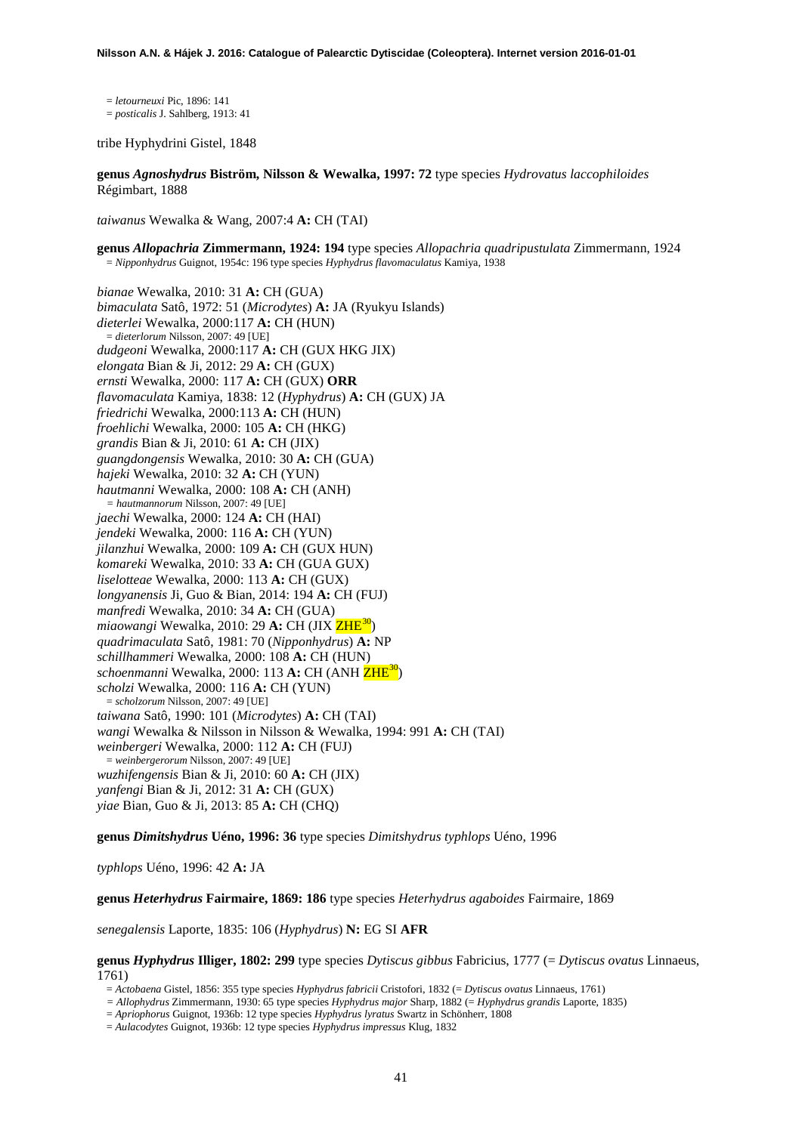= *letourneuxi* Pic, 1896: 141 = *posticalis* J. Sahlberg, 1913: 41

tribe Hyphydrini Gistel, 1848

**genus** *Agnoshydrus* **Biström, Nilsson & Wewalka, 1997: 72** type species *Hydrovatus laccophiloides* Régimbart, 1888

*taiwanus* Wewalka & Wang, 2007:4 **A:** CH (TAI)

**genus** *Allopachria* **Zimmermann, 1924: 194** type species *Allopachria quadripustulata* Zimmermann, 1924 = *Nipponhydrus* Guignot, 1954c: 196 type species *Hyphydrus flavomaculatus* Kamiya, 1938

*bianae* Wewalka, 2010: 31 **A:** CH (GUA) *bimaculata* Satô, 1972: 51 (*Microdytes*) **A:** JA (Ryukyu Islands) *dieterlei* Wewalka, 2000:117 **A:** CH (HUN) = *dieterlorum* Nilsson, 2007: 49 [UE] *dudgeoni* Wewalka, 2000:117 **A:** CH (GUX HKG JIX) *elongata* Bian & Ji, 2012: 29 **A:** CH (GUX) *ernsti* Wewalka, 2000: 117 **A:** CH (GUX) **ORR** *flavomaculata* Kamiya, 1838: 12 (*Hyphydrus*) **A:** CH (GUX) JA *friedrichi* Wewalka, 2000:113 **A:** CH (HUN) *froehlichi* Wewalka, 2000: 105 **A:** CH (HKG) *grandis* Bian & Ji, 2010: 61 **A:** CH (JIX) *guangdongensis* Wewalka, 2010: 30 **A:** CH (GUA) *hajeki* Wewalka, 2010: 32 **A:** CH (YUN) *hautmanni* Wewalka, 2000: 108 **A:** CH (ANH) *= hautmannorum* Nilsson, 2007: 49 [UE] *jaechi* Wewalka, 2000: 124 **A:** CH (HAI) *jendeki* Wewalka, 2000: 116 **A:** CH (YUN) *jilanzhui* Wewalka, 2000: 109 **A:** CH (GUX HUN) *komareki* Wewalka, 2010: 33 **A:** CH (GUA GUX) *liselotteae* Wewalka, 2000: 113 **A:** CH (GUX) *longyanensis* Ji, Guo & Bian, 2014: 194 **A:** CH (FUJ) *manfredi* Wewalka, 2010: 34 **A:** CH (GUA) *miaowangi* Wewalka, 2010: 29 **A:** CH (JIX ZHE[30\)](#page-46-1) *quadrimaculata* Satô, 1981: 70 (*Nipponhydrus*) **A:** NP *schillhammeri* Wewalka, 2000: 108 **A:** CH (HUN) *schoenmanni* Wewalka, 2000: 113 **A:** CH (ANH ZHE30) *scholzi* Wewalka, 2000: 116 **A:** CH (YUN) = *scholzorum* Nilsson, 2007: 49 [UE] *taiwana* Satô, 1990: 101 (*Microdytes*) **A:** CH (TAI) *wangi* Wewalka & Nilsson in Nilsson & Wewalka, 1994: 991 **A:** CH (TAI) *weinbergeri* Wewalka, 2000: 112 **A:** CH (FUJ) = *weinbergerorum* Nilsson, 2007: 49 [UE] *wuzhifengensis* Bian & Ji, 2010: 60 **A:** CH (JIX) *yanfengi* Bian & Ji, 2012: 31 **A:** CH (GUX) *yiae* Bian, Guo & Ji, 2013: 85 **A:** CH (CHQ)

**genus** *Dimitshydrus* **Uéno, 1996: 36** type species *Dimitshydrus typhlops* Uéno, 1996

*typhlops* Uéno, 1996: 42 **A:** JA

**genus** *Heterhydrus* **Fairmaire, 1869: 186** type species *Heterhydrus agaboides* Fairmaire, 1869

*senegalensis* Laporte, 1835: 106 (*Hyphydrus*) **N:** EG SI **AFR**

**genus** *Hyphydrus* **Illiger, 1802: 299** type species *Dytiscus gibbus* Fabricius, 1777 (= *Dytiscus ovatus* Linnaeus, 1761)

= *Actobaena* Gistel, 1856: 355 type species *Hyphydrus fabricii* Cristofori, 1832 (= *Dytiscus ovatus* Linnaeus, 1761)

- *= Allophydrus* Zimmermann, 1930: 65 type species *Hyphydrus major* Sharp, 1882 (= *Hyphydrus grandis* Laporte, 1835)
- = *Apriophorus* Guignot, 1936b: 12 type species *Hyphydrus lyratus* Swartz in Schönherr, 1808

= *Aulacodytes* Guignot, 1936b: 12 type species *Hyphydrus impressus* Klug, 1832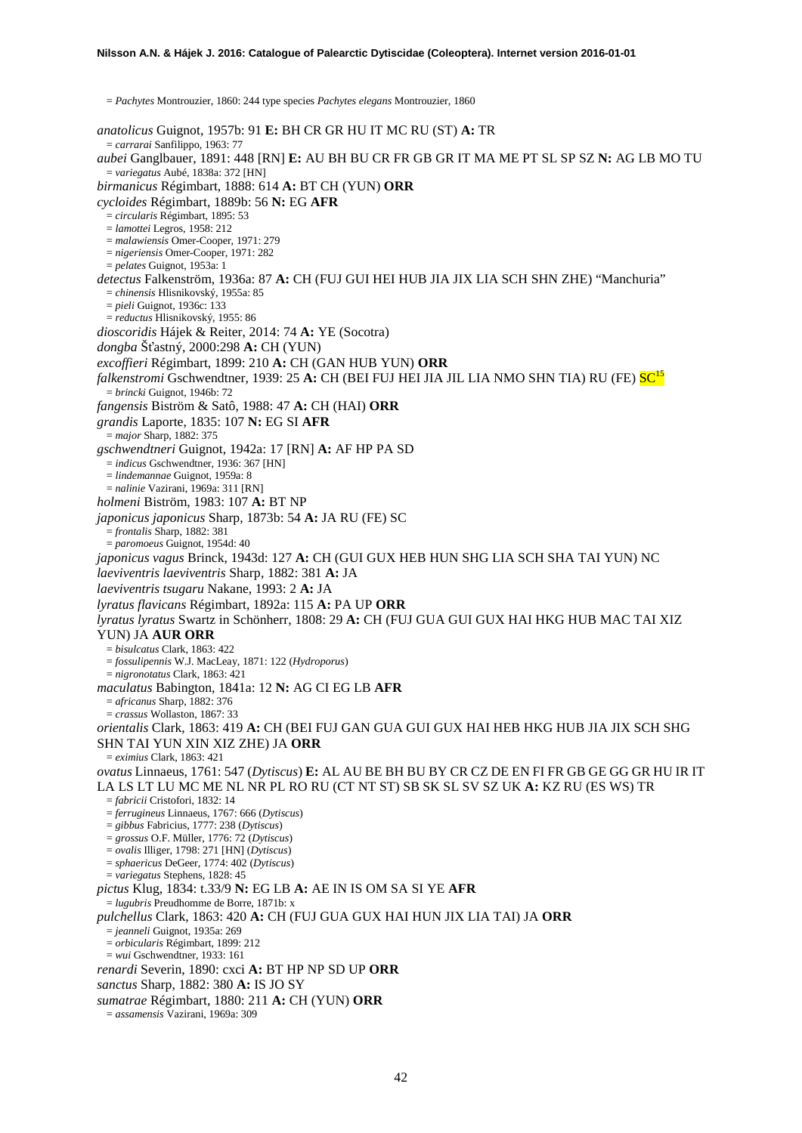= *Pachytes* Montrouzier, 1860: 244 type species *Pachytes elegans* Montrouzier, 1860 *anatolicus* Guignot, 1957b: 91 **E:** BH CR GR HU IT MC RU (ST) **A:** TR = *carrarai* Sanfilippo, 1963: 77 *aubei* Ganglbauer, 1891: 448 [RN] **E:** AU BH BU CR FR GB GR IT MA ME PT SL SP SZ **N:** AG LB MO TU = *variegatus* Aubé, 1838a: 372 [HN] *birmanicus* Régimbart, 1888: 614 **A:** BT CH (YUN) **ORR** *cycloides* Régimbart, 1889b: 56 **N:** EG **AFR** = *circularis* Régimbart, 1895: 53 = *lamottei* Legros, 1958: 212 = *malawiensis* Omer-Cooper, 1971: 279 = *nigeriensis* Omer-Cooper, 1971: 282 = *pelates* Guignot, 1953a: 1 *detectus* Falkenström, 1936a: 87 **A:** CH (FUJ GUI HEI HUB JIA JIX LIA SCH SHN ZHE) "Manchuria" = *chinensis* Hlisnikovský, 1955a: 85 = *pieli* Guignot, 1936c: 133 = *reductus* Hlisnikovský, 1955: 86 *dioscoridis* Hájek & Reiter, 2014: 74 **A:** YE (Socotra) *dongba* Šťastný, 2000:298 **A:** CH (YUN) *excoffieri* Régimbart, 1899: 210 **A:** CH (GAN HUB YUN) **ORR** *falkenstromi* Gschwendtner, 1939: 25 **A:** CH (BEI FUJ HEI JIA JIL LIA NMO SHN TIA) RU (FE) SC15 = *brincki* Guignot, 1946b: 72 *fangensis* Biström & Satô, 1988: 47 **A:** CH (HAI) **ORR** *grandis* Laporte, 1835: 107 **N:** EG SI **AFR** = *major* Sharp, 1882: 375 *gschwendtneri* Guignot, 1942a: 17 [RN] **A:** AF HP PA SD = *indicus* Gschwendtner, 1936: 367 [HN] = *lindemannae* Guignot, 1959a: 8 = *nalinie* Vazirani, 1969a: 311 [RN] *holmeni* Biström, 1983: 107 **A:** BT NP *japonicus japonicus* Sharp, 1873b: 54 **A:** JA RU (FE) SC = *frontalis* Sharp, 1882: 381 = *paromoeus* Guignot, 1954d: 40 *japonicus vagus* Brinck, 1943d: 127 **A:** CH (GUI GUX HEB HUN SHG LIA SCH SHA TAI YUN) NC *laeviventris laeviventris* Sharp, 1882: 381 **A:** JA *laeviventris tsugaru* Nakane, 1993: 2 **A:** JA *lyratus flavicans* Régimbart, 1892a: 115 **A:** PA UP **ORR** *lyratus lyratus* Swartz in Schönherr, 1808: 29 **A:** CH (FUJ GUA GUI GUX HAI HKG HUB MAC TAI XIZ YUN) JA **AUR ORR** = *bisulcatus* Clark, 1863: 422 = *fossulipennis* W.J. MacLeay, 1871: 122 (*Hydroporus*) = *nigronotatus* Clark, 1863: 421 *maculatus* Babington, 1841a: 12 **N:** AG CI EG LB **AFR** = *africanus* Sharp, 1882: 376 = *crassus* Wollaston, 1867: 33 *orientalis* Clark, 1863: 419 **A:** CH (BEI FUJ GAN GUA GUI GUX HAI HEB HKG HUB JIA JIX SCH SHG SHN TAI YUN XIN XIZ ZHE) JA **ORR** = *eximius* Clark, 1863: 421 *ovatus* Linnaeus, 1761: 547 (*Dytiscus*) **E:** AL AU BE BH BU BY CR CZ DE EN FI FR GB GE GG GR HU IR IT LA LS LT LU MC ME NL NR PL RO RU (CT NT ST) SB SK SL SV SZ UK **A:** KZ RU (ES WS) TR = *fabricii* Cristofori, 1832: 14 = *ferrugineus* Linnaeus, 1767: 666 (*Dytiscus*) = *gibbus* Fabricius, 1777: 238 (*Dytiscus*) = *grossus* O.F. Müller, 1776: 72 (*Dytiscus*) = *ovalis* Illiger, 1798: 271 [HN] (*Dytiscus*) = *sphaericus* DeGeer, 1774: 402 (*Dytiscus*) = *variegatus* Stephens, 1828: 45 *pictus* Klug, 1834: t.33/9 **N:** EG LB **A:** AE IN IS OM SA SI YE **AFR** = *lugubris* Preudhomme de Borre, 1871b: x *pulchellus* Clark, 1863: 420 **A:** CH (FUJ GUA GUX HAI HUN JIX LIA TAI) JA **ORR** = *jeanneli* Guignot, 1935a: 269 = *orbicularis* Régimbart, 1899: 212 = *wui* Gschwendtner, 1933: 161 *renardi* Severin, 1890: cxci **A:** BT HP NP SD UP **ORR** *sanctus* Sharp, 1882: 380 **A:** IS JO SY *sumatrae* Régimbart, 1880: 211 **A:** CH (YUN) **ORR** = *assamensis* Vazirani, 1969a: 309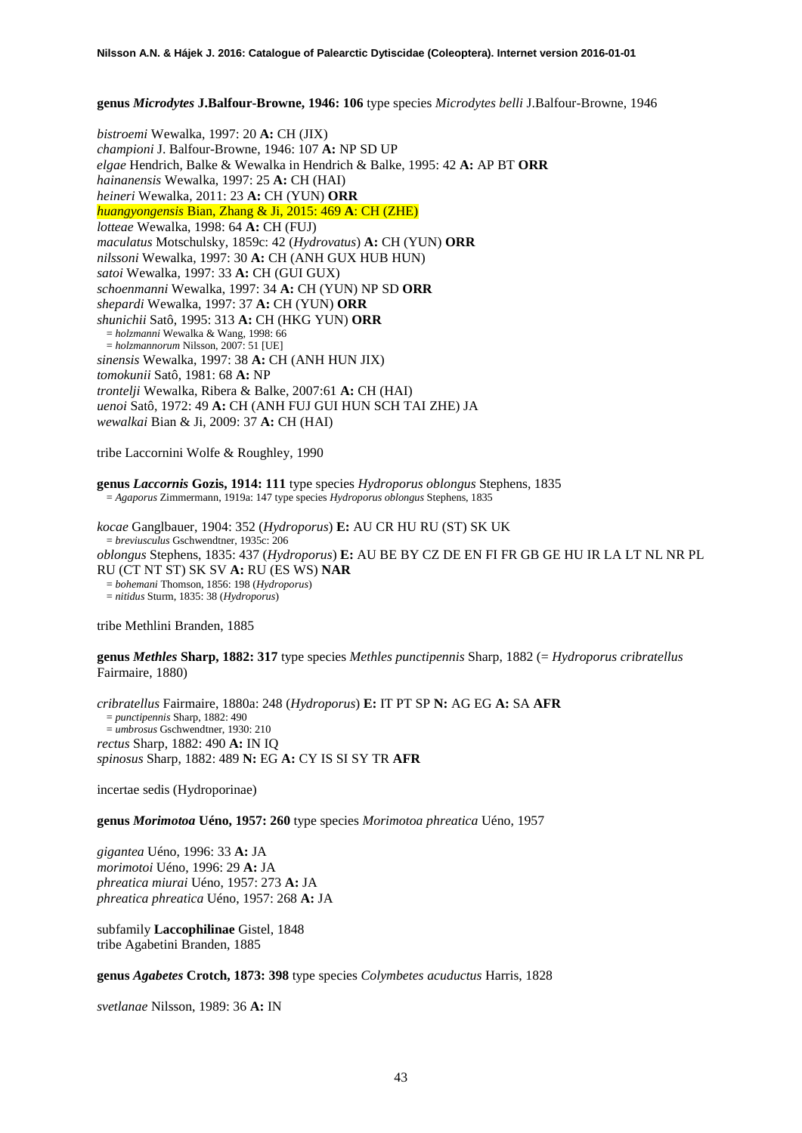**genus** *Microdytes* **J.Balfour-Browne, 1946: 106** type species *Microdytes belli* J.Balfour-Browne, 1946

*bistroemi* Wewalka, 1997: 20 **A:** CH (JIX) *championi* J. Balfour-Browne, 1946: 107 **A:** NP SD UP *elgae* Hendrich, Balke & Wewalka in Hendrich & Balke, 1995: 42 **A:** AP BT **ORR** *hainanensis* Wewalka, 1997: 25 **A:** CH (HAI) *heineri* Wewalka, 2011: 23 **A:** CH (YUN) **ORR** *huangyongensis* Bian, Zhang & Ji, 2015: 469 **A**: CH (ZHE) *lotteae* Wewalka, 1998: 64 **A:** CH (FUJ) *maculatus* Motschulsky, 1859c: 42 (*Hydrovatus*) **A:** CH (YUN) **ORR** *nilssoni* Wewalka, 1997: 30 **A:** CH (ANH GUX HUB HUN) *satoi* Wewalka, 1997: 33 **A:** CH (GUI GUX) *schoenmanni* Wewalka, 1997: 34 **A:** CH (YUN) NP SD **ORR** *shepardi* Wewalka, 1997: 37 **A:** CH (YUN) **ORR** *shunichii* Satô, 1995: 313 **A:** CH (HKG YUN) **ORR** = *holzmanni* Wewalka & Wang, 1998: 66 = *holzmannorum* Nilsson, 2007: 51 [UE] *sinensis* Wewalka, 1997: 38 **A:** CH (ANH HUN JIX) *tomokunii* Satô, 1981: 68 **A:** NP *trontelji* Wewalka, Ribera & Balke, 2007:61 **A:** CH (HAI) *uenoi* Satô, 1972: 49 **A:** CH (ANH FUJ GUI HUN SCH TAI ZHE) JA *wewalkai* Bian & Ji, 2009: 37 **A:** CH (HAI)

tribe Laccornini Wolfe & Roughley, 1990

**genus** *Laccornis* **Gozis, 1914: 111** type species *Hydroporus oblongus* Stephens, 1835 = *Agaporus* Zimmermann, 1919a: 147 type species *Hydroporus oblongus* Stephens, 1835

*kocae* Ganglbauer, 1904: 352 (*Hydroporus*) **E:** AU CR HU RU (ST) SK UK = *breviusculus* Gschwendtner, 1935c: 206 *oblongus* Stephens, 1835: 437 (*Hydroporus*) **E:** AU BE BY CZ DE EN FI FR GB GE HU IR LA LT NL NR PL RU (CT NT ST) SK SV **A:** RU (ES WS) **NAR** = *bohemani* Thomson, 1856: 198 (*Hydroporus*) = *nitidus* Sturm, 1835: 38 (*Hydroporus*)

tribe Methlini Branden, 1885

**genus** *Methles* **Sharp, 1882: 317** type species *Methles punctipennis* Sharp, 1882 (= *Hydroporus cribratellus* Fairmaire, 1880)

*cribratellus* Fairmaire, 1880a: 248 (*Hydroporus*) **E:** IT PT SP **N:** AG EG **A:** SA **AFR** = *punctipennis* Sharp, 1882: 490 = *umbrosus* Gschwendtner, 1930: 210 *rectus* Sharp, 1882: 490 **A:** IN IQ *spinosus* Sharp, 1882: 489 **N:** EG **A:** CY IS SI SY TR **AFR**

incertae sedis (Hydroporinae)

**genus** *Morimotoa* **Uéno, 1957: 260** type species *Morimotoa phreatica* Uéno, 1957

*gigantea* Uéno, 1996: 33 **A:** JA *morimotoi* Uéno, 1996: 29 **A:** JA *phreatica miurai* Uéno, 1957: 273 **A:** JA *phreatica phreatica* Uéno, 1957: 268 **A:** JA

subfamily **Laccophilinae** Gistel, 1848 tribe Agabetini Branden, 1885

**genus** *Agabetes* **Crotch, 1873: 398** type species *Colymbetes acuductus* Harris, 1828

*svetlanae* Nilsson, 1989: 36 **A:** IN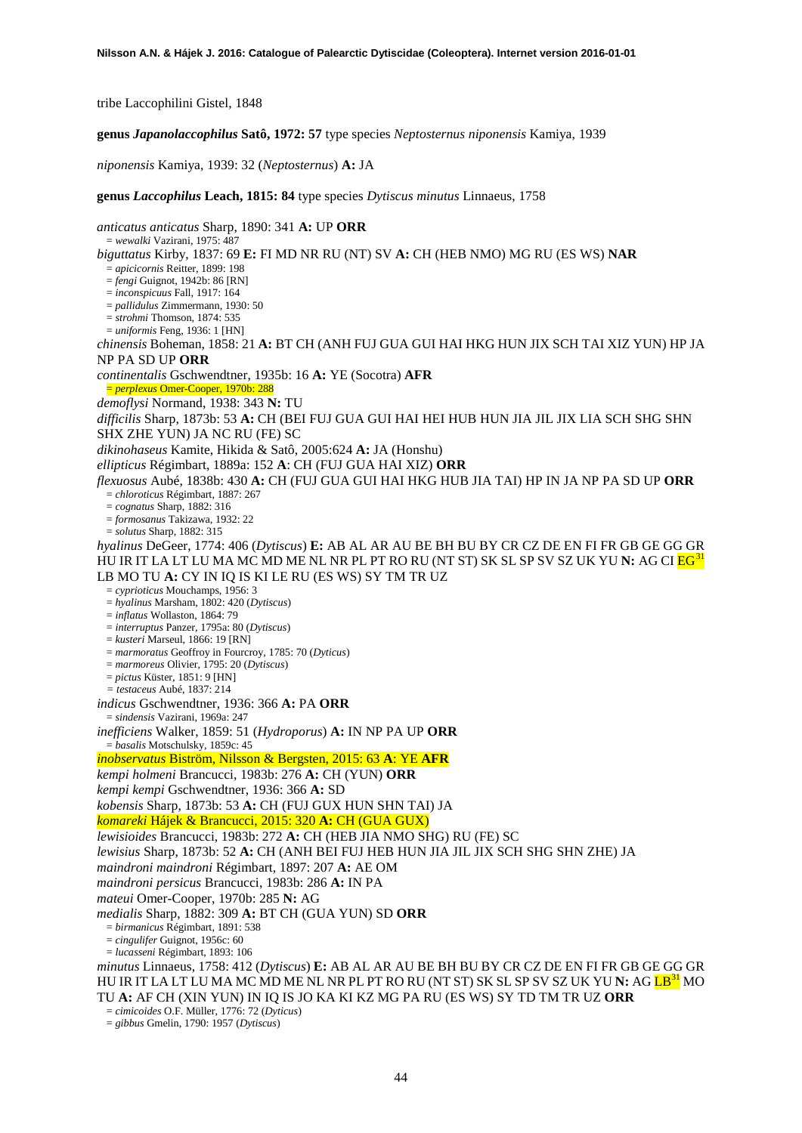tribe Laccophilini Gistel, 1848

**genus** *Japanolaccophilus* **Satô, 1972: 57** type species *Neptosternus niponensis* Kamiya, 1939

*niponensis* Kamiya, 1939: 32 (*Neptosternus*) **A:** JA

**genus** *Laccophilus* **Leach, 1815: 84** type species *Dytiscus minutus* Linnaeus, 1758

*anticatus anticatus* Sharp, 1890: 341 **A:** UP **ORR** = *wewalki* Vazirani, 1975: 487 *biguttatus* Kirby, 1837: 69 **E:** FI MD NR RU (NT) SV **A:** CH (HEB NMO) MG RU (ES WS) **NAR** = *apicicornis* Reitter, 1899: 198 = *fengi* Guignot, 1942b: 86 [RN] = *inconspicuus* Fall, 1917: 164 = *pallidulus* Zimmermann, 1930: 50 = *strohmi* Thomson, 1874: 535 = *uniformis* Feng, 1936: 1 [HN] *chinensis* Boheman, 1858: 21 **A:** BT CH (ANH FUJ GUA GUI HAI HKG HUN JIX SCH TAI XIZ YUN) HP JA NP PA SD UP **ORR** *continentalis* Gschwendtner, 1935b: 16 **A:** YE (Socotra) **AFR** = *perplexus* Omer-Cooper, 1970b: 288 *demoflysi* Normand, 1938: 343 **N:** TU *difficilis* Sharp, 1873b: 53 **A:** CH (BEI FUJ GUA GUI HAI HEI HUB HUN JIA JIL JIX LIA SCH SHG SHN SHX ZHE YUN) JA NC RU (FE) SC *dikinohaseus* Kamite, Hikida & Satô, 2005:624 **A:** JA (Honshu) *ellipticus* Régimbart, 1889a: 152 **A**: CH (FUJ GUA HAI XIZ) **ORR** *flexuosus* Aubé, 1838b: 430 **A:** CH (FUJ GUA GUI HAI HKG HUB JIA TAI) HP IN JA NP PA SD UP **ORR** = *chloroticus* Régimbart, 1887: 267 = *cognatus* Sharp, 1882: 316 = *formosanus* Takizawa, 1932: 22 = *solutus* Sharp, 1882: 315 *hyalinus* DeGeer, 1774: 406 (*Dytiscus*) **E:** AB AL AR AU BE BH BU BY CR CZ DE EN FI FR GB GE GG GR HU IR IT LA LT LU MA MC MD ME NL NR PL PT RO RU (NT ST) SK SL SP SV SZ UK YU **N:** AG CI EG[31](#page-46-2) LB MO TU **A:** CY IN IQ IS KI LE RU (ES WS) SY TM TR UZ = *cyprioticus* Mouchamps, 1956: 3 = *hyalinus* Marsham, 1802: 420 (*Dytiscus*) = *inflatus* Wollaston, 1864: 79 = *interruptus* Panzer, 1795a: 80 (*Dytiscus*) = *kusteri* Marseul, 1866: 19 [RN] = *marmoratus* Geoffroy in Fourcroy, 1785: 70 (*Dyticus*) = *marmoreus* Olivier, 1795: 20 (*Dytiscus*) = *pictus* Küster, 1851: 9 [HN] *= testaceus* Aubé, 1837: 214 *indicus* Gschwendtner, 1936: 366 **A:** PA **ORR** = *sindensis* Vazirani, 1969a: 247 *inefficiens* Walker, 1859: 51 (*Hydroporus*) **A:** IN NP PA UP **ORR** = *basalis* Motschulsky, 1859c: 45 *inobservatus* Biström, Nilsson & Bergsten, 2015: 63 **A**: YE **AFR** *kempi holmeni* Brancucci, 1983b: 276 **A:** CH (YUN) **ORR** *kempi kempi* Gschwendtner, 1936: 366 **A:** SD *kobensis* Sharp, 1873b: 53 **A:** CH (FUJ GUX HUN SHN TAI) JA *komareki* Hájek & Brancucci, 2015: 320 **A:** CH (GUA GUX) *lewisioides* Brancucci, 1983b: 272 **A:** CH (HEB JIA NMO SHG) RU (FE) SC *lewisius* Sharp, 1873b: 52 **A:** CH (ANH BEI FUJ HEB HUN JIA JIL JIX SCH SHG SHN ZHE) JA *maindroni maindroni* Régimbart, 1897: 207 **A:** AE OM *maindroni persicus* Brancucci, 1983b: 286 **A:** IN PA *mateui* Omer-Cooper, 1970b: 285 **N:** AG *medialis* Sharp, 1882: 309 **A:** BT CH (GUA YUN) SD **ORR** = *birmanicus* Régimbart, 1891: 538 = *cingulifer* Guignot, 1956c: 60 = *lucasseni* Régimbart, 1893: 106 *minutus* Linnaeus, 1758: 412 (*Dytiscus*) **E:** AB AL AR AU BE BH BU BY CR CZ DE EN FI FR GB GE GG GR HU IR IT LA LT LU MA MC MD ME NL NR PL PT RO RU (NT ST) SK SL SP SV SZ UK YU **N:** AG LB<sup>31</sup> MO TU **A:** AF CH (XIN YUN) IN IQ IS JO KA KI KZ MG PA RU (ES WS) SY TD TM TR UZ **ORR** = *cimicoides* O.F. Müller, 1776: 72 (*Dyticus*)

= *gibbus* Gmelin, 1790: 1957 (*Dytiscus*)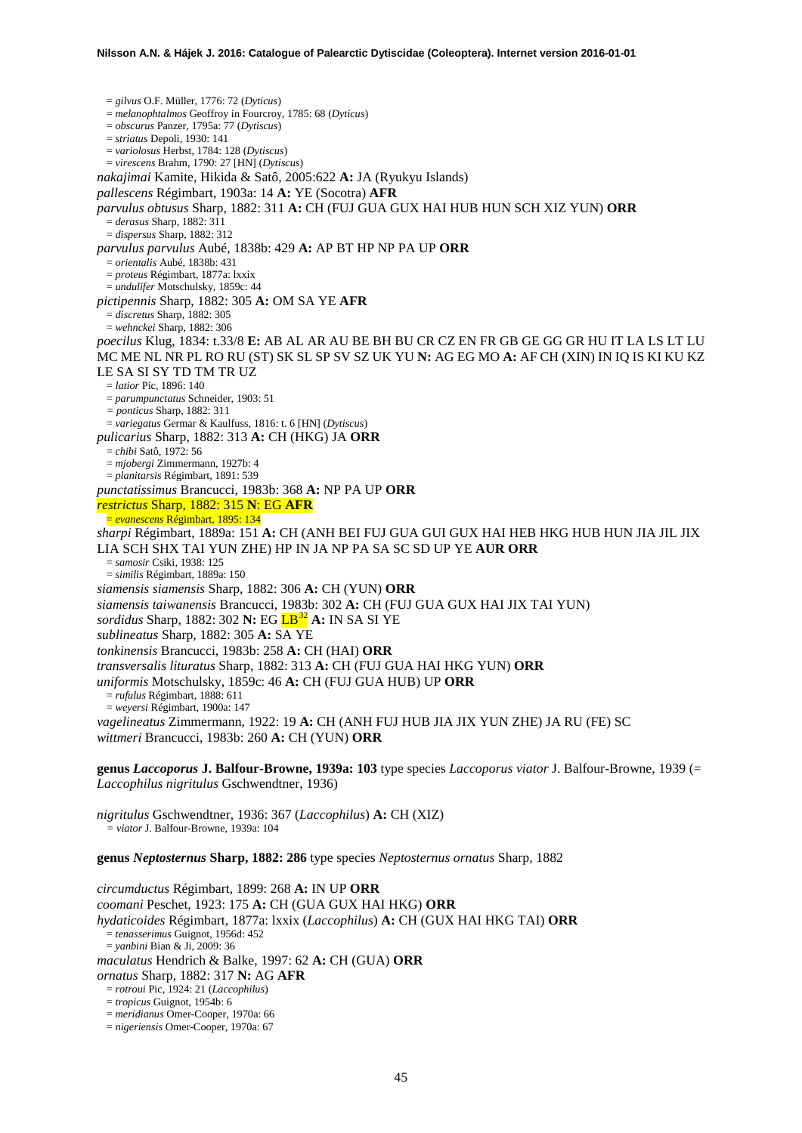= *gilvus* O.F. Müller, 1776: 72 (*Dyticus*) = *melanophtalmos* Geoffroy in Fourcroy, 1785: 68 (*Dyticus*) = *obscurus* Panzer, 1795a: 77 (*Dytiscus*) = *striatus* Depoli, 1930: 141 = *variolosus* Herbst, 1784: 128 (*Dytiscus*) = *virescens* Brahm, 1790: 27 [HN] (*Dytiscus*) *nakajimai* Kamite, Hikida & Satô, 2005:622 **A:** JA (Ryukyu Islands) *pallescens* Régimbart, 1903a: 14 **A:** YE (Socotra) **AFR** *parvulus obtusus* Sharp, 1882: 311 **A:** CH (FUJ GUA GUX HAI HUB HUN SCH XIZ YUN) **ORR** = *derasus* Sharp, 1882: 311 = *dispersus* Sharp, 1882: 312 *parvulus parvulus* Aubé, 1838b: 429 **A:** AP BT HP NP PA UP **ORR** = *orientalis* Aubé, 1838b: 431 = *proteus* Régimbart, 1877a: lxxix = *undulifer* Motschulsky, 1859c: 44 *pictipennis* Sharp, 1882: 305 **A:** OM SA YE **AFR** = *discretus* Sharp, 1882: 305 = *wehnckei* Sharp, 1882: 306 *poecilus* Klug, 1834: t.33/8 **E:** AB AL AR AU BE BH BU CR CZ EN FR GB GE GG GR HU IT LA LS LT LU MC ME NL NR PL RO RU (ST) SK SL SP SV SZ UK YU **N:** AG EG MO **A:** AF CH (XIN) IN IQ IS KI KU KZ LE SA SI SY TD TM TR UZ = *latior* Pic, 1896: 140 = *parumpunctatus* Schneider, 1903: 51 *= ponticus* Sharp, 1882: 311 = *variegatus* Germar & Kaulfuss, 1816: t. 6 [HN] (*Dytiscus*) *pulicarius* Sharp, 1882: 313 **A:** CH (HKG) JA **ORR** = *chibi* Satô, 1972: 56 = *mjobergi* Zimmermann, 1927b: 4 = *planitarsis* Régimbart, 1891: 539 *punctatissimus* Brancucci, 1983b: 368 **A:** NP PA UP **ORR** *restrictus* Sharp, 1882: 315 **N**: EG **AFR** = *evanescens* Régimbart, 1895: 134 *sharpi* Régimbart, 1889a: 151 **A:** CH (ANH BEI FUJ GUA GUI GUX HAI HEB HKG HUB HUN JIA JIL JIX LIA SCH SHX TAI YUN ZHE) HP IN JA NP PA SA SC SD UP YE **AUR ORR** = *samosir* Csiki, 1938: 125 = *similis* Régimbart, 1889a: 150 *siamensis siamensis* Sharp, 1882: 306 **A:** CH (YUN) **ORR** *siamensis taiwanensis* Brancucci, 1983b: 302 **A:** CH (FUJ GUA GUX HAI JIX TAI YUN) *sordidus* Sharp, 1882: 302 **N:** EG LB[32](#page-46-3) **A:** IN SA SI YE *sublineatus* Sharp, 1882: 305 **A:** SA YE *tonkinensis* Brancucci, 1983b: 258 **A:** CH (HAI) **ORR** *transversalis lituratus* Sharp, 1882: 313 **A:** CH (FUJ GUA HAI HKG YUN) **ORR** *uniformis* Motschulsky, 1859c: 46 **A:** CH (FUJ GUA HUB) UP **ORR** = *rufulus* Régimbart, 1888: 611 = *weyersi* Régimbart, 1900a: 147 *vagelineatus* Zimmermann, 1922: 19 **A:** CH (ANH FUJ HUB JIA JIX YUN ZHE) JA RU (FE) SC *wittmeri* Brancucci, 1983b: 260 **A:** CH (YUN) **ORR**

**genus** *Laccoporus* **J. Balfour-Browne, 1939a: 103** type species *Laccoporus viator* J. Balfour-Browne, 1939 (= *Laccophilus nigritulus* Gschwendtner, 1936)

*nigritulus* Gschwendtner, 1936: 367 (*Laccophilus*) **A:** CH (XIZ) *= viator* J. Balfour-Browne, 1939a: 104

**genus** *Neptosternus* **Sharp, 1882: 286** type species *Neptosternus ornatus* Sharp, 1882

*circumductus* Régimbart, 1899: 268 **A:** IN UP **ORR** *coomani* Peschet, 1923: 175 **A:** CH (GUA GUX HAI HKG) **ORR** *hydaticoides* Régimbart, 1877a: lxxix (*Laccophilus*) **A:** CH (GUX HAI HKG TAI) **ORR** = *tenasserimus* Guignot, 1956d: 452 = *yanbini* Bian & Ji, 2009: 36 *maculatus* Hendrich & Balke, 1997: 62 **A:** CH (GUA) **ORR** *ornatus* Sharp, 1882: 317 **N:** AG **AFR** = *rotroui* Pic, 1924: 21 (*Laccophilus*)

= *nigeriensis* Omer-Cooper, 1970a: 67

<sup>=</sup> *tropicus* Guignot, 1954b: 6

<sup>=</sup> *meridianus* Omer-Cooper, 1970a: 66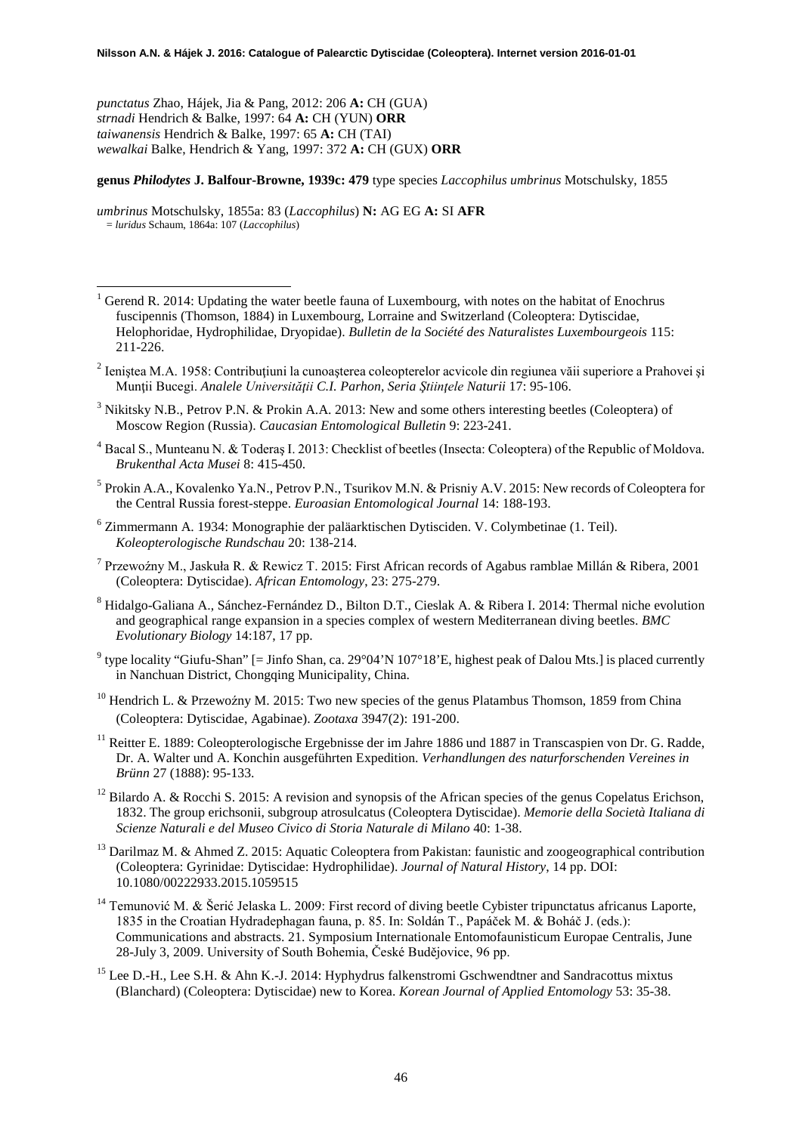*punctatus* Zhao, Hájek, Jia & Pang, 2012: 206 **A:** CH (GUA) *strnadi* Hendrich & Balke, 1997: 64 **A:** CH (YUN) **ORR** *taiwanensis* Hendrich & Balke, 1997: 65 **A:** CH (TAI) *wewalkai* Balke, Hendrich & Yang, 1997: 372 **A:** CH (GUX) **ORR**

# **genus** *Philodytes* **J. Balfour-Browne, 1939c: 479** type species *Laccophilus umbrinus* Motschulsky, 1855

*umbrinus* Motschulsky, 1855a: 83 (*Laccophilus*) **N:** AG EG **A:** SI **AFR** = *luridus* Schaum, 1864a: 107 (*Laccophilus*)

-

- Gerend R. 2014: Updating the water beetle fauna of Luxembourg, with notes on the habitat of Enochrus fuscipennis (Thomson, 1884) in Luxembourg, Lorraine and Switzerland (Coleoptera: Dytiscidae, Helophoridae, Hydrophilidae, Dryopidae). *Bulletin de la Société des Naturalistes Luxembourgeois* 115: 211-226.
- <sup>2</sup> Ieniştea M.A. 1958: Contribuţiuni la cunoaşterea coleopterelor acvicole din regiunea văii superiore a Prahovei şi Munţii Bucegi. *Analele Universităţii C.I. Parhon, Seria Ştiinţele Naturii* 17: 95-106.
- <sup>3</sup> Nikitsky N.B., Petrov P.N. & Prokin A.A. 2013: New and some others interesting beetles (Coleoptera) of Moscow Region (Russia). *Caucasian Entomological Bulletin* 9: 223-241.
- <sup>4</sup> Bacal S., Munteanu N. & Toderaş I. 2013: Checklist of beetles (Insecta: Coleoptera) of the Republic of Moldova. *Brukenthal Acta Musei* 8: 415-450.
- <sup>5</sup> Prokin A.A., Kovalenko Ya.N., Petrov P.N., Tsurikov M.N. & Prisniy A.V. 2015: New records of Coleoptera for the Central Russia forest-steppe. *Euroasian Entomological Journal* 14: 188-193.
- <sup>6</sup> Zimmermann A. 1934: Monographie der paläarktischen Dytisciden. V. Colymbetinae (1. Teil). *Koleopterologische Rundschau* 20: 138-214.
- <sup>7</sup> Przewoźny M., Jaskuła R. & Rewicz T. 2015: First African records of Agabus ramblae Millán & Ribera, 2001 (Coleoptera: Dytiscidae). *African Entomology*, 23: 275-279.
- <sup>8</sup> Hidalgo-Galiana A., Sánchez-Fernández D., Bilton D.T., Cieslak A. & Ribera I. 2014: Thermal niche evolution and geographical range expansion in a species complex of western Mediterranean diving beetles. *BMC Evolutionary Biology* 14:187, 17 pp.
- <sup>9</sup> type locality "Giufu-Shan" [= Jinfo Shan, ca. 29°04'N 107°18'E, highest peak of Dalou Mts.] is placed currently in Nanchuan District, Chongqing Municipality, China.
- <sup>10</sup> Hendrich L. & Przewoźny M. 2015: Two new species of the genus Platambus Thomson, 1859 from China (Coleoptera: Dytiscidae, Agabinae). *Zootaxa* 3947(2): 191-200.
- <sup>11</sup> Reitter E. 1889: Coleopterologische Ergebnisse der im Jahre 1886 und 1887 in Transcaspien von Dr. G. Radde, Dr. A. Walter und A. Konchin ausgeführten Expedition. *Verhandlungen des naturforschenden Vereines in Brünn* 27 (1888): 95-133.
- <sup>12</sup> Bilardo A. & Rocchi S. 2015: A revision and synopsis of the African species of the genus Copelatus Erichson, 1832. The group erichsonii, subgroup atrosulcatus (Coleoptera Dytiscidae). *Memorie della Società Italiana di Scienze Naturali e del Museo Civico di Storia Naturale di Milano* 40: 1-38.
- <sup>13</sup> Darilmaz M. & Ahmed Z. 2015: Aquatic Coleoptera from Pakistan: faunistic and zoogeographical contribution (Coleoptera: Gyrinidae: Dytiscidae: Hydrophilidae). *Journal of Natural History*, 14 pp. DOI: 10.1080/00222933.2015.1059515
- <sup>14</sup> Temunović M. & Šerić Jelaska L. 2009: First record of diving beetle Cybister tripunctatus africanus Laporte, 1835 in the Croatian Hydradephagan fauna, p. 85. In: Soldán T., Papáček M. & Boháč J. (eds.): Communications and abstracts. 21. Symposium Internationale Entomofaunisticum Europae Centralis, June 28-July 3, 2009. University of South Bohemia, České Budějovice, 96 pp.
- <sup>15</sup> Lee D.-H., Lee S.H. & Ahn K.-J. 2014: Hyphydrus falkenstromi Gschwendtner and Sandracottus mixtus (Blanchard) (Coleoptera: Dytiscidae) new to Korea. *Korean Journal of Applied Entomology* 53: 35-38.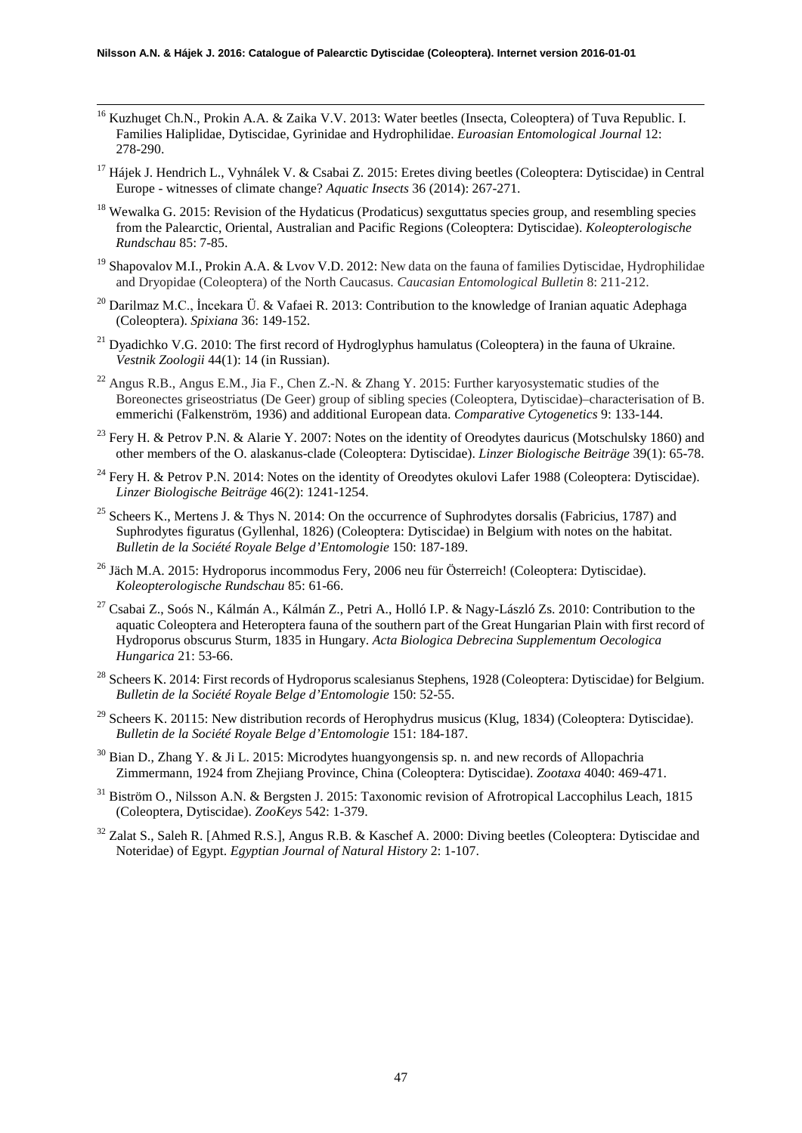-

- <sup>16</sup> Kuzhuget Ch.N., Prokin A.A. & Zaika V.V. 2013: Water beetles (Insecta, Coleoptera) of Tuva Republic. I. Families Haliplidae, Dytiscidae, Gyrinidae and Hydrophilidae. *Euroasian Entomological Journal* 12: 278-290.
- <sup>17</sup> Hájek J. Hendrich L., Vyhnálek V. & Csabai Z. 2015: Eretes diving beetles (Coleoptera: Dytiscidae) in Central Europe - witnesses of climate change? *Aquatic Insects* 36 (2014): 267-271.
- <sup>18</sup> Wewalka G. 2015: Revision of the Hydaticus (Prodaticus) sexguttatus species group, and resembling species from the Palearctic, Oriental, Australian and Pacific Regions (Coleoptera: Dytiscidae). *Koleopterologische Rundschau* 85: 7-85.
- <sup>19</sup> Shapovalov M.I., Prokin A.A. & Lvov V.D. 2012: New data on the fauna of families Dytiscidae, Hydrophilidae and Dryopidae (Coleoptera) of the North Caucasus. *Caucasian Entomological Bulletin* 8: 211-212.
- <sup>20</sup> Darilmaz M.C., İncekara Ü. & Vafaei R. 2013: Contribution to the knowledge of Iranian aquatic Adephaga (Coleoptera). *Spixiana* 36: 149-152.
- <sup>21</sup> Dyadichko V.G. 2010: The first record of Hydroglyphus hamulatus (Coleoptera) in the fauna of Ukraine. *Vestnik Zoologii* 44(1): 14 (in Russian).
- <sup>22</sup> Angus R.B., Angus E.M., Jia F., Chen Z.-N. & Zhang Y. 2015: Further karyosystematic studies of the Boreonectes griseostriatus (De Geer) group of sibling species (Coleoptera, Dytiscidae)–characterisation of B. emmerichi (Falkenström, 1936) and additional European data. *Comparative Cytogenetics* 9: 133-144.
- <sup>23</sup> Fery H. & Petrov P.N. & Alarie Y. 2007: Notes on the identity of Oreodytes dauricus (Motschulsky 1860) and other members of the O. alaskanus-clade (Coleoptera: Dytiscidae). *Linzer Biologische Beiträge* 39(1): 65-78.
- <sup>24</sup> Fery H. & Petrov P.N. 2014: Notes on the identity of Oreodytes okulovi Lafer 1988 (Coleoptera: Dytiscidae). *Linzer Biologische Beiträge* 46(2): 1241-1254.
- <sup>25</sup> Scheers K., Mertens J. & Thys N. 2014: On the occurrence of Suphrodytes dorsalis (Fabricius, 1787) and Suphrodytes figuratus (Gyllenhal, 1826) (Coleoptera: Dytiscidae) in Belgium with notes on the habitat. *Bulletin de la Société Royale Belge d'Entomologie* 150: 187-189.
- <sup>26</sup> Jäch M.A. 2015: Hydroporus incommodus Fery, 2006 neu für Österreich! (Coleoptera: Dytiscidae). *Koleopterologische Rundschau* 85: 61-66.
- <sup>27</sup> Csabai Z., Soós N., Kálmán A., Kálmán Z., Petri A., Holló I.P. & Nagy-László Zs. 2010: Contribution to the aquatic Coleoptera and Heteroptera fauna of the southern part of the Great Hungarian Plain with first record of Hydroporus obscurus Sturm, 1835 in Hungary. *Acta Biologica Debrecina Supplementum Oecologica Hungarica* 21: 53-66.
- <sup>28</sup> Scheers K. 2014: First records of Hydroporus scalesianus Stephens, 1928 (Coleoptera: Dytiscidae) for Belgium. *Bulletin de la Société Royale Belge d'Entomologie* 150: 52-55.
- <span id="page-46-0"></span><sup>29</sup> Scheers K. 20115: New distribution records of Herophydrus musicus (Klug, 1834) (Coleoptera: Dytiscidae). *Bulletin de la Société Royale Belge d'Entomologie* 151: 184-187.
- <span id="page-46-1"></span><sup>30</sup> Bian D., Zhang Y. & Ji L. 2015: Microdytes huangyongensis sp. n. and new records of Allopachria Zimmermann, 1924 from Zhejiang Province, China (Coleoptera: Dytiscidae). *Zootaxa* 4040: 469-471.
- <span id="page-46-2"></span><sup>31</sup> Biström O., Nilsson A.N. & Bergsten J. 2015: Taxonomic revision of Afrotropical Laccophilus Leach, 1815 (Coleoptera, Dytiscidae). *ZooKeys* 542: 1-379.
- <span id="page-46-3"></span><sup>32</sup> Zalat S., Saleh R. [Ahmed R.S.], Angus R.B. & Kaschef A. 2000: Diving beetles (Coleoptera: Dytiscidae and Noteridae) of Egypt. *Egyptian Journal of Natural History* 2: 1-107.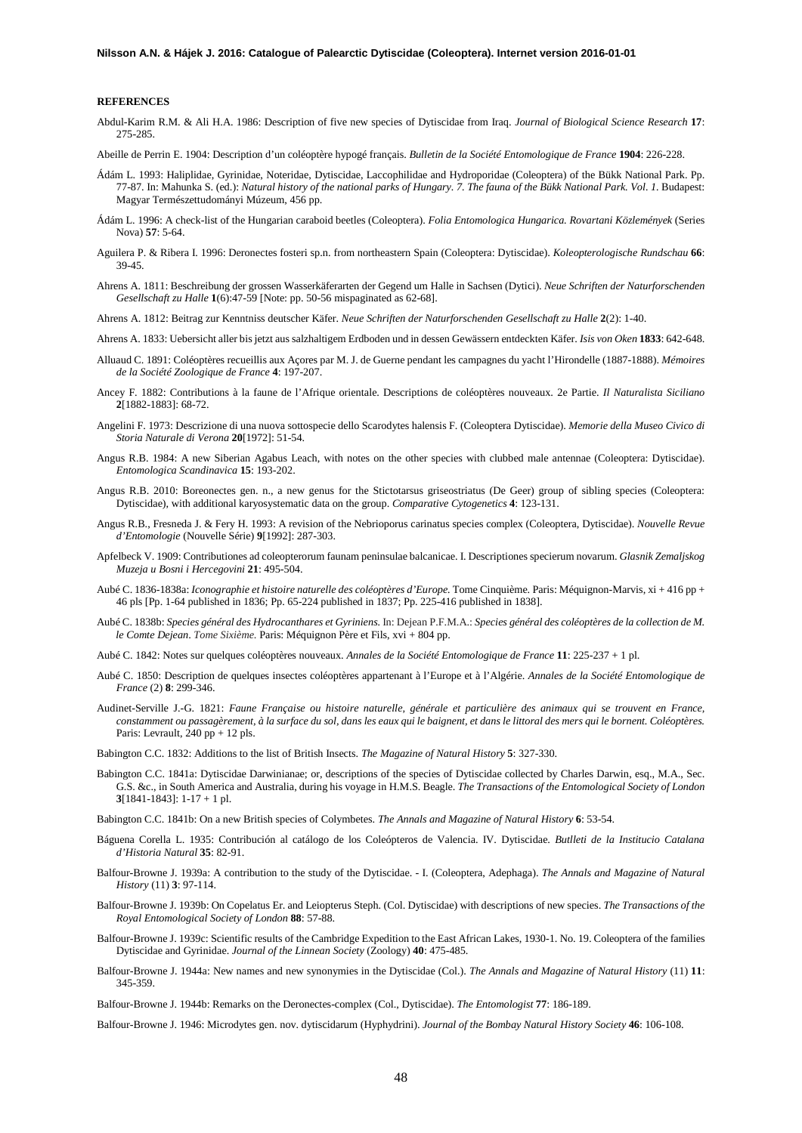#### **REFERENCES**

Abdul-Karim R.M. & Ali H.A. 1986: Description of five new species of Dytiscidae from Iraq. *Journal of Biological Science Research* **17**: 275-285.

Abeille de Perrin E. 1904: Description d'un coléoptère hypogé français. *Bulletin de la Société Entomologique de France* **1904**: 226-228.

- Ádám L. 1993: Haliplidae, Gyrinidae, Noteridae, Dytiscidae, Laccophilidae and Hydroporidae (Coleoptera) of the Bükk National Park. Pp. 77-87. In: Mahunka S. (ed.): *Natural history of the national parks of Hungary. 7. The fauna of the Bükk National Park. Vol. 1.* Budapest: Magyar Természettudományi Múzeum, 456 pp.
- Ádám L. 1996: A check-list of the Hungarian caraboid beetles (Coleoptera). *Folia Entomologica Hungarica. Rovartani Közlemények* (Series Nova) **57**: 5-64.
- Aguilera P. & Ribera I. 1996: Deronectes fosteri sp.n. from northeastern Spain (Coleoptera: Dytiscidae). *Koleopterologische Rundschau* **66**: 39-45.
- Ahrens A. 1811: Beschreibung der grossen Wasserkäferarten der Gegend um Halle in Sachsen (Dytici). *Neue Schriften der Naturforschenden Gesellschaft zu Halle* **1**(6):47-59 [Note: pp. 50-56 mispaginated as 62-68].
- Ahrens A. 1812: Beitrag zur Kenntniss deutscher Käfer. *Neue Schriften der Naturforschenden Gesellschaft zu Halle* **2**(2): 1-40.
- Ahrens A. 1833: Uebersicht aller bis jetzt aus salzhaltigem Erdboden und in dessen Gewässern entdeckten Käfer. *Isis von Oken* **1833**: 642-648.
- Alluaud C. 1891: Coléoptères recueillis aux Açores par M. J. de Guerne pendant les campagnes du yacht l'Hirondelle (1887-1888). *Mémoires de la Société Zoologique de France* **4**: 197-207.
- Ancey F. 1882: Contributions à la faune de l'Afrique orientale. Descriptions de coléoptères nouveaux. 2e Partie. *Il Naturalista Siciliano*  **2**[1882-1883]: 68-72.
- Angelini F. 1973: Descrizione di una nuova sottospecie dello Scarodytes halensis F. (Coleoptera Dytiscidae). *Memorie della Museo Civico di Storia Naturale di Verona* **20**[1972]: 51-54.
- Angus R.B. 1984: A new Siberian Agabus Leach, with notes on the other species with clubbed male antennae (Coleoptera: Dytiscidae). *Entomologica Scandinavica* **15**: 193-202.
- Angus R.B. 2010: Boreonectes gen. n., a new genus for the Stictotarsus griseostriatus (De Geer) group of sibling species (Coleoptera: Dytiscidae), with additional karyosystematic data on the group. *Comparative Cytogenetics* **4**: 123-131.
- Angus R.B., Fresneda J. & Fery H. 1993: A revision of the Nebrioporus carinatus species complex (Coleoptera, Dytiscidae). *Nouvelle Revue d'Entomologie* (Nouvelle Série) **9**[1992]: 287-303.
- Apfelbeck V. 1909: Contributiones ad coleopterorum faunam peninsulae balcanicae. I. Descriptiones specierum novarum. *Glasnik Zemaljskog Muzeja u Bosni i Hercegovini* **21**: 495-504.
- Aubé C. 1836-1838a: *Iconographie et histoire naturelle des coléoptères d'Europe.* Tome Cinquième. Paris: Méquignon-Marvis, xi + 416 pp + 46 pls [Pp. 1-64 published in 1836; Pp. 65-224 published in 1837; Pp. 225-416 published in 1838].
- Aubé C. 1838b: *Species général des Hydrocanthares et Gyriniens.* In: Dejean P.F.M.A.: *Species général des coléoptères de la collection de M. le Comte Dejean*. *Tome Sixième*. Paris: Méquignon Père et Fils, xvi + 804 pp.
- Aubé C. 1842: Notes sur quelques coléoptères nouveaux. *Annales de la Société Entomologique de France* **11**: 225-237 + 1 pl.
- Aubé C. 1850: Description de quelques insectes coléoptères appartenant à l'Europe et à l'Algérie. *Annales de la Société Entomologique de France* (2) **8**: 299-346.
- Audinet-Serville J.-G. 1821: *Faune Française ou histoire naturelle, générale et particulière des animaux qui se trouvent en France, constamment ou passagèrement, à la surface du sol, dans les eaux qui le baignent, et dans le littoral des mers qui le bornent. Coléoptères.* Paris: Levrault,  $240$  pp + 12 pls.
- Babington C.C. 1832: Additions to the list of British Insects. *The Magazine of Natural History* **5**: 327-330.
- Babington C.C. 1841a: Dytiscidae Darwinianae; or, descriptions of the species of Dytiscidae collected by Charles Darwin, esq., M.A., Sec. G.S. &c., in South America and Australia, during his voyage in H.M.S. Beagle. *The Transactions of the Entomological Society of London* **3**[1841-1843]: 1-17 + 1 pl.
- Babington C.C. 1841b: On a new British species of Colymbetes. *The Annals and Magazine of Natural History* **6**: 53-54.
- Báguena Corella L. 1935: Contribución al catálogo de los Coleópteros de Valencia. IV. Dytiscidae. *Butlleti de la Institucio Catalana d'Historia Natural* **35**: 82-91.
- Balfour-Browne J. 1939a: A contribution to the study of the Dytiscidae. I. (Coleoptera, Adephaga). *The Annals and Magazine of Natural History* (11) **3**: 97-114.
- Balfour-Browne J. 1939b: On Copelatus Er. and Leiopterus Steph. (Col. Dytiscidae) with descriptions of new species. *The Transactions of the Royal Entomological Society of London* **88**: 57-88.
- Balfour-Browne J. 1939c: Scientific results of the Cambridge Expedition to the East African Lakes, 1930-1. No. 19. Coleoptera of the families Dytiscidae and Gyrinidae. *Journal of the Linnean Society* (Zoology) **40**: 475-485.
- Balfour-Browne J. 1944a: New names and new synonymies in the Dytiscidae (Col.). *The Annals and Magazine of Natural History* (11) **11**: 345-359.

Balfour-Browne J. 1944b: Remarks on the Deronectes-complex (Col., Dytiscidae). *The Entomologist* **77**: 186-189.

Balfour-Browne J. 1946: Microdytes gen. nov. dytiscidarum (Hyphydrini). *Journal of the Bombay Natural History Society* **46**: 106-108.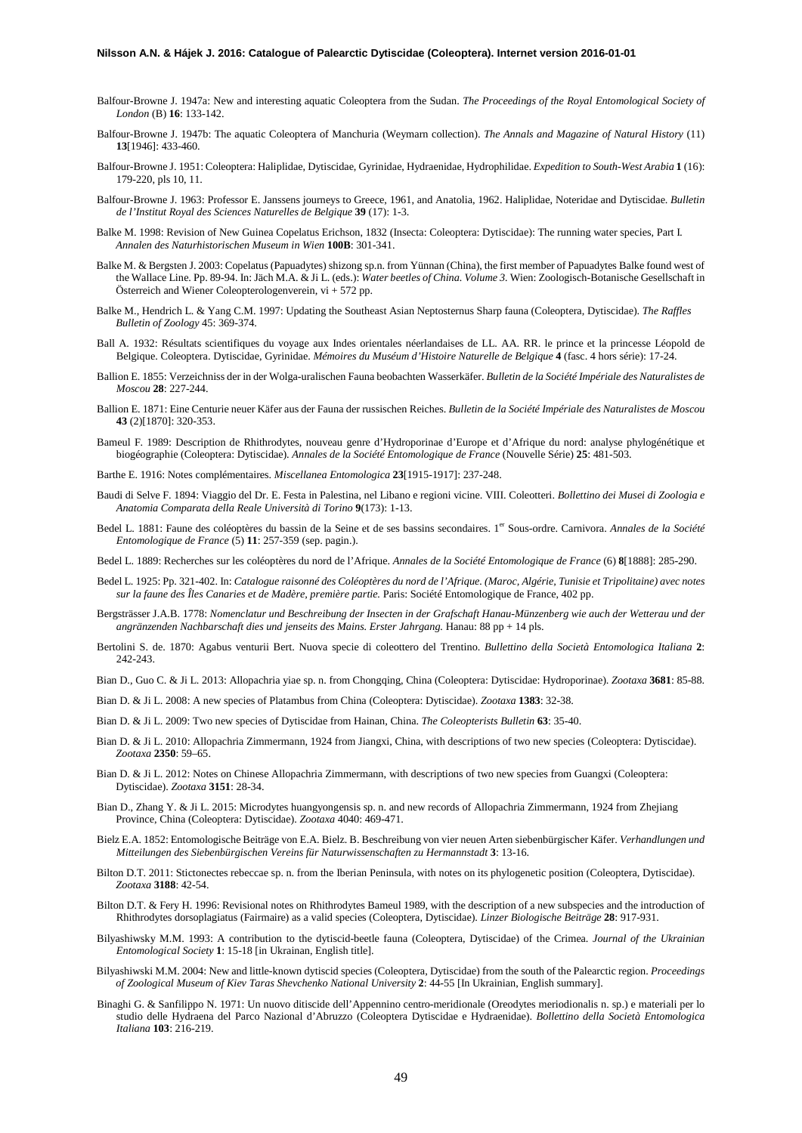- Balfour-Browne J. 1947a: New and interesting aquatic Coleoptera from the Sudan. *The Proceedings of the Royal Entomological Society of London* (B) **16**: 133-142.
- Balfour-Browne J. 1947b: The aquatic Coleoptera of Manchuria (Weymarn collection). *The Annals and Magazine of Natural History* (11) **13**[1946]: 433-460.
- Balfour-Browne J. 1951: Coleoptera: Haliplidae, Dytiscidae, Gyrinidae, Hydraenidae, Hydrophilidae. *Expedition to South-West Arabia* **1** (16): 179-220, pls 10, 11.
- Balfour-Browne J. 1963: Professor E. Janssens journeys to Greece, 1961, and Anatolia, 1962. Haliplidae, Noteridae and Dytiscidae. *Bulletin de l'Institut Royal des Sciences Naturelles de Belgique* **39** (17): 1-3.
- Balke M. 1998: Revision of New Guinea Copelatus Erichson, 1832 (Insecta: Coleoptera: Dytiscidae): The running water species, Part I*. Annalen des Naturhistorischen Museum in Wien* **100B**: 301-341.
- Balke M. & Bergsten J. 2003: Copelatus (Papuadytes) shizong sp.n. from Yünnan (China), the first member of Papuadytes Balke found west of the Wallace Line. Pp. 89-94. In: Jäch M.A. & Ji L. (eds.): *Water beetles of China. Volume 3.* Wien: Zoologisch-Botanische Gesellschaft in Österreich and Wiener Coleopterologenverein,  $vi + 572$  pp.
- Balke M., Hendrich L. & Yang C.M. 1997: Updating the Southeast Asian Neptosternus Sharp fauna (Coleoptera, Dytiscidae). *The Raffles Bulletin of Zoology* 45: 369-374.
- Ball A. 1932: Résultats scientifiques du voyage aux Indes orientales néerlandaises de LL. AA. RR. le prince et la princesse Léopold de Belgique. Coleoptera. Dytiscidae, Gyrinidae. *Mémoires du Muséum d'Histoire Naturelle de Belgique* **4** (fasc. 4 hors série): 17-24.
- Ballion E. 1855: Verzeichniss der in der Wolga-uralischen Fauna beobachten Wasserkäfer. *Bulletin de la Société Impériale des Naturalistes de Moscou* **28**: 227-244.
- Ballion E. 1871: Eine Centurie neuer Käfer aus der Fauna der russischen Reiches. *Bulletin de la Société Impériale des Naturalistes de Moscou* **43** (2)[1870]: 320-353.
- Bameul F. 1989: Description de Rhithrodytes, nouveau genre d'Hydroporinae d'Europe et d'Afrique du nord: analyse phylogénétique et biogéographie (Coleoptera: Dytiscidae). *Annales de la Société Entomologique de France* (Nouvelle Série) **25**: 481-503.
- Barthe E. 1916: Notes complémentaires. *Miscellanea Entomologica* **23**[1915-1917]: 237-248.
- Baudi di Selve F. 1894: Viaggio del Dr. E. Festa in Palestina, nel Libano e regioni vicine. VIII. Coleotteri. *Bollettino dei Musei di Zoologia e Anatomia Comparata della Reale Università di Torino* **9**(173): 1-13.
- Bedel L. 1881: Faune des coléoptères du bassin de la Seine et de ses bassins secondaires. 1<sup>er</sup> Sous-ordre. Carnivora. *Annales de la Société Entomologique de France* (5) **11**: 257-359 (sep. pagin.).
- Bedel L. 1889: Recherches sur les coléoptères du nord de l'Afrique. *Annales de la Société Entomologique de France* (6) **8**[1888]: 285-290.
- Bedel L. 1925: Pp. 321-402. In: *Catalogue raisonné des Coléoptères du nord de l'Afrique. (Maroc, Algérie, Tunisie et Tripolitaine) avec notes sur la faune des Îles Canaries et de Madère, première partie.* Paris: Société Entomologique de France, 402 pp.
- Bergsträsser J.A.B. 1778: *Nomenclatur und Beschreibung der Insecten in der Grafschaft Hanau-Münzenberg wie auch der Wetterau und der angränzenden Nachbarschaft dies und jenseits des Mains. Erster Jahrgang.* Hanau: 88 pp + 14 pls.
- Bertolini S. de. 1870: Agabus venturii Bert. Nuova specie di coleottero del Trentino. *Bullettino della Società Entomologica Italiana* **2**: 242-243.
- Bian D., Guo C. & Ji L. 2013: Allopachria yiae sp. n. from Chongqing, China (Coleoptera: Dytiscidae: Hydroporinae). *Zootaxa* **3681**: 85-88.
- Bian D. & Ji L. 2008: A new species of Platambus from China (Coleoptera: Dytiscidae). *Zootaxa* **1383**: 32-38.
- Bian D. & Ji L. 2009: Two new species of Dytiscidae from Hainan, China. *The Coleopterists Bulletin* **63**: 35-40.
- Bian D. & Ji L. 2010: Allopachria Zimmermann, 1924 from Jiangxi, China, with descriptions of two new species (Coleoptera: Dytiscidae). *Zootaxa* **2350**: 59–65.
- Bian D. & Ji L. 2012: Notes on Chinese Allopachria Zimmermann, with descriptions of two new species from Guangxi (Coleoptera: Dytiscidae). *Zootaxa* **3151**: 28-34.
- Bian D., Zhang Y. & Ji L. 2015: Microdytes huangyongensis sp. n. and new records of Allopachria Zimmermann, 1924 from Zhejiang Province, China (Coleoptera: Dytiscidae). *Zootaxa* 4040: 469-471.
- Bielz E.A. 1852: Entomologische Beiträge von E.A. Bielz. B. Beschreibung von vier neuen Arten siebenbürgischer Käfer. *Verhandlungen und Mitteilungen des Siebenbürgischen Vereins für Naturwissenschaften zu Hermannstadt* **3**: 13-16.
- Bilton D.T. 2011: Stictonectes rebeccae sp. n. from the Iberian Peninsula, with notes on its phylogenetic position (Coleoptera, Dytiscidae). *Zootaxa* **3188**: 42-54.
- Bilton D.T. & Fery H. 1996: Revisional notes on Rhithrodytes Bameul 1989, with the description of a new subspecies and the introduction of Rhithrodytes dorsoplagiatus (Fairmaire) as a valid species (Coleoptera, Dytiscidae). *Linzer Biologische Beiträge* **28**: 917-931.
- Bilyashiwsky M.M. 1993: A contribution to the dytiscid-beetle fauna (Coleoptera, Dytiscidae) of the Crimea. *Journal of the Ukrainian Entomological Society* **1**: 15-18 [in Ukrainan, English title].
- Bilyashiwski M.M. 2004: New and little-known dytiscid species (Coleoptera, Dytiscidae) from the south of the Palearctic region. *Proceedings of Zoological Museum of Kiev Taras Shevchenko National University* **2**: 44-55 [In Ukrainian, English summary].
- Binaghi G. & Sanfilippo N. 1971: Un nuovo ditiscide dell'Appennino centro-meridionale (Oreodytes meriodionalis n. sp.) e materiali per lo studio delle Hydraena del Parco Nazional d'Abruzzo (Coleoptera Dytiscidae e Hydraenidae). *Bollettino della Società Entomologica Italiana* **103**: 216-219.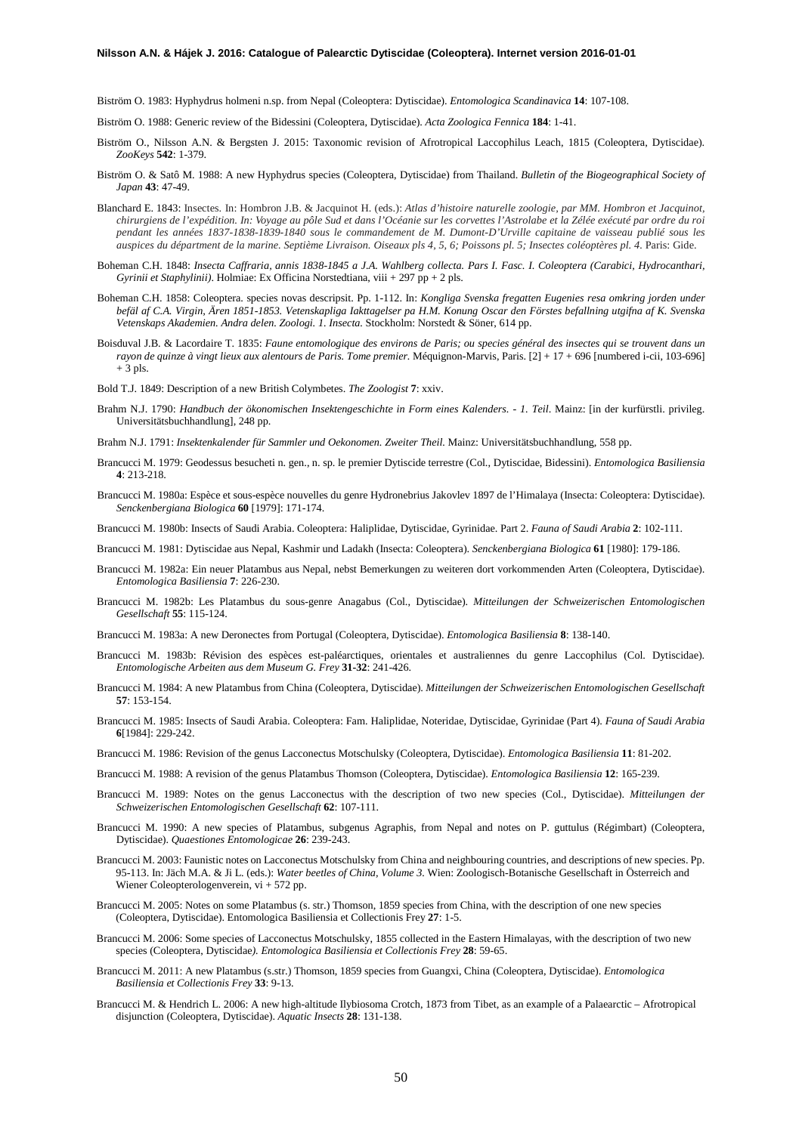Biström O. 1983: Hyphydrus holmeni n.sp. from Nepal (Coleoptera: Dytiscidae). *Entomologica Scandinavica* **14**: 107-108.

- Biström O. 1988: Generic review of the Bidessini (Coleoptera, Dytiscidae). *Acta Zoologica Fennica* **184**: 1-41.
- Biström O., Nilsson A.N. & Bergsten J. 2015: Taxonomic revision of Afrotropical Laccophilus Leach, 1815 (Coleoptera, Dytiscidae). *ZooKeys* **542**: 1-379.
- Biström O. & Satô M. 1988: A new Hyphydrus species (Coleoptera, Dytiscidae) from Thailand. *Bulletin of the Biogeographical Society of Japan* **43**: 47-49.
- Blanchard E. 1843: Insectes. In: Hombron J.B. & Jacquinot H. (eds.): *Atlas d'histoire naturelle zoologie, par MM. Hombron et Jacquinot,* chirurgiens de l'expédition. In: Voyage au pôle Sud et dans l'Océanie sur les corvettes l'Astrolabe et la Zélée exécuté par ordre du roi *pendant les années 1837-1838-1839-1840 sous le commandement de M. Dumont-D'Urville capitaine de vaisseau publié sous les* auspices du départment de la marine. Septième Livraison. Oiseaux pls 4, 5, 6; Poissons pl. 5; Insectes coléoptères pl. 4. Paris: Gide.
- Boheman C.H. 1848: *Insecta Caffraria, annis 1838-1845 a J.A. Wahlberg collecta. Pars I. Fasc. I. Coleoptera (Carabici, Hydrocanthari, Gyrinii et Staphylinii)*. Holmiae: Ex Officina Norstedtiana, viii + 297 pp + 2 pls.
- Boheman C.H. 1858: Coleoptera. species novas descripsit. Pp. 1-112. In: *Kongliga Svenska fregatten Eugenies resa omkring jorden under befäl af C.A. Virgin, Ären 1851-1853. Vetenskapliga Iakttagelser pa H.M. Konung Oscar den Förstes befallning utgifna af K. Svenska Vetenskaps Akademien. Andra delen. Zoologi. 1. Insecta.* Stockholm: Norstedt & Söner, 614 pp.
- Boisduval J.B. & Lacordaire T. 1835: *Faune entomologique des environs de Paris; ou species général des insectes qui se trouvent dans un rayon de quinze à vingt lieux aux alentours de Paris. Tome premier.* Méquignon-Marvis, Paris. [2] + 17 + 696 [numbered i-cii, 103-696] + 3 pls.
- Bold T.J. 1849: Description of a new British Colymbetes. *The Zoologist* **7**: xxiv.
- Brahm N.J. 1790: *Handbuch der ökonomischen Insektengeschichte in Form eines Kalenders. - 1. Teil*. Mainz: [in der kurfürstli. privileg. Universitätsbuchhandlung], 248 pp.
- Brahm N.J. 1791: *Insektenkalender für Sammler und Oekonomen. Zweiter Theil.* Mainz: Universitätsbuchhandlung, 558 pp.
- Brancucci M. 1979: Geodessus besucheti n. gen., n. sp. le premier Dytiscide terrestre (Col., Dytiscidae, Bidessini). *Entomologica Basiliensia* **4**: 213-218.
- Brancucci M. 1980a: Espèce et sous-espèce nouvelles du genre Hydronebrius Jakovlev 1897 de l'Himalaya (Insecta: Coleoptera: Dytiscidae). *Senckenbergiana Biologica* **60** [1979]: 171-174.

Brancucci M. 1980b: Insects of Saudi Arabia. Coleoptera: Haliplidae, Dytiscidae, Gyrinidae. Part 2. *Fauna of Saudi Arabia* **2**: 102-111.

Brancucci M. 1981: Dytiscidae aus Nepal, Kashmir und Ladakh (Insecta: Coleoptera). *Senckenbergiana Biologica* **61** [1980]: 179-186.

- Brancucci M. 1982a: Ein neuer Platambus aus Nepal, nebst Bemerkungen zu weiteren dort vorkommenden Arten (Coleoptera, Dytiscidae). *Entomologica Basiliensia* **7**: 226-230.
- Brancucci M. 1982b: Les Platambus du sous-genre Anagabus (Col., Dytiscidae). *Mitteilungen der Schweizerischen Entomologischen Gesellschaft* **55**: 115-124.
- Brancucci M. 1983a: A new Deronectes from Portugal (Coleoptera, Dytiscidae). *Entomologica Basiliensia* **8**: 138-140.
- Brancucci M. 1983b: Révision des espèces est-paléarctiques, orientales et australiennes du genre Laccophilus (Col. Dytiscidae). *Entomologische Arbeiten aus dem Museum G. Frey* **31-32**: 241-426.
- Brancucci M. 1984: A new Platambus from China (Coleoptera, Dytiscidae). *Mitteilungen der Schweizerischen Entomologischen Gesellschaft* **57**: 153-154.
- Brancucci M. 1985: Insects of Saudi Arabia. Coleoptera: Fam. Haliplidae, Noteridae, Dytiscidae, Gyrinidae (Part 4). *Fauna of Saudi Arabia* **6**[1984]: 229-242.
- Brancucci M. 1986: Revision of the genus Lacconectus Motschulsky (Coleoptera, Dytiscidae). *Entomologica Basiliensia* **11**: 81-202.
- Brancucci M. 1988: A revision of the genus Platambus Thomson (Coleoptera, Dytiscidae). *Entomologica Basiliensia* **12**: 165-239.
- Brancucci M. 1989: Notes on the genus Lacconectus with the description of two new species (Col., Dytiscidae). *Mitteilungen der Schweizerischen Entomologischen Gesellschaft* **62**: 107-111.
- Brancucci M. 1990: A new species of Platambus, subgenus Agraphis, from Nepal and notes on P. guttulus (Régimbart) (Coleoptera, Dytiscidae). *Quaestiones Entomologicae* **26**: 239-243.
- Brancucci M. 2003: Faunistic notes on Lacconectus Motschulsky from China and neighbouring countries, and descriptions of new species. Pp. 95-113. In: Jäch M.A. & Ji L. (eds.): *Water beetles of China, Volume 3.* Wien: Zoologisch-Botanische Gesellschaft in Österreich and Wiener Coleopterologenverein, vi + 572 pp.
- Brancucci M. 2005: Notes on some Platambus (s. str.) Thomson, 1859 species from China, with the description of one new species (Coleoptera, Dytiscidae). Entomologica Basiliensia et Collectionis Frey **27**: 1-5.
- Brancucci M. 2006: Some species of Lacconectus Motschulsky, 1855 collected in the Eastern Himalayas, with the description of two new species (Coleoptera, Dytiscidae*). Entomologica Basiliensia et Collectionis Frey* **28**: 59-65.
- Brancucci M. 2011: A new Platambus (s.str.) Thomson, 1859 species from Guangxi, China (Coleoptera, Dytiscidae). *Entomologica Basiliensia et Collectionis Frey* **33**: 9-13.
- Brancucci M. & Hendrich L. 2006: A new high-altitude Ilybiosoma Crotch, 1873 from Tibet, as an example of a Palaearctic Afrotropical disjunction (Coleoptera, Dytiscidae). *Aquatic Insects* **28**: 131-138.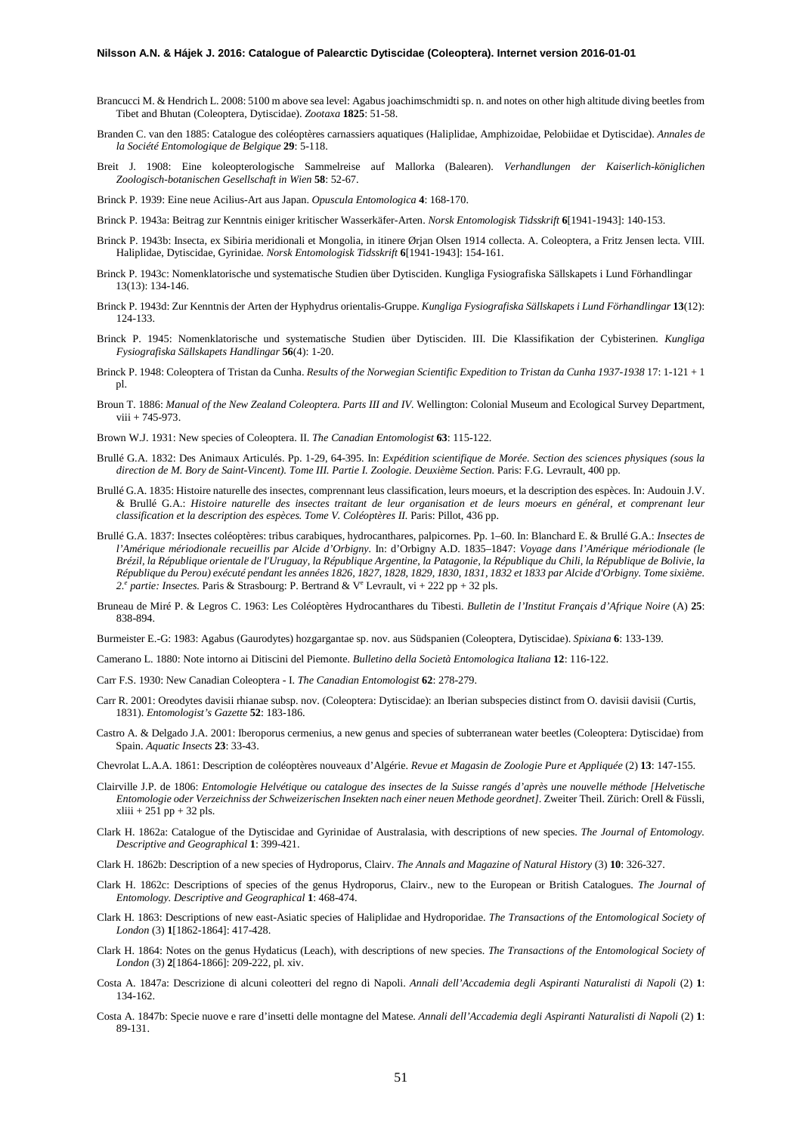- Brancucci M. & Hendrich L. 2008: 5100 m above sea level: Agabus joachimschmidti sp. n. and notes on other high altitude diving beetles from Tibet and Bhutan (Coleoptera, Dytiscidae). *Zootaxa* **1825**: 51-58.
- Branden C. van den 1885: Catalogue des coléoptères carnassiers aquatiques (Haliplidae, Amphizoidae, Pelobiidae et Dytiscidae). *Annales de la Société Entomologique de Belgique* **29**: 5-118.
- Breit J. 1908: Eine koleopterologische Sammelreise auf Mallorka (Balearen). *Verhandlungen der Kaiserlich-königlichen Zoologisch-botanischen Gesellschaft in Wien* **58**: 52-67.

Brinck P. 1939: Eine neue Acilius-Art aus Japan. *Opuscula Entomologica* **4**: 168-170.

- Brinck P. 1943a: Beitrag zur Kenntnis einiger kritischer Wasserkäfer-Arten. *Norsk Entomologisk Tidsskrift* **6**[1941-1943]: 140-153.
- Brinck P. 1943b: Insecta, ex Sibiria meridionali et Mongolia, in itinere Ørjan Olsen 1914 collecta. A. Coleoptera, a Fritz Jensen lecta. VIII. Haliplidae, Dytiscidae, Gyrinidae. *Norsk Entomologisk Tidsskrift* **6**[1941-1943]: 154-161.
- Brinck P. 1943c: Nomenklatorische und systematische Studien über Dytisciden. Kungliga Fysiografiska Sällskapets i Lund Förhandlingar 13(13): 134-146.
- Brinck P. 1943d: Zur Kenntnis der Arten der Hyphydrus orientalis-Gruppe. *Kungliga Fysiografiska Sällskapets i Lund Förhandlingar* **13**(12): 124-133.
- Brinck P. 1945: Nomenklatorische und systematische Studien über Dytisciden. III. Die Klassifikation der Cybisterinen. *Kungliga Fysiografiska Sällskapets Handlingar* **56**(4): 1-20.
- Brinck P. 1948: Coleoptera of Tristan da Cunha. *Results of the Norwegian Scientific Expedition to Tristan da Cunha 1937-1938* 17: 1-121 + 1 pl.
- Broun T. 1886: *Manual of the New Zealand Coleoptera. Parts III and IV.* Wellington: Colonial Museum and Ecological Survey Department, viii + 745-973.
- Brown W.J. 1931: New species of Coleoptera. II. *The Canadian Entomologist* **63**: 115-122.
- Brullé G.A. 1832: Des Animaux Articulés. Pp. 1-29, 64-395. In: *Expédition scientifique de Morée. Section des sciences physiques (sous la direction de M. Bory de Saint-Vincent). Tome III. Partie I. Zoologie. Deuxième Section.* Paris: F.G. Levrault, 400 pp.
- Brullé G.A. 1835: Histoire naturelle des insectes, comprennant leus classification, leurs moeurs, et la description des espèces. In: Audouin J.V. & Brullé G.A.: *Histoire naturelle des insectes traitant de leur organisation et de leurs moeurs en général, et comprenant leur classification et la description des espèces. Tome V. Coléoptères II.* Paris: Pillot, 436 pp.
- Brullé G.A. 1837: Insectes coléoptères: tribus carabiques, hydrocanthares, palpicornes. Pp. 1–60. In: Blanchard E. & Brullé G.A.: *Insectes de l'Amérique mériodionale recueillis par Alcide d'Orbigny.* In: d'Orbigny A.D. 1835–1847: *Voyage dans l'Amérique mériodionale (le Brézil, la République orientale de l'Uruguay, la République Argentine, la Patagonie, la République du Chili, la République de Bolivie, la République du Perou) exécuté pendant les années 1826, 1827, 1828, 1829, 1830, 1831, 1832 et 1833 par Alcide d'Orbigny. Tome sixième. 2.e partie: Insectes.* Paris & Strasbourg: P. Bertrand & Ve Levrault, vi + 222 pp + 32 pls.
- Bruneau de Miré P. & Legros C. 1963: Les Coléoptères Hydrocanthares du Tibesti. *Bulletin de l'Institut Français d'Afrique Noire* (A) **25**: 838-894.

Burmeister E.-G: 1983: Agabus (Gaurodytes) hozgargantae sp. nov. aus Südspanien (Coleoptera, Dytiscidae). *Spixiana* **6**: 133-139.

- Camerano L. 1880: Note intorno ai Ditiscini del Piemonte. *Bulletino della Società Entomologica Italiana* **12**: 116-122.
- Carr F.S. 1930: New Canadian Coleoptera I. *The Canadian Entomologist* **62**: 278-279.
- Carr R. 2001: Oreodytes davisii rhianae subsp. nov. (Coleoptera: Dytiscidae): an Iberian subspecies distinct from O. davisii davisii (Curtis, 1831). *Entomologist's Gazette* **52**: 183-186.
- Castro A. & Delgado J.A. 2001: Iberoporus cermenius, a new genus and species of subterranean water beetles (Coleoptera: Dytiscidae) from Spain. *Aquatic Insects* **23**: 33-43.
- Chevrolat L.A.A. 1861: Description de coléoptères nouveaux d'Algérie. *Revue et Magasin de Zoologie Pure et Appliquée* (2) **13**: 147-155.
- Clairville J.P. de 1806: *Entomologie Helvétique ou catalogue des insectes de la Suisse rangés d'après une nouvelle méthode [Helvetische Entomologie oder Verzeichniss der Schweizerischen Insekten nach einer neuen Methode geordnet]*. Zweiter Theil. Zürich: Orell & Füssli,  $xliii + 251 pp + 32 pls.$
- Clark H. 1862a: Catalogue of the Dytiscidae and Gyrinidae of Australasia, with descriptions of new species. *The Journal of Entomology. Descriptive and Geographical* **1**: 399-421.
- Clark H. 1862b: Description of a new species of Hydroporus, Clairv. *The Annals and Magazine of Natural History* (3) **10**: 326-327.
- Clark H. 1862c: Descriptions of species of the genus Hydroporus, Clairv., new to the European or British Catalogues. *The Journal of Entomology. Descriptive and Geographical* **1**: 468-474.
- Clark H. 1863: Descriptions of new east-Asiatic species of Haliplidae and Hydroporidae. *The Transactions of the Entomological Society of London* (3) **1**[1862-1864]: 417-428.
- Clark H. 1864: Notes on the genus Hydaticus (Leach), with descriptions of new species. *The Transactions of the Entomological Society of London* (3) **2**[1864-1866]: 209-222, pl. xiv.
- Costa A. 1847a: Descrizione di alcuni coleotteri del regno di Napoli. *Annali dell'Accademia degli Aspiranti Naturalisti di Napoli* (2) **1**: 134-162.
- Costa A. 1847b: Specie nuove e rare d'insetti delle montagne del Matese. *Annali dell'Accademia degli Aspiranti Naturalisti di Napoli* (2) **1**: 89-131.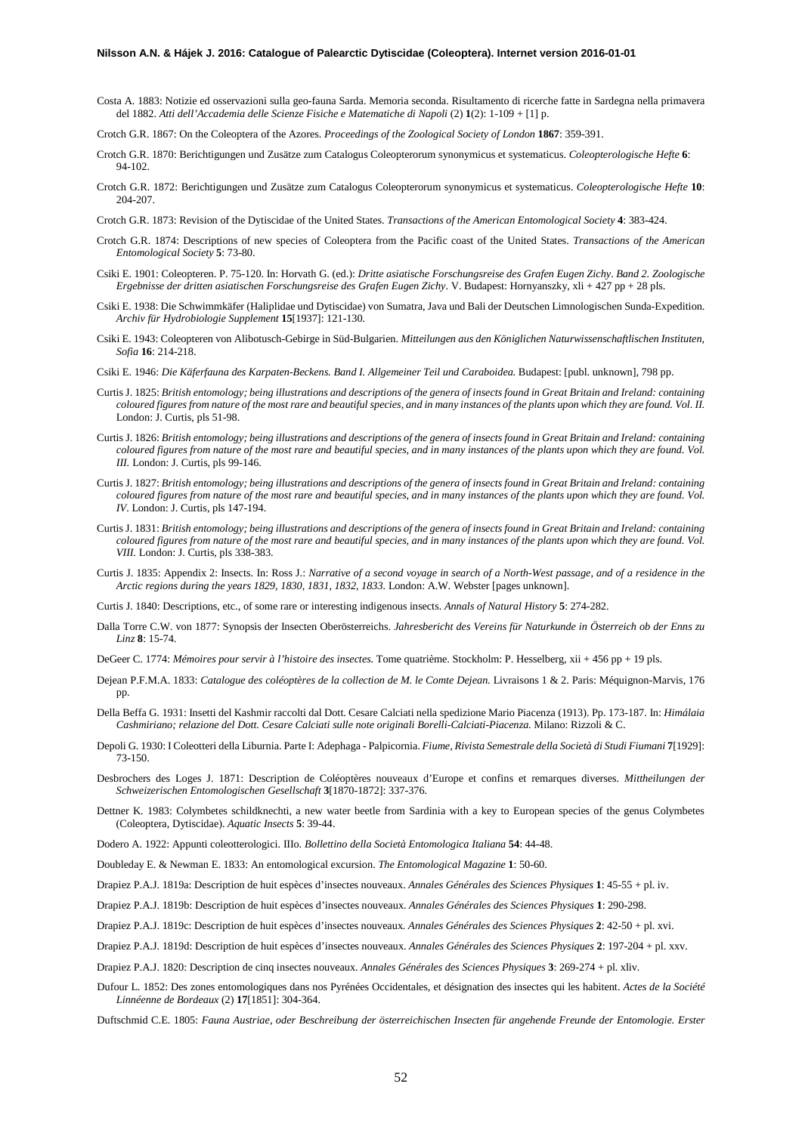Costa A. 1883: Notizie ed osservazioni sulla geo-fauna Sarda. Memoria seconda. Risultamento di ricerche fatte in Sardegna nella primavera del 1882. *Atti dell'Accademia delle Scienze Fisiche e Matematiche di Napoli* (2) **1**(2): 1-109 + [1] p.

Crotch G.R. 1867: On the Coleoptera of the Azores. *Proceedings of the Zoological Society of London* **1867**: 359-391.

- Crotch G.R. 1870: Berichtigungen und Zusätze zum Catalogus Coleopterorum synonymicus et systematicus. *Coleopterologische Hefte* **6**: 94-102.
- Crotch G.R. 1872: Berichtigungen und Zusätze zum Catalogus Coleopterorum synonymicus et systematicus. *Coleopterologische Hefte* **10**: 204-207.
- Crotch G.R. 1873: Revision of the Dytiscidae of the United States. *Transactions of the American Entomological Society* **4**: 383-424.
- Crotch G.R. 1874: Descriptions of new species of Coleoptera from the Pacific coast of the United States. *Transactions of the American Entomological Society* **5**: 73-80.
- Csiki E. 1901: Coleopteren. P. 75-120. In: Horvath G. (ed.): *Dritte asiatische Forschungsreise des Grafen Eugen Zichy*. *Band 2. Zoologische Ergebnisse der dritten asiatischen Forschungsreise des Grafen Eugen Zichy*. V. Budapest: Hornyanszky, xli + 427 pp + 28 pls.
- Csiki E. 1938: Die Schwimmkäfer (Haliplidae und Dytiscidae) von Sumatra, Java und Bali der Deutschen Limnologischen Sunda-Expedition. *Archiv für Hydrobiologie Supplement* **15**[1937]: 121-130.
- Csiki E. 1943: Coleopteren von Alibotusch-Gebirge in Süd-Bulgarien. *Mitteilungen aus den Königlichen Naturwissenschaftlischen Instituten, Sofia* **16**: 214-218.
- Csiki E. 1946: *Die Käferfauna des Karpaten-Beckens. Band I. Allgemeiner Teil und Caraboidea.* Budapest: [publ. unknown], 798 pp.
- Curtis J. 1825: *British entomology; being illustrations and descriptions of the genera of insects found in Great Britain and Ireland: containing coloured figures from nature of the most rare and beautiful species, and in many instances of the plants upon which they are found. Vol. II.* London: J. Curtis, pls 51-98.
- Curtis J. 1826: *British entomology; being illustrations and descriptions of the genera of insects found in Great Britain and Ireland: containing coloured figures from nature of the most rare and beautiful species, and in many instances of the plants upon which they are found. Vol. III.* London: J. Curtis, pls 99-146.
- Curtis J. 1827: *British entomology; being illustrations and descriptions of the genera of insects found in Great Britain and Ireland: containing coloured figures from nature of the most rare and beautiful species, and in many instances of the plants upon which they are found. Vol. IV*. London: J. Curtis, pls 147-194.
- Curtis J. 1831: *British entomology; being illustrations and descriptions of the genera of insects found in Great Britain and Ireland: containing coloured figures from nature of the most rare and beautiful species, and in many instances of the plants upon which they are found. Vol. VIII.* London: J. Curtis, pls 338-383.
- Curtis J. 1835: Appendix 2: Insects. In: Ross J.: *Narrative of a second voyage in search of a North-West passage, and of a residence in the Arctic regions during the years 1829, 1830, 1831, 1832, 1833.* London: A.W. Webster [pages unknown].
- Curtis J. 1840: Descriptions, etc., of some rare or interesting indigenous insects. *Annals of Natural History* **5**: 274-282.
- Dalla Torre C.W. von 1877: Synopsis der Insecten Oberösterreichs. *Jahresbericht des Vereins für Naturkunde in Österreich ob der Enns zu Linz* **8**: 15-74.
- DeGeer C. 1774: *Mémoires pour servir à l'histoire des insectes.* Tome quatrième. Stockholm: P. Hesselberg, xii + 456 pp + 19 pls.
- Dejean P.F.M.A. 1833: *Catalogue des coléoptères de la collection de M. le Comte Dejean.* Livraisons 1 & 2. Paris: Méquignon-Marvis, 176 pp.
- Della Beffa G. 1931: Insetti del Kashmir raccolti dal Dott. Cesare Calciati nella spedizione Mario Piacenza (1913). Pp. 173-187. In: *Himálaia Cashmiriano; relazione del Dott. Cesare Calciati sulle note originali Borelli-Calciati-Piacenza.* Milano: Rizzoli & C.
- Depoli G. 1930: I Coleotteri della Liburnia. Parte I: Adephaga Palpicornia. *Fiume, Rivista Semestrale della Società di Studi Fiumani* **7**[1929]: 73-150.
- Desbrochers des Loges J. 1871: Description de Coléoptères nouveaux d'Europe et confins et remarques diverses. *Mittheilungen der Schweizerischen Entomologischen Gesellschaft* **3**[1870-1872]: 337-376.
- Dettner K. 1983: Colymbetes schildknechti, a new water beetle from Sardinia with a key to European species of the genus Colymbetes (Coleoptera, Dytiscidae). *Aquatic Insects* **5**: 39-44.
- Dodero A. 1922: Appunti coleotterologici. IIIo. *Bollettino della Società Entomologica Italiana* **54**: 44-48.
- Doubleday E. & Newman E. 1833: An entomological excursion. *The Entomological Magazine* **1**: 50-60.
- Drapiez P.A.J. 1819a: Description de huit espèces d'insectes nouveaux. *Annales Générales des Sciences Physiques* **1**: 45-55 + pl. iv.
- Drapiez P.A.J. 1819b: Description de huit espèces d'insectes nouveaux. *Annales Générales des Sciences Physiques* **1**: 290-298.
- Drapiez P.A.J. 1819c: Description de huit espèces d'insectes nouveaux*. Annales Générales des Sciences Physiques* **2**: 42-50 + pl. xvi.
- Drapiez P.A.J. 1819d: Description de huit espèces d'insectes nouveaux. *Annales Générales des Sciences Physiques* **2**: 197-204 + pl. xxv.
- Drapiez P.A.J. 1820: Description de cinq insectes nouveaux. *Annales Générales des Sciences Physiques* **3**: 269-274 + pl. xliv.
- Dufour L. 1852: Des zones entomologiques dans nos Pyrénées Occidentales, et désignation des insectes qui les habitent. *Actes de la Société Linnéenne de Bordeaux* (2) **17**[1851]: 304-364.

Duftschmid C.E. 1805: *Fauna Austriae, oder Beschreibung der österreichischen Insecten für angehende Freunde der Entomologie. Erster*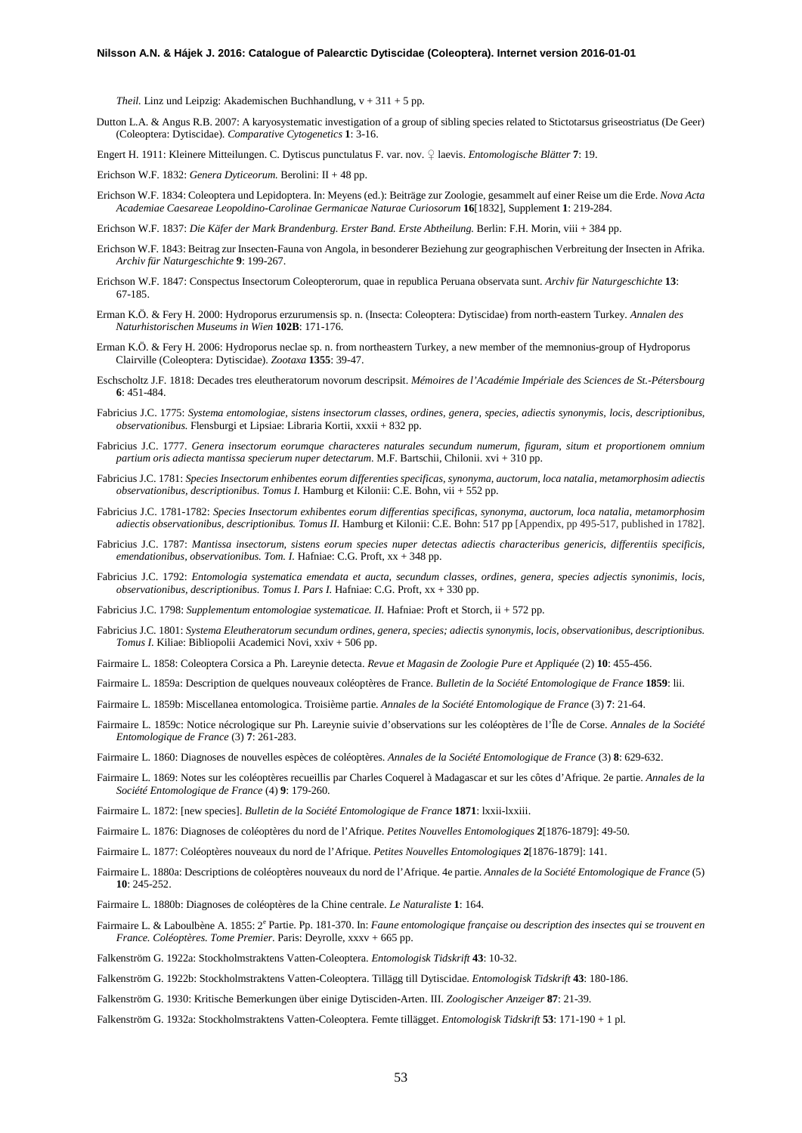*Theil.* Linz und Leipzig: Akademischen Buchhandlung, v + 311 + 5 pp.

Dutton L.A. & Angus R.B. 2007: A karyosystematic investigation of a group of sibling species related to Stictotarsus griseostriatus (De Geer) (Coleoptera: Dytiscidae). *Comparative Cytogenetics* **1**: 3-16.

Engert H. 1911: Kleinere Mitteilungen. C. Dytiscus punctulatus F. var. nov. ♀ laevis. *Entomologische Blätter* **7**: 19.

- Erichson W.F. 1832: *Genera Dyticeorum.* Berolini: II + 48 pp.
- Erichson W.F. 1834: Coleoptera und Lepidoptera. In: Meyens (ed.): Beiträge zur Zoologie, gesammelt auf einer Reise um die Erde. *Nova Acta Academiae Caesareae Leopoldino-Carolinae Germanicae Naturae Curiosorum* **16**[1832], Supplement **1**: 219-284.
- Erichson W.F. 1837: *Die Käfer der Mark Brandenburg. Erster Band. Erste Abtheilung.* Berlin: F.H. Morin, viii + 384 pp.
- Erichson W.F. 1843: Beitrag zur Insecten-Fauna von Angola, in besonderer Beziehung zur geographischen Verbreitung der Insecten in Afrika. *Archiv für Naturgeschichte* **9**: 199-267.
- Erichson W.F. 1847: Conspectus Insectorum Coleopterorum, quae in republica Peruana observata sunt. *Archiv für Naturgeschichte* **13**: 67-185.
- Erman K.Ö. & Fery H. 2000: Hydroporus erzurumensis sp. n. (Insecta: Coleoptera: Dytiscidae) from north-eastern Turkey. *Annalen des Naturhistorischen Museums in Wien* **102B**: 171-176.
- Erman K.Ö. & Fery H. 2006: Hydroporus neclae sp. n. from northeastern Turkey, a new member of the memnonius-group of Hydroporus Clairville (Coleoptera: Dytiscidae). *Zootaxa* **1355**: 39-47.
- Eschscholtz J.F. 1818: Decades tres eleutheratorum novorum descripsit. *Mémoires de l'Académie Impériale des Sciences de St.-Pétersbourg*  **6**: 451-484.
- Fabricius J.C. 1775: *Systema entomologiae, sistens insectorum classes, ordines, genera, species, adiectis synonymis, locis, descriptionibus, observationibus.* Flensburgi et Lipsiae: Libraria Kortii, xxxii + 832 pp.
- Fabricius J.C. 1777. *Genera insectorum eorumque characteres naturales secundum numerum, figuram, situm et proportionem omnium partium oris adiecta mantissa specierum nuper detectarum*. M.F. Bartschii, Chilonii. xvi + 310 pp.
- Fabricius J.C. 1781: *Species Insectorum enhibentes eorum differenties specificas, synonyma, auctorum, loca natalia, metamorphosim adiectis observationibus, descriptionibus. Tomus I.* Hamburg et Kilonii: C.E. Bohn, vii + 552 pp.
- Fabricius J.C. 1781-1782: *Species Insectorum exhibentes eorum differentias specificas, synonyma, auctorum, loca natalia, metamorphosim adiectis observationibus, descriptionibus. Tomus II.* Hamburg et Kilonii: C.E. Bohn: 517 pp [Appendix, pp 495-517, published in 1782].
- Fabricius J.C. 1787: *Mantissa insectorum, sistens eorum species nuper detectas adiectis characteribus genericis, differentiis specificis, emendationibus, observationibus. Tom. I.* Hafniae: C.G. Proft, xx + 348 pp.
- Fabricius J.C. 1792: *Entomologia systematica emendata et aucta, secundum classes, ordines, genera, species adjectis synonimis, locis, observationibus, descriptionibus. Tomus I. Pars I.* Hafniae: C.G. Proft, xx + 330 pp.
- Fabricius J.C. 1798: *Supplementum entomologiae systematicae. II.* Hafniae: Proft et Storch, ii + 572 pp.
- Fabricius J.C. 1801: *Systema Eleutheratorum secundum ordines, genera, species; adiectis synonymis, locis, observationibus, descriptionibus. Tomus I*. Kiliae: Bibliopolii Academici Novi, xxiv + 506 pp.
- Fairmaire L. 1858: Coleoptera Corsica a Ph. Lareynie detecta. *Revue et Magasin de Zoologie Pure et Appliquée* (2) **10**: 455-456.
- Fairmaire L. 1859a: Description de quelques nouveaux coléoptères de France. *Bulletin de la Société Entomologique de France* **1859**: lii.
- Fairmaire L. 1859b: Miscellanea entomologica. Troisième partie. *Annales de la Société Entomologique de France* (3) **7**: 21-64.
- Fairmaire L. 1859c: Notice nécrologique sur Ph. Lareynie suivie d'observations sur les coléoptères de l'Île de Corse. *Annales de la Société Entomologique de France* (3) **7**: 261-283.
- Fairmaire L. 1860: Diagnoses de nouvelles espèces de coléoptères. *Annales de la Société Entomologique de France* (3) **8**: 629-632.
- Fairmaire L. 1869: Notes sur les coléoptères recueillis par Charles Coquerel à Madagascar et sur les côtes d'Afrique. 2e partie. *Annales de la Société Entomologique de France* (4) **9**: 179-260.
- Fairmaire L. 1872: [new species]. *Bulletin de la Société Entomologique de France* **1871**: lxxii-lxxiii.
- Fairmaire L. 1876: Diagnoses de coléoptères du nord de l'Afrique. *Petites Nouvelles Entomologiques* **2**[1876-1879]: 49-50.
- Fairmaire L. 1877: Coléoptères nouveaux du nord de l'Afrique. *Petites Nouvelles Entomologiques* **2**[1876-1879]: 141.
- Fairmaire L. 1880a: Descriptions de coléoptères nouveaux du nord de l'Afrique. 4e partie. *Annales de la Société Entomologique de France* (5) **10**: 245-252.
- Fairmaire L. 1880b: Diagnoses de coléoptères de la Chine centrale. *Le Naturaliste* **1**: 164.
- Fairmaire L. & Laboulbène A. 1855: 2<sup>e</sup> Partie. Pp. 181-370. In: *Faune entomologique française ou description des insectes qui se trouvent en France. Coléoptères. Tome Premier*. Paris: Deyrolle, xxxv + 665 pp.
- Falkenström G. 1922a: Stockholmstraktens Vatten-Coleoptera. *Entomologisk Tidskrift* **43**: 10-32.
- Falkenström G. 1922b: Stockholmstraktens Vatten-Coleoptera. Tillägg till Dytiscidae. *Entomologisk Tidskrift* **43**: 180-186.
- Falkenström G. 1930: Kritische Bemerkungen über einige Dytisciden-Arten. III. *Zoologischer Anzeiger* **87**: 21-39.
- Falkenström G. 1932a: Stockholmstraktens Vatten-Coleoptera. Femte tillägget. *Entomologisk Tidskrift* **53**: 171-190 + 1 pl.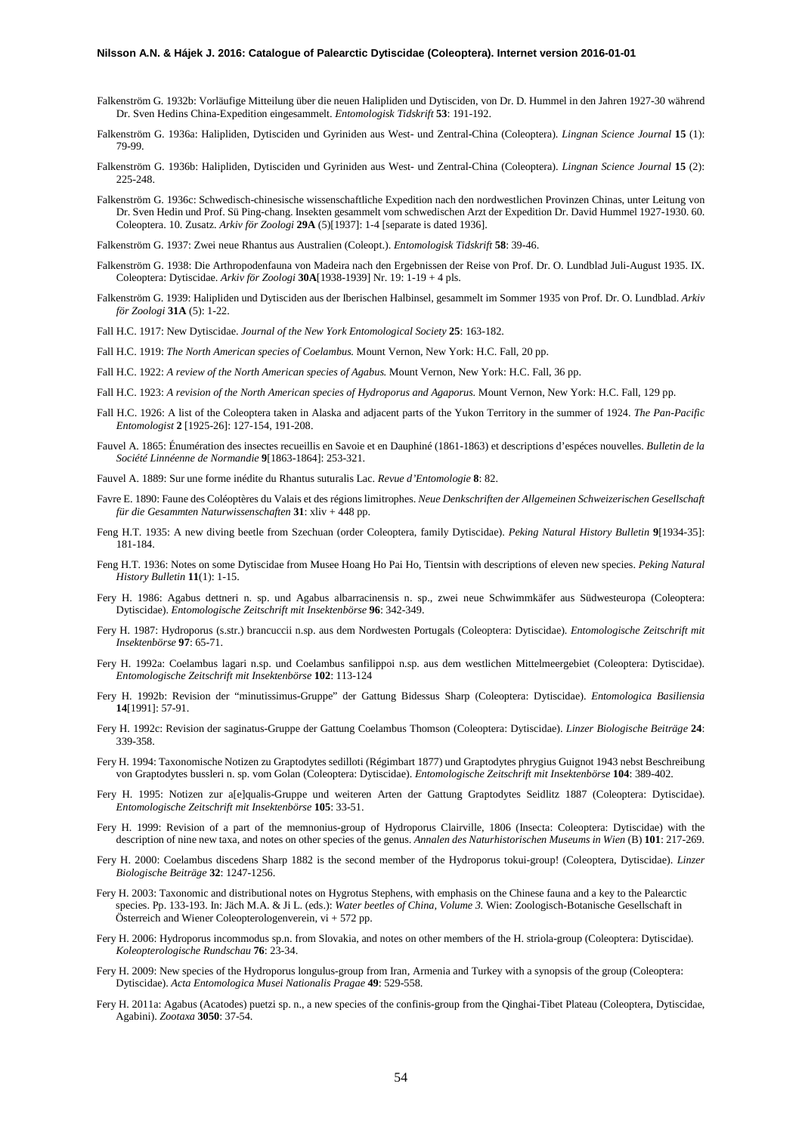- Falkenström G. 1932b: Vorläufige Mitteilung über die neuen Halipliden und Dytisciden, von Dr. D. Hummel in den Jahren 1927-30 während Dr. Sven Hedins China-Expedition eingesammelt. *Entomologisk Tidskrift* **53**: 191-192.
- Falkenström G. 1936a: Halipliden, Dytisciden und Gyriniden aus West- und Zentral-China (Coleoptera). *Lingnan Science Journal* **15** (1): 79-99.
- Falkenström G. 1936b: Halipliden, Dytisciden und Gyriniden aus West- und Zentral-China (Coleoptera). *Lingnan Science Journal* **15** (2): 225-248
- Falkenström G. 1936c: Schwedisch-chinesische wissenschaftliche Expedition nach den nordwestlichen Provinzen Chinas, unter Leitung von Dr. Sven Hedin und Prof. Sü Ping-chang. Insekten gesammelt vom schwedischen Arzt der Expedition Dr. David Hummel 1927-1930. 60. Coleoptera. 10. Zusatz. *Arkiv för Zoologi* **29A** (5)[1937]: 1-4 [separate is dated 1936].
- Falkenström G. 1937: Zwei neue Rhantus aus Australien (Coleopt.). *Entomologisk Tidskrift* **58**: 39-46.
- Falkenström G. 1938: Die Arthropodenfauna von Madeira nach den Ergebnissen der Reise von Prof. Dr. O. Lundblad Juli-August 1935. IX. Coleoptera: Dytiscidae. *Arkiv för Zoologi* **30A**[1938-1939] Nr. 19: 1-19 + 4 pls.
- Falkenström G. 1939: Halipliden und Dytisciden aus der Iberischen Halbinsel, gesammelt im Sommer 1935 von Prof. Dr. O. Lundblad. *Arkiv för Zoologi* **31A** (5): 1-22.
- Fall H.C. 1917: New Dytiscidae. *Journal of the New York Entomological Society* **25**: 163-182.
- Fall H.C. 1919: *The North American species of Coelambus.* Mount Vernon, New York: H.C. Fall, 20 pp.
- Fall H.C. 1922: *A review of the North American species of Agabus.* Mount Vernon, New York: H.C. Fall, 36 pp.
- Fall H.C. 1923: *A revision of the North American species of Hydroporus and Agaporus.* Mount Vernon, New York: H.C. Fall, 129 pp.
- Fall H.C. 1926: A list of the Coleoptera taken in Alaska and adjacent parts of the Yukon Territory in the summer of 1924. *The Pan-Pacific Entomologist* **2** [1925-26]: 127-154, 191-208.
- Fauvel A. 1865: Énumération des insectes recueillis en Savoie et en Dauphiné (1861-1863) et descriptions d'espéces nouvelles. *Bulletin de la Société Linnéenne de Normandie* **9**[1863-1864]: 253-321.
- Fauvel A. 1889: Sur une forme inédite du Rhantus suturalis Lac. *Revue d'Entomologie* **8**: 82.
- Favre E. 1890: Faune des Coléoptères du Valais et des régions limitrophes. *Neue Denkschriften der Allgemeinen Schweizerischen Gesellschaft für die Gesammten Naturwissenschaften* **31**: xliv + 448 pp.
- Feng H.T. 1935: A new diving beetle from Szechuan (order Coleoptera, family Dytiscidae). *Peking Natural History Bulletin* **9**[1934-35]: 181-184.
- Feng H.T. 1936: Notes on some Dytiscidae from Musee Hoang Ho Pai Ho, Tientsin with descriptions of eleven new species. *Peking Natural History Bulletin* **11**(1): 1-15.
- Fery H. 1986: Agabus dettneri n. sp. und Agabus albarracinensis n. sp., zwei neue Schwimmkäfer aus Südwesteuropa (Coleoptera: Dytiscidae). *Entomologische Zeitschrift mit Insektenbörse* **96**: 342-349.
- Fery H. 1987: Hydroporus (s.str.) brancuccii n.sp. aus dem Nordwesten Portugals (Coleoptera: Dytiscidae). *Entomologische Zeitschrift mit Insektenbörse* **97**: 65-71.
- Fery H. 1992a: Coelambus lagari n.sp. und Coelambus sanfilippoi n.sp. aus dem westlichen Mittelmeergebiet (Coleoptera: Dytiscidae). *Entomologische Zeitschrift mit Insektenbörse* **102**: 113-124
- Fery H. 1992b: Revision der "minutissimus-Gruppe" der Gattung Bidessus Sharp (Coleoptera: Dytiscidae). *Entomologica Basiliensia* **14**[1991]: 57-91.
- Fery H. 1992c: Revision der saginatus-Gruppe der Gattung Coelambus Thomson (Coleoptera: Dytiscidae). *Linzer Biologische Beiträge* **24**: 339-358.
- Fery H. 1994: Taxonomische Notizen zu Graptodytes sedilloti (Régimbart 1877) und Graptodytes phrygius Guignot 1943 nebst Beschreibung von Graptodytes bussleri n. sp. vom Golan (Coleoptera: Dytiscidae). *Entomologische Zeitschrift mit Insektenbörse* **104**: 389-402.
- Fery H. 1995: Notizen zur a[e]qualis-Gruppe und weiteren Arten der Gattung Graptodytes Seidlitz 1887 (Coleoptera: Dytiscidae). *Entomologische Zeitschrift mit Insektenbörse* **105**: 33-51.
- Fery H. 1999: Revision of a part of the memnonius-group of Hydroporus Clairville, 1806 (Insecta: Coleoptera: Dytiscidae) with the description of nine new taxa, and notes on other species of the genus. *Annalen des Naturhistorischen Museums in Wien* (B) **101**: 217-269.
- Fery H. 2000: Coelambus discedens Sharp 1882 is the second member of the Hydroporus tokui-group! (Coleoptera, Dytiscidae). *Linzer Biologische Beiträge* **32**: 1247-1256.
- Fery H. 2003: Taxonomic and distributional notes on Hygrotus Stephens, with emphasis on the Chinese fauna and a key to the Palearctic species. Pp. 133-193. In: Jäch M.A. & Ji L. (eds.): *Water beetles of China, Volume 3.* Wien: Zoologisch-Botanische Gesellschaft in  $Ö$ sterreich and Wiener Coleopterologenverein, vi + 572 pp.
- Fery H. 2006: Hydroporus incommodus sp.n. from Slovakia, and notes on other members of the H. striola-group (Coleoptera: Dytiscidae). *Koleopterologische Rundschau* **76**: 23-34.
- Fery H. 2009: New species of the Hydroporus longulus-group from Iran, Armenia and Turkey with a synopsis of the group (Coleoptera: Dytiscidae). *Acta Entomologica Musei Nationalis Pragae* **49**: 529-558.
- Fery H. 2011a: Agabus (Acatodes) puetzi sp. n., a new species of the confinis-group from the Qinghai-Tibet Plateau (Coleoptera, Dytiscidae, Agabini). *Zootaxa* **3050**: 37-54.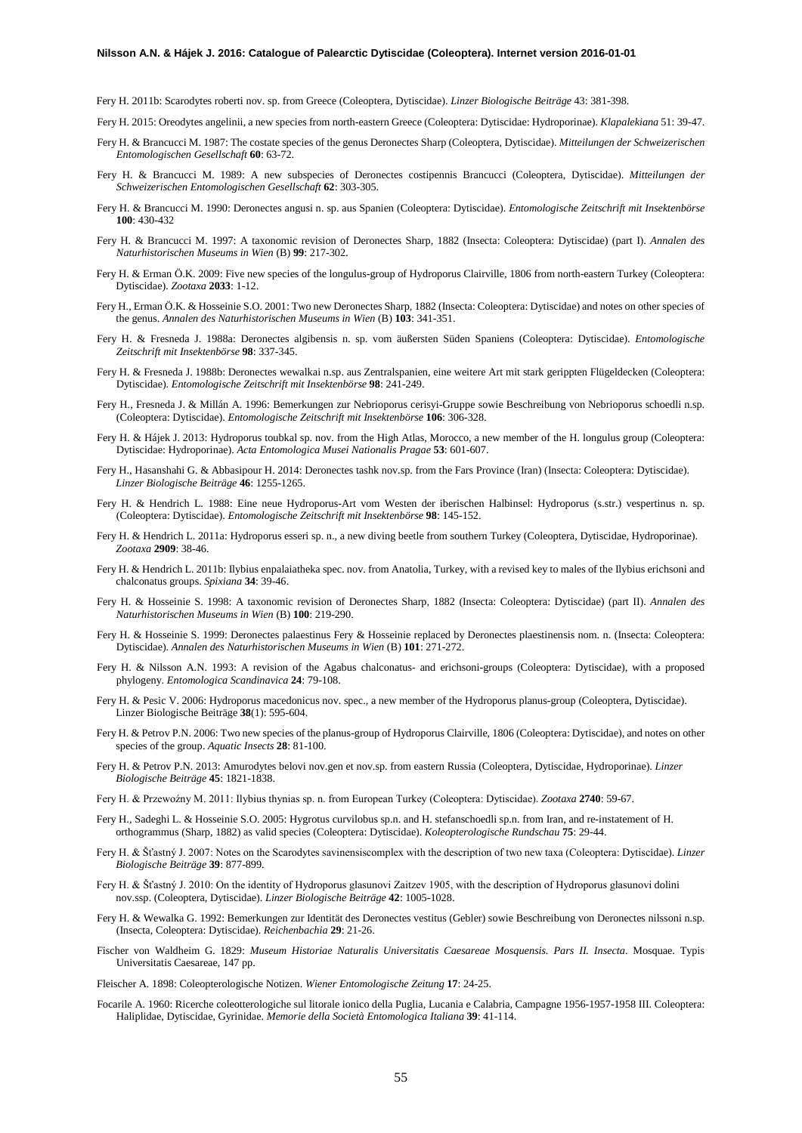Fery H. 2011b: Scarodytes roberti nov. sp. from Greece (Coleoptera, Dytiscidae). *Linzer Biologische Beiträge* 43: 381-398.

Fery H. 2015: Oreodytes angelinii, a new species from north-eastern Greece (Coleoptera: Dytiscidae: Hydroporinae). *Klapalekiana* 51: 39-47.

- Fery H. & Brancucci M. 1987: The costate species of the genus Deronectes Sharp (Coleoptera, Dytiscidae). *Mitteilungen der Schweizerischen Entomologischen Gesellschaft* **60**: 63-72.
- Fery H. & Brancucci M. 1989: A new subspecies of Deronectes costipennis Brancucci (Coleoptera, Dytiscidae). *Mitteilungen der Schweizerischen Entomologischen Gesellschaft* **62**: 303-305.
- Fery H. & Brancucci M. 1990: Deronectes angusi n. sp. aus Spanien (Coleoptera: Dytiscidae). *Entomologische Zeitschrift mit Insektenbörse* **100**: 430-432
- Fery H. & Brancucci M. 1997: A taxonomic revision of Deronectes Sharp, 1882 (Insecta: Coleoptera: Dytiscidae) (part I). *Annalen des Naturhistorischen Museums in Wien* (B) **99**: 217-302.
- Fery H. & Erman Ö.K. 2009: Five new species of the longulus-group of Hydroporus Clairville, 1806 from north-eastern Turkey (Coleoptera: Dytiscidae). *Zootaxa* **2033**: 1-12.
- Fery H., Erman Ö.K. & Hosseinie S.O. 2001: Two new Deronectes Sharp, 1882 (Insecta: Coleoptera: Dytiscidae) and notes on other species of the genus. *Annalen des Naturhistorischen Museums in Wien* (B) **103**: 341-351.
- Fery H. & Fresneda J. 1988a: Deronectes algibensis n. sp. vom äußersten Süden Spaniens (Coleoptera: Dytiscidae). *Entomologische Zeitschrift mit Insektenbörse* **98**: 337-345.
- Fery H. & Fresneda J. 1988b: Deronectes wewalkai n.sp. aus Zentralspanien, eine weitere Art mit stark gerippten Flügeldecken (Coleoptera: Dytiscidae). *Entomologische Zeitschrift mit Insektenbörse* **98**: 241-249.
- Fery H., Fresneda J. & Millán A. 1996: Bemerkungen zur Nebrioporus cerisyi-Gruppe sowie Beschreibung von Nebrioporus schoedli n.sp. (Coleoptera: Dytiscidae). *Entomologische Zeitschrift mit Insektenbörse* **106**: 306-328.
- Fery H. & Hájek J. 2013: Hydroporus toubkal sp. nov. from the High Atlas, Morocco, a new member of the H. longulus group (Coleoptera: Dytiscidae: Hydroporinae). *Acta Entomologica Musei Nationalis Pragae* **53**: 601-607.
- Fery H., Hasanshahi G. & Abbasipour H. 2014: Deronectes tashk nov.sp. from the Fars Province (Iran) (Insecta: Coleoptera: Dytiscidae). *Linzer Biologische Beiträge* **46**: 1255-1265.
- Fery H. & Hendrich L. 1988: Eine neue Hydroporus-Art vom Westen der iberischen Halbinsel: Hydroporus (s.str.) vespertinus n. sp. (Coleoptera: Dytiscidae). *Entomologische Zeitschrift mit Insektenbörse* **98**: 145-152.
- Fery H. & Hendrich L. 2011a: Hydroporus esseri sp. n., a new diving beetle from southern Turkey (Coleoptera, Dytiscidae, Hydroporinae). *Zootaxa* **2909**: 38-46.
- Fery H. & Hendrich L. 2011b: Ilybius enpalaiatheka spec. nov. from Anatolia, Turkey, with a revised key to males of the Ilybius erichsoni and chalconatus groups. *Spixiana* **34**: 39-46.
- Fery H. & Hosseinie S. 1998: A taxonomic revision of Deronectes Sharp, 1882 (Insecta: Coleoptera: Dytiscidae) (part II). *Annalen des Naturhistorischen Museums in Wien* (B) **100**: 219-290.
- Fery H. & Hosseinie S. 1999: Deronectes palaestinus Fery & Hosseinie replaced by Deronectes plaestinensis nom. n. (Insecta: Coleoptera: Dytiscidae). *Annalen des Naturhistorischen Museums in Wien* (B) **101**: 271-272.
- Fery H. & Nilsson A.N. 1993: A revision of the Agabus chalconatus- and erichsoni-groups (Coleoptera: Dytiscidae), with a proposed phylogeny. *Entomologica Scandinavica* **24**: 79-108.
- Fery H. & Pesic V. 2006: Hydroporus macedonicus nov. spec., a new member of the Hydroporus planus-group (Coleoptera, Dytiscidae). Linzer Biologische Beiträge **38**(1): 595-604.
- Fery H. & Petrov P.N. 2006: Two new species of the planus-group of Hydroporus Clairville, 1806 (Coleoptera: Dytiscidae), and notes on other species of the group. *Aquatic Insects* **28**: 81-100.
- Fery H. & Petrov P.N. 2013: Amurodytes belovi nov.gen et nov.sp. from eastern Russia (Coleoptera, Dytiscidae, Hydroporinae). *Linzer Biologische Beiträge* **45**: 1821-1838.
- Fery H. & Przewoźny M. 2011: Ilybius thynias sp. n. from European Turkey (Coleoptera: Dytiscidae). *Zootaxa* **2740**: 59-67.
- Fery H., Sadeghi L. & Hosseinie S.O. 2005: Hygrotus curvilobus sp.n. and H. stefanschoedli sp.n. from Iran, and re-instatement of H. orthogrammus (Sharp, 1882) as valid species (Coleoptera: Dytiscidae). *Koleopterologische Rundschau* **75**: 29-44.
- Fery H. & Šťastný J. 2007: Notes on the Scarodytes savinensiscomplex with the description of two new taxa (Coleoptera: Dytiscidae). *Linzer Biologische Beiträge* **39**: 877-899.
- Fery H. & Šťastný J. 2010: On the identity of Hydroporus glasunovi Zaitzev 1905, with the description of Hydroporus glasunovi dolini nov.ssp. (Coleoptera, Dytiscidae). *Linzer Biologische Beiträge* **42**: 1005-1028.
- Fery H. & Wewalka G. 1992: Bemerkungen zur Identität des Deronectes vestitus (Gebler) sowie Beschreibung von Deronectes nilssoni n.sp. (Insecta, Coleoptera: Dytiscidae). *Reichenbachia* **29**: 21-26.
- Fischer von Waldheim G. 1829: *Museum Historiae Naturalis Universitatis Caesareae Mosquensis. Pars II. Insecta*. Mosquae. Typis Universitatis Caesareae, 147 pp.

Fleischer A. 1898: Coleopterologische Notizen. *Wiener Entomologische Zeitung* **17**: 24-25.

Focarile A. 1960: Ricerche coleotterologiche sul litorale ionico della Puglia, Lucania e Calabria, Campagne 1956-1957-1958 III. Coleoptera: Haliplidae, Dytiscidae, Gyrinidae. *Memorie della Società Entomologica Italiana* **39**: 41-114.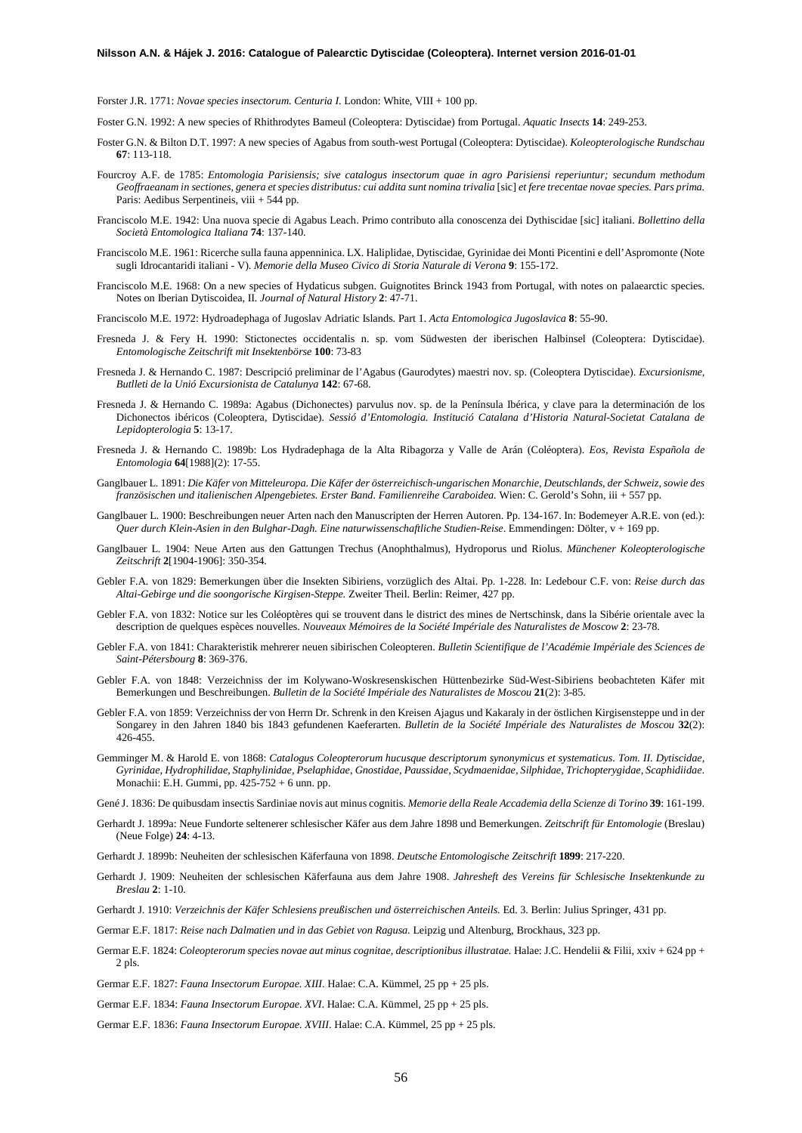Forster J.R. 1771: *Novae species insectorum. Centuria I.* London: White, VIII + 100 pp.

- Foster G.N. 1992: A new species of Rhithrodytes Bameul (Coleoptera: Dytiscidae) from Portugal. *Aquatic Insects* **14**: 249-253.
- Foster G.N. & Bilton D.T. 1997: A new species of Agabus from south-west Portugal (Coleoptera: Dytiscidae). *Koleopterologische Rundschau* **67**: 113-118.
- Fourcroy A.F. de 1785: *Entomologia Parisiensis; sive catalogus insectorum quae in agro Parisiensi reperiuntur; secundum methodum*  Geoffraeanam in sectiones, genera et species distributus: cui addita sunt nomina trivalia [sic] et fere trecentae novae species. Pars prima. Paris: Aedibus Serpentineis, viii + 544 pp.
- Franciscolo M.E. 1942: Una nuova specie di Agabus Leach. Primo contributo alla conoscenza dei Dythiscidae [sic] italiani. *Bollettino della Società Entomologica Italiana* **74**: 137-140.
- Franciscolo M.E. 1961: Ricerche sulla fauna appenninica. LX. Haliplidae, Dytiscidae, Gyrinidae dei Monti Picentini e dell'Aspromonte (Note sugli Idrocantaridi italiani - V). *Memorie della Museo Civico di Storia Naturale di Verona* **9**: 155-172.
- Franciscolo M.E. 1968: On a new species of Hydaticus subgen. Guignotites Brinck 1943 from Portugal, with notes on palaearctic species. Notes on Iberian Dytiscoidea, II. *Journal of Natural History* **2**: 47-71.
- Franciscolo M.E. 1972: Hydroadephaga of Jugoslav Adriatic Islands. Part 1. *Acta Entomologica Jugoslavica* **8**: 55-90.
- Fresneda J. & Fery H. 1990: Stictonectes occidentalis n. sp. vom Südwesten der iberischen Halbinsel (Coleoptera: Dytiscidae). *Entomologische Zeitschrift mit Insektenbörse* **100**: 73-83
- Fresneda J. & Hernando C. 1987: Descripció preliminar de l'Agabus (Gaurodytes) maestri nov. sp. (Coleoptera Dytiscidae). *Excursionisme, Butlleti de la Unió Excursionista de Catalunya* **142**: 67-68.
- Fresneda J. & Hernando C. 1989a: Agabus (Dichonectes) parvulus nov. sp. de la Península Ibérica, y clave para la determinación de los Dichonectos ibéricos (Coleoptera, Dytiscidae). *Sessió d'Entomologia. Institució Catalana d'Historia Natural-Societat Catalana de Lepidopterologia* **5**: 13-17.
- Fresneda J. & Hernando C. 1989b: Los Hydradephaga de la Alta Ribagorza y Valle de Arán (Coléoptera). *Eos, Revista Española de Entomologia* **64**[1988](2): 17-55.
- Ganglbauer L. 1891: *Die Käfer von Mitteleuropa. Die Käfer der österreichisch-ungarischen Monarchie, Deutschlands, der Schweiz, sowie des französischen und italienischen Alpengebietes. Erster Band. Familienreihe Caraboidea.* Wien: C. Gerold's Sohn, iii + 557 pp.
- Ganglbauer L. 1900: Beschreibungen neuer Arten nach den Manuscripten der Herren Autoren. Pp. 134-167. In: Bodemeyer A.R.E. von (ed.): *Quer durch Klein-Asien in den Bulghar-Dagh. Eine naturwissenschaftliche Studien-Reise*. Emmendingen: Dölter, v + 169 pp.
- Ganglbauer L. 1904: Neue Arten aus den Gattungen Trechus (Anophthalmus), Hydroporus und Riolus. *Münchener Koleopterologische Zeitschrift* **2**[1904-1906]: 350-354.
- Gebler F.A. von 1829: Bemerkungen über die Insekten Sibiriens, vorzüglich des Altai. Pp. 1-228. In: Ledebour C.F. von: *Reise durch das Altai-Gebirge und die soongorische Kirgisen-Steppe.* Zweiter Theil. Berlin: Reimer, 427 pp.
- Gebler F.A. von 1832: Notice sur les Coléoptères qui se trouvent dans le district des mines de Nertschinsk, dans la Sibérie orientale avec la description de quelques espèces nouvelles. *Nouveaux Mémoires de la Société Impériale des Naturalistes de Moscow* **2**: 23-78.
- Gebler F.A. von 1841: Charakteristik mehrerer neuen sibirischen Coleopteren. *Bulletin Scientifique de l'Académie Impériale des Sciences de Saint-Pétersbourg* **8**: 369-376.
- Gebler F.A. von 1848: Verzeichniss der im Kolywano-Woskresenskischen Hüttenbezirke Süd-West-Sibiriens beobachteten Käfer mit Bemerkungen und Beschreibungen. *Bulletin de la Société Impériale des Naturalistes de Moscou* **21**(2): 3-85.
- Gebler F.A. von 1859: Verzeichniss der von Herrn Dr. Schrenk in den Kreisen Ajagus und Kakaraly in der östlichen Kirgisensteppe und in der Songarey in den Jahren 1840 bis 1843 gefundenen Kaeferarten. *Bulletin de la Société Impériale des Naturalistes de Moscou* **32**(2): 426-455.
- Gemminger M. & Harold E. von 1868: *Catalogus Coleopterorum hucusque descriptorum synonymicus et systematicus. Tom. II. Dytiscidae, Gyrinidae, Hydrophilidae, Staphylinidae, Pselaphidae, Gnostidae, Paussidae, Scydmaenidae, Silphidae, Trichopterygidae, Scaphidiidae*. Monachii: E.H. Gummi, pp. 425-752 + 6 unn. pp.
- Gené J. 1836: De quibusdam insectis Sardiniae novis aut minus cognitis. *Memorie della Reale Accademia della Scienze di Torino* **39**: 161-199.
- Gerhardt J. 1899a: Neue Fundorte seltenerer schlesischer Käfer aus dem Jahre 1898 und Bemerkungen. *Zeitschrift für Entomologie* (Breslau) (Neue Folge) **24**: 4-13.
- Gerhardt J. 1899b: Neuheiten der schlesischen Käferfauna von 1898. *Deutsche Entomologische Zeitschrift* **1899**: 217-220.
- Gerhardt J. 1909: Neuheiten der schlesischen Käferfauna aus dem Jahre 1908. *Jahresheft des Vereins für Schlesische Insektenkunde zu Breslau* **2**: 1-10.
- Gerhardt J. 1910: *Verzeichnis der Käfer Schlesiens preußischen und österreichischen Anteils.* Ed. 3. Berlin: Julius Springer, 431 pp.
- Germar E.F. 1817: *Reise nach Dalmatien und in das Gebiet von Ragusa.* Leipzig und Altenburg, Brockhaus, 323 pp.
- Germar E.F. 1824: *Coleopterorum species novae aut minus cognitae, descriptionibus illustratae.* Halae: J.C. Hendelii & Filii, xxiv + 624 pp + 2 pls.
- Germar E.F. 1827: *Fauna Insectorum Europae. XIII*. Halae: C.A. Kümmel, 25 pp + 25 pls.
- Germar E.F. 1834: *Fauna Insectorum Europae. XVI*. Halae: C.A. Kümmel, 25 pp + 25 pls.
- Germar E.F. 1836: *Fauna Insectorum Europae. XVIII*. Halae: C.A. Kümmel, 25 pp + 25 pls.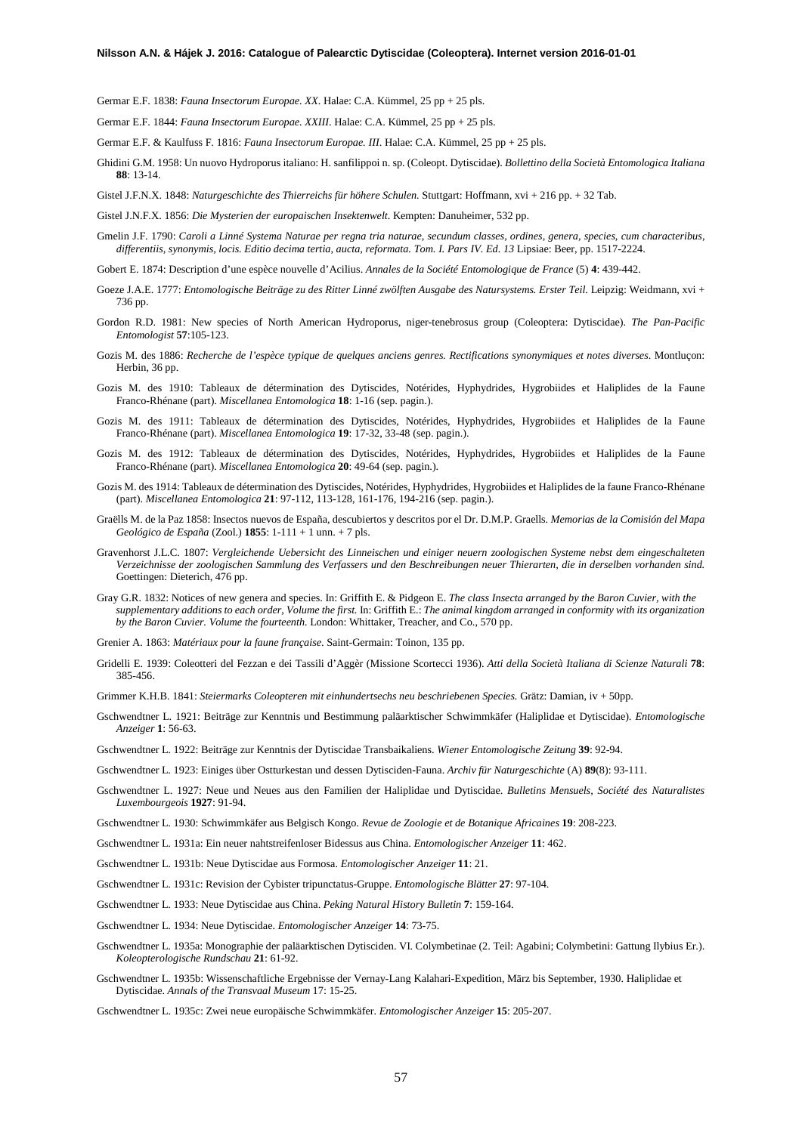Germar E.F. 1838: *Fauna Insectorum Europae. XX*. Halae: C.A. Kümmel, 25 pp + 25 pls.

Germar E.F. 1844: *Fauna Insectorum Europae. XXIII*. Halae: C.A. Kümmel, 25 pp + 25 pls.

Germar E.F. & Kaulfuss F. 1816: *Fauna Insectorum Europae. III*. Halae: C.A. Kümmel, 25 pp + 25 pls.

Ghidini G.M. 1958: Un nuovo Hydroporus italiano: H. sanfilippoi n. sp. (Coleopt. Dytiscidae). *Bollettino della Società Entomologica Italiana* **88**: 13-14.

Gistel J.F.N.X. 1848: *Naturgeschichte des Thierreichs für höhere Schulen.* Stuttgart: Hoffmann, xvi + 216 pp. + 32 Tab.

Gistel J.N.F.X. 1856: *Die Mysterien der europaischen Insektenwelt*. Kempten: Danuheimer, 532 pp.

Gmelin J.F. 1790: *Caroli a Linné Systema Naturae per regna tria naturae, secundum classes, ordines, genera, species, cum characteribus, differentiis, synonymis, locis. Editio decima tertia, aucta, reformata. Tom. I. Pars IV. Ed. 13* Lipsiae: Beer, pp. 1517-2224.

Gobert E. 1874: Description d'une espèce nouvelle d'Acilius. *Annales de la Société Entomologique de France* (5) **4**: 439-442.

- Goeze J.A.E. 1777: *Entomologische Beiträge zu des Ritter Linné zwölften Ausgabe des Natursystems. Erster Teil.* Leipzig: Weidmann, xvi + 736 pp.
- Gordon R.D. 1981: New species of North American Hydroporus, niger-tenebrosus group (Coleoptera: Dytiscidae). *The Pan-Pacific Entomologist* **57**:105-123.
- Gozis M. des 1886: *Recherche de l'espèce typique de quelques anciens genres. Rectifications synonymiques et notes diverses*. Montluçon: Herbin, 36 pp.
- Gozis M. des 1910: Tableaux de détermination des Dytiscides, Notérides, Hyphydrides, Hygrobiides et Haliplides de la Faune Franco-Rhénane (part). *Miscellanea Entomologica* **18**: 1-16 (sep. pagin.).
- Gozis M. des 1911: Tableaux de détermination des Dytiscides, Notérides, Hyphydrides, Hygrobiides et Haliplides de la Faune Franco-Rhénane (part). *Miscellanea Entomologica* **19**: 17-32, 33-48 (sep. pagin.).
- Gozis M. des 1912: Tableaux de détermination des Dytiscides, Notérides, Hyphydrides, Hygrobiides et Haliplides de la Faune Franco-Rhénane (part). *Miscellanea Entomologica* **20**: 49-64 (sep. pagin.).
- Gozis M. des 1914: Tableaux de détermination des Dytiscides, Notérides, Hyphydrides, Hygrobiides et Haliplides de la faune Franco-Rhénane (part). *Miscellanea Entomologica* **21**: 97-112, 113-128, 161-176, 194-216 (sep. pagin.).
- Graëlls M. de la Paz 1858: Insectos nuevos de España, descubiertos y descritos por el Dr. D.M.P. Graells. *Memorias de la Comisión del Mapa Geológico de España* (Zool.) **1855**: 1-111 + 1 unn. + 7 pls.
- Gravenhorst J.L.C. 1807: *Vergleichende Uebersicht des Linneischen und einiger neuern zoologischen Systeme nebst dem eingeschalteten Verzeichnisse der zoologischen Sammlung des Verfassers und den Beschreibungen neuer Thierarten, die in derselben vorhanden sind.* Goettingen: Dieterich, 476 pp.
- Gray G.R. 1832: Notices of new genera and species. In: Griffith E. & Pidgeon E. *The class Insecta arranged by the Baron Cuvier, with the supplementary additions to each order, Volume the first.* In: Griffith E.: *The animal kingdom arranged in conformity with its organization by the Baron Cuvier. Volume the fourteenth.* London: Whittaker, Treacher, and Co., 570 pp.
- Grenier A. 1863: *Matériaux pour la faune française*. Saint-Germain: Toinon, 135 pp.
- Gridelli E. 1939: Coleotteri del Fezzan e dei Tassili d'Aggèr (Missione Scortecci 1936). *Atti della Società Italiana di Scienze Naturali* **78**: 385-456.
- Grimmer K.H.B. 1841: *Steiermarks Coleopteren mit einhundertsechs neu beschriebenen Species.* Grätz: Damian, iv + 50pp.
- Gschwendtner L. 1921: Beiträge zur Kenntnis und Bestimmung paläarktischer Schwimmkäfer (Haliplidae et Dytiscidae). *Entomologische Anzeiger* **1**: 56-63.
- Gschwendtner L. 1922: Beiträge zur Kenntnis der Dytiscidae Transbaikaliens. *Wiener Entomologische Zeitung* **39**: 92-94.
- Gschwendtner L. 1923: Einiges über Ostturkestan und dessen Dytisciden-Fauna. *Archiv für Naturgeschichte* (A) **89**(8): 93-111.
- Gschwendtner L. 1927: Neue und Neues aus den Familien der Haliplidae und Dytiscidae. *Bulletins Mensuels, Société des Naturalistes Luxembourgeois* **1927**: 91-94.
- Gschwendtner L. 1930: Schwimmkäfer aus Belgisch Kongo. *Revue de Zoologie et de Botanique Africaines* **19**: 208-223.
- Gschwendtner L. 1931a: Ein neuer nahtstreifenloser Bidessus aus China. *Entomologischer Anzeiger* **11**: 462.
- Gschwendtner L. 1931b: Neue Dytiscidae aus Formosa. *Entomologischer Anzeiger* **11**: 21.
- Gschwendtner L. 1931c: Revision der Cybister tripunctatus-Gruppe. *Entomologische Blätter* **27**: 97-104.
- Gschwendtner L. 1933: Neue Dytiscidae aus China. *Peking Natural History Bulletin* **7**: 159-164.
- Gschwendtner L. 1934: Neue Dytiscidae. *Entomologischer Anzeiger* **14**: 73-75.
- Gschwendtner L. 1935a: Monographie der paläarktischen Dytisciden. VI. Colymbetinae (2. Teil: Agabini; Colymbetini: Gattung Ilybius Er.). *Koleopterologische Rundschau* **21**: 61-92.
- Gschwendtner L. 1935b: Wissenschaftliche Ergebnisse der Vernay-Lang Kalahari-Expedition, März bis September, 1930. Haliplidae et Dytiscidae. *Annals of the Transvaal Museum* 17: 15-25.
- Gschwendtner L. 1935c: Zwei neue europäische Schwimmkäfer. *Entomologischer Anzeiger* **15**: 205-207.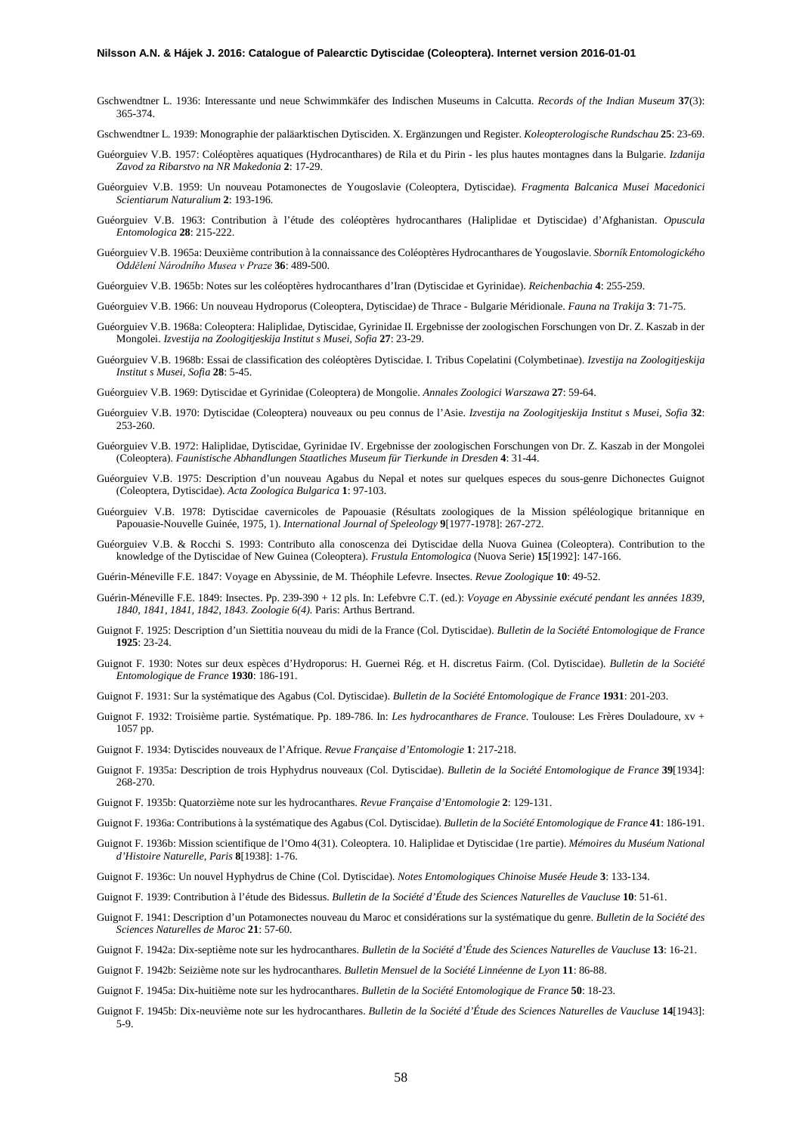- Gschwendtner L. 1936: Interessante und neue Schwimmkäfer des Indischen Museums in Calcutta. *Records of the Indian Museum* **37**(3): 365-374.
- Gschwendtner L. 1939: Monographie der paläarktischen Dytisciden. X. Ergänzungen und Register. *Koleopterologische Rundschau* **25**: 23-69.
- Guéorguiev V.B. 1957: Coléoptères aquatiques (Hydrocanthares) de Rila et du Pirin les plus hautes montagnes dans la Bulgarie. *Izdanija Zavod za Ribarstvo na NR Makedonia* **2**: 17-29.
- Guéorguiev V.B. 1959: Un nouveau Potamonectes de Yougoslavie (Coleoptera, Dytiscidae). *Fragmenta Balcanica Musei Macedonici Scientiarum Naturalium* **2**: 193-196.
- Guéorguiev V.B. 1963: Contribution à l'étude des coléoptères hydrocanthares (Haliplidae et Dytiscidae) d'Afghanistan. *Opuscula Entomologica* **28**: 215-222.
- Guéorguiev V.B. 1965a: Deuxième contribution à la connaissance des Coléoptères Hydrocanthares de Yougoslavie. *Sborník Entomologického Oddělení Národního Musea v Praze* **36**: 489-500.
- Guéorguiev V.B. 1965b: Notes sur les coléoptères hydrocanthares d'Iran (Dytiscidae et Gyrinidae). *Reichenbachia* **4**: 255-259.
- Guéorguiev V.B. 1966: Un nouveau Hydroporus (Coleoptera, Dytiscidae) de Thrace Bulgarie Méridionale. *Fauna na Trakija* **3**: 71-75.
- Guéorguiev V.B. 1968a: Coleoptera: Haliplidae, Dytiscidae, Gyrinidae II. Ergebnisse der zoologischen Forschungen von Dr. Z. Kaszab in der Mongolei. *Izvestija na Zoologitjeskija Institut s Musei, Sofia* **27**: 23-29.
- Guéorguiev V.B. 1968b: Essai de classification des coléoptères Dytiscidae. I. Tribus Copelatini (Colymbetinae). *Izvestija na Zoologitjeskija Institut s Musei, Sofia* **28**: 5-45.
- Guéorguiev V.B. 1969: Dytiscidae et Gyrinidae (Coleoptera) de Mongolie. *Annales Zoologici Warszawa* **27**: 59-64.
- Guéorguiev V.B. 1970: Dytiscidae (Coleoptera) nouveaux ou peu connus de l'Asie. *Izvestija na Zoologitjeskija Institut s Musei, Sofia* **32**: 253-260.
- Guéorguiev V.B. 1972: Haliplidae, Dytiscidae, Gyrinidae IV. Ergebnisse der zoologischen Forschungen von Dr. Z. Kaszab in der Mongolei (Coleoptera). *Faunistische Abhandlungen Staatliches Museum für Tierkunde in Dresden* **4**: 31-44.
- Guéorguiev V.B. 1975: Description d'un nouveau Agabus du Nepal et notes sur quelques especes du sous-genre Dichonectes Guignot (Coleoptera, Dytiscidae). *Acta Zoologica Bulgarica* **1**: 97-103.
- Guéorguiev V.B. 1978: Dytiscidae cavernicoles de Papouasie (Résultats zoologiques de la Mission spéléologique britannique en Papouasie-Nouvelle Guinée, 1975, 1). *International Journal of Speleology* **9**[1977-1978]: 267-272.
- Guéorguiev V.B. & Rocchi S. 1993: Contributo alla conoscenza dei Dytiscidae della Nuova Guinea (Coleoptera). Contribution to the knowledge of the Dytiscidae of New Guinea (Coleoptera). *Frustula Entomologica* (Nuova Serie) **15**[1992]: 147-166.

Guérin-Méneville F.E. 1847: Voyage en Abyssinie, de M. Théophile Lefevre. Insectes. *Revue Zoologique* **10**: 49-52.

- Guérin-Méneville F.E. 1849: Insectes. Pp. 239-390 + 12 pls. In: Lefebvre C.T. (ed.): *Voyage en Abyssinie exécuté pendant les années 1839, 1840, 1841, 1841, 1842, 1843. Zoologie 6(4).* Paris: Arthus Bertrand.
- Guignot F. 1925: Description d'un Siettitia nouveau du midi de la France (Col. Dytiscidae). *Bulletin de la Société Entomologique de France* **1925**: 23-24.
- Guignot F. 1930: Notes sur deux espèces d'Hydroporus: H. Guernei Rég. et H. discretus Fairm. (Col. Dytiscidae). *Bulletin de la Société Entomologique de France* **1930**: 186-191.
- Guignot F. 1931: Sur la systématique des Agabus (Col. Dytiscidae). *Bulletin de la Société Entomologique de France* **1931**: 201-203.
- Guignot F. 1932: Troisième partie. Systématique. Pp. 189-786. In: *Les hydrocanthares de France*. Toulouse: Les Frères Douladoure, xv + 1057 pp.
- Guignot F. 1934: Dytiscides nouveaux de l'Afrique. *Revue Française d'Entomologie* **1**: 217-218.
- Guignot F. 1935a: Description de trois Hyphydrus nouveaux (Col. Dytiscidae). *Bulletin de la Société Entomologique de France* **39**[1934]: 268-270.
- Guignot F. 1935b: Quatorzième note sur les hydrocanthares. *Revue Française d'Entomologie* **2**: 129-131.
- Guignot F. 1936a: Contributions à la systématique des Agabus (Col. Dytiscidae). *Bulletin de la Société Entomologique de France* **41**: 186-191.
- Guignot F. 1936b: Mission scientifique de l'Omo 4(31). Coleoptera. 10. Haliplidae et Dytiscidae (1re partie). *Mémoires du Muséum National d'Histoire Naturelle, Paris* **8**[1938]: 1-76.
- Guignot F. 1936c: Un nouvel Hyphydrus de Chine (Col. Dytiscidae). *Notes Entomologiques Chinoise Musée Heude* **3**: 133-134.
- Guignot F. 1939: Contribution à l'étude des Bidessus. *Bulletin de la Société d'Étude des Sciences Naturelles de Vaucluse* **10**: 51-61.
- Guignot F. 1941: Description d'un Potamonectes nouveau du Maroc et considérations sur la systématique du genre. *Bulletin de la Société des Sciences Naturelles de Maroc* **21**: 57-60.
- Guignot F. 1942a: Dix-septième note sur les hydrocanthares. *Bulletin de la Société d'Étude des Sciences Naturelles de Vaucluse* **13**: 16-21.
- Guignot F. 1942b: Seizième note sur les hydrocanthares. *Bulletin Mensuel de la Société Linnéenne de Lyon* **11**: 86-88.
- Guignot F. 1945a: Dix-huitième note sur les hydrocanthares. *Bulletin de la Société Entomologique de France* **50**: 18-23.
- Guignot F. 1945b: Dix-neuvième note sur les hydrocanthares. *Bulletin de la Société d'Étude des Sciences Naturelles de Vaucluse* **14**[1943]:  $5 - 9$ .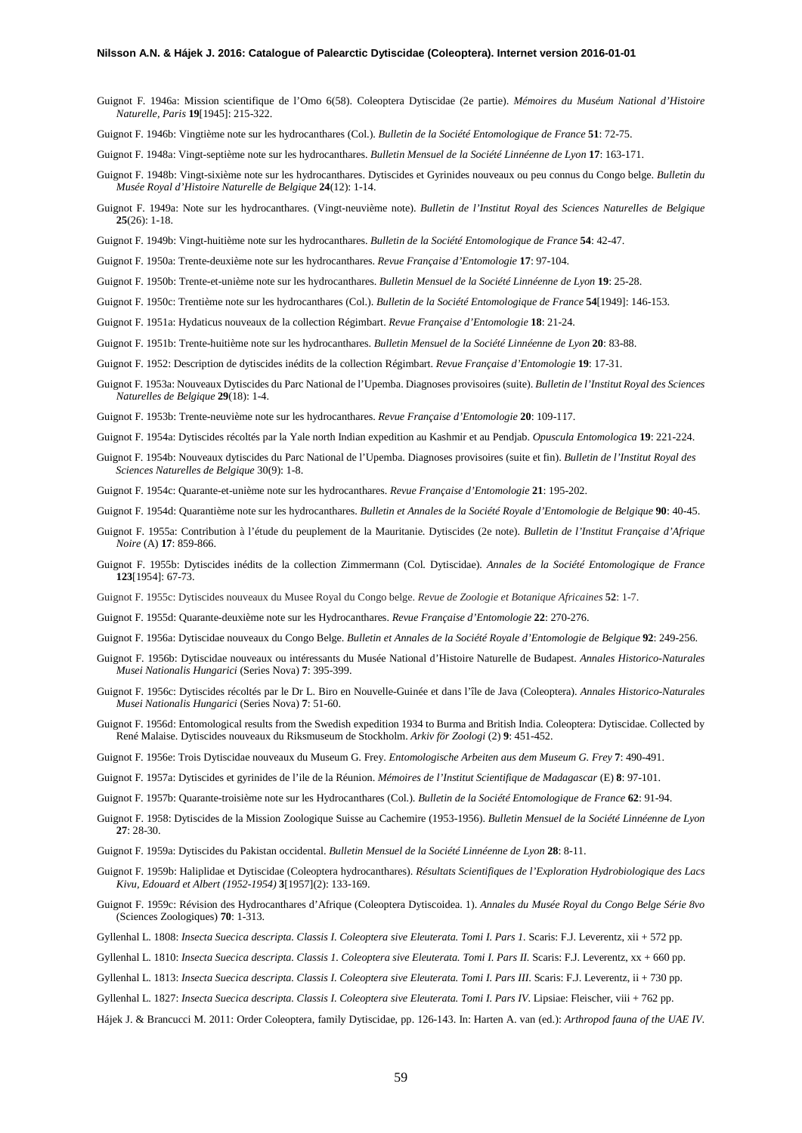- Guignot F. 1946a: Mission scientifique de l'Omo 6(58). Coleoptera Dytiscidae (2e partie). *Mémoires du Muséum National d'Histoire Naturelle, Paris* **19**[1945]: 215-322.
- Guignot F. 1946b: Vingtième note sur les hydrocanthares (Col.). *Bulletin de la Société Entomologique de France* **51**: 72-75.
- Guignot F. 1948a: Vingt-septième note sur les hydrocanthares. *Bulletin Mensuel de la Société Linnéenne de Lyon* **17**: 163-171.
- Guignot F. 1948b: Vingt-sixième note sur les hydrocanthares. Dytiscides et Gyrinides nouveaux ou peu connus du Congo belge. *Bulletin du Musée Royal d'Histoire Naturelle de Belgique* **24**(12): 1-14.
- Guignot F. 1949a: Note sur les hydrocanthares. (Vingt-neuvième note). *Bulletin de l'Institut Royal des Sciences Naturelles de Belgique*  **25**(26): 1-18.
- Guignot F. 1949b: Vingt-huitième note sur les hydrocanthares. *Bulletin de la Société Entomologique de France* **54**: 42-47.
- Guignot F. 1950a: Trente-deuxième note sur les hydrocanthares. *Revue Française d'Entomologie* **17**: 97-104.
- Guignot F. 1950b: Trente-et-unième note sur les hydrocanthares. *Bulletin Mensuel de la Société Linnéenne de Lyon* **19**: 25-28.
- Guignot F. 1950c: Trentième note sur les hydrocanthares (Col.). *Bulletin de la Société Entomologique de France* **54**[1949]: 146-153.
- Guignot F. 1951a: Hydaticus nouveaux de la collection Régimbart. *Revue Française d'Entomologie* **18**: 21-24.
- Guignot F. 1951b: Trente-huitième note sur les hydrocanthares. *Bulletin Mensuel de la Société Linnéenne de Lyon* **20**: 83-88.
- Guignot F. 1952: Description de dytiscides inédits de la collection Régimbart. *Revue Française d'Entomologie* **19**: 17-31.
- Guignot F. 1953a: Nouveaux Dytiscides du Parc National de l'Upemba. Diagnoses provisoires (suite). *Bulletin de l'Institut Royal des Sciences Naturelles de Belgique* **29**(18): 1-4.
- Guignot F. 1953b: Trente-neuvième note sur les hydrocanthares. *Revue Française d'Entomologie* **20**: 109-117.
- Guignot F. 1954a: Dytiscides récoltés par la Yale north Indian expedition au Kashmir et au Pendjab. *Opuscula Entomologica* **19**: 221-224.
- Guignot F. 1954b: Nouveaux dytiscides du Parc National de l'Upemba. Diagnoses provisoires (suite et fin). *Bulletin de l'Institut Royal des Sciences Naturelles de Belgique* 30(9): 1-8.
- Guignot F. 1954c: Quarante-et-unième note sur les hydrocanthares. *Revue Française d'Entomologie* **21**: 195-202.
- Guignot F. 1954d: Quarantième note sur les hydrocanthares. *Bulletin et Annales de la Société Royale d'Entomologie de Belgique* **90**: 40-45.
- Guignot F. 1955a: Contribution à l'étude du peuplement de la Mauritanie. Dytiscides (2e note). *Bulletin de l'Institut Française d'Afrique Noire* (A) **17**: 859-866.
- Guignot F. 1955b: Dytiscides inédits de la collection Zimmermann (Col. Dytiscidae). *Annales de la Société Entomologique de France* **123**[1954]: 67-73.
- Guignot F. 1955c: Dytiscides nouveaux du Musee Royal du Congo belge. *Revue de Zoologie et Botanique Africaines* **52**: 1-7.
- Guignot F. 1955d: Quarante-deuxième note sur les Hydrocanthares. *Revue Française d'Entomologie* **22**: 270-276.
- Guignot F. 1956a: Dytiscidae nouveaux du Congo Belge. *Bulletin et Annales de la Société Royale d'Entomologie de Belgique* **92**: 249-256.
- Guignot F. 1956b: Dytiscidae nouveaux ou intéressants du Musée National d'Histoire Naturelle de Budapest. *Annales Historico-Naturales Musei Nationalis Hungarici* (Series Nova) **7**: 395-399.
- Guignot F. 1956c: Dytiscides récoltés par le Dr L. Biro en Nouvelle-Guinée et dans l'île de Java (Coleoptera). *Annales Historico-Naturales Musei Nationalis Hungarici* (Series Nova) **7**: 51-60.
- Guignot F. 1956d: Entomological results from the Swedish expedition 1934 to Burma and British India. Coleoptera: Dytiscidae. Collected by René Malaise. Dytiscides nouveaux du Riksmuseum de Stockholm. *Arkiv för Zoologi* (2) **9**: 451-452.
- Guignot F. 1956e: Trois Dytiscidae nouveaux du Museum G. Frey. *Entomologische Arbeiten aus dem Museum G. Frey* **7**: 490-491.
- Guignot F. 1957a: Dytiscides et gyrinides de l'ile de la Réunion. *Mémoires de l'Institut Scientifique de Madagascar* (E) **8**: 97-101.
- Guignot F. 1957b: Quarante-troisième note sur les Hydrocanthares (Col.). *Bulletin de la Société Entomologique de France* **62**: 91-94.
- Guignot F. 1958: Dytiscides de la Mission Zoologique Suisse au Cachemire (1953-1956). *Bulletin Mensuel de la Société Linnéenne de Lyon* **27**: 28-30.
- Guignot F. 1959a: Dytiscides du Pakistan occidental. *Bulletin Mensuel de la Société Linnéenne de Lyon* **28**: 8-11.
- Guignot F. 1959b: Haliplidae et Dytiscidae (Coleoptera hydrocanthares). *Résultats Scientifiques de l'Exploration Hydrobiologique des Lacs Kivu, Edouard et Albert (1952-1954)* **3**[1957](2): 133-169.
- Guignot F. 1959c: Révision des Hydrocanthares d'Afrique (Coleoptera Dytiscoidea. 1). *Annales du Musée Royal du Congo Belge Série 8vo*  (Sciences Zoologiques) **70**: 1-313.
- Gyllenhal L. 1808: *Insecta Suecica descripta. Classis I. Coleoptera sive Eleuterata. Tomi I. Pars 1.* Scaris: F.J. Leverentz, xii + 572 pp.
- Gyllenhal L. 1810: *Insecta Suecica descripta. Classis 1. Coleoptera sive Eleuterata. Tomi I. Pars II. Scaris: F.J. Leverentz, xx + 660 pp.*
- Gyllenhal L. 1813: *Insecta Suecica descripta. Classis I. Coleoptera sive Eleuterata. Tomi I. Pars III*. Scaris: F.J. Leverentz, ii + 730 pp.
- Gyllenhal L. 1827: *Insecta Suecica descripta. Classis I. Coleoptera sive Eleuterata. Tomi I. Pars IV*. Lipsiae: Fleischer, viii + 762 pp.
- Hájek J. & Brancucci M. 2011: Order Coleoptera, family Dytiscidae, pp. 126-143. In: Harten A. van (ed.): *Arthropod fauna of the UAE IV*.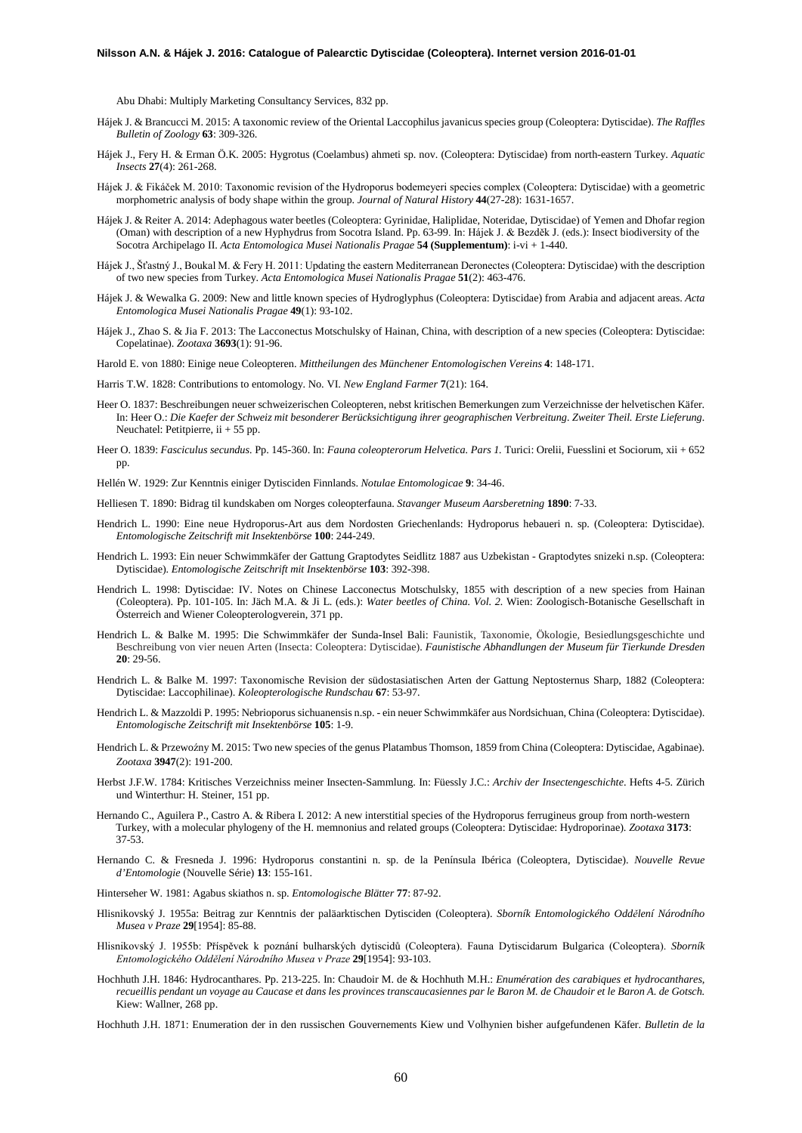Abu Dhabi: Multiply Marketing Consultancy Services, 832 pp.

- Hájek J. & Brancucci M. 2015: A taxonomic review of the Oriental Laccophilus javanicus species group (Coleoptera: Dytiscidae). *The Raffles Bulletin of Zoology* **63**: 309-326.
- Hájek J., Fery H. & Erman Ö.K. 2005: Hygrotus (Coelambus) ahmeti sp. nov. (Coleoptera: Dytiscidae) from north-eastern Turkey. *Aquatic Insects* **27**(4): 261-268.
- Hájek J. & Fikáček M. 2010: Taxonomic revision of the Hydroporus bodemeyeri species complex (Coleoptera: Dytiscidae) with a geometric morphometric analysis of body shape within the group. *Journal of Natural History* **44**(27-28): 1631-1657.
- Hájek J. & Reiter A. 2014: Adephagous water beetles (Coleoptera: Gyrinidae, Haliplidae, Noteridae, Dytiscidae) of Yemen and Dhofar region (Oman) with description of a new Hyphydrus from Socotra Island. Pp. 63-99. In: Hájek J. & Bezděk J. (eds.): Insect biodiversity of the Socotra Archipelago II. *Acta Entomologica Musei Nationalis Pragae* **54 (Supplementum)**: i-vi + 1-440.
- Hájek J., Šťastný J., Boukal M. & Fery H. 2011: Updating the eastern Mediterranean Deronectes (Coleoptera: Dytiscidae) with the description of two new species from Turkey. *Acta Entomologica Musei Nationalis Pragae* **51**(2): 463-476.
- Hájek J. & Wewalka G. 2009: New and little known species of Hydroglyphus (Coleoptera: Dytiscidae) from Arabia and adjacent areas. *Acta Entomologica Musei Nationalis Pragae* **49**(1): 93-102.
- Hájek J., Zhao S. & Jia F. 2013: The Lacconectus Motschulsky of Hainan, China, with description of a new species (Coleoptera: Dytiscidae: Copelatinae). *Zootaxa* **3693**(1): 91-96.

Harold E. von 1880: Einige neue Coleopteren. *Mittheilungen des Münchener Entomologischen Vereins* **4**: 148-171.

- Harris T.W. 1828: Contributions to entomology. No. VI. *New England Farmer* **7**(21): 164.
- Heer O. 1837: Beschreibungen neuer schweizerischen Coleopteren, nebst kritischen Bemerkungen zum Verzeichnisse der helvetischen Käfer. In: Heer O.: *Die Kaefer der Schweiz mit besonderer Berücksichtigung ihrer geographischen Verbreitung. Zweiter Theil. Erste Lieferung.* Neuchatel: Petitpierre, ii + 55 pp.
- Heer O. 1839: *Fasciculus secundus.* Pp. 145-360. In: *Fauna coleopterorum Helvetica. Pars 1.* Turici: Orelii, Fuesslini et Sociorum, xii + 652 pp.
- Hellén W. 1929: Zur Kenntnis einiger Dytisciden Finnlands. *Notulae Entomologicae* **9**: 34-46.
- Helliesen T. 1890: Bidrag til kundskaben om Norges coleopterfauna. *Stavanger Museum Aarsberetning* **1890**: 7-33.
- Hendrich L. 1990: Eine neue Hydroporus-Art aus dem Nordosten Griechenlands: Hydroporus hebaueri n. sp. (Coleoptera: Dytiscidae). *Entomologische Zeitschrift mit Insektenbörse* **100**: 244-249.
- Hendrich L. 1993: Ein neuer Schwimmkäfer der Gattung Graptodytes Seidlitz 1887 aus Uzbekistan Graptodytes snizeki n.sp. (Coleoptera: Dytiscidae). *Entomologische Zeitschrift mit Insektenbörse* **103**: 392-398.
- Hendrich L. 1998: Dytiscidae: IV. Notes on Chinese Lacconectus Motschulsky, 1855 with description of a new species from Hainan (Coleoptera). Pp. 101-105. In: Jäch M.A. & Ji L. (eds.): *Water beetles of China. Vol. 2.* Wien: Zoologisch-Botanische Gesellschaft in Österreich and Wiener Coleopterologverein, 371 pp.
- Hendrich L. & Balke M. 1995: Die Schwimmkäfer der Sunda-Insel Bali: Faunistik, Taxonomie, Ökologie, Besiedlungsgeschichte und Beschreibung von vier neuen Arten (Insecta: Coleoptera: Dytiscidae). *Faunistische Abhandlungen der Museum für Tierkunde Dresden* **20**: 29-56.
- Hendrich L. & Balke M. 1997: Taxonomische Revision der südostasiatischen Arten der Gattung Neptosternus Sharp, 1882 (Coleoptera: Dytiscidae: Laccophilinae). *Koleopterologische Rundschau* **67**: 53-97.
- Hendrich L. & Mazzoldi P. 1995: Nebrioporus sichuanensis n.sp. ein neuer Schwimmkäfer aus Nordsichuan, China (Coleoptera: Dytiscidae). *Entomologische Zeitschrift mit Insektenbörse* **105**: 1-9.
- Hendrich L. & Przewoźny M. 2015: Two new species of the genus Platambus Thomson, 1859 from China (Coleoptera: Dytiscidae, Agabinae). *Zootaxa* **3947**(2): 191-200.
- Herbst J.F.W. 1784: Kritisches Verzeichniss meiner Insecten-Sammlung. In: Füessly J.C.: *Archiv der Insectengeschichte*. Hefts 4-5. Zürich und Winterthur: H. Steiner, 151 pp.
- Hernando C., Aguilera P., Castro A. & Ribera I. 2012: A new interstitial species of the Hydroporus ferrugineus group from north-western Turkey, with a molecular phylogeny of the H. memnonius and related groups (Coleoptera: Dytiscidae: Hydroporinae). *Zootaxa* **3173**: 37-53.
- Hernando C. & Fresneda J. 1996: Hydroporus constantini n. sp. de la Península Ibérica (Coleoptera, Dytiscidae). *Nouvelle Revue d'Entomologie* (Nouvelle Série) **13**: 155-161.
- Hinterseher W. 1981: Agabus skiathos n. sp. *Entomologische Blätter* **77**: 87-92.
- Hlisnikovský J. 1955a: Beitrag zur Kenntnis der paläarktischen Dytisciden (Coleoptera). *Sborník Entomologického Oddělení Národního Musea v Praze* **29**[1954]: 85-88.
- Hlisnikovský J. 1955b: Příspěvek k poznání bulharských dytiscidů (Coleoptera). Fauna Dytiscidarum Bulgarica (Coleoptera). *Sborník Entomologického Oddělení Národního Musea v Praze* **29**[1954]: 93-103.
- Hochhuth J.H. 1846: Hydrocanthares. Pp. 213-225. In: Chaudoir M. de & Hochhuth M.H.: *Enumération des carabiques et hydrocanthares, recueillis pendant un voyage au Caucase et dans les provinces transcaucasiennes par le Baron M. de Chaudoir et le Baron A. de Gotsch.* Kiew: Wallner, 268 pp.
- Hochhuth J.H. 1871: Enumeration der in den russischen Gouvernements Kiew und Volhynien bisher aufgefundenen Käfer. *Bulletin de la*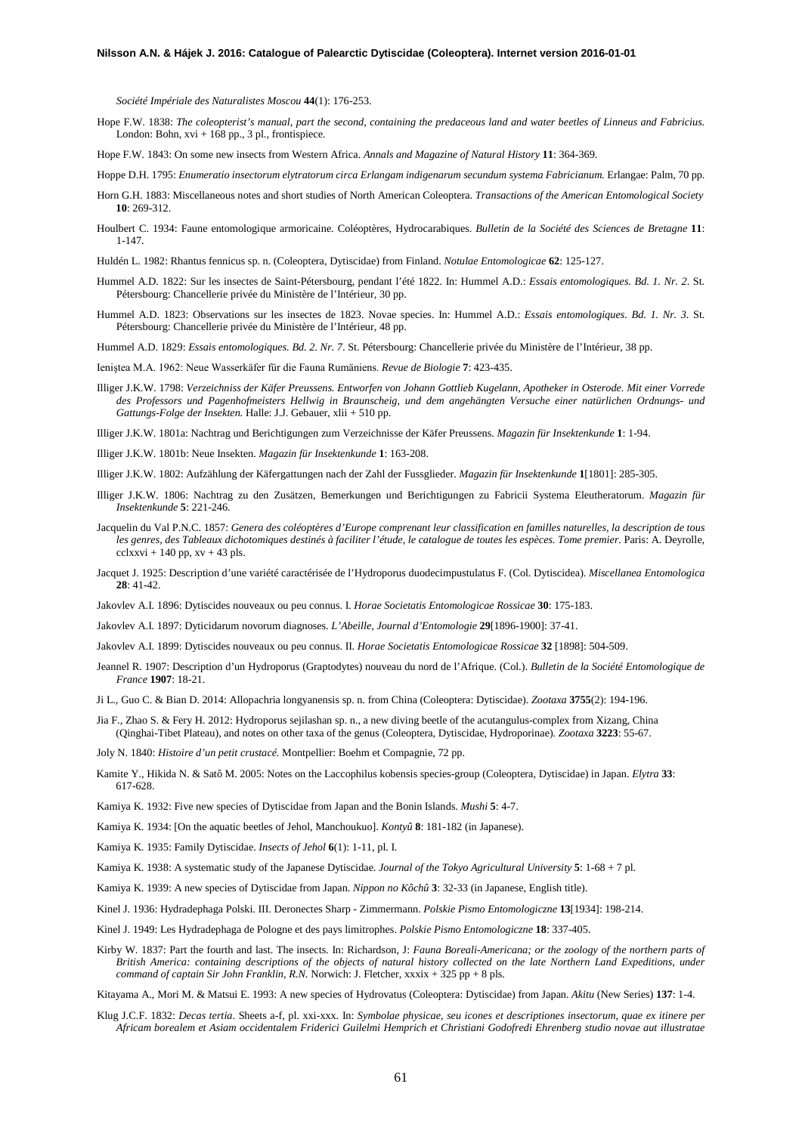*Société Impériale des Naturalistes Moscou* **44**(1): 176-253.

Hope F.W. 1838: *The coleopterist's manual, part the second, containing the predaceous land and water beetles of Linneus and Fabricius.* London: Bohn, xvi + 168 pp., 3 pl., frontispiece.

Hope F.W. 1843: On some new insects from Western Africa. *Annals and Magazine of Natural History* **11**: 364-369.

- Hoppe D.H. 1795: *Enumeratio insectorum elytratorum circa Erlangam indigenarum secundum systema Fabricianum*. Erlangae: Palm, 70 pp.
- Horn G.H. 1883: Miscellaneous notes and short studies of North American Coleoptera. *Transactions of the American Entomological Society* **10**: 269-312.
- Houlbert C. 1934: Faune entomologique armoricaine. Coléoptères, Hydrocarabiques. *Bulletin de la Société des Sciences de Bretagne* **11**: 1-147.

Huldén L. 1982: Rhantus fennicus sp. n. (Coleoptera, Dytiscidae) from Finland. *Notulae Entomologicae* **62**: 125-127.

- Hummel A.D. 1822: Sur les insectes de Saint-Pétersbourg, pendant l'été 1822. In: Hummel A.D.: *Essais entomologiques. Bd. 1. Nr. 2*. St. Pétersbourg: Chancellerie privée du Ministère de l'Intérieur, 30 pp.
- Hummel A.D. 1823: Observations sur les insectes de 1823. Novae species. In: Hummel A.D.: *Essais entomologiques. Bd. 1. Nr. 3*. St. Pétersbourg: Chancellerie privée du Ministère de l'Intérieur, 48 pp.

Hummel A.D. 1829: *Essais entomologiques. Bd. 2. Nr. 7*. St. Pétersbourg: Chancellerie privée du Ministère de l'Intérieur, 38 pp.

- Ieniştea M.A. 1962: Neue Wasserkäfer für die Fauna Rumäniens. *Revue de Biologie* **7**: 423-435.
- Illiger J.K.W. 1798: *Verzeichniss der Käfer Preussens. Entworfen von Johann Gottlieb Kugelann, Apotheker in Osterode. Mit einer Vorrede des Professors und Pagenhofmeisters Hellwig in Braunscheig, und dem angehängten Versuche einer natürlichen Ordnungs- und Gattungs-Folge der Insekten.* Halle: J.J. Gebauer, xlii + 510 pp.

Illiger J.K.W. 1801a: Nachtrag und Berichtigungen zum Verzeichnisse der Käfer Preussens. *Magazin für Insektenkunde* **1**: 1-94.

- Illiger J.K.W. 1801b: Neue Insekten. *Magazin für Insektenkunde* **1**: 163-208.
- Illiger J.K.W. 1802: Aufzählung der Käfergattungen nach der Zahl der Fussglieder. *Magazin für Insektenkunde* **1**[1801]: 285-305.
- Illiger J.K.W. 1806: Nachtrag zu den Zusätzen, Bemerkungen und Berichtigungen zu Fabricii Systema Eleutheratorum. *Magazin für Insektenkunde* **5**: 221-246.
- Jacquelin du Val P.N.C. 1857: *Genera des coléoptères d'Europe comprenant leur classification en familles naturelles, la description de tous les genres, des Tableaux dichotomiques destinés à faciliter l'étude, le catalogue de toutes les espèces. Tome premier.* Paris: A. Deyrolle,  $cclxxvi + 140 pp$ ,  $xv + 43 pls$ .
- Jacquet J. 1925: Description d'une variété caractérisée de l'Hydroporus duodecimpustulatus F. (Col. Dytiscidea). *Miscellanea Entomologica* **28**: 41-42.
- Jakovlev A.I. 1896: Dytiscides nouveaux ou peu connus. I. *Horae Societatis Entomologicae Rossicae* **30**: 175-183.
- Jakovlev A.I. 1897: Dyticidarum novorum diagnoses. *L'Abeille, Journal d'Entomologie* **29**[1896-1900]: 37-41.
- Jakovlev A.I. 1899: Dytiscides nouveaux ou peu connus. II. *Horae Societatis Entomologicae Rossicae* **32** [1898]: 504-509.
- Jeannel R. 1907: Description d'un Hydroporus (Graptodytes) nouveau du nord de l'Afrique. (Col.). *Bulletin de la Société Entomologique de France* **1907**: 18-21.
- Ji L., Guo C. & Bian D. 2014: Allopachria longyanensis sp. n. from China (Coleoptera: Dytiscidae). *Zootaxa* **3755**(2): 194-196.
- Jia F., Zhao S. & Fery H. 2012: Hydroporus sejilashan sp. n., a new diving beetle of the acutangulus-complex from Xizang, China (Qinghai-Tibet Plateau), and notes on other taxa of the genus (Coleoptera, Dytiscidae, Hydroporinae). *Zootaxa* **3223**: 55-67.
- Joly N. 1840: *Histoire d'un petit crustacé.* Montpellier: Boehm et Compagnie, 72 pp.
- Kamite Y., Hikida N. & Satô M. 2005: Notes on the Laccophilus kobensis species-group (Coleoptera, Dytiscidae) in Japan. *Elytra* **33**: 617-628.
- Kamiya K. 1932: Five new species of Dytiscidae from Japan and the Bonin Islands. *Mushi* **5**: 4-7.
- Kamiya K. 1934: [On the aquatic beetles of Jehol, Manchoukuo]. *Kontyû* **8**: 181-182 (in Japanese).
- Kamiya K. 1935: Family Dytiscidae. *Insects of Jehol* **6**(1): 1-11, pl. I.
- Kamiya K. 1938: A systematic study of the Japanese Dytiscidae. *Journal of the Tokyo Agricultural University* **5**: 1-68 + 7 pl.
- Kamiya K. 1939: A new species of Dytiscidae from Japan. *Nippon no Kôchû* **3**: 32-33 (in Japanese, English title).
- Kinel J. 1936: Hydradephaga Polski. III. Deronectes Sharp Zimmermann. *Polskie Pismo Entomologiczne* **13**[1934]: 198-214.
- Kinel J. 1949: Les Hydradephaga de Pologne et des pays limitrophes. *Polskie Pismo Entomologiczne* **18**: 337-405.
- Kirby W. 1837: Part the fourth and last. The insects. In: Richardson, J: *Fauna Boreali-Americana; or the zoology of the northern parts of British America: containing descriptions of the objects of natural history collected on the late Northern Land Expeditions, under command of captain Sir John Franklin, R.N.* Norwich: J. Fletcher,  $xxxxxx + 325$  pp + 8 pls.

Kitayama A., Mori M. & Matsui E. 1993: A new species of Hydrovatus (Coleoptera: Dytiscidae) from Japan. *Akitu* (New Series) **137**: 1-4.

Klug J.C.F. 1832: *Decas tertia*. Sheets a-f, pl. xxi-xxx. In: *Symbolae physicae, seu icones et descriptiones insectorum, quae ex itinere per Africam borealem et Asiam occidentalem Friderici Guilelmi Hemprich et Christiani Godofredi Ehrenberg studio novae aut illustratae*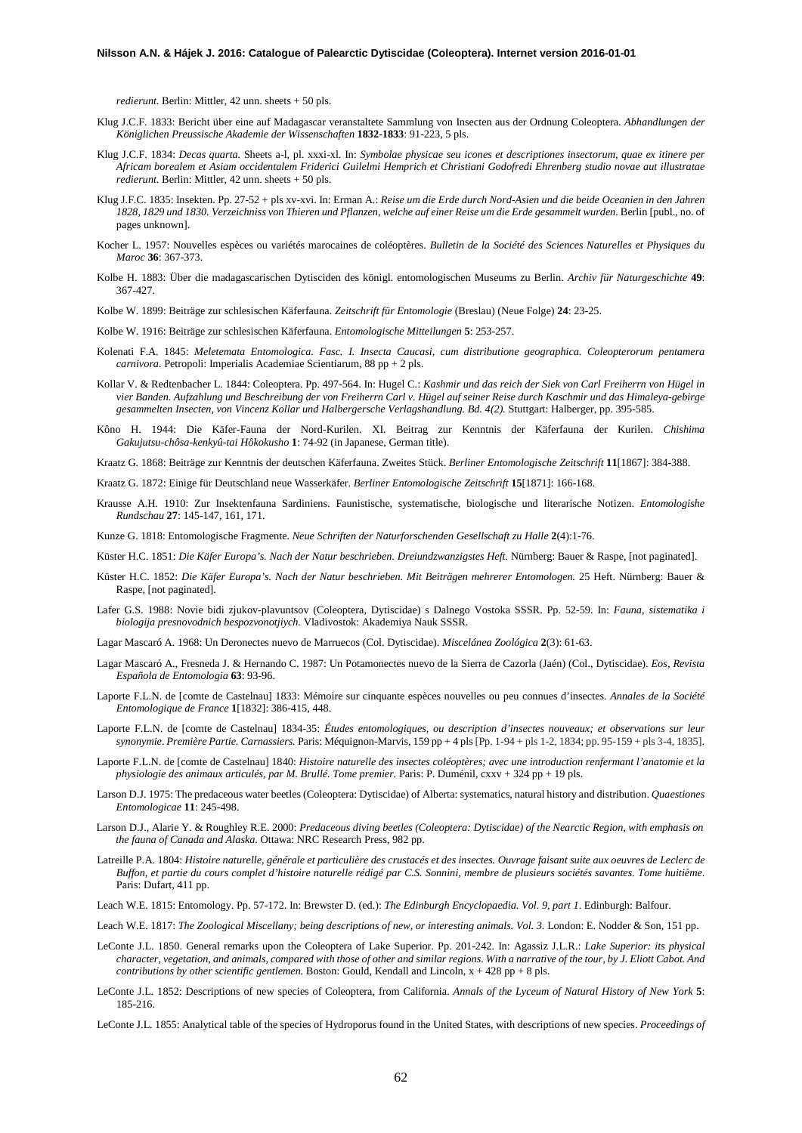*redierunt.* Berlin: Mittler, 42 unn. sheets + 50 pls.

- Klug J.C.F. 1833: Bericht über eine auf Madagascar veranstaltete Sammlung von Insecten aus der Ordnung Coleoptera. *Abhandlungen der Königlichen Preussische Akademie der Wissenschaften* **1832-1833**: 91-223, 5 pls.
- Klug J.C.F. 1834: *Decas quarta.* Sheets a-l, pl. xxxi-xl. In: *Symbolae physicae seu icones et descriptiones insectorum, quae ex itinere per Africam borealem et Asiam occidentalem Friderici Guilelmi Hemprich et Christiani Godofredi Ehrenberg studio novae aut illustratae redierunt.* Berlin: Mittler, 42 unn. sheets + 50 pls.
- Klug J.F.C. 1835: Insekten. Pp. 27-52 + pls xv-xvi. In: Erman A.: *Reise um die Erde durch Nord-Asien und die beide Oceanien in den Jahren 1828, 1829 und 1830. Verzeichniss von Thieren und Pflanzen, welche auf einer Reise um die Erde gesammelt wurden.* Berlin [publ., no. of pages unknown].
- Kocher L. 1957: Nouvelles espèces ou variétés marocaines de coléoptères. *Bulletin de la Société des Sciences Naturelles et Physiques du Maroc* **36**: 367-373.
- Kolbe H. 1883: Über die madagascarischen Dytisciden des königl. entomologischen Museums zu Berlin. *Archiv für Naturgeschichte* **49**: 367-427.

Kolbe W. 1899: Beiträge zur schlesischen Käferfauna. *Zeitschrift für Entomologie* (Breslau) (Neue Folge) **24**: 23-25.

- Kolbe W. 1916: Beiträge zur schlesischen Käferfauna. *Entomologische Mitteilungen* **5**: 253-257.
- Kolenati F.A. 1845: *Meletemata Entomologica. Fasc. I. Insecta Caucasi, cum distributione geographica. Coleopterorum pentamera carnivora.* Petropoli: Imperialis Academiae Scientiarum, 88 pp + 2 pls.
- Kollar V. & Redtenbacher L. 1844: Coleoptera. Pp. 497-564. In: Hugel C.: *Kashmir und das reich der Siek von Carl Freiherrn von Hügel in vier Banden. Aufzahlung und Beschreibung der von Freiherrn Carl v. Hügel auf seiner Reise durch Kaschmir und das Himaleya-gebirge gesammelten Insecten, von Vincenz Kollar und Halbergersche Verlagshandlung. Bd. 4(2).* Stuttgart: Halberger, pp. 395-585.
- Kôno H. 1944: Die Käfer-Fauna der Nord-Kurilen. XI. Beitrag zur Kenntnis der Käferfauna der Kurilen. *Chishima Gakujutsu-chôsa-kenkyû-tai Hôkokusho* **1**: 74-92 (in Japanese, German title).

Kraatz G. 1868: Beiträge zur Kenntnis der deutschen Käferfauna. Zweites Stück. *Berliner Entomologische Zeitschrift* **11**[1867]: 384-388.

- Kraatz G. 1872: Einige für Deutschland neue Wasserkäfer. *Berliner Entomologische Zeitschrift* **15**[1871]: 166-168.
- Krausse A.H. 1910: Zur Insektenfauna Sardiniens. Faunistische, systematische, biologische und literarische Notizen. *Entomologishe Rundschau* **27**: 145-147, 161, 171.
- Kunze G. 1818: Entomologische Fragmente. *Neue Schriften der Naturforschenden Gesellschaft zu Halle* **2**(4):1-76.
- Küster H.C. 1851: *Die Käfer Europa's. Nach der Natur beschrieben. Dreiundzwanzigstes Heft.* Nürnberg: Bauer & Raspe, [not paginated].
- Küster H.C. 1852: *Die Käfer Europa's. Nach der Natur beschrieben. Mit Beiträgen mehrerer Entomologen.* 25 Heft. Nürnberg: Bauer & Raspe, [not paginated].
- Lafer G.S. 1988: Novie bidi zjukov-plavuntsov (Coleoptera, Dytiscidae) s Dalnego Vostoka SSSR. Pp. 52-59. In: *Fauna, sistematika i biologija presnovodnich bespozvonotjiych.* Vladivostok: Akademiya Nauk SSSR.

Lagar Mascaró A. 1968: Un Deronectes nuevo de Marruecos (Col. Dytiscidae). *Miscelánea Zoológica* **2**(3): 61-63.

- Lagar Mascaró A., Fresneda J. & Hernando C. 1987: Un Potamonectes nuevo de la Sierra de Cazorla (Jaén) (Col., Dytiscidae). *Eos, Revista Española de Entomologia* **63**: 93-96.
- Laporte F.L.N. de [comte de Castelnau] 1833: Mémoire sur cinquante espèces nouvelles ou peu connues d'insectes. *Annales de la Société Entomologique de France* **1**[1832]: 386-415, 448.
- Laporte F.L.N. de [comte de Castelnau] 1834-35: *Études entomologiques, ou description d'insectes nouveaux; et observations sur leur synonymie*. *Première Partie. Carnassiers.* Paris: Méquignon-Marvis, 159 pp + 4 pls[Pp. 1-94 + pls 1-2, 1834; pp. 95-159 + pls 3-4, 1835].
- Laporte F.L.N. de [comte de Castelnau] 1840: *Histoire naturelle des insectes coléoptères; avec une introduction renfermant l'anatomie et la physiologie des animaux articulés, par M. Brullé. Tome premier.* Paris: P. Duménil, cxxv + 324 pp + 19 pls.
- Larson D.J. 1975: The predaceous water beetles (Coleoptera: Dytiscidae) of Alberta: systematics, natural history and distribution. *Quaestiones Entomologicae* **11**: 245-498.
- Larson D.J., Alarie Y. & Roughley R.E. 2000: *Predaceous diving beetles (Coleoptera: Dytiscidae) of the Nearctic Region, with emphasis on the fauna of Canada and Alaska.* Ottawa: NRC Research Press, 982 pp.
- Latreille P.A. 1804: *Histoire naturelle, générale et particulière des crustacés et des insectes. Ouvrage faisant suite aux oeuvres de Leclerc de Buffon, et partie du cours complet d'histoire naturelle rédigé par C.S. Sonnini, membre de plusieurs sociétés savantes. Tome huitième*. Paris: Dufart, 411 pp.
- Leach W.E. 1815: Entomology. Pp. 57-172. In: Brewster D. (ed.): *The Edinburgh Encyclopaedia. Vol. 9, part 1*. Edinburgh: Balfour.
- Leach W.E. 1817: *The Zoological Miscellany; being descriptions of new, or interesting animals. Vol. 3.* London: E. Nodder & Son, 151 pp.
- LeConte J.L. 1850. General remarks upon the Coleoptera of Lake Superior. Pp. 201-242. In: Agassiz J.L.R.: *Lake Superior: its physical character, vegetation, and animals, compared with those of other and similar regions. With a narrative of the tour, by J. Eliott Cabot. And contributions by other scientific gentlemen.* Boston: Gould, Kendall and Lincoln,  $x + 428$  pp + 8 pls.
- LeConte J.L. 1852: Descriptions of new species of Coleoptera, from California. *Annals of the Lyceum of Natural History of New York* **5**: 185-216.
- LeConte J.L. 1855: Analytical table of the species of Hydroporus found in the United States, with descriptions of new species. *Proceedings of*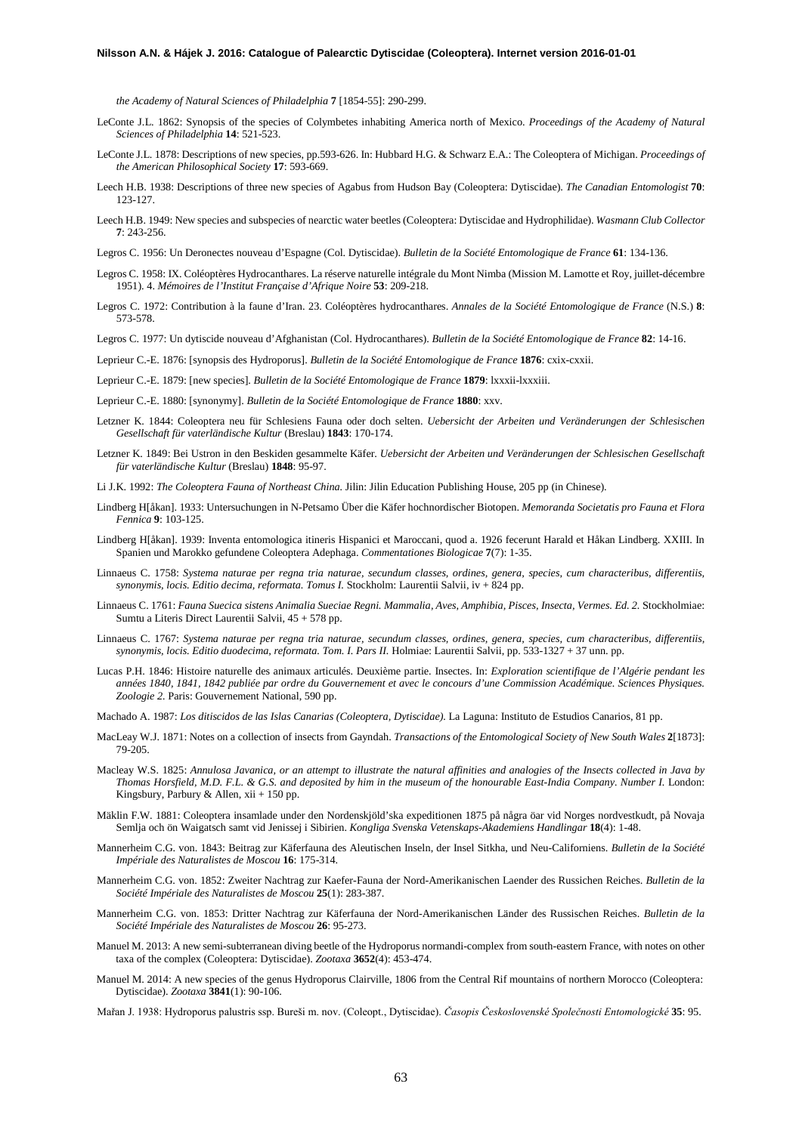*the Academy of Natural Sciences of Philadelphia* **7** [1854-55]: 290-299.

- LeConte J.L. 1862: Synopsis of the species of Colymbetes inhabiting America north of Mexico. *Proceedings of the Academy of Natural Sciences of Philadelphia* **14**: 521-523.
- LeConte J.L. 1878: Descriptions of new species, pp.593-626. In: Hubbard H.G. & Schwarz E.A.: The Coleoptera of Michigan. *Proceedings of the American Philosophical Society* **17**: 593-669.
- Leech H.B. 1938: Descriptions of three new species of Agabus from Hudson Bay (Coleoptera: Dytiscidae). *The Canadian Entomologist* **70**: 123-127.
- Leech H.B. 1949: New species and subspecies of nearctic water beetles (Coleoptera: Dytiscidae and Hydrophilidae). *Wasmann Club Collector* **7**: 243-256.
- Legros C. 1956: Un Deronectes nouveau d'Espagne (Col. Dytiscidae). *Bulletin de la Société Entomologique de France* **61**: 134-136.
- Legros C. 1958: IX. Coléoptères Hydrocanthares. La réserve naturelle intégrale du Mont Nimba (Mission M. Lamotte et Roy, juillet-décembre 1951). 4. *Mémoires de l'Institut Française d'Afrique Noire* **53**: 209-218.
- Legros C. 1972: Contribution à la faune d'Iran. 23. Coléoptères hydrocanthares. *Annales de la Société Entomologique de France* (N.S.) **8**: 573-578.
- Legros C. 1977: Un dytiscide nouveau d'Afghanistan (Col. Hydrocanthares). *Bulletin de la Société Entomologique de France* **82**: 14-16.

Leprieur C.-E. 1876: [synopsis des Hydroporus]. *Bulletin de la Société Entomologique de France* **1876**: cxix-cxxii.

Leprieur C.-E. 1879: [new species]. *Bulletin de la Société Entomologique de France* **1879**: lxxxii-lxxxiii.

Leprieur C.-E. 1880: [synonymy]. *Bulletin de la Société Entomologique de France* **1880**: xxv.

- Letzner K. 1844: Coleoptera neu für Schlesiens Fauna oder doch selten. *Uebersicht der Arbeiten und Veränderungen der Schlesischen Gesellschaft für vaterländische Kultur* (Breslau) **1843**: 170-174.
- Letzner K. 1849: Bei Ustron in den Beskiden gesammelte Käfer. *Uebersicht der Arbeiten und Veränderungen der Schlesischen Gesellschaft für vaterländische Kultur* (Breslau) **1848**: 95-97.
- Li J.K. 1992: *The Coleoptera Fauna of Northeast China.* Jilin: Jilin Education Publishing House, 205 pp (in Chinese).
- Lindberg H[åkan]. 1933: Untersuchungen in N-Petsamo Über die Käfer hochnordischer Biotopen. *Memoranda Societatis pro Fauna et Flora Fennica* **9**: 103-125.
- Lindberg H[åkan]. 1939: Inventa entomologica itineris Hispanici et Maroccani, quod a. 1926 fecerunt Harald et Håkan Lindberg. XXIII. In Spanien und Marokko gefundene Coleoptera Adephaga. *Commentationes Biologicae* **7**(7): 1-35.
- Linnaeus C. 1758: *Systema naturae per regna tria naturae, secundum classes, ordines, genera, species, cum characteribus, differentiis, synonymis, locis. Editio decima, reformata. Tomus I.* Stockholm: Laurentii Salvii, iv + 824 pp.
- Linnaeus C. 1761: *Fauna Suecica sistens Animalia Sueciae Regni. Mammalia, Aves, Amphibia, Pisces, Insecta, Vermes. Ed. 2.* Stockholmiae: Sumtu a Literis Direct Laurentii Salvii, 45 + 578 pp.
- Linnaeus C. 1767: *Systema naturae per regna tria naturae, secundum classes, ordines, genera, species, cum characteribus, differentiis, synonymis, locis. Editio duodecima, reformata. Tom. I. Pars II.* Holmiae: Laurentii Salvii, pp. 533-1327 + 37 unn. pp.
- Lucas P.H. 1846: Histoire naturelle des animaux articulés. Deuxième partie. Insectes. In: *Exploration scientifique de l'Algérie pendant les années 1840, 1841, 1842 publiée par ordre du Gouvernement et avec le concours d'une Commission Académique. Sciences Physiques. Zoologie 2.* Paris: Gouvernement National, 590 pp.
- Machado A. 1987: *Los ditiscidos de las Islas Canarias (Coleoptera, Dytiscidae).* La Laguna: Instituto de Estudios Canarios, 81 pp.
- MacLeay W.J. 1871: Notes on a collection of insects from Gayndah. *Transactions of the Entomological Society of New South Wales* **2**[1873]: 79-205.
- Macleay W.S. 1825: *Annulosa Javanica, or an attempt to illustrate the natural affinities and analogies of the Insects collected in Java by Thomas Horsfield, M.D. F.L. & G.S. and deposited by him in the museum of the honourable East-India Company. Number I.* London: Kingsbury, Parbury & Allen,  $xii + 150$  pp.
- Mäklin F.W. 1881: Coleoptera insamlade under den Nordenskjöld'ska expeditionen 1875 på några öar vid Norges nordvestkudt, på Novaja Semlja och ön Waigatsch samt vid Jenissej i Sibirien. *Kongliga Svenska Vetenskaps-Akademiens Handlingar* **18**(4): 1-48.
- Mannerheim C.G. von. 1843: Beitrag zur Käferfauna des Aleutischen Inseln, der Insel Sitkha, und Neu-Californiens. *Bulletin de la Société Impériale des Naturalistes de Moscou* **16**: 175-314.
- Mannerheim C.G. von. 1852: Zweiter Nachtrag zur Kaefer-Fauna der Nord-Amerikanischen Laender des Russichen Reiches. *Bulletin de la Société Impériale des Naturalistes de Moscou* **25**(1): 283-387.
- Mannerheim C.G. von. 1853: Dritter Nachtrag zur Käferfauna der Nord-Amerikanischen Länder des Russischen Reiches. *Bulletin de la Société Impériale des Naturalistes de Moscou* **26**: 95-273.
- Manuel M. 2013: A new semi-subterranean diving beetle of the Hydroporus normandi-complex from south-eastern France, with notes on other taxa of the complex (Coleoptera: Dytiscidae). *Zootaxa* **3652**(4): 453-474.
- Manuel M. 2014: A new species of the genus Hydroporus Clairville, 1806 from the Central Rif mountains of northern Morocco (Coleoptera: Dytiscidae). *Zootaxa* **3841**(1): 90-106.
- Mařan J. 1938: Hydroporus palustris ssp. Bureši m. nov. (Coleopt., Dytiscidae). *Časopis Československé Společnosti Entomologické* **35**: 95.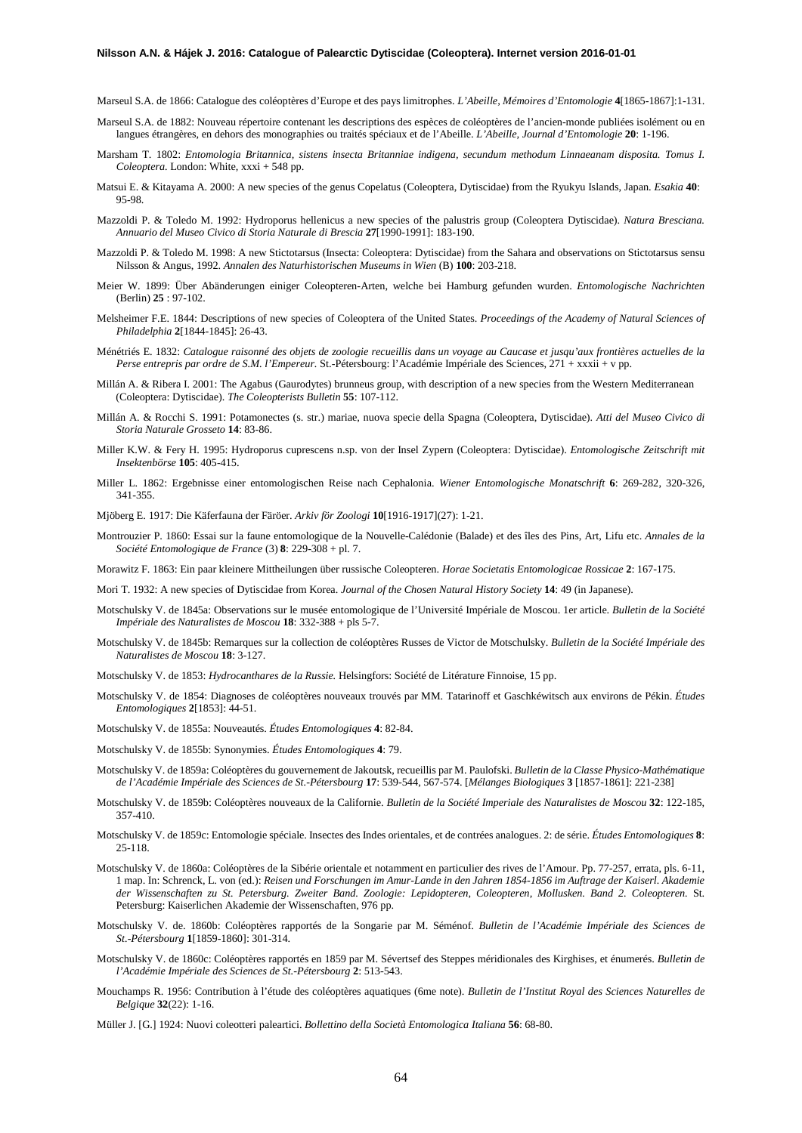- Marseul S.A. de 1866: Catalogue des coléoptères d'Europe et des pays limitrophes. *L'Abeille, Mémoires d'Entomologie* **4**[1865-1867]:1-131.
- Marseul S.A. de 1882: Nouveau répertoire contenant les descriptions des espèces de coléoptères de l'ancien-monde publiées isolément ou en langues étrangères, en dehors des monographies ou traités spéciaux et de l'Abeille. *L'Abeille, Journal d'Entomologie* **20**: 1-196.
- Marsham T. 1802: *Entomologia Britannica, sistens insecta Britanniae indigena, secundum methodum Linnaeanam disposita. Tomus I. Coleoptera.* London: White, xxxi + 548 pp.
- Matsui E. & Kitayama A. 2000: A new species of the genus Copelatus (Coleoptera, Dytiscidae) from the Ryukyu Islands, Japan. *Esakia* **40**: 95-98.
- Mazzoldi P. & Toledo M. 1992: Hydroporus hellenicus a new species of the palustris group (Coleoptera Dytiscidae). *Natura Bresciana. Annuario del Museo Civico di Storia Naturale di Brescia* **27**[1990-1991]: 183-190.
- Mazzoldi P. & Toledo M. 1998: A new Stictotarsus (Insecta: Coleoptera: Dytiscidae) from the Sahara and observations on Stictotarsus sensu Nilsson & Angus, 1992. *Annalen des Naturhistorischen Museums in Wien* (B) **100**: 203-218.
- Meier W. 1899: Über Abänderungen einiger Coleopteren-Arten, welche bei Hamburg gefunden wurden. *Entomologische Nachrichten*  (Berlin) **25** : 97-102.
- Melsheimer F.E. 1844: Descriptions of new species of Coleoptera of the United States. *Proceedings of the Academy of Natural Sciences of Philadelphia* **2**[1844-1845]: 26-43.
- Ménétriés E. 1832: *Catalogue raisonné des objets de zoologie recueillis dans un voyage au Caucase et jusqu'aux frontières actuelles de la Perse entrepris par ordre de S.M. l'Empereur.* St.-Pétersbourg: l'Académie Impériale des Sciences, 271 + xxxii + v pp.
- Millán A. & Ribera I. 2001: The Agabus (Gaurodytes) brunneus group, with description of a new species from the Western Mediterranean (Coleoptera: Dytiscidae). *The Coleopterists Bulletin* **55**: 107-112.
- Millán A. & Rocchi S. 1991: Potamonectes (s. str.) mariae, nuova specie della Spagna (Coleoptera, Dytiscidae). *Atti del Museo Civico di Storia Naturale Grosseto* **14**: 83-86.
- Miller K.W. & Fery H. 1995: Hydroporus cuprescens n.sp. von der Insel Zypern (Coleoptera: Dytiscidae). *Entomologische Zeitschrift mit Insektenbörse* **105**: 405-415.
- Miller L. 1862: Ergebnisse einer entomologischen Reise nach Cephalonia. *Wiener Entomologische Monatschrift* **6**: 269-282, 320-326, 341-355.
- Mjöberg E. 1917: Die Käferfauna der Färöer. *Arkiv för Zoologi* **10**[1916-1917](27): 1-21.
- Montrouzier P. 1860: Essai sur la faune entomologique de la Nouvelle-Calédonie (Balade) et des îles des Pins, Art, Lifu etc. *Annales de la Société Entomologique de France* (3) **8**: 229-308 + pl. 7.
- Morawitz F. 1863: Ein paar kleinere Mittheilungen über russische Coleopteren. *Horae Societatis Entomologicae Rossicae* **2**: 167-175.
- Mori T. 1932: A new species of Dytiscidae from Korea. *Journal of the Chosen Natural History Society* **14**: 49 (in Japanese).
- Motschulsky V. de 1845a: Observations sur le musée entomologique de l'Université Impériale de Moscou. 1er article. *Bulletin de la Société Impériale des Naturalistes de Moscou* **18**: 332-388 + pls 5-7.
- Motschulsky V. de 1845b: Remarques sur la collection de coléoptères Russes de Victor de Motschulsky. *Bulletin de la Société Impériale des Naturalistes de Moscou* **18**: 3-127.
- Motschulsky V. de 1853: *Hydrocanthares de la Russie.* Helsingfors: Société de Litérature Finnoise, 15 pp.
- Motschulsky V. de 1854: Diagnoses de coléoptères nouveaux trouvés par MM. Tatarinoff et Gaschkéwitsch aux environs de Pékin. *Études Entomologiques* **2**[1853]: 44-51.
- Motschulsky V. de 1855a: Nouveautés. *Études Entomologiques* **4**: 82-84.
- Motschulsky V. de 1855b: Synonymies. *Études Entomologiques* **4**: 79.
- Motschulsky V. de 1859a: Coléoptères du gouvernement de Jakoutsk, recueillis par M. Paulofski. *Bulletin de la Classe Physico-Mathématique de l'Académie Impériale des Sciences de St.-Pétersbourg* **17**: 539-544, 567-574. [*Mélanges Biologiques* **3** [1857-1861]: 221-238]
- Motschulsky V. de 1859b: Coléoptères nouveaux de la Californie. *Bulletin de la Société Imperiale des Naturalistes de Moscou* **32**: 122-185, 357-410.
- Motschulsky V. de 1859c: Entomologie spéciale. Insectes des Indes orientales, et de contrées analogues. 2: de série. *Études Entomologiques* **8**: 25-118.
- Motschulsky V. de 1860a: Coléoptères de la Sibérie orientale et notamment en particulier des rives de l'Amour. Pp. 77-257, errata, pls. 6-11, 1 map. In: Schrenck, L. von (ed.): *Reisen und Forschungen im Amur-Lande in den Jahren 1854-1856 im Auftrage der Kaiserl. Akademie der Wissenschaften zu St. Petersburg. Zweiter Band. Zoologie: Lepidopteren, Coleopteren, Mollusken. Band 2. Coleopteren.* St. Petersburg: Kaiserlichen Akademie der Wissenschaften, 976 pp.
- Motschulsky V. de. 1860b: Coléoptères rapportés de la Songarie par M. Séménof. *Bulletin de l'Académie Impériale des Sciences de St.-Pétersbourg* **1**[1859-1860]: 301-314.
- Motschulsky V. de 1860c: Coléoptères rapportés en 1859 par M. Sévertsef des Steppes méridionales des Kirghises, et énumerés. *Bulletin de l'Académie Impériale des Sciences de St.-Pétersbourg* **2**: 513-543.
- Mouchamps R. 1956: Contribution à l'étude des coléoptères aquatiques (6me note). *Bulletin de l'Institut Royal des Sciences Naturelles de Belgique* **32**(22): 1-16.

Müller J. [G.] 1924: Nuovi coleotteri paleartici. *Bollettino della Società Entomologica Italiana* **56**: 68-80.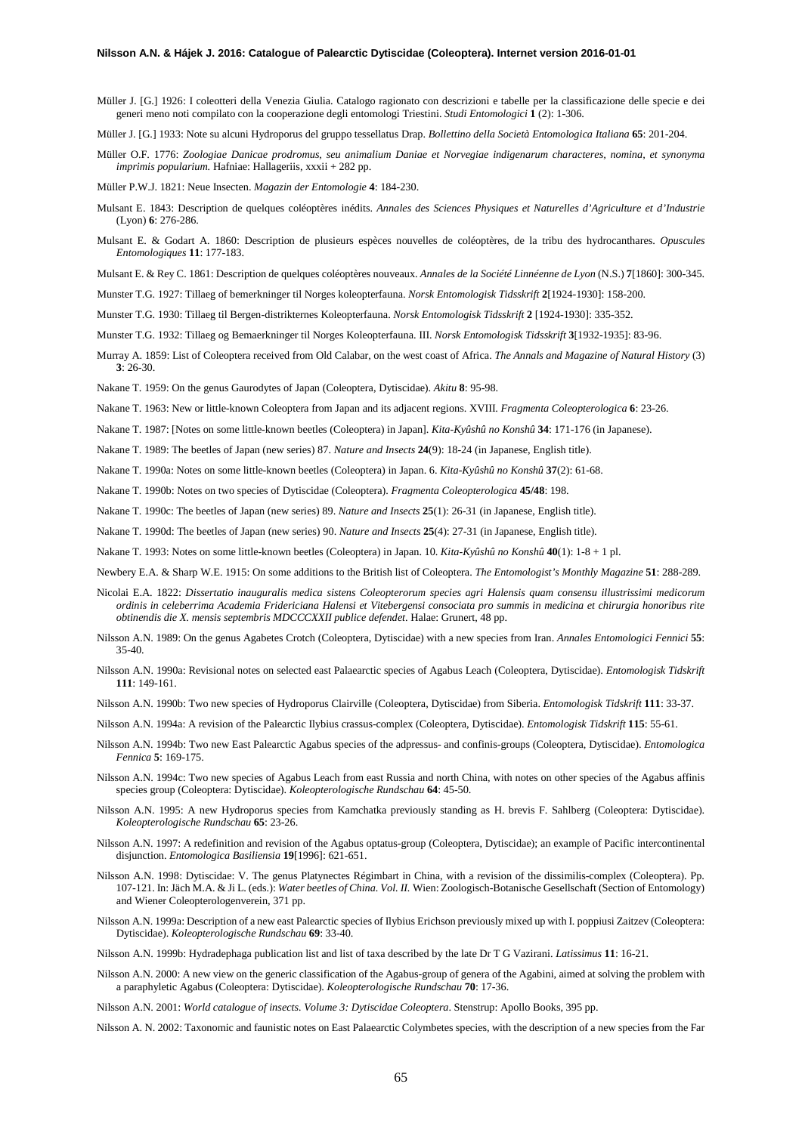Müller J. [G.] 1926: I coleotteri della Venezia Giulia. Catalogo ragionato con descrizioni e tabelle per la classificazione delle specie e dei generi meno noti compilato con la cooperazione degli entomologi Triestini. *Studi Entomologici* **1** (2): 1-306.

Müller J. [G.] 1933: Note su alcuni Hydroporus del gruppo tessellatus Drap. *Bollettino della Società Entomologica Italiana* **65**: 201-204.

Müller O.F. 1776: *Zoologiae Danicae prodromus, seu animalium Daniae et Norvegiae indigenarum characteres, nomina, et synonyma imprimis popularium.* Hafniae: Hallageriis, xxxii + 282 pp.

Müller P.W.J. 1821: Neue Insecten. *Magazin der Entomologie* **4**: 184-230.

- Mulsant E. 1843: Description de quelques coléoptères inédits. *Annales des Sciences Physiques et Naturelles d'Agriculture et d'Industrie* (Lyon) **6**: 276-286.
- Mulsant E. & Godart A. 1860: Description de plusieurs espèces nouvelles de coléoptères, de la tribu des hydrocanthares. *Opuscules Entomologiques* **11**: 177-183.

Mulsant E. & Rey C. 1861: Description de quelques coléoptères nouveaux. *Annales de la Société Linnéenne de Lyon* (N.S.) **7**[1860]: 300-345.

Munster T.G. 1927: Tillaeg of bemerkninger til Norges koleopterfauna. *Norsk Entomologisk Tidsskrift* **2**[1924-1930]: 158-200.

Munster T.G. 1930: Tillaeg til Bergen-distrikternes Koleopterfauna. *Norsk Entomologisk Tidsskrift* **2** [1924-1930]: 335-352.

Munster T.G. 1932: Tillaeg og Bemaerkninger til Norges Koleopterfauna. III. *Norsk Entomologisk Tidsskrift* **3**[1932-1935]: 83-96.

Murray A. 1859: List of Coleoptera received from Old Calabar, on the west coast of Africa. *The Annals and Magazine of Natural History* (3) **3**: 26-30.

Nakane T. 1959: On the genus Gaurodytes of Japan (Coleoptera, Dytiscidae). *Akitu* **8**: 95-98.

Nakane T. 1963: New or little-known Coleoptera from Japan and its adjacent regions. XVIII. *Fragmenta Coleopterologica* **6**: 23-26.

Nakane T. 1987: [Notes on some little-known beetles (Coleoptera) in Japan]. *Kita-Kyûshû no Konshû* **34**: 171-176 (in Japanese).

Nakane T. 1989: The beetles of Japan (new series) 87. *Nature and Insects* **24**(9): 18-24 (in Japanese, English title).

Nakane T. 1990a: Notes on some little-known beetles (Coleoptera) in Japan. 6. *Kita-Kyûshû no Konshû* **37**(2): 61-68.

Nakane T. 1990b: Notes on two species of Dytiscidae (Coleoptera). *Fragmenta Coleopterologica* **45/48**: 198.

Nakane T. 1990c: The beetles of Japan (new series) 89. *Nature and Insects* **25**(1): 26-31 (in Japanese, English title).

Nakane T. 1990d: The beetles of Japan (new series) 90. *Nature and Insects* **25**(4): 27-31 (in Japanese, English title).

Nakane T. 1993: Notes on some little-known beetles (Coleoptera) in Japan. 10. *Kita-Kyûshû no Konshû* **40**(1): 1-8 + 1 pl.

Newbery E.A. & Sharp W.E. 1915: On some additions to the British list of Coleoptera. *The Entomologist's Monthly Magazine* **51**: 288-289.

- Nicolai E.A. 1822: *Dissertatio inauguralis medica sistens Coleopterorum species agri Halensis quam consensu illustrissimi medicorum ordinis in celeberrima Academia Fridericiana Halensi et Vitebergensi consociata pro summis in medicina et chirurgia honoribus rite obtinendis die X. mensis septembris MDCCCXXII publice defendet*. Halae: Grunert, 48 pp.
- Nilsson A.N. 1989: On the genus Agabetes Crotch (Coleoptera, Dytiscidae) with a new species from Iran. *Annales Entomologici Fennici* **55**: 35-40.
- Nilsson A.N. 1990a: Revisional notes on selected east Palaearctic species of Agabus Leach (Coleoptera, Dytiscidae). *Entomologisk Tidskrift* **111**: 149-161.
- Nilsson A.N. 1990b: Two new species of Hydroporus Clairville (Coleoptera, Dytiscidae) from Siberia. *Entomologisk Tidskrift* **111**: 33-37.
- Nilsson A.N. 1994a: A revision of the Palearctic Ilybius crassus-complex (Coleoptera, Dytiscidae). *Entomologisk Tidskrift* **115**: 55-61.
- Nilsson A.N. 1994b: Two new East Palearctic Agabus species of the adpressus- and confinis-groups (Coleoptera, Dytiscidae). *Entomologica Fennica* **5**: 169-175.
- Nilsson A.N. 1994c: Two new species of Agabus Leach from east Russia and north China, with notes on other species of the Agabus affinis species group (Coleoptera: Dytiscidae). *Koleopterologische Rundschau* **64**: 45-50.
- Nilsson A.N. 1995: A new Hydroporus species from Kamchatka previously standing as H. brevis F. Sahlberg (Coleoptera: Dytiscidae). *Koleopterologische Rundschau* **65**: 23-26.
- Nilsson A.N. 1997: A redefinition and revision of the Agabus optatus-group (Coleoptera, Dytiscidae); an example of Pacific intercontinental disjunction. *Entomologica Basiliensia* **19**[1996]: 621-651.
- Nilsson A.N. 1998: Dytiscidae: V. The genus Platynectes Régimbart in China, with a revision of the dissimilis-complex (Coleoptera). Pp. 107-121. In: Jäch M.A. & Ji L. (eds.): *Water beetles of China. Vol. II.* Wien: Zoologisch-Botanische Gesellschaft (Section of Entomology) and Wiener Coleopterologenverein, 371 pp.
- Nilsson A.N. 1999a: Description of a new east Palearctic species of Ilybius Erichson previously mixed up with I. poppiusi Zaitzev (Coleoptera: Dytiscidae). *Koleopterologische Rundschau* **69**: 33-40.

Nilsson A.N. 1999b: Hydradephaga publication list and list of taxa described by the late Dr T G Vazirani. *Latissimus* **11**: 16-21.

Nilsson A.N. 2000: A new view on the generic classification of the Agabus-group of genera of the Agabini, aimed at solving the problem with a paraphyletic Agabus (Coleoptera: Dytiscidae). *Koleopterologische Rundschau* **70**: 17-36.

Nilsson A.N. 2001: *World catalogue of insects. Volume 3: Dytiscidae Coleoptera*. Stenstrup: Apollo Books, 395 pp.

Nilsson A. N. 2002: Taxonomic and faunistic notes on East Palaearctic Colymbetes species, with the description of a new species from the Far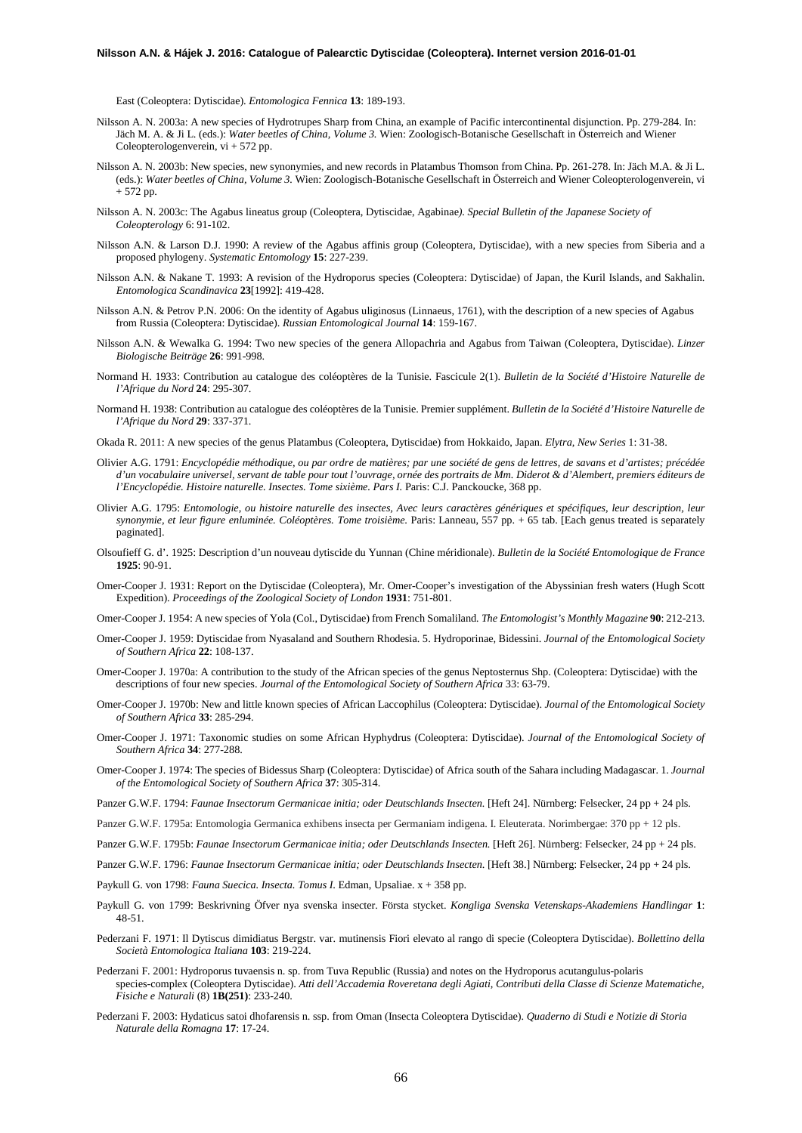East (Coleoptera: Dytiscidae). *Entomologica Fennica* **13**: 189-193.

- Nilsson A. N. 2003a: A new species of Hydrotrupes Sharp from China, an example of Pacific intercontinental disjunction. Pp. 279-284. In: Jäch M. A. & Ji L. (eds.): *Water beetles of China, Volume 3.* Wien: Zoologisch-Botanische Gesellschaft in Österreich and Wiener Coleopterologenverein, vi + 572 pp.
- Nilsson A. N. 2003b: New species, new synonymies, and new records in Platambus Thomson from China. Pp. 261-278. In: Jäch M.A. & Ji L. (eds.): *Water beetles of China, Volume 3.* Wien: Zoologisch-Botanische Gesellschaft in Österreich and Wiener Coleopterologenverein, vi + 572 pp.
- Nilsson A. N. 2003c: The Agabus lineatus group (Coleoptera, Dytiscidae, Agabinae*). Special Bulletin of the Japanese Society of Coleopterology* 6: 91-102.
- Nilsson A.N. & Larson D.J. 1990: A review of the Agabus affinis group (Coleoptera, Dytiscidae), with a new species from Siberia and a proposed phylogeny. *Systematic Entomology* **15**: 227-239.
- Nilsson A.N. & Nakane T. 1993: A revision of the Hydroporus species (Coleoptera: Dytiscidae) of Japan, the Kuril Islands, and Sakhalin. *Entomologica Scandinavica* **23**[1992]: 419-428.
- Nilsson A.N. & Petrov P.N. 2006: On the identity of Agabus uliginosus (Linnaeus, 1761), with the description of a new species of Agabus from Russia (Coleoptera: Dytiscidae). *Russian Entomological Journal* **14**: 159-167.
- Nilsson A.N. & Wewalka G. 1994: Two new species of the genera Allopachria and Agabus from Taiwan (Coleoptera, Dytiscidae). *Linzer Biologische Beiträge* **26**: 991-998.
- Normand H. 1933: Contribution au catalogue des coléoptères de la Tunisie. Fascicule 2(1). *Bulletin de la Société d'Histoire Naturelle de l'Afrique du Nord* **24**: 295-307.
- Normand H. 1938: Contribution au catalogue des coléoptères de la Tunisie. Premier supplément. *Bulletin de la Société d'Histoire Naturelle de l'Afrique du Nord* **29**: 337-371.
- Okada R. 2011: A new species of the genus Platambus (Coleoptera, Dytiscidae) from Hokkaido, Japan. *Elytra, New Series* 1: 31-38.
- Olivier A.G. 1791: *Encyclopédie méthodique, ou par ordre de matières; par une société de gens de lettres, de savans et d'artistes; précédée d'un vocabulaire universel, servant de table pour tout l'ouvrage, ornée des portraits de Mm. Diderot & d'Alembert, premiers éditeurs de l'Encyclopédie. Histoire naturelle. Insectes. Tome sixième. Pars I.* Paris: C.J. Panckoucke, 368 pp.
- Olivier A.G. 1795: *Entomologie, ou histoire naturelle des insectes, Avec leurs caractères génériques et spécifiques, leur description, leur synonymie, et leur figure enluminée. Coléoptères. Tome troisième*. Paris: Lanneau, 557 pp. + 65 tab. [Each genus treated is separately paginated].
- Olsoufieff G. d'. 1925: Description d'un nouveau dytiscide du Yunnan (Chine méridionale). *Bulletin de la Société Entomologique de France* **1925**: 90-91.
- Omer-Cooper J. 1931: Report on the Dytiscidae (Coleoptera), Mr. Omer-Cooper's investigation of the Abyssinian fresh waters (Hugh Scott Expedition). *Proceedings of the Zoological Society of London* **1931**: 751-801.
- Omer-Cooper J. 1954: A new species of Yola (Col., Dytiscidae) from French Somaliland*. The Entomologist's Monthly Magazine* **90**: 212-213.
- Omer-Cooper J. 1959: Dytiscidae from Nyasaland and Southern Rhodesia. 5. Hydroporinae, Bidessini. *Journal of the Entomological Society of Southern Africa* **22**: 108-137.
- Omer-Cooper J. 1970a: A contribution to the study of the African species of the genus Neptosternus Shp. (Coleoptera: Dytiscidae) with the descriptions of four new species. *Journal of the Entomological Society of Southern Africa* 33: 63-79.
- Omer-Cooper J. 1970b: New and little known species of African Laccophilus (Coleoptera: Dytiscidae). *Journal of the Entomological Society of Southern Africa* **33**: 285-294.
- Omer-Cooper J. 1971: Taxonomic studies on some African Hyphydrus (Coleoptera: Dytiscidae). *Journal of the Entomological Society of Southern Africa* **34**: 277-288.
- Omer-Cooper J. 1974: The species of Bidessus Sharp (Coleoptera: Dytiscidae) of Africa south of the Sahara including Madagascar. 1. *Journal of the Entomological Society of Southern Africa* **37**: 305-314.
- Panzer G.W.F. 1794: *Faunae Insectorum Germanicae initia; oder Deutschlands Insecten.* [Heft 24]. Nürnberg: Felsecker, 24 pp + 24 pls.
- Panzer G.W.F. 1795a: Entomologia Germanica exhibens insecta per Germaniam indigena. I. Eleuterata. Norimbergae: 370 pp + 12 pls.
- Panzer G.W.F. 1795b: *Faunae Insectorum Germanicae initia; oder Deutschlands Insecten.* [Heft 26]. Nürnberg: Felsecker, 24 pp + 24 pls.
- Panzer G.W.F. 1796: *Faunae Insectorum Germanicae initia; oder Deutschlands Insecten*. [Heft 38.] Nürnberg: Felsecker, 24 pp + 24 pls.
- Paykull G. von 1798: *Fauna Suecica. Insecta. Tomus I*. Edman, Upsaliae. x + 358 pp.
- Paykull G. von 1799: Beskrivning Öfver nya svenska insecter. Första stycket. *Kongliga Svenska Vetenskaps-Akademiens Handlingar* **1**: 48-51.
- Pederzani F. 1971: Il Dytiscus dimidiatus Bergstr. var. mutinensis Fiori elevato al rango di specie (Coleoptera Dytiscidae). *Bollettino della Società Entomologica Italiana* **103**: 219-224.
- Pederzani F. 2001: Hydroporus tuvaensis n. sp. from Tuva Republic (Russia) and notes on the Hydroporus acutangulus-polaris species-complex (Coleoptera Dytiscidae). *Atti dell'Accademia Roveretana degli Agiati, Contributi della Classe di Scienze Matematiche, Fisiche e Naturali* (8) **1B(251)**: 233-240.
- Pederzani F. 2003: Hydaticus satoi dhofarensis n. ssp. from Oman (Insecta Coleoptera Dytiscidae). *Quaderno di Studi e Notizie di Storia Naturale della Romagna* **17**: 17-24.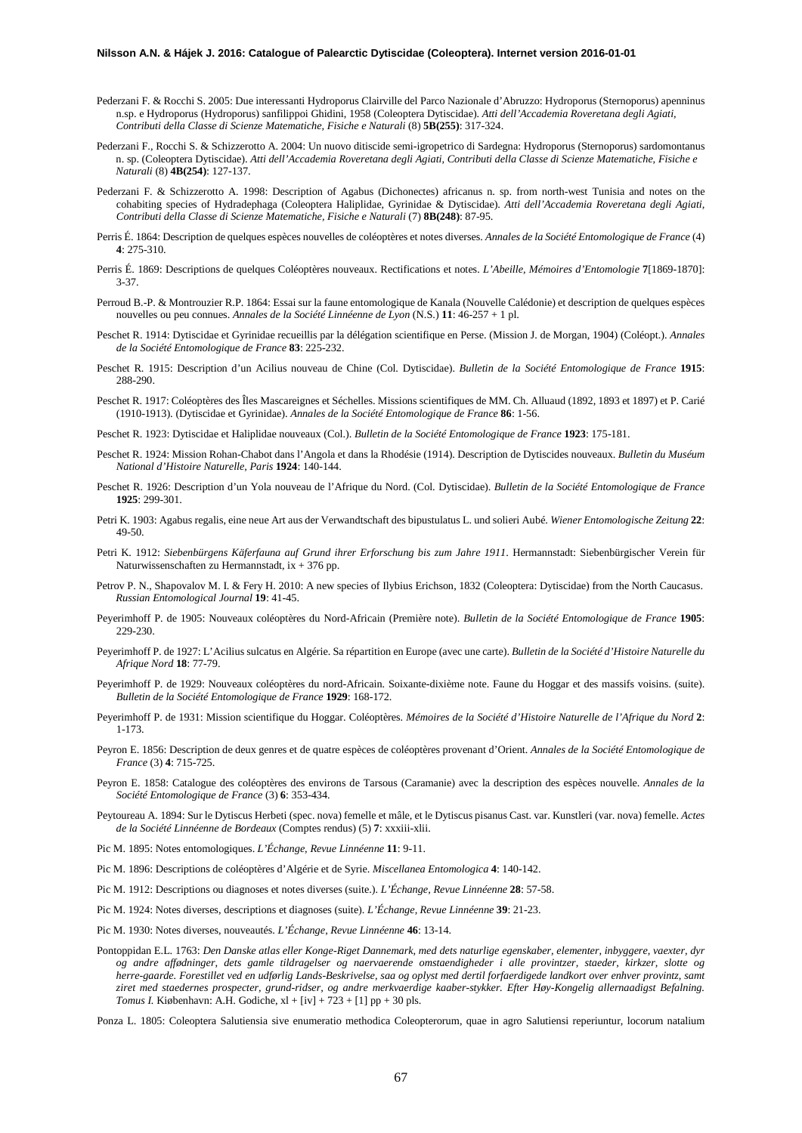- Pederzani F. & Rocchi S. 2005: Due interessanti Hydroporus Clairville del Parco Nazionale d'Abruzzo: Hydroporus (Sternoporus) apenninus n.sp. e Hydroporus (Hydroporus) sanfilippoi Ghidini, 1958 (Coleoptera Dytiscidae). *Atti dell'Accademia Roveretana degli Agiati, Contributi della Classe di Scienze Matematiche, Fisiche e Naturali* (8) **5B(255)**: 317-324.
- Pederzani F., Rocchi S. & Schizzerotto A. 2004: Un nuovo ditiscide semi-igropetrico di Sardegna: Hydroporus (Sternoporus) sardomontanus n. sp. (Coleoptera Dytiscidae). *Atti dell'Accademia Roveretana degli Agiati, Contributi della Classe di Scienze Matematiche, Fisiche e Naturali* (8) **4B(254)**: 127-137.
- Pederzani F. & Schizzerotto A. 1998: Description of Agabus (Dichonectes) africanus n. sp. from north-west Tunisia and notes on the cohabiting species of Hydradephaga (Coleoptera Haliplidae, Gyrinidae & Dytiscidae). *Atti dell'Accademia Roveretana degli Agiati, Contributi della Classe di Scienze Matematiche, Fisiche e Naturali* (7) **8B(248)**: 87-95.
- Perris É. 1864: Description de quelques espèces nouvelles de coléoptères et notes diverses. *Annales de la Société Entomologique de France* (4) **4**: 275-310.
- Perris É. 1869: Descriptions de quelques Coléoptères nouveaux. Rectifications et notes. *L'Abeille, Mémoires d'Entomologie* **7**[1869-1870]: 3-37.
- Perroud B.-P. & Montrouzier R.P. 1864: Essai sur la faune entomologique de Kanala (Nouvelle Calédonie) et description de quelques espèces nouvelles ou peu connues. *Annales de la Société Linnéenne de Lyon* (N.S.) **11**: 46-257 + 1 pl.
- Peschet R. 1914: Dytiscidae et Gyrinidae recueillis par la délégation scientifique en Perse. (Mission J. de Morgan, 1904) (Coléopt.). *Annales de la Société Entomologique de France* **83**: 225-232.
- Peschet R. 1915: Description d'un Acilius nouveau de Chine (Col. Dytiscidae). *Bulletin de la Société Entomologique de France* **1915**: 288-290.
- Peschet R. 1917: Coléoptères des Îles Mascareignes et Séchelles. Missions scientifiques de MM. Ch. Alluaud (1892, 1893 et 1897) et P. Carié (1910-1913). (Dytiscidae et Gyrinidae). *Annales de la Société Entomologique de France* **86**: 1-56.
- Peschet R. 1923: Dytiscidae et Haliplidae nouveaux (Col.). *Bulletin de la Société Entomologique de France* **1923**: 175-181.
- Peschet R. 1924: Mission Rohan-Chabot dans l'Angola et dans la Rhodésie (1914). Description de Dytiscides nouveaux. *Bulletin du Muséum National d'Histoire Naturelle, Paris* **1924**: 140-144.
- Peschet R. 1926: Description d'un Yola nouveau de l'Afrique du Nord. (Col. Dytiscidae). *Bulletin de la Société Entomologique de France*  **1925**: 299-301.
- Petri K. 1903: Agabus regalis, eine neue Art aus der Verwandtschaft des bipustulatus L. und solieri Aubé. *Wiener Entomologische Zeitung* **22**: 49-50.
- Petri K. 1912: *Siebenbürgens Käferfauna auf Grund ihrer Erforschung bis zum Jahre 1911*. Hermannstadt: Siebenbürgischer Verein für Naturwissenschaften zu Hermannstadt, ix + 376 pp.
- Petrov P. N., Shapovalov M. I. & Fery H. 2010: A new species of Ilybius Erichson, 1832 (Coleoptera: Dytiscidae) from the North Caucasus. *Russian Entomological Journal* **19**: 41-45.
- Peyerimhoff P. de 1905: Nouveaux coléoptères du Nord-Africain (Première note). *Bulletin de la Société Entomologique de France* **1905**: 229-230.
- Peyerimhoff P. de 1927: L'Acilius sulcatus en Algérie. Sa répartition en Europe (avec une carte). *Bulletin de la Société d'Histoire Naturelle du Afrique Nord* **18**: 77-79.
- Peyerimhoff P. de 1929: Nouveaux coléoptères du nord-Africain. Soixante-dixième note. Faune du Hoggar et des massifs voisins. (suite). *Bulletin de la Société Entomologique de France* **1929**: 168-172.
- Peyerimhoff P. de 1931: Mission scientifique du Hoggar. Coléoptères. *Mémoires de la Société d'Histoire Naturelle de l'Afrique du Nord* **2**: 1-173.
- Peyron E. 1856: Description de deux genres et de quatre espèces de coléoptères provenant d'Orient. *Annales de la Société Entomologique de France* (3) **4**: 715-725.
- Peyron E. 1858: Catalogue des coléoptères des environs de Tarsous (Caramanie) avec la description des espèces nouvelle. *Annales de la Société Entomologique de France* (3) **6**: 353-434.
- Peytoureau A. 1894: Sur le Dytiscus Herbeti (spec. nova) femelle et mâle, et le Dytiscus pisanus Cast. var. Kunstleri (var. nova) femelle. *Actes de la Société Linnéenne de Bordeaux* (Comptes rendus) (5) **7**: xxxiii-xlii.
- Pic M. 1895: Notes entomologiques. *L'Échange, Revue Linnéenne* **11**: 9-11.
- Pic M. 1896: Descriptions de coléoptères d'Algérie et de Syrie. *Miscellanea Entomologica* **4**: 140-142.
- Pic M. 1912: Descriptions ou diagnoses et notes diverses (suite.). *L'Échange, Revue Linnéenne* **28**: 57-58.
- Pic M. 1924: Notes diverses, descriptions et diagnoses (suite). *L'Échange, Revue Linnéenne* **39**: 21-23.
- Pic M. 1930: Notes diverses, nouveautés. *L'Échange, Revue Linnéenne* **46**: 13-14.
- Pontoppidan E.L. 1763: *Den Danske atlas eller Konge-Riget Dannemark, med dets naturlige egenskaber, elementer, inbyggere, vaexter, dyr og andre affødninger, dets gamle tildragelser og naervaerende omstaendigheder i alle provintzer, staeder, kirkzer, slotte og herre-gaarde. Forestillet ved en udførlig Lands-Beskrivelse, saa og oplyst med dertil forfaerdigede landkort over enhver provintz, samt ziret med staedernes prospecter, grund-ridser, og andre merkvaerdige kaaber-stykker. Efter Høy-Kongelig allernaadigst Befalning. Tomus I.* Kiøbenhavn: A.H. Godiche,  $xl + [iv] + 723 + [1]$  pp + 30 pls.
- Ponza L. 1805: Coleoptera Salutiensia sive enumeratio methodica Coleopterorum, quae in agro Salutiensi reperiuntur, locorum natalium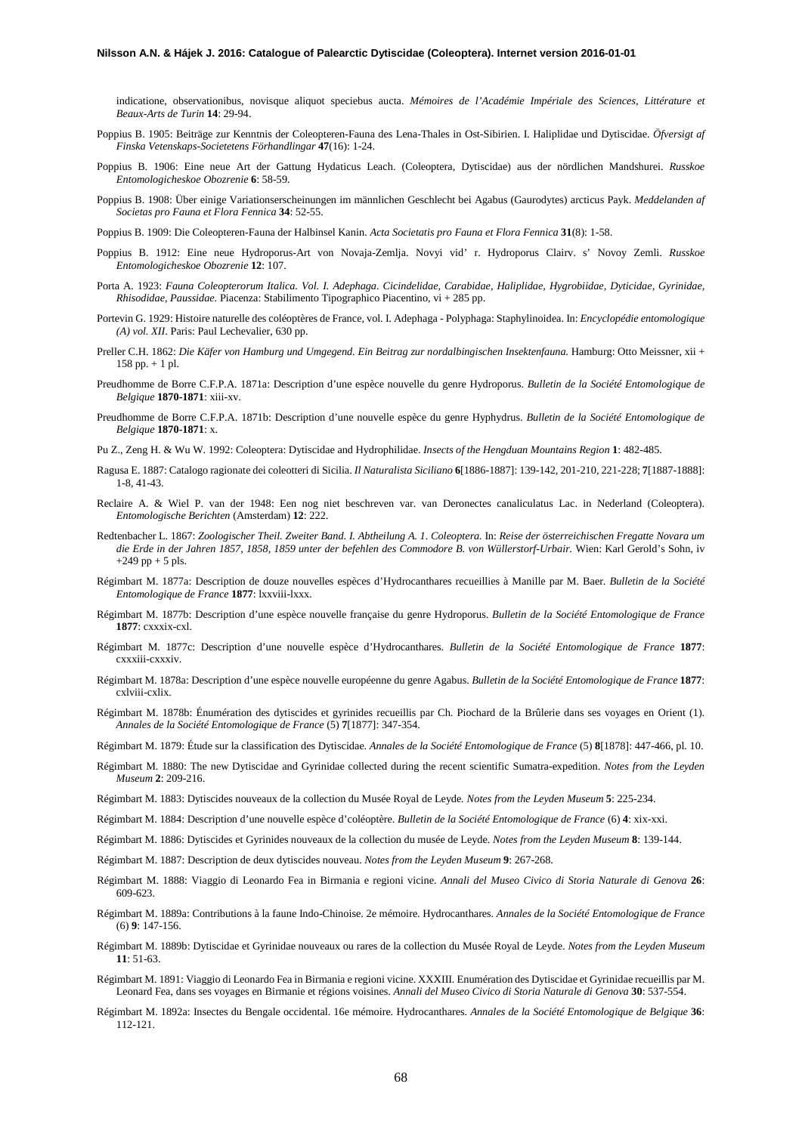indicatione, observationibus, novisque aliquot speciebus aucta. *Mémoires de l'Académie Impériale des Sciences, Littérature et Beaux-Arts de Turin* **14**: 29-94.

- Poppius B. 1905: Beiträge zur Kenntnis der Coleopteren-Fauna des Lena-Thales in Ost-Sibirien. I. Haliplidae und Dytiscidae. *Öfversigt af Finska Vetenskaps-Societetens Förhandlingar* **47**(16): 1-24.
- Poppius B. 1906: Eine neue Art der Gattung Hydaticus Leach. (Coleoptera, Dytiscidae) aus der nördlichen Mandshurei. *Russkoe Entomologicheskoe Obozrenie* **6**: 58-59.
- Poppius B. 1908: Über einige Variationserscheinungen im männlichen Geschlecht bei Agabus (Gaurodytes) arcticus Payk. *Meddelanden af Societas pro Fauna et Flora Fennica* **34**: 52-55.
- Poppius B. 1909: Die Coleopteren-Fauna der Halbinsel Kanin. *Acta Societatis pro Fauna et Flora Fennica* **31**(8): 1-58.
- Poppius B. 1912: Eine neue Hydroporus-Art von Novaja-Zemlja. Novyi vid' r. Hydroporus Clairv. s' Novoy Zemli. *Russkoe Entomologicheskoe Obozrenie* **12**: 107.
- Porta A. 1923: *Fauna Coleopterorum Italica. Vol. I. Adephaga. Cicindelidae, Carabidae, Haliplidae, Hygrobiidae, Dyticidae, Gyrinidae, Rhisodidae, Paussidae.* Piacenza: Stabilimento Tipographico Piacentino, vi + 285 pp.
- Portevin G. 1929: Histoire naturelle des coléoptères de France, vol. I. Adephaga Polyphaga: Staphylinoidea. In: *Encyclopédie entomologique (A) vol. XII*. Paris: Paul Lechevalier, 630 pp.
- Preller C.H. 1862: *Die Käfer von Hamburg und Umgegend. Ein Beitrag zur nordalbingischen Insektenfauna.* Hamburg: Otto Meissner, xii + 158 pp. + 1 pl.
- Preudhomme de Borre C.F.P.A. 1871a: Description d'une espèce nouvelle du genre Hydroporus. *Bulletin de la Société Entomologique de Belgique* **1870-1871**: xiii-xv.
- Preudhomme de Borre C.F.P.A. 1871b: Description d'une nouvelle espèce du genre Hyphydrus. *Bulletin de la Société Entomologique de Belgique* **1870-1871**: x.
- Pu Z., Zeng H. & Wu W. 1992: Coleoptera: Dytiscidae and Hydrophilidae. *Insects of the Hengduan Mountains Region* **1**: 482-485.
- Ragusa E. 1887: Catalogo ragionate dei coleotteri di Sicilia. *Il Naturalista Siciliano* **6**[1886-1887]: 139-142, 201-210, 221-228; **7**[1887-1888]: 1-8, 41-43.
- Reclaire A. & Wiel P. van der 1948: Een nog niet beschreven var. van Deronectes canaliculatus Lac. in Nederland (Coleoptera). *Entomologische Berichten* (Amsterdam) **12**: 222.
- Redtenbacher L. 1867: *Zoologischer Theil. Zweiter Band. I. Abtheilung A. 1. Coleoptera.* In: *Reise der österreichischen Fregatte Novara um die Erde in der Jahren 1857, 1858, 1859 unter der befehlen des Commodore B. von Wüllerstorf-Urbair.* Wien: Karl Gerold's Sohn, iv  $+249$  pp  $+ 5$  pls.
- Régimbart M. 1877a: Description de douze nouvelles espèces d'Hydrocanthares recueillies à Manille par M. Baer. *Bulletin de la Société Entomologique de France* **1877**: lxxviii-lxxx.
- Régimbart M. 1877b: Description d'une espèce nouvelle française du genre Hydroporus. *Bulletin de la Société Entomologique de France* **1877**: cxxxix-cxl.
- Régimbart M. 1877c: Description d'une nouvelle espèce d'Hydrocanthares. *Bulletin de la Société Entomologique de France* **1877**: cxxxiii-cxxxiv.
- Régimbart M. 1878a: Description d'une espèce nouvelle européenne du genre Agabus. *Bulletin de la Société Entomologique de France* **1877**: cxlviii-cxlix.
- Régimbart M. 1878b: Énumération des dytiscides et gyrinides recueillis par Ch. Piochard de la Brûlerie dans ses voyages en Orient (1). *Annales de la Société Entomologique de France* (5) **7**[1877]: 347-354.
- Régimbart M. 1879: Étude sur la classification des Dytiscidae. *Annales de la Société Entomologique de France* (5) **8**[1878]: 447-466, pl. 10.
- Régimbart M. 1880: The new Dytiscidae and Gyrinidae collected during the recent scientific Sumatra-expedition. *Notes from the Leyden Museum* **2**: 209-216.
- Régimbart M. 1883: Dytiscides nouveaux de la collection du Musée Royal de Leyde*. Notes from the Leyden Museum* **5**: 225-234.
- Régimbart M. 1884: Description d'une nouvelle espèce d'coléoptère. *Bulletin de la Société Entomologique de France* (6) **4**: xix-xxi.
- Régimbart M. 1886: Dytiscides et Gyrinides nouveaux de la collection du musée de Leyde. *Notes from the Leyden Museum* **8**: 139-144.
- Régimbart M. 1887: Description de deux dytiscides nouveau. *Notes from the Leyden Museum* **9**: 267-268.
- Régimbart M. 1888: Viaggio di Leonardo Fea in Birmania e regioni vicine. *Annali del Museo Civico di Storia Naturale di Genova* **26**: 609-623.
- Régimbart M. 1889a: Contributions à la faune Indo-Chinoise. 2e mémoire. Hydrocanthares. *Annales de la Société Entomologique de France* (6) **9**: 147-156.
- Régimbart M. 1889b: Dytiscidae et Gyrinidae nouveaux ou rares de la collection du Musée Royal de Leyde. *Notes from the Leyden Museum* **11**: 51-63.
- Régimbart M. 1891: Viaggio di Leonardo Fea in Birmania e regioni vicine. XXXIII. Enumération des Dytiscidae et Gyrinidae recueillis par M. Leonard Fea, dans ses voyages en Birmanie et régions voisines. *Annali del Museo Civico di Storia Naturale di Genova* **30**: 537-554.
- Régimbart M. 1892a: Insectes du Bengale occidental. 16e mémoire. Hydrocanthares. *Annales de la Société Entomologique de Belgique* **36**: 112-121.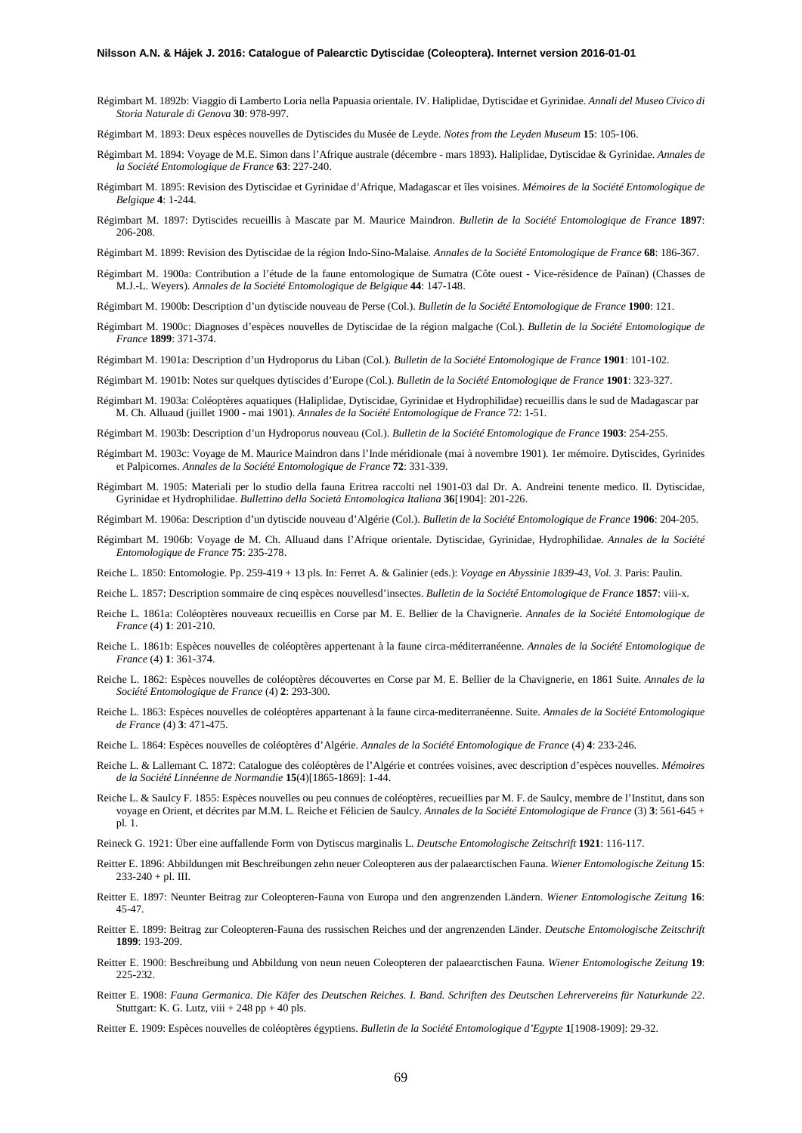- Régimbart M. 1892b: Viaggio di Lamberto Loria nella Papuasia orientale. IV. Haliplidae, Dytiscidae et Gyrinidae. *Annali del Museo Civico di Storia Naturale di Genova* **30**: 978-997.
- Régimbart M. 1893: Deux espèces nouvelles de Dytiscides du Musée de Leyde. *Notes from the Leyden Museum* **15**: 105-106.
- Régimbart M. 1894: Voyage de M.E. Simon dans l'Afrique australe (décembre mars 1893). Haliplidae, Dytiscidae & Gyrinidae. *Annales de la Société Entomologique de France* **63**: 227-240.
- Régimbart M. 1895: Revision des Dytiscidae et Gyrinidae d'Afrique, Madagascar et îles voisines. *Mémoires de la Société Entomologique de Belgique* **4**: 1-244.
- Régimbart M. 1897: Dytiscides recueillis à Mascate par M. Maurice Maindron. *Bulletin de la Société Entomologique de France* **1897**: 206-208.
- Régimbart M. 1899: Revision des Dytiscidae de la région Indo-Sino-Malaise. *Annales de la Société Entomologique de France* **68**: 186-367.
- Régimbart M. 1900a: Contribution a l'étude de la faune entomologique de Sumatra (Côte ouest Vice-résidence de Païnan) (Chasses de M.J.-L. Weyers). *Annales de la Société Entomologique de Belgique* **44**: 147-148.
- Régimbart M. 1900b: Description d'un dytiscide nouveau de Perse (Col.). *Bulletin de la Société Entomologique de France* **1900**: 121.
- Régimbart M. 1900c: Diagnoses d'espèces nouvelles de Dytiscidae de la région malgache (Col.). *Bulletin de la Société Entomologique de France* **1899**: 371-374.
- Régimbart M. 1901a: Description d'un Hydroporus du Liban (Col.). *Bulletin de la Société Entomologique de France* **1901**: 101-102.
- Régimbart M. 1901b: Notes sur quelques dytiscides d'Europe (Col.). *Bulletin de la Société Entomologique de France* **1901**: 323-327.
- Régimbart M. 1903a: Coléoptères aquatiques (Haliplidae, Dytiscidae, Gyrinidae et Hydrophilidae) recueillis dans le sud de Madagascar par M. Ch. Alluaud (juillet 1900 - mai 1901). *Annales de la Société Entomologique de France* 72: 1-51.
- Régimbart M. 1903b: Description d'un Hydroporus nouveau (Col.). *Bulletin de la Société Entomologique de France* **1903**: 254-255.
- Régimbart M. 1903c: Voyage de M. Maurice Maindron dans l'Inde méridionale (mai à novembre 1901). 1er mémoire. Dytiscides, Gyrinides et Palpicornes. *Annales de la Société Entomologique de France* **72**: 331-339.
- Régimbart M. 1905: Materiali per lo studio della fauna Eritrea raccolti nel 1901-03 dal Dr. A. Andreini tenente medico. II. Dytiscidae, Gyrinidae et Hydrophilidae. *Bullettino della Società Entomologica Italiana* **36**[1904]: 201-226.
- Régimbart M. 1906a: Description d'un dytiscide nouveau d'Algérie (Col.). *Bulletin de la Société Entomologique de France* **1906**: 204-205.
- Régimbart M. 1906b: Voyage de M. Ch. Alluaud dans l'Afrique orientale. Dytiscidae, Gyrinidae, Hydrophilidae. *Annales de la Société Entomologique de France* **75**: 235-278.
- Reiche L. 1850: Entomologie. Pp. 259-419 + 13 pls. In: Ferret A. & Galinier (eds.): *Voyage en Abyssinie 1839-43, Vol. 3.* Paris: Paulin.
- Reiche L. 1857: Description sommaire de cinq espèces nouvellesd'insectes. *Bulletin de la Société Entomologique de France* **1857**: viii-x.
- Reiche L. 1861a: Coléoptères nouveaux recueillis en Corse par M. E. Bellier de la Chavignerie. *Annales de la Société Entomologique de France* (4) **1**: 201-210.
- Reiche L. 1861b: Espèces nouvelles de coléoptères appertenant à la faune circa-méditerranéenne. *Annales de la Société Entomologique de France* (4) **1**: 361-374.
- Reiche L. 1862: Espèces nouvelles de coléoptères découvertes en Corse par M. E. Bellier de la Chavignerie, en 1861 Suite. *Annales de la Société Entomologique de France* (4) **2**: 293-300.
- Reiche L. 1863: Espèces nouvelles de coléoptères appartenant à la faune circa-mediterranéenne. Suite. *Annales de la Société Entomologique de France* (4) **3**: 471-475.
- Reiche L. 1864: Espèces nouvelles de coléoptères d'Algérie. *Annales de la Société Entomologique de France* (4) **4**: 233-246.
- Reiche L. & Lallemant C. 1872: Catalogue des coléoptères de l'Algérie et contrées voisines, avec description d'espèces nouvelles. *Mémoires de la Société Linnéenne de Normandie* **15**(4)[1865-1869]: 1-44.
- Reiche L. & Saulcy F. 1855: Espèces nouvelles ou peu connues de coléoptères, recueillies par M. F. de Saulcy, membre de l'Institut, dans son voyage en Orient, et décrites par M.M. L. Reiche et Félicien de Saulcy. *Annales de la Société Entomologique de France* (3) **3**: 561-645 + pl. 1.
- Reineck G. 1921: Über eine auffallende Form von Dytiscus marginalis L. *Deutsche Entomologische Zeitschrift* **1921**: 116-117.
- Reitter E. 1896: Abbildungen mit Beschreibungen zehn neuer Coleopteren aus der palaearctischen Fauna. *Wiener Entomologische Zeitung* **15**:  $233-240 +$  pl. III.
- Reitter E. 1897: Neunter Beitrag zur Coleopteren-Fauna von Europa und den angrenzenden Ländern. *Wiener Entomologische Zeitung* **16**: 45-47.
- Reitter E. 1899: Beitrag zur Coleopteren-Fauna des russischen Reiches und der angrenzenden Länder. *Deutsche Entomologische Zeitschrift* **1899**: 193-209.
- Reitter E. 1900: Beschreibung und Abbildung von neun neuen Coleopteren der palaearctischen Fauna. *Wiener Entomologische Zeitung* **19**: 225-232.
- Reitter E. 1908: *Fauna Germanica. Die Käfer des Deutschen Reiches. I. Band. Schriften des Deutschen Lehrervereins für Naturkunde 22*. Stuttgart: K. G. Lutz, viii  $+ 248$  pp  $+ 40$  pls.

Reitter E. 1909: Espèces nouvelles de coléoptères égyptiens. *Bulletin de la Société Entomologique d'Egypte* **1**[1908-1909]: 29-32.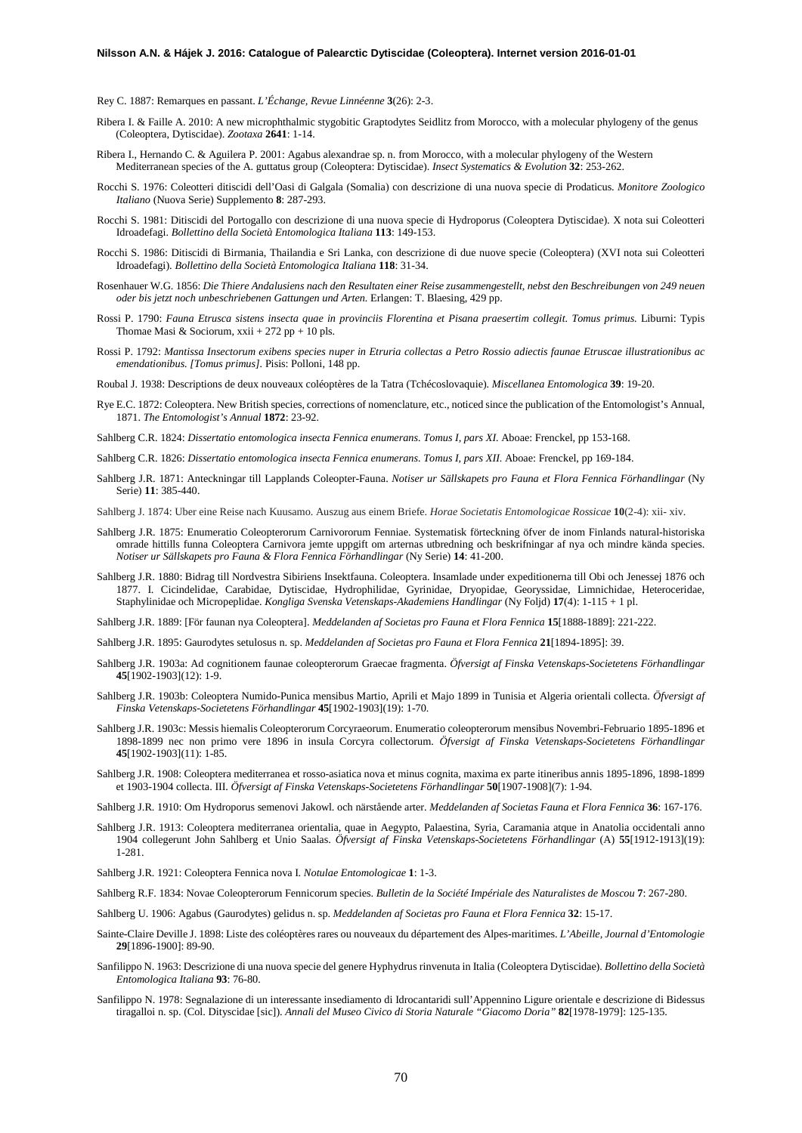Rey C. 1887: Remarques en passant. *L'Échange, Revue Linnéenne* **3**(26): 2-3.

- Ribera I. & Faille A. 2010: A new microphthalmic stygobitic Graptodytes Seidlitz from Morocco, with a molecular phylogeny of the genus (Coleoptera, Dytiscidae). *Zootaxa* **2641**: 1-14.
- Ribera I., Hernando C. & Aguilera P. 2001: Agabus alexandrae sp. n. from Morocco, with a molecular phylogeny of the Western Mediterranean species of the A. guttatus group (Coleoptera: Dytiscidae). *Insect Systematics & Evolution* **32**: 253-262.
- Rocchi S. 1976: Coleotteri ditiscidi dell'Oasi di Galgala (Somalia) con descrizione di una nuova specie di Prodaticus. *Monitore Zoologico Italiano* (Nuova Serie) Supplemento **8**: 287-293.
- Rocchi S. 1981: Ditiscidi del Portogallo con descrizione di una nuova specie di Hydroporus (Coleoptera Dytiscidae). X nota sui Coleotteri Idroadefagi. *Bollettino della Società Entomologica Italiana* **113**: 149-153.
- Rocchi S. 1986: Ditiscidi di Birmania, Thailandia e Sri Lanka, con descrizione di due nuove specie (Coleoptera) (XVI nota sui Coleotteri Idroadefagi). *Bollettino della Società Entomologica Italiana* **118**: 31-34.
- Rosenhauer W.G. 1856: *Die Thiere Andalusiens nach den Resultaten einer Reise zusammengestellt, nebst den Beschreibungen von 249 neuen oder bis jetzt noch unbeschriebenen Gattungen und Arten.* Erlangen: T. Blaesing, 429 pp.
- Rossi P. 1790: *Fauna Etrusca sistens insecta quae in provinciis Florentina et Pisana praesertim collegit. Tomus primus.* Liburni: Typis Thomae Masi & Sociorum, xxii + 272 pp + 10 pls.
- Rossi P. 1792: *Mantissa Insectorum exibens species nuper in Etruria collectas a Petro Rossio adiectis faunae Etruscae illustrationibus ac emendationibus. [Tomus primus].* Pisis: Polloni, 148 pp.
- Roubal J. 1938: Descriptions de deux nouveaux coléoptères de la Tatra (Tchécoslovaquie). *Miscellanea Entomologica* **39**: 19-20.
- Rye E.C. 1872: Coleoptera. New British species, corrections of nomenclature, etc., noticed since the publication of the Entomologist's Annual, 1871. *The Entomologist's Annual* **1872**: 23-92.
- Sahlberg C.R. 1824: *Dissertatio entomologica insecta Fennica enumerans. Tomus I, pars XI.* Aboae: Frenckel, pp 153-168.
- Sahlberg C.R. 1826: *Dissertatio entomologica insecta Fennica enumerans. Tomus I, pars XII.* Aboae: Frenckel, pp 169-184.
- Sahlberg J.R. 1871: Anteckningar till Lapplands Coleopter-Fauna. *Notiser ur Sällskapets pro Fauna et Flora Fennica Förhandlingar* (Ny Serie) **11**: 385-440.
- Sahlberg J. 1874: Uber eine Reise nach Kuusamo. Auszug aus einem Briefe. *Horae Societatis Entomologicae Rossicae* **10**(2-4): xii- xiv.
- Sahlberg J.R. 1875: Enumeratio Coleopterorum Carnivororum Fenniae. Systematisk förteckning öfver de inom Finlands natural-historiska omrade hittills funna Coleoptera Carnivora jemte uppgift om arternas utbredning och beskrifningar af nya och mindre kända species. *Notiser ur Sällskapets pro Fauna & Flora Fennica Förhandlingar* (Ny Serie) **14**: 41-200.
- Sahlberg J.R. 1880: Bidrag till Nordvestra Sibiriens Insektfauna. Coleoptera. Insamlade under expeditionerna till Obi och Jenessej 1876 och 1877. I. Cicindelidae, Carabidae, Dytiscidae, Hydrophilidae, Gyrinidae, Dryopidae, Georyssidae, Limnichidae, Heteroceridae, Staphylinidae och Micropeplidae. *Kongliga Svenska Vetenskaps-Akademiens Handlingar* (Ny Foljd) **17**(4): 1-115 + 1 pl.
- Sahlberg J.R. 1889: [För faunan nya Coleoptera]. *Meddelanden af Societas pro Fauna et Flora Fennica* **15**[1888-1889]: 221-222.
- Sahlberg J.R. 1895: Gaurodytes setulosus n. sp. *Meddelanden af Societas pro Fauna et Flora Fennica* **21**[1894-1895]: 39.
- Sahlberg J.R. 1903a: Ad cognitionem faunae coleopterorum Graecae fragmenta. *Öfversigt af Finska Vetenskaps-Societetens Förhandlingar*  **45**[1902-1903](12): 1-9.
- Sahlberg J.R. 1903b: Coleoptera Numido-Punica mensibus Martio, Aprili et Majo 1899 in Tunisia et Algeria orientali collecta. *Öfversigt af Finska Vetenskaps-Societetens Förhandlingar* **45**[1902-1903](19): 1-70.
- Sahlberg J.R. 1903c: Messis hiemalis Coleopterorum Corcyraeorum. Enumeratio coleopterorum mensibus Novembri-Februario 1895-1896 et 1898-1899 nec non primo vere 1896 in insula Corcyra collectorum. *Öfversigt af Finska Vetenskaps-Societetens Förhandlingar* **45**[1902-1903](11): 1-85.
- Sahlberg J.R. 1908: Coleoptera mediterranea et rosso-asiatica nova et minus cognita, maxima ex parte itineribus annis 1895-1896, 1898-1899 et 1903-1904 collecta. III. *Öfversigt af Finska Vetenskaps-Societetens Förhandlingar* **50**[1907-1908](7): 1-94.

Sahlberg J.R. 1910: Om Hydroporus semenovi Jakowl. och närstående arter. *Meddelanden af Societas Fauna et Flora Fennica* **36**: 167-176.

- Sahlberg J.R. 1913: Coleoptera mediterranea orientalia, quae in Aegypto, Palaestina, Syria, Caramania atque in Anatolia occidentali anno 1904 collegerunt John Sahlberg et Unio Saalas. *Öfversigt af Finska Vetenskaps-Societetens Förhandlingar* (A) **55**[1912-1913](19): 1-281.
- Sahlberg J.R. 1921: Coleoptera Fennica nova I. *Notulae Entomologicae* **1**: 1-3.
- Sahlberg R.F. 1834: Novae Coleopterorum Fennicorum species. *Bulletin de la Société Impériale des Naturalistes de Moscou* **7**: 267-280.
- Sahlberg U. 1906: Agabus (Gaurodytes) gelidus n. sp. *Meddelanden af Societas pro Fauna et Flora Fennica* **32**: 15-17.
- Sainte-Claire Deville J. 1898: Liste des coléoptères rares ou nouveaux du département des Alpes-maritimes. *L'Abeille, Journal d'Entomologie* **29**[1896-1900]: 89-90.
- Sanfilippo N. 1963: Descrizione di una nuova specie del genere Hyphydrus rinvenuta in Italia (Coleoptera Dytiscidae). *Bollettino della Società Entomologica Italiana* **93**: 76-80.
- Sanfilippo N. 1978: Segnalazione di un interessante insediamento di Idrocantaridi sull'Appennino Ligure orientale e descrizione di Bidessus tiragalloi n. sp. (Col. Dityscidae [sic]). *Annali del Museo Civico di Storia Naturale "Giacomo Doria"* **82**[1978-1979]: 125-135.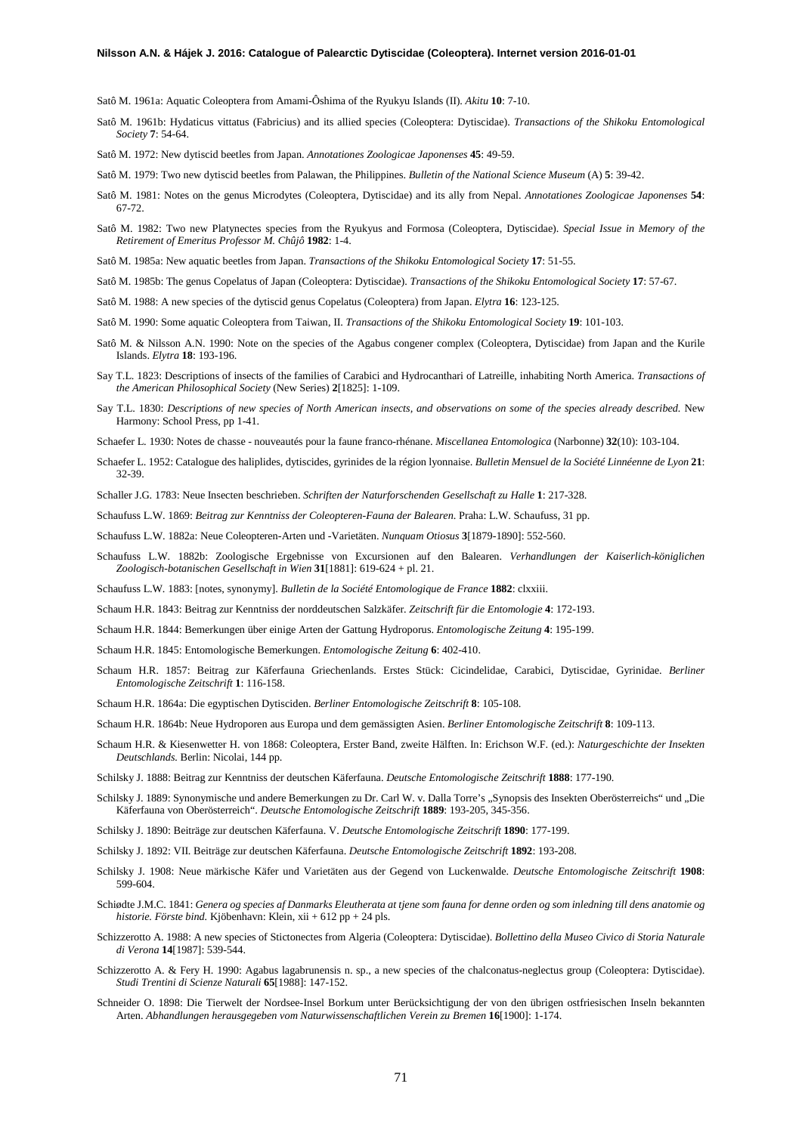Satô M. 1961a: Aquatic Coleoptera from Amami-Ôshima of the Ryukyu Islands (II). *Akitu* **10**: 7-10.

Satô M. 1961b: Hydaticus vittatus (Fabricius) and its allied species (Coleoptera: Dytiscidae). *Transactions of the Shikoku Entomological Society* **7**: 54-64.

Satô M. 1972: New dytiscid beetles from Japan. *Annotationes Zoologicae Japonenses* **45**: 49-59.

- Satô M. 1979: Two new dytiscid beetles from Palawan, the Philippines. *Bulletin of the National Science Museum* (A) **5**: 39-42.
- Satô M. 1981: Notes on the genus Microdytes (Coleoptera, Dytiscidae) and its ally from Nepal. *Annotationes Zoologicae Japonenses* **54**: 67-72.
- Satô M. 1982: Two new Platynectes species from the Ryukyus and Formosa (Coleoptera, Dytiscidae). *Special Issue in Memory of the Retirement of Emeritus Professor M. Chûjô* **1982**: 1-4.
- Satô M. 1985a: New aquatic beetles from Japan. *Transactions of the Shikoku Entomological Society* **17**: 51-55.
- Satô M. 1985b: The genus Copelatus of Japan (Coleoptera: Dytiscidae). *Transactions of the Shikoku Entomological Society* **17**: 57-67.
- Satô M. 1988: A new species of the dytiscid genus Copelatus (Coleoptera) from Japan. *Elytra* **16**: 123-125.
- Satô M. 1990: Some aquatic Coleoptera from Taiwan, II. *Transactions of the Shikoku Entomological Society* **19**: 101-103.
- Satô M. & Nilsson A.N. 1990: Note on the species of the Agabus congener complex (Coleoptera, Dytiscidae) from Japan and the Kurile Islands. *Elytra* **18**: 193-196.
- Say T.L. 1823: Descriptions of insects of the families of Carabici and Hydrocanthari of Latreille, inhabiting North America. *Transactions of the American Philosophical Society* (New Series) **2**[1825]: 1-109.
- Say T.L. 1830: *Descriptions of new species of North American insects, and observations on some of the species already described.* New Harmony: School Press, pp 1-41.
- Schaefer L. 1930: Notes de chasse nouveautés pour la faune franco-rhénane. *Miscellanea Entomologica* (Narbonne) **32**(10): 103-104.
- Schaefer L. 1952: Catalogue des haliplides, dytiscides, gyrinides de la région lyonnaise. *Bulletin Mensuel de la Société Linnéenne de Lyon* **21**: 32-39.

Schaller J.G. 1783: Neue Insecten beschrieben. *Schriften der Naturforschenden Gesellschaft zu Halle* **1**: 217-328.

Schaufuss L.W. 1869: *Beitrag zur Kenntniss der Coleopteren-Fauna der Balearen*. Praha: L.W. Schaufuss, 31 pp.

Schaufuss L.W. 1882a: Neue Coleopteren-Arten und -Varietäten. *Nunquam Otiosus* **3**[1879-1890]: 552-560.

- Schaufuss L.W. 1882b: Zoologische Ergebnisse von Excursionen auf den Balearen. *Verhandlungen der Kaiserlich-königlichen Zoologisch-botanischen Gesellschaft in Wien* **31**[1881]: 619-624 + pl. 21.
- Schaufuss L.W. 1883: [notes, synonymy]. *Bulletin de la Société Entomologique de France* **1882**: clxxiii.
- Schaum H.R. 1843: Beitrag zur Kenntniss der norddeutschen Salzkäfer. *Zeitschrift für die Entomologie* **4**: 172-193.

Schaum H.R. 1844: Bemerkungen über einige Arten der Gattung Hydroporus. *Entomologische Zeitung* **4**: 195-199.

- Schaum H.R. 1845: Entomologische Bemerkungen. *Entomologische Zeitung* **6**: 402-410.
- Schaum H.R. 1857: Beitrag zur Käferfauna Griechenlands. Erstes Stück: Cicindelidae, Carabici, Dytiscidae, Gyrinidae. *Berliner Entomologische Zeitschrift* **1**: 116-158.
- Schaum H.R. 1864a: Die egyptischen Dytisciden. *Berliner Entomologische Zeitschrift* **8**: 105-108.
- Schaum H.R. 1864b: Neue Hydroporen aus Europa und dem gemässigten Asien. *Berliner Entomologische Zeitschrift* **8**: 109-113.
- Schaum H.R. & Kiesenwetter H. von 1868: Coleoptera, Erster Band, zweite Hälften. In: Erichson W.F. (ed.): *Naturgeschichte der Insekten Deutschlands.* Berlin: Nicolai, 144 pp.
- Schilsky J. 1888: Beitrag zur Kenntniss der deutschen Käferfauna. *Deutsche Entomologische Zeitschrift* **1888**: 177-190.
- Schilsky J. 1889: Synonymische und andere Bemerkungen zu Dr. Carl W. v. Dalla Torre's "Synopsis des Insekten Oberösterreichs" und "Die Käferfauna von Oberösterreich". *Deutsche Entomologische Zeitschrift* **1889**: 193-205, 345-356.
- Schilsky J. 1890: Beiträge zur deutschen Käferfauna. V. *Deutsche Entomologische Zeitschrift* **1890**: 177-199.
- Schilsky J. 1892: VII. Beiträge zur deutschen Käferfauna. *Deutsche Entomologische Zeitschrift* **1892**: 193-208.
- Schilsky J. 1908: Neue märkische Käfer und Varietäten aus der Gegend von Luckenwalde. *Deutsche Entomologische Zeitschrift* **1908**: 599-604.
- Schiødte J.M.C. 1841: *Genera og species af Danmarks Eleutherata at tjene som fauna for denne orden og som inledning till dens anatomie og historie. Förste bind.* Kjöbenhavn: Klein, xii + 612 pp + 24 pls.
- Schizzerotto A. 1988: A new species of Stictonectes from Algeria (Coleoptera: Dytiscidae). *Bollettino della Museo Civico di Storia Naturale di Verona* **14**[1987]: 539-544.
- Schizzerotto A. & Fery H. 1990: Agabus lagabrunensis n. sp., a new species of the chalconatus-neglectus group (Coleoptera: Dytiscidae). *Studi Trentini di Scienze Naturali* **65**[1988]: 147-152.
- Schneider O. 1898: Die Tierwelt der Nordsee-Insel Borkum unter Berücksichtigung der von den übrigen ostfriesischen Inseln bekannten Arten. *Abhandlungen herausgegeben vom Naturwissenschaftlichen Verein zu Bremen* **16**[1900]: 1-174.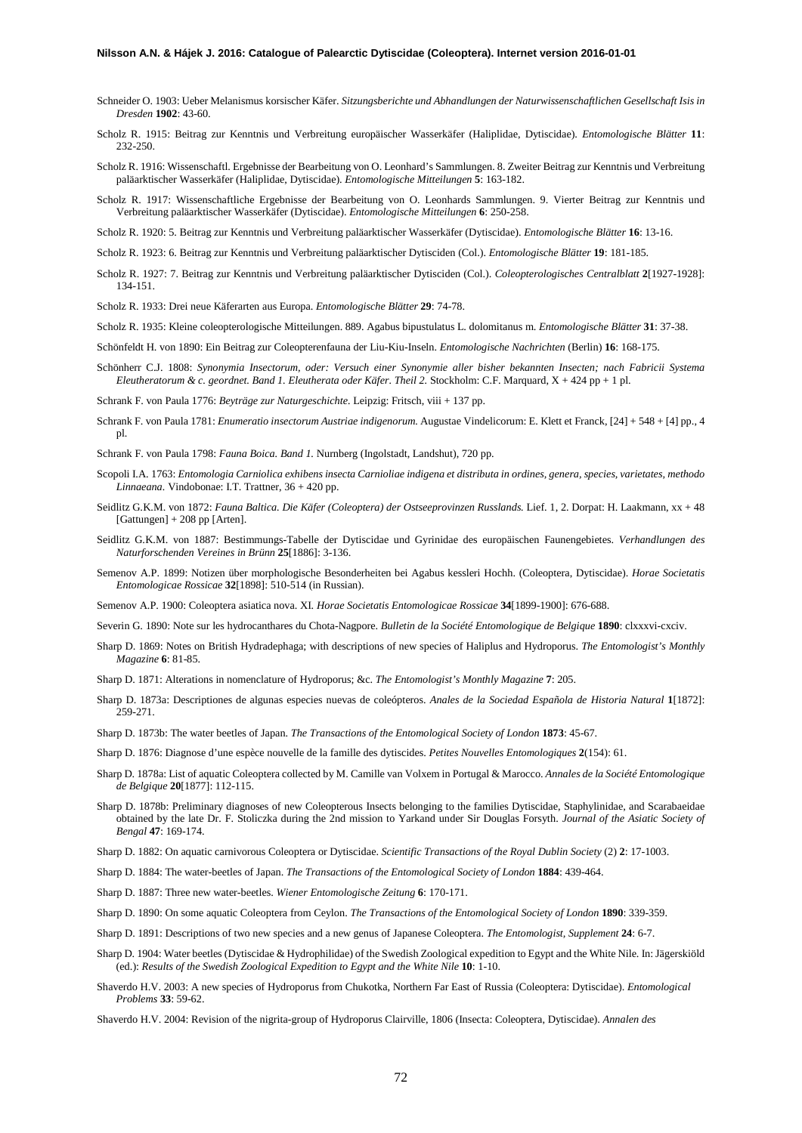- Schneider O. 1903: Ueber Melanismus korsischer Käfer. *Sitzungsberichte und Abhandlungen der Naturwissenschaftlichen Gesellschaft Isis in Dresden* **1902**: 43-60.
- Scholz R. 1915: Beitrag zur Kenntnis und Verbreitung europäischer Wasserkäfer (Haliplidae, Dytiscidae). *Entomologische Blätter* **11**: 232-250.
- Scholz R. 1916: Wissenschaftl. Ergebnisse der Bearbeitung von O. Leonhard's Sammlungen. 8. Zweiter Beitrag zur Kenntnis und Verbreitung paläarktischer Wasserkäfer (Haliplidae, Dytiscidae). *Entomologische Mitteilungen* **5**: 163-182.
- Scholz R. 1917: Wissenschaftliche Ergebnisse der Bearbeitung von O. Leonhards Sammlungen. 9. Vierter Beitrag zur Kenntnis und Verbreitung paläarktischer Wasserkäfer (Dytiscidae). *Entomologische Mitteilungen* **6**: 250-258.
- Scholz R. 1920: 5. Beitrag zur Kenntnis und Verbreitung paläarktischer Wasserkäfer (Dytiscidae). *Entomologische Blätter* **16**: 13-16.
- Scholz R. 1923: 6. Beitrag zur Kenntnis und Verbreitung paläarktischer Dytisciden (Col.). *Entomologische Blätter* **19**: 181-185.
- Scholz R. 1927: 7. Beitrag zur Kenntnis und Verbreitung paläarktischer Dytisciden (Col.). *Coleopterologisches Centralblatt* **2**[1927-1928]: 134-151.
- Scholz R. 1933: Drei neue Käferarten aus Europa. *Entomologische Blätter* **29**: 74-78.
- Scholz R. 1935: Kleine coleopterologische Mitteilungen. 889. Agabus bipustulatus L. dolomitanus m. *Entomologische Blätter* **31**: 37-38.
- Schönfeldt H. von 1890: Ein Beitrag zur Coleopterenfauna der Liu-Kiu-Inseln. *Entomologische Nachrichten* (Berlin) **16**: 168-175.
- Schönherr C.J. 1808: *Synonymia Insectorum, oder: Versuch einer Synonymie aller bisher bekannten Insecten; nach Fabricii Systema Eleutheratorum & c. geordnet. Band 1. Eleutherata oder Käfer. Theil 2.* Stockholm: C.F. Marquard, X + 424 pp + 1 pl.
- Schrank F. von Paula 1776: *Beyträge zur Naturgeschichte.* Leipzig: Fritsch, viii + 137 pp.
- Schrank F. von Paula 1781: *Enumeratio insectorum Austriae indigenorum.* Augustae Vindelicorum: E. Klett et Franck, [24] + 548 + [4] pp., 4 pl.
- Schrank F. von Paula 1798: *Fauna Boica. Band 1.* Nurnberg (Ingolstadt, Landshut), 720 pp.
- Scopoli I.A. 1763: *Entomologia Carniolica exhibens insecta Carnioliae indigena et distributa in ordines, genera, species, varietates, methodo Linnaeana.* Vindobonae: I.T. Trattner, 36 + 420 pp.
- Seidlitz G.K.M. von 1872: *Fauna Baltica. Die Käfer (Coleoptera) der Ostseeprovinzen Russlands.* Lief. 1, 2. Dorpat: H. Laakmann, xx + 48 [Gattungen] + 208 pp [Arten].
- Seidlitz G.K.M. von 1887: Bestimmungs-Tabelle der Dytiscidae und Gyrinidae des europäischen Faunengebietes. *Verhandlungen des Naturforschenden Vereines in Brünn* **25**[1886]: 3-136.
- Semenov A.P. 1899: Notizen über morphologische Besonderheiten bei Agabus kessleri Hochh. (Coleoptera, Dytiscidae). *Horae Societatis Entomologicae Rossicae* **32**[1898]: 510-514 (in Russian).
- Semenov A.P. 1900: Coleoptera asiatica nova. XI. *Horae Societatis Entomologicae Rossicae* **34**[1899-1900]: 676-688.
- Severin G. 1890: Note sur les hydrocanthares du Chota-Nagpore. *Bulletin de la Société Entomologique de Belgique* **1890**: clxxxvi-cxciv.
- Sharp D. 1869: Notes on British Hydradephaga; with descriptions of new species of Haliplus and Hydroporus. *The Entomologist's Monthly Magazine* **6**: 81-85.
- Sharp D. 1871: Alterations in nomenclature of Hydroporus; &c. *The Entomologist's Monthly Magazine* **7**: 205.
- Sharp D. 1873a: Descriptiones de algunas especies nuevas de coleópteros. *Anales de la Sociedad Española de Historia Natural* **1**[1872]: 259-271.
- Sharp D. 1873b: The water beetles of Japan. *The Transactions of the Entomological Society of London* **1873**: 45-67.
- Sharp D. 1876: Diagnose d'une espèce nouvelle de la famille des dytiscides. *Petites Nouvelles Entomologiques* **2**(154): 61.
- Sharp D. 1878a: List of aquatic Coleoptera collected by M. Camille van Volxem in Portugal & Marocco. *Annales de la Société Entomologique de Belgique* **20**[1877]: 112-115.
- Sharp D. 1878b: Preliminary diagnoses of new Coleopterous Insects belonging to the families Dytiscidae, Staphylinidae, and Scarabaeidae obtained by the late Dr. F. Stoliczka during the 2nd mission to Yarkand under Sir Douglas Forsyth. *Journal of the Asiatic Society of Bengal* **47**: 169-174.
- Sharp D. 1882: On aquatic carnivorous Coleoptera or Dytiscidae. *Scientific Transactions of the Royal Dublin Society* (2) **2**: 17-1003.
- Sharp D. 1884: The water-beetles of Japan. *The Transactions of the Entomological Society of London* **1884**: 439-464.
- Sharp D. 1887: Three new water-beetles. *Wiener Entomologische Zeitung* **6**: 170-171.
- Sharp D. 1890: On some aquatic Coleoptera from Ceylon. *The Transactions of the Entomological Society of London* **1890**: 339-359.
- Sharp D. 1891: Descriptions of two new species and a new genus of Japanese Coleoptera. *The Entomologist, Supplement* **24**: 6-7.
- Sharp D. 1904: Water beetles (Dytiscidae & Hydrophilidae) of the Swedish Zoological expedition to Egypt and the White Nile. In: Jägerskiöld (ed.): *Results of the Swedish Zoological Expedition to Egypt and the White Nile* 10: 1-10.
- Shaverdo H.V. 2003: A new species of Hydroporus from Chukotka, Northern Far East of Russia (Coleoptera: Dytiscidae). *Entomological Problems* **33**: 59-62.
- Shaverdo H.V. 2004: Revision of the nigrita-group of Hydroporus Clairville, 1806 (Insecta: Coleoptera, Dytiscidae). *Annalen des*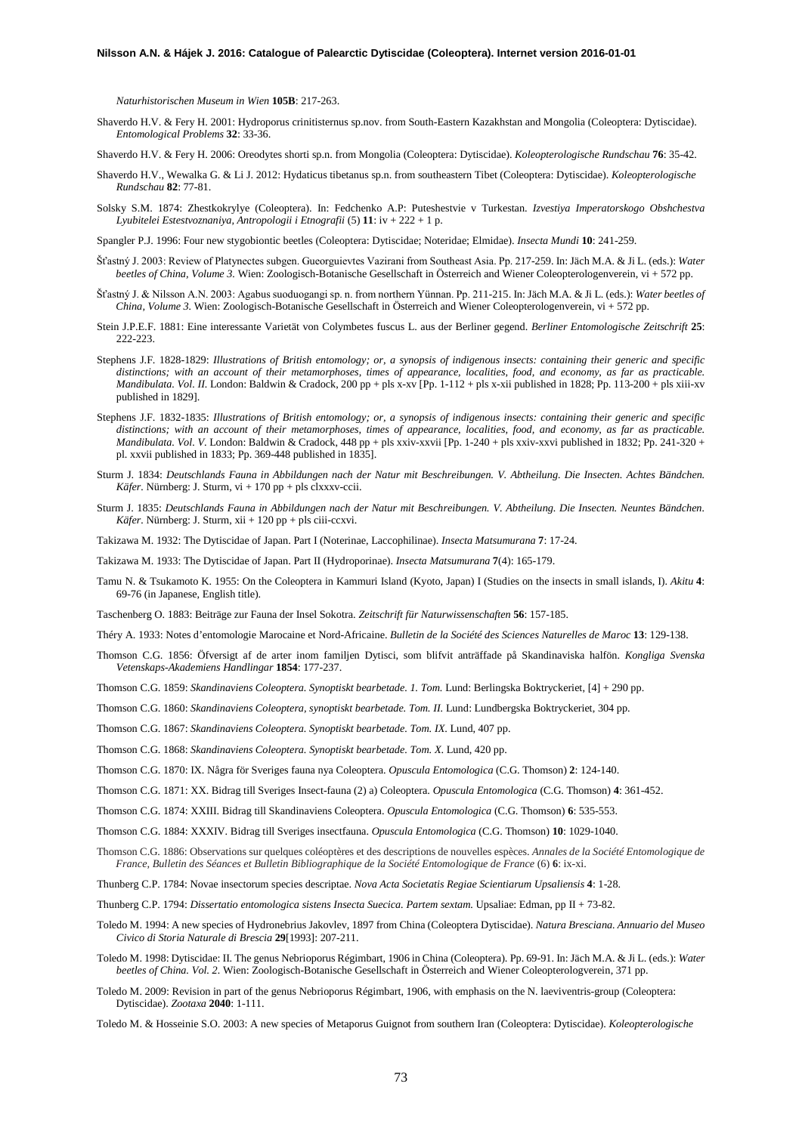## **Nilsson A.N. & Hájek J. 2016: Catalogue of Palearctic Dytiscidae (Coleoptera). Internet version 2016-01-01**

*Naturhistorischen Museum in Wien* **105B**: 217-263.

Shaverdo H.V. & Fery H. 2001: Hydroporus crinitisternus sp.nov. from South-Eastern Kazakhstan and Mongolia (Coleoptera: Dytiscidae). *Entomological Problems* **32**: 33-36.

Shaverdo H.V. & Fery H. 2006: Oreodytes shorti sp.n. from Mongolia (Coleoptera: Dytiscidae). *Koleopterologische Rundschau* **76**: 35-42.

- Shaverdo H.V., Wewalka G. & Li J. 2012: Hydaticus tibetanus sp.n. from southeastern Tibet (Coleoptera: Dytiscidae). *Koleopterologische Rundschau* **82**: 77-81.
- Solsky S.M. 1874: Zhestkokrylye (Coleoptera). In: Fedchenko A.P: Puteshestvie v Turkestan. *Izvestiya Imperatorskogo Obshchestva Lyubitelei Estestvoznaniya, Antropologii i Etnografii* (5) **11**: iv + 222 + 1 p.
- Spangler P.J. 1996: Four new stygobiontic beetles (Coleoptera: Dytiscidae; Noteridae; Elmidae). *Insecta Mundi* **10**: 241-259.
- Šťastný J. 2003: Review of Platynectes subgen. Gueorguievtes Vazirani from Southeast Asia. Pp. 217-259. In: Jäch M.A. & Ji L. (eds.): *Water beetles of China, Volume 3.* Wien: Zoologisch-Botanische Gesellschaft in Österreich and Wiener Coleopterologenverein, vi + 572 pp.
- Šťastný J. & Nilsson A.N. 2003: Agabus suoduogangi sp. n. from northern Yünnan. Pp. 211-215. In: Jäch M.A. & Ji L. (eds.): *Water beetles of China, Volume 3.* Wien: Zoologisch-Botanische Gesellschaft in Österreich and Wiener Coleopterologenverein, vi + 572 pp.
- Stein J.P.E.F. 1881: Eine interessante Varietät von Colymbetes fuscus L. aus der Berliner gegend. *Berliner Entomologische Zeitschrift* **25**: 222-223.
- Stephens J.F. 1828-1829: *Illustrations of British entomology; or, a synopsis of indigenous insects: containing their generic and specific distinctions; with an account of their metamorphoses, times of appearance, localities, food, and economy, as far as practicable. Mandibulata. Vol. II.* London: Baldwin & Cradock, 200 pp + pls x-xv [Pp. 1-112 + pls x-xii published in 1828; Pp. 113-200 + pls xiii-xv published in 1829].
- Stephens J.F. 1832-1835: *Illustrations of British entomology; or, a synopsis of indigenous insects: containing their generic and specific distinctions; with an account of their metamorphoses, times of appearance, localities, food, and economy, as far as practicable. Mandibulata. Vol. V*. London: Baldwin & Cradock, 448 pp + pls xxiv-xxvii [Pp. 1-240 + pls xxiv-xxvi published in 1832; Pp. 241-320 + pl. xxvii published in 1833; Pp. 369-448 published in 1835].
- Sturm J. 1834: *Deutschlands Fauna in Abbildungen nach der Natur mit Beschreibungen. V. Abtheilung. Die Insecten. Achtes Bändchen. Käfer.* Nürnberg: J. Sturm, vi + 170 pp + pls clxxxv-ccii.
- Sturm J. 1835: *Deutschlands Fauna in Abbildungen nach der Natur mit Beschreibungen. V. Abtheilung. Die Insecten. Neuntes Bändchen. Käfer.* Nürnberg: J. Sturm, xii + 120 pp + pls ciii-ccxvi.

Takizawa M. 1932: The Dytiscidae of Japan. Part I (Noterinae, Laccophilinae). *Insecta Matsumurana* **7**: 17-24.

- Takizawa M. 1933: The Dytiscidae of Japan. Part II (Hydroporinae). *Insecta Matsumurana* **7**(4): 165-179.
- Tamu N. & Tsukamoto K. 1955: On the Coleoptera in Kammuri Island (Kyoto, Japan) I (Studies on the insects in small islands, I). *Akitu* **4**: 69-76 (in Japanese, English title).
- Taschenberg O. 1883: Beiträge zur Fauna der Insel Sokotra. *Zeitschrift für Naturwissenschaften* **56**: 157-185.
- Théry A. 1933: Notes d'entomologie Marocaine et Nord-Africaine. *Bulletin de la Société des Sciences Naturelles de Maroc* **13**: 129-138.
- Thomson C.G. 1856: Öfversigt af de arter inom familjen Dytisci, som blifvit anträffade på Skandinaviska halfön. *Kongliga Svenska Vetenskaps-Akademiens Handlingar* **1854**: 177-237.

Thomson C.G. 1859: *Skandinaviens Coleoptera. Synoptiskt bearbetade. 1. Tom.* Lund: Berlingska Boktryckeriet, [4] + 290 pp.

- Thomson C.G. 1860: *Skandinaviens Coleoptera, synoptiskt bearbetade. Tom. II.* Lund: Lundbergska Boktryckeriet, 304 pp.
- Thomson C.G. 1867: *Skandinaviens Coleoptera. Synoptiskt bearbetade. Tom. IX*. Lund, 407 pp.
- Thomson C.G. 1868: *Skandinaviens Coleoptera. Synoptiskt bearbetade. Tom. X*. Lund, 420 pp.
- Thomson C.G. 1870: IX. Några för Sveriges fauna nya Coleoptera. *Opuscula Entomologica* (C.G. Thomson) **2**: 124-140.
- Thomson C.G. 1871: XX. Bidrag till Sveriges Insect-fauna (2) a) Coleoptera. *Opuscula Entomologica* (C.G. Thomson) **4**: 361-452.
- Thomson C.G. 1874: XXIII. Bidrag till Skandinaviens Coleoptera. *Opuscula Entomologica* (C.G. Thomson) **6**: 535-553.
- Thomson C.G. 1884: XXXIV. Bidrag till Sveriges insectfauna. *Opuscula Entomologica* (C.G. Thomson) **10**: 1029-1040.
- Thomson C.G. 1886: Observations sur quelques coléoptères et des descriptions de nouvelles espèces. *Annales de la Société Entomologique de France, Bulletin des Séances et Bulletin Bibliographique de la Société Entomologique de France* (6) **6**: ix-xi.
- Thunberg C.P. 1784: Novae insectorum species descriptae. *Nova Acta Societatis Regiae Scientiarum Upsaliensis* **4**: 1-28.
- Thunberg C.P. 1794: *Dissertatio entomologica sistens Insecta Suecica. Partem sextam.* Upsaliae: Edman, pp II + 73-82.
- Toledo M. 1994: A new species of Hydronebrius Jakovlev, 1897 from China (Coleoptera Dytiscidae). *Natura Bresciana. Annuario del Museo Civico di Storia Naturale di Brescia* **29**[1993]: 207-211.
- Toledo M. 1998: Dytiscidae: II. The genus Nebrioporus Régimbart, 1906 in China (Coleoptera). Pp. 69-91. In: Jäch M.A. & Ji L. (eds.): *Water beetles of China. Vol. 2.* Wien: Zoologisch-Botanische Gesellschaft in Österreich and Wiener Coleopterologverein, 371 pp.
- Toledo M. 2009: Revision in part of the genus Nebrioporus Régimbart, 1906, with emphasis on the N. laeviventris-group (Coleoptera: Dytiscidae). *Zootaxa* **2040**: 1-111.
- Toledo M. & Hosseinie S.O. 2003: A new species of Metaporus Guignot from southern Iran (Coleoptera: Dytiscidae). *Koleopterologische*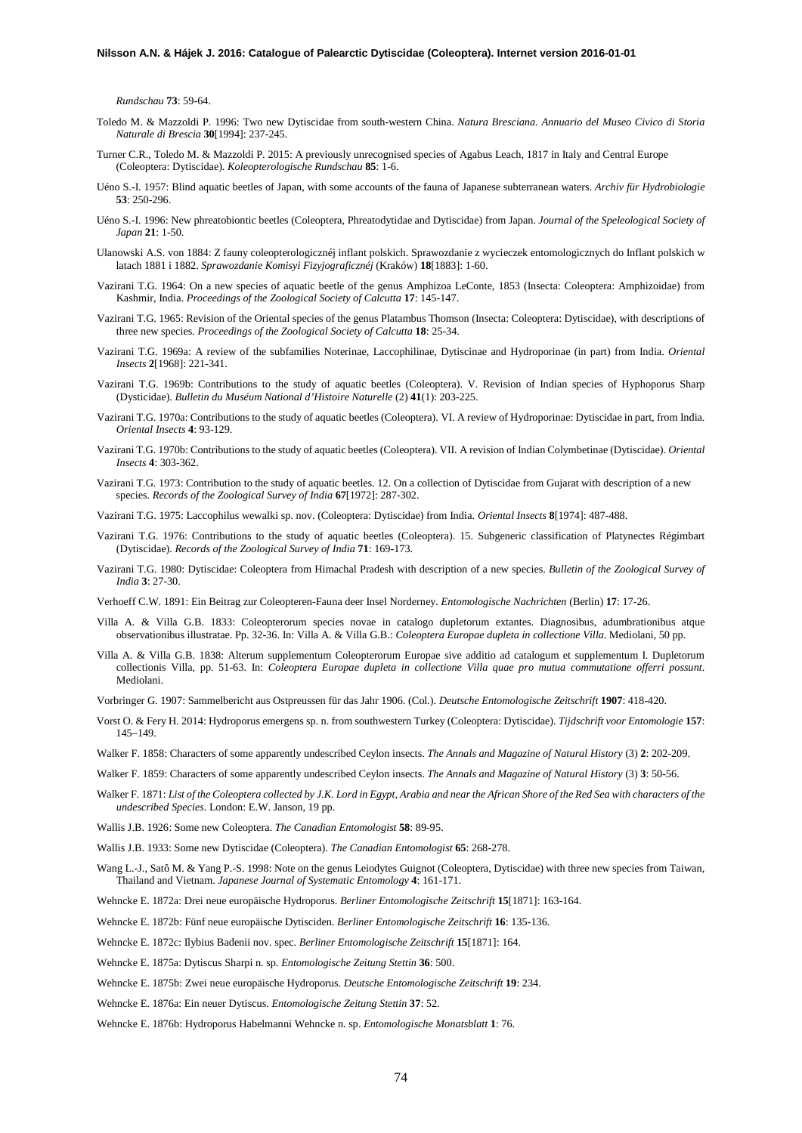*Rundschau* **73**: 59-64.

- Toledo M. & Mazzoldi P. 1996: Two new Dytiscidae from south-western China. *Natura Bresciana. Annuario del Museo Civico di Storia Naturale di Brescia* **30**[1994]: 237-245.
- Turner C.R., Toledo M. & Mazzoldi P. 2015: A previously unrecognised species of Agabus Leach, 1817 in Italy and Central Europe (Coleoptera: Dytiscidae). *Koleopterologische Rundschau* **85**: 1-6.
- Uéno S.-I. 1957: Blind aquatic beetles of Japan, with some accounts of the fauna of Japanese subterranean waters. *Archiv für Hydrobiologie* **53**: 250-296.
- Uéno S.-I. 1996: New phreatobiontic beetles (Coleoptera, Phreatodytidae and Dytiscidae) from Japan. *Journal of the Speleological Society of Japan* **21**: 1-50.
- Ulanowski A.S. von 1884: Z fauny coleopterologicznéj inflant polskich. Sprawozdanie z wycieczek entomologicznych do Inflant polskich w latach 1881 i 1882. *Sprawozdanie Komisyi Fizyjograficznéj* (Kraków) **18**[1883]: 1-60.
- Vazirani T.G. 1964: On a new species of aquatic beetle of the genus Amphizoa LeConte, 1853 (Insecta: Coleoptera: Amphizoidae) from Kashmir, India. *Proceedings of the Zoological Society of Calcutta* **17**: 145-147.
- Vazirani T.G. 1965: Revision of the Oriental species of the genus Platambus Thomson (Insecta: Coleoptera: Dytiscidae), with descriptions of three new species. *Proceedings of the Zoological Society of Calcutta* **18**: 25-34.
- Vazirani T.G. 1969a: A review of the subfamilies Noterinae, Laccophilinae, Dytiscinae and Hydroporinae (in part) from India. *Oriental Insects* **2**[1968]: 221-341.
- Vazirani T.G. 1969b: Contributions to the study of aquatic beetles (Coleoptera). V. Revision of Indian species of Hyphoporus Sharp (Dysticidae). *Bulletin du Muséum National d'Histoire Naturelle* (2) **41**(1): 203-225.
- Vazirani T.G. 1970a: Contributions to the study of aquatic beetles (Coleoptera). VI. A review of Hydroporinae: Dytiscidae in part, from India. *Oriental Insects* **4**: 93-129.
- Vazirani T.G. 1970b: Contributions to the study of aquatic beetles (Coleoptera). VII. A revision of Indian Colymbetinae (Dytiscidae). *Oriental Insects* **4**: 303-362.
- Vazirani T.G. 1973: Contribution to the study of aquatic beetles. 12. On a collection of Dytiscidae from Gujarat with description of a new species. *Records of the Zoological Survey of India* **67**[1972]: 287-302.
- Vazirani T.G. 1975: Laccophilus wewalki sp. nov. (Coleoptera: Dytiscidae) from India. *Oriental Insects* **8**[1974]: 487-488.
- Vazirani T.G. 1976: Contributions to the study of aquatic beetles (Coleoptera). 15. Subgeneric classification of Platynectes Régimbart (Dytiscidae). *Records of the Zoological Survey of India* **71**: 169-173.
- Vazirani T.G. 1980: Dytiscidae: Coleoptera from Himachal Pradesh with description of a new species. *Bulletin of the Zoological Survey of India* **3**: 27-30.
- Verhoeff C.W. 1891: Ein Beitrag zur Coleopteren-Fauna deer Insel Norderney. *Entomologische Nachrichten* (Berlin) **17**: 17-26.
- Villa A. & Villa G.B. 1833: Coleopterorum species novae in catalogo dupletorum extantes. Diagnosibus, adumbrationibus atque observationibus illustratae. Pp. 32-36. In: Villa A. & Villa G.B.: *Coleoptera Europae dupleta in collectione Villa*. Mediolani, 50 pp.
- Villa A. & Villa G.B. 1838: Alterum supplementum Coleopterorum Europae sive additio ad catalogum et supplementum I. Dupletorum collectionis Villa, pp. 51-63. In: *Coleoptera Europae dupleta in collectione Villa quae pro mutua commutatione offerri possunt*. Mediolani.
- Vorbringer G. 1907: Sammelbericht aus Ostpreussen für das Jahr 1906. (Col.). *Deutsche Entomologische Zeitschrift* **1907**: 418-420.
- Vorst O. & Fery H. 2014: Hydroporus emergens sp. n. from southwestern Turkey (Coleoptera: Dytiscidae). *Tijdschrift voor Entomologie* **157**: 145–149.
- Walker F. 1858: Characters of some apparently undescribed Ceylon insects. *The Annals and Magazine of Natural History* (3) **2**: 202-209.
- Walker F. 1859: Characters of some apparently undescribed Ceylon insects. *The Annals and Magazine of Natural History* (3) **3**: 50-56.
- Walker F. 1871: *List of the Coleoptera collected by J.K. Lord in Egypt, Arabia and near the African Shore of the Red Sea with characters of the undescribed Species*. London: E.W. Janson, 19 pp.
- Wallis J.B. 1926: Some new Coleoptera. *The Canadian Entomologist* **58**: 89-95.
- Wallis J.B. 1933: Some new Dytiscidae (Coleoptera). *The Canadian Entomologist* **65**: 268-278.
- Wang L.-J., Satô M. & Yang P.-S. 1998: Note on the genus Leiodytes Guignot (Coleoptera, Dytiscidae) with three new species from Taiwan, Thailand and Vietnam. *Japanese Journal of Systematic Entomology* **4**: 161-171.
- Wehncke E. 1872a: Drei neue europäische Hydroporus. *Berliner Entomologische Zeitschrift* **15**[1871]: 163-164.
- Wehncke E. 1872b: Fünf neue europäische Dytisciden. *Berliner Entomologische Zeitschrift* **16**: 135-136.
- Wehncke E. 1872c: Ilybius Badenii nov. spec. *Berliner Entomologische Zeitschrift* **15**[1871]: 164.
- Wehncke E. 1875a: Dytiscus Sharpi n. sp. *Entomologische Zeitung Stettin* **36**: 500.
- Wehncke E. 1875b: Zwei neue europäische Hydroporus. *Deutsche Entomologische Zeitschrift* **19**: 234.
- Wehncke E. 1876a: Ein neuer Dytiscus. *Entomologische Zeitung Stettin* **37**: 52.
- Wehncke E. 1876b: Hydroporus Habelmanni Wehncke n. sp. *Entomologische Monatsblatt* **1**: 76.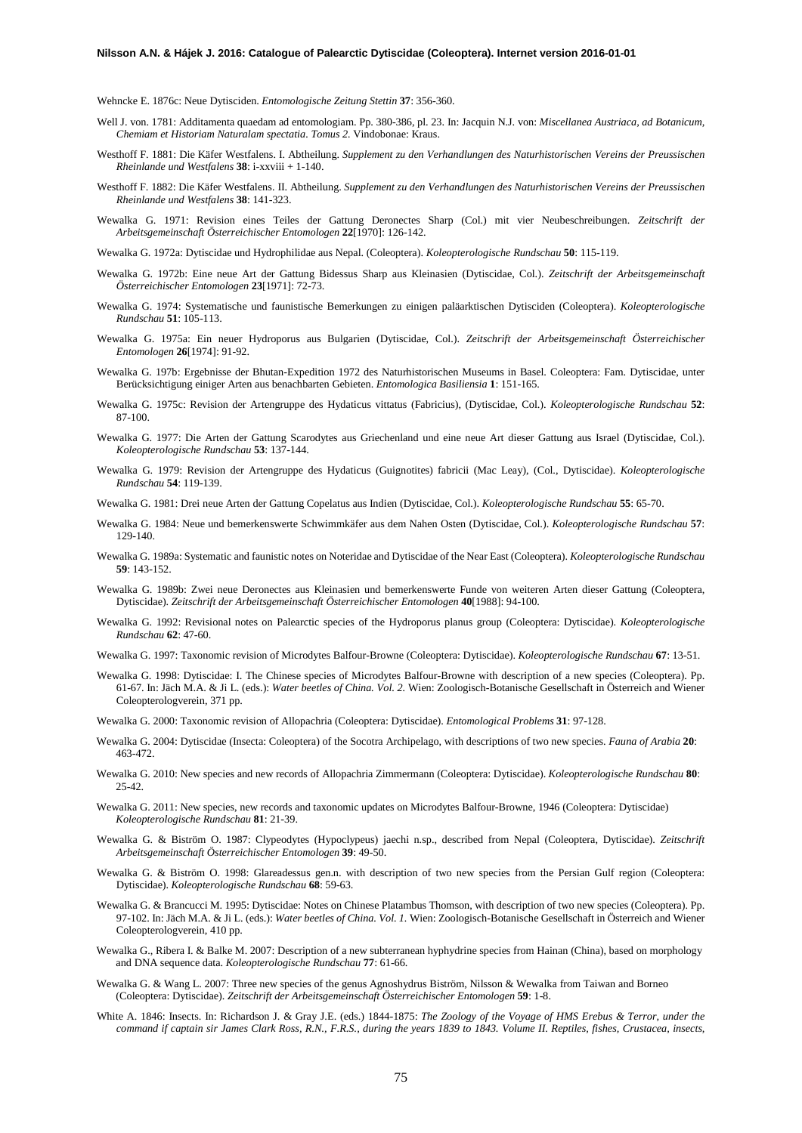Wehncke E. 1876c: Neue Dytisciden. *Entomologische Zeitung Stettin* **37**: 356-360.

- Well J. von. 1781: Additamenta quaedam ad entomologiam. Pp. 380-386, pl. 23. In: Jacquin N.J. von: *Miscellanea Austriaca, ad Botanicum, Chemiam et Historiam Naturalam spectatia. Tomus 2.* Vindobonae: Kraus.
- Westhoff F. 1881: Die Käfer Westfalens. I. Abtheilung. *Supplement zu den Verhandlungen des Naturhistorischen Vereins der Preussischen Rheinlande und Westfalens* **38**: i-xxviii + 1-140.
- Westhoff F. 1882: Die Käfer Westfalens. II. Abtheilung. *Supplement zu den Verhandlungen des Naturhistorischen Vereins der Preussischen Rheinlande und Westfalens* **38**: 141-323.
- Wewalka G. 1971: Revision eines Teiles der Gattung Deronectes Sharp (Col.) mit vier Neubeschreibungen. *Zeitschrift der Arbeitsgemeinschaft Österreichischer Entomologen* **22**[1970]: 126-142.
- Wewalka G. 1972a: Dytiscidae und Hydrophilidae aus Nepal. (Coleoptera). *Koleopterologische Rundschau* **50**: 115-119.
- Wewalka G. 1972b: Eine neue Art der Gattung Bidessus Sharp aus Kleinasien (Dytiscidae, Col.). *Zeitschrift der Arbeitsgemeinschaft Österreichischer Entomologen* **23**[1971]: 72-73.
- Wewalka G. 1974: Systematische und faunistische Bemerkungen zu einigen paläarktischen Dytisciden (Coleoptera). *Koleopterologische Rundschau* **51**: 105-113.
- Wewalka G. 1975a: Ein neuer Hydroporus aus Bulgarien (Dytiscidae, Col.). *Zeitschrift der Arbeitsgemeinschaft Österreichischer Entomologen* **26**[1974]: 91-92.
- Wewalka G. 197b: Ergebnisse der Bhutan-Expedition 1972 des Naturhistorischen Museums in Basel. Coleoptera: Fam. Dytiscidae, unter Berücksichtigung einiger Arten aus benachbarten Gebieten. *Entomologica Basiliensia* **1**: 151-165.
- Wewalka G. 1975c: Revision der Artengruppe des Hydaticus vittatus (Fabricius), (Dytiscidae, Col.). *Koleopterologische Rundschau* **52**: 87-100.
- Wewalka G. 1977: Die Arten der Gattung Scarodytes aus Griechenland und eine neue Art dieser Gattung aus Israel (Dytiscidae, Col.). *Koleopterologische Rundschau* **53**: 137-144.
- Wewalka G. 1979: Revision der Artengruppe des Hydaticus (Guignotites) fabricii (Mac Leay), (Col., Dytiscidae). *Koleopterologische Rundschau* **54**: 119-139.
- Wewalka G. 1981: Drei neue Arten der Gattung Copelatus aus Indien (Dytiscidae, Col.). *Koleopterologische Rundschau* **55**: 65-70.
- Wewalka G. 1984: Neue und bemerkenswerte Schwimmkäfer aus dem Nahen Osten (Dytiscidae, Col.). *Koleopterologische Rundschau* **57**: 129-140.
- Wewalka G. 1989a: Systematic and faunistic notes on Noteridae and Dytiscidae of the Near East (Coleoptera). *Koleopterologische Rundschau* **59**: 143-152.
- Wewalka G. 1989b: Zwei neue Deronectes aus Kleinasien und bemerkenswerte Funde von weiteren Arten dieser Gattung (Coleoptera, Dytiscidae). *Zeitschrift der Arbeitsgemeinschaft Österreichischer Entomologen* **40**[1988]: 94-100.
- Wewalka G. 1992: Revisional notes on Palearctic species of the Hydroporus planus group (Coleoptera: Dytiscidae). *Koleopterologische Rundschau* **62**: 47-60.
- Wewalka G. 1997: Taxonomic revision of Microdytes Balfour-Browne (Coleoptera: Dytiscidae). *Koleopterologische Rundschau* **67**: 13-51.
- Wewalka G. 1998: Dytiscidae: I. The Chinese species of Microdytes Balfour-Browne with description of a new species (Coleoptera). Pp. 61-67. In: Jäch M.A. & Ji L. (eds.): *Water beetles of China. Vol. 2.* Wien: Zoologisch-Botanische Gesellschaft in Österreich and Wiener Coleopterologverein, 371 pp.
- Wewalka G. 2000: Taxonomic revision of Allopachria (Coleoptera: Dytiscidae). *Entomological Problems* **31**: 97-128.
- Wewalka G. 2004: Dytiscidae (Insecta: Coleoptera) of the Socotra Archipelago, with descriptions of two new species. *Fauna of Arabia* **20**: 463-472.
- Wewalka G. 2010: New species and new records of Allopachria Zimmermann (Coleoptera: Dytiscidae). *Koleopterologische Rundschau* **80**: 25-42.
- Wewalka G. 2011: New species, new records and taxonomic updates on Microdytes Balfour-Browne, 1946 (Coleoptera: Dytiscidae) *Koleopterologische Rundschau* **81**: 21-39.
- Wewalka G. & Biström O. 1987: Clypeodytes (Hypoclypeus) jaechi n.sp., described from Nepal (Coleoptera, Dytiscidae). *Zeitschrift Arbeitsgemeinschaft Österreichischer Entomologen* **39**: 49-50.
- Wewalka G. & Biström O. 1998: Glareadessus gen.n. with description of two new species from the Persian Gulf region (Coleoptera: Dytiscidae). *Koleopterologische Rundschau* **68**: 59-63.
- Wewalka G. & Brancucci M. 1995: Dytiscidae: Notes on Chinese Platambus Thomson, with description of two new species (Coleoptera). Pp. 97-102. In: Jäch M.A. & Ji L. (eds.): *Water beetles of China. Vol. 1.* Wien: Zoologisch-Botanische Gesellschaft in Österreich and Wiener Coleopterologverein, 410 pp.
- Wewalka G., Ribera I. & Balke M. 2007: Description of a new subterranean hyphydrine species from Hainan (China), based on morphology and DNA sequence data. *Koleopterologische Rundschau* **77**: 61-66.
- Wewalka G. & Wang L. 2007: Three new species of the genus Agnoshydrus Biström, Nilsson & Wewalka from Taiwan and Borneo (Coleoptera: Dytiscidae). *Zeitschrift der Arbeitsgemeinschaft Österreichischer Entomologen* **59**: 1-8.
- White A. 1846: Insects. In: Richardson J. & Gray J.E. (eds.) 1844-1875: *The Zoology of the Voyage of HMS Erebus & Terror, under the command if captain sir James Clark Ross, R.N., F.R.S., during the years 1839 to 1843. Volume II. Reptiles, fishes, Crustacea, insects,*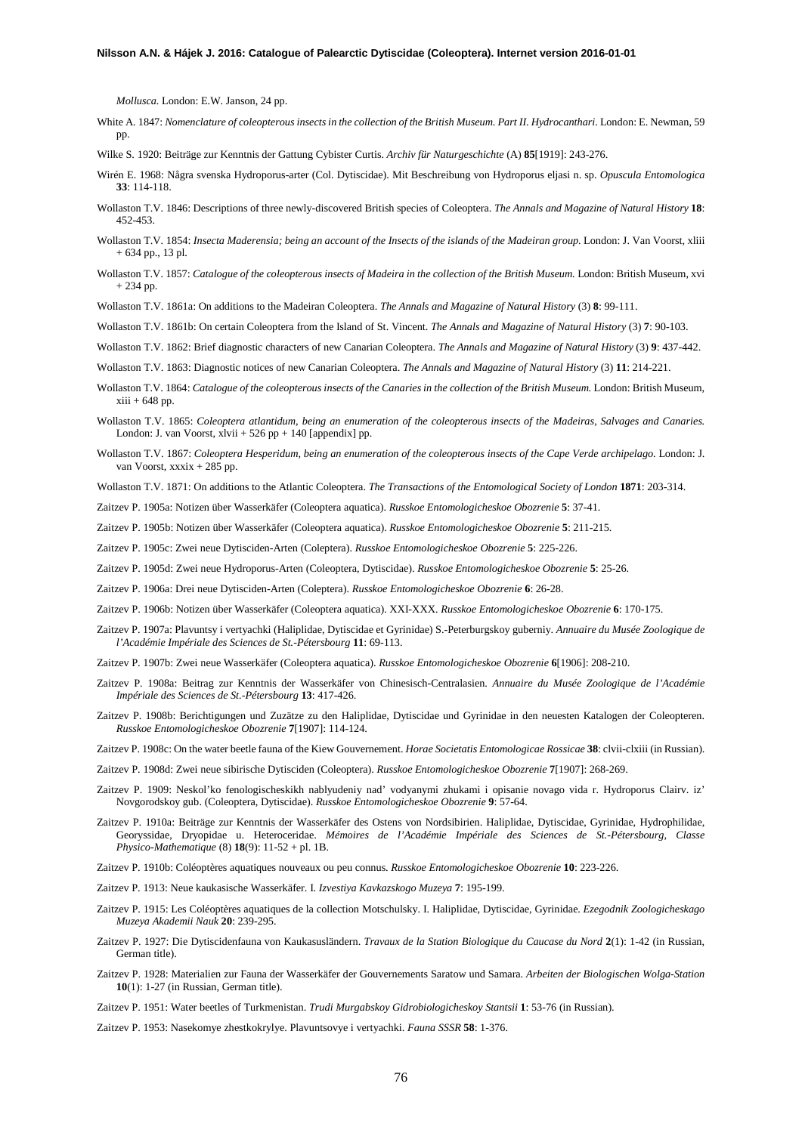*Mollusca.* London: E.W. Janson, 24 pp.

- White A. 1847: *Nomenclature of coleopterous insects in the collection of the British Museum. Part II. Hydrocanthari*, London: E. Newman, 59 pp.
- Wilke S. 1920: Beiträge zur Kenntnis der Gattung Cybister Curtis. *Archiv für Naturgeschichte* (A) **85**[1919]: 243-276.
- Wirén E. 1968: Några svenska Hydroporus-arter (Col. Dytiscidae). Mit Beschreibung von Hydroporus eljasi n. sp. *Opuscula Entomologica* **33**: 114-118.
- Wollaston T.V. 1846: Descriptions of three newly-discovered British species of Coleoptera. *The Annals and Magazine of Natural History* **18**: 452-453.
- Wollaston T.V. 1854: *Insecta Maderensia; being an account of the Insects of the islands of the Madeiran group.* London: J. Van Voorst, xliii + 634 pp., 13 pl.
- Wollaston T.V. 1857: *Catalogue of the coleopterous insects of Madeira in the collection of the British Museum.* London: British Museum, xvi + 234 pp.
- Wollaston T.V. 1861a: On additions to the Madeiran Coleoptera. *The Annals and Magazine of Natural History* (3) **8**: 99-111.
- Wollaston T.V. 1861b: On certain Coleoptera from the Island of St. Vincent. *The Annals and Magazine of Natural History* (3) **7**: 90-103.
- Wollaston T.V. 1862: Brief diagnostic characters of new Canarian Coleoptera. *The Annals and Magazine of Natural History* (3) **9**: 437-442.
- Wollaston T.V. 1863: Diagnostic notices of new Canarian Coleoptera. *The Annals and Magazine of Natural History* (3) **11**: 214-221.
- Wollaston T.V. 1864: *Catalogue of the coleopterous insects of the Canaries in the collection of the British Museum.* London: British Museum,  $xiii + 648$  pp.
- Wollaston T.V. 1865: *Coleoptera atlantidum, being an enumeration of the coleopterous insects of the Madeiras, Salvages and Canaries.* London: J. van Voorst, xlvii + 526 pp + 140 [appendix] pp.
- Wollaston T.V. 1867: *Coleoptera Hesperidum, being an enumeration of the coleopterous insects of the Cape Verde archipelago.* London: J. van Voorst, xxxix + 285 pp.

Wollaston T.V. 1871: On additions to the Atlantic Coleoptera. *The Transactions of the Entomological Society of London* **1871**: 203-314.

Zaitzev P. 1905a: Notizen über Wasserkäfer (Coleoptera aquatica). *Russkoe Entomologicheskoe Obozrenie* **5**: 37-41.

Zaitzev P. 1905b: Notizen über Wasserkäfer (Coleoptera aquatica). *Russkoe Entomologicheskoe Obozrenie* **5**: 211-215.

Zaitzev P. 1905c: Zwei neue Dytisciden-Arten (Coleptera). *Russkoe Entomologicheskoe Obozrenie* **5**: 225-226.

- Zaitzev P. 1905d: Zwei neue Hydroporus-Arten (Coleoptera, Dytiscidae). *Russkoe Entomologicheskoe Obozrenie* **5**: 25-26.
- Zaitzev P. 1906a: Drei neue Dytisciden-Arten (Coleptera). *Russkoe Entomologicheskoe Obozrenie* **6**: 26-28.
- Zaitzev P. 1906b: Notizen über Wasserkäfer (Coleoptera aquatica). XXI-XXX. *Russkoe Entomologicheskoe Obozrenie* **6**: 170-175.
- Zaitzev P. 1907a: Plavuntsy i vertyachki (Haliplidae, Dytiscidae et Gyrinidae) S.-Peterburgskoy guberniy. *Annuaire du Musée Zoologique de l'Académie Impériale des Sciences de St.-Pétersbourg* **11**: 69-113.
- Zaitzev P. 1907b: Zwei neue Wasserkäfer (Coleoptera aquatica). *Russkoe Entomologicheskoe Obozrenie* **6**[1906]: 208-210.
- Zaitzev P. 1908a: Beitrag zur Kenntnis der Wasserkäfer von Chinesisch-Centralasien. *Annuaire du Musée Zoologique de l'Académie Impériale des Sciences de St.-Pétersbourg* **13**: 417-426.
- Zaitzev P. 1908b: Berichtigungen und Zuzätze zu den Haliplidae, Dytiscidae und Gyrinidae in den neuesten Katalogen der Coleopteren. *Russkoe Entomologicheskoe Obozrenie* **7**[1907]: 114-124.
- Zaitzev P. 1908c: On the water beetle fauna of the Kiew Gouvernement. *Horae Societatis Entomologicae Rossicae* **38**: clvii-clxiii (in Russian).
- Zaitzev P. 1908d: Zwei neue sibirische Dytisciden (Coleoptera). *Russkoe Entomologicheskoe Obozrenie* **7**[1907]: 268-269.
- Zaitzev P. 1909: Neskol'ko fenologischeskikh nablyudeniy nad' vodyanymi zhukami i opisanie novago vida r. Hydroporus Clairv. iz' Novgorodskoy gub. (Coleoptera, Dytiscidae). *Russkoe Entomologicheskoe Obozrenie* **9**: 57-64.
- Zaitzev P. 1910a: Beiträge zur Kenntnis der Wasserkäfer des Ostens von Nordsibirien. Haliplidae, Dytiscidae, Gyrinidae, Hydrophilidae, Georyssidae, Dryopidae u. Heteroceridae. *Mémoires de l'Académie Impériale des Sciences de St.-Pétersbourg, Classe Physico-Mathematique* (8) **18**(9): 11-52 + pl. 1B.
- Zaitzev P. 1910b: Coléoptères aquatiques nouveaux ou peu connus. *Russkoe Entomologicheskoe Obozrenie* **10**: 223-226.
- Zaitzev P. 1913: Neue kaukasische Wasserkäfer. I. *Izvestiya Kavkazskogo Muzeya* **7**: 195-199.
- Zaitzev P. 1915: Les Coléoptères aquatiques de la collection Motschulsky. I. Haliplidae, Dytiscidae, Gyrinidae. *Ezegodnik Zoologicheskago Muzeya Akademii Nauk* **20**: 239-295.
- Zaitzev P. 1927: Die Dytiscidenfauna von Kaukasusländern. *Travaux de la Station Biologique du Caucase du Nord* **2**(1): 1-42 (in Russian, German title).
- Zaitzev P. 1928: Materialien zur Fauna der Wasserkäfer der Gouvernements Saratow und Samara. *Arbeiten der Biologischen Wolga-Station* **10**(1): 1-27 (in Russian, German title).
- Zaitzev P. 1951: Water beetles of Turkmenistan. *Trudi Murgabskoy Gidrobiologicheskoy Stantsii* **1**: 53-76 (in Russian).
- Zaitzev P. 1953: Nasekomye zhestkokrylye. Plavuntsovye i vertyachki. *Fauna SSSR* **58**: 1-376.